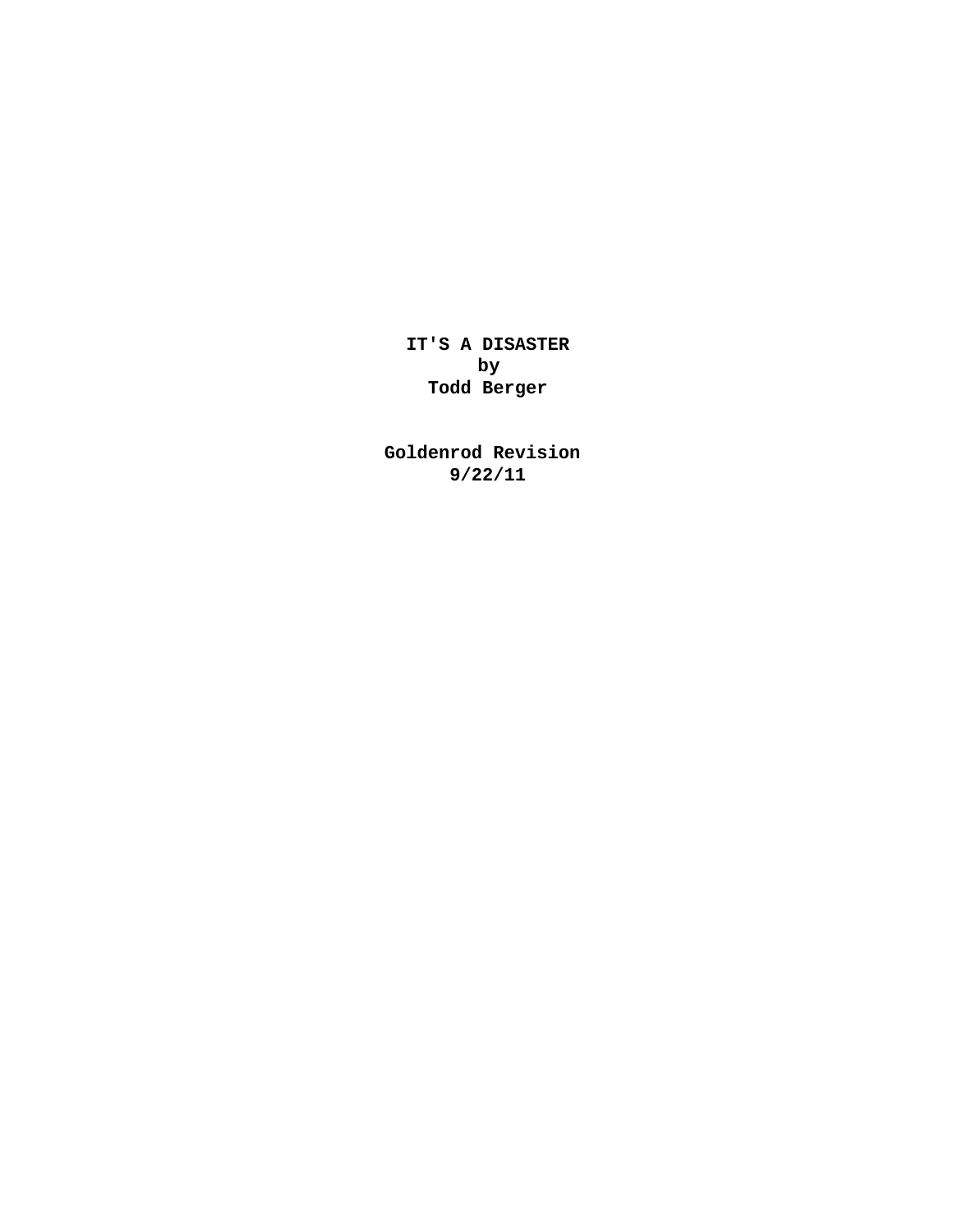**IT'S A DISASTER by Todd Berger** 

**Goldenrod Revision 9/22/11**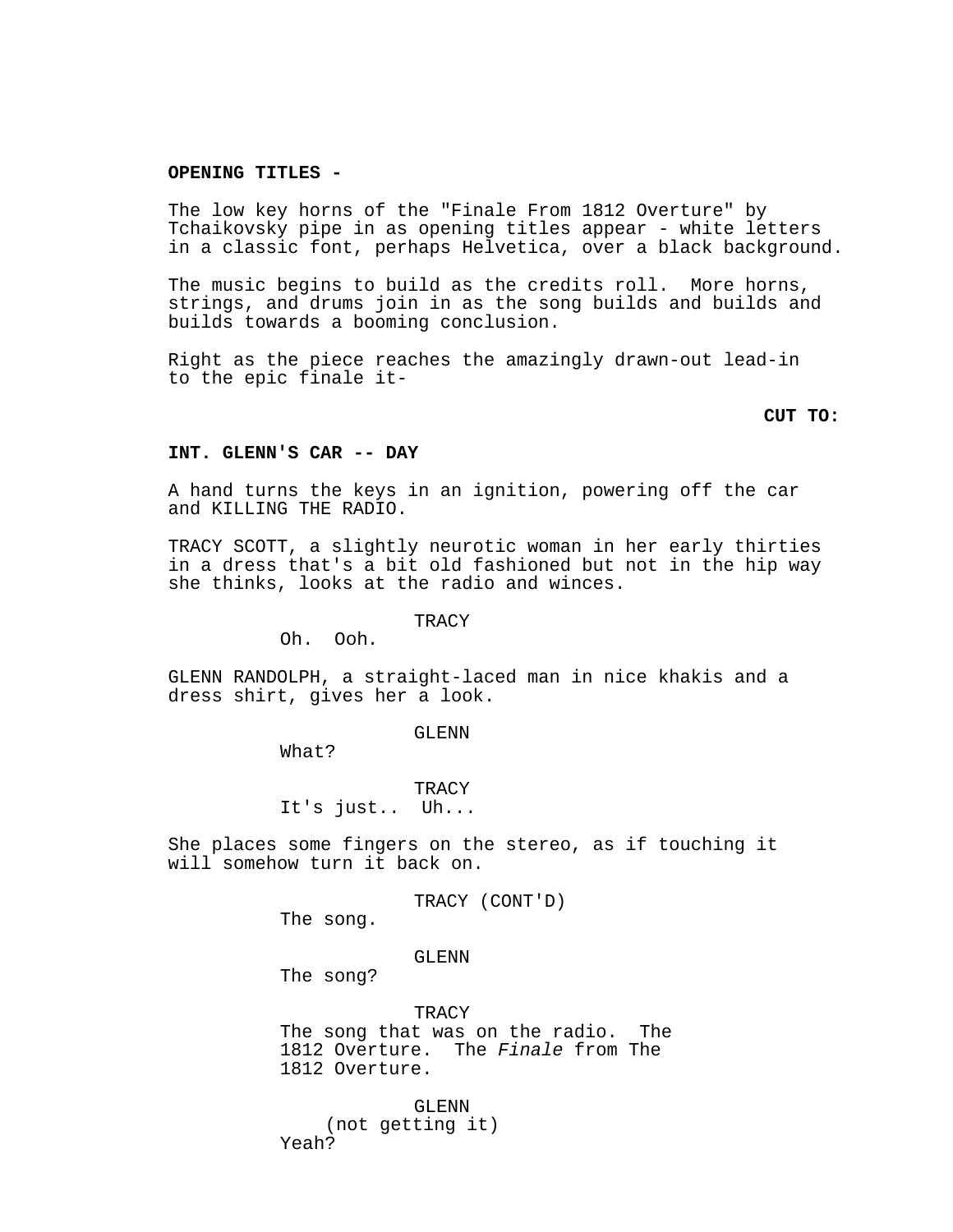# **OPENING TITLES -**

The low key horns of the "Finale From 1812 Overture" by Tchaikovsky pipe in as opening titles appear - white letters in a classic font, perhaps Helvetica, over a black background.

The music begins to build as the credits roll. More horns, strings, and drums join in as the song builds and builds and builds towards a booming conclusion.

Right as the piece reaches the amazingly drawn-out lead-in to the epic finale it-

**CUT TO:**

### **INT. GLENN'S CAR -- DAY**

A hand turns the keys in an ignition, powering off the car and KILLING THE RADIO.

TRACY SCOTT, a slightly neurotic woman in her early thirties in a dress that's a bit old fashioned but not in the hip way she thinks, looks at the radio and winces.

**TRACY** 

Oh. Ooh.

GLENN RANDOLPH, a straight-laced man in nice khakis and a dress shirt, gives her a look.

GLENN

What?

**TRACY** It's just.. Uh...

She places some fingers on the stereo, as if touching it will somehow turn it back on.

TRACY (CONT'D)

The song.

# GLENN

The song?

TRACY The song that was on the radio. The 1812 Overture. The Finale from The 1812 Overture.

GLENN (not getting it) Yeah?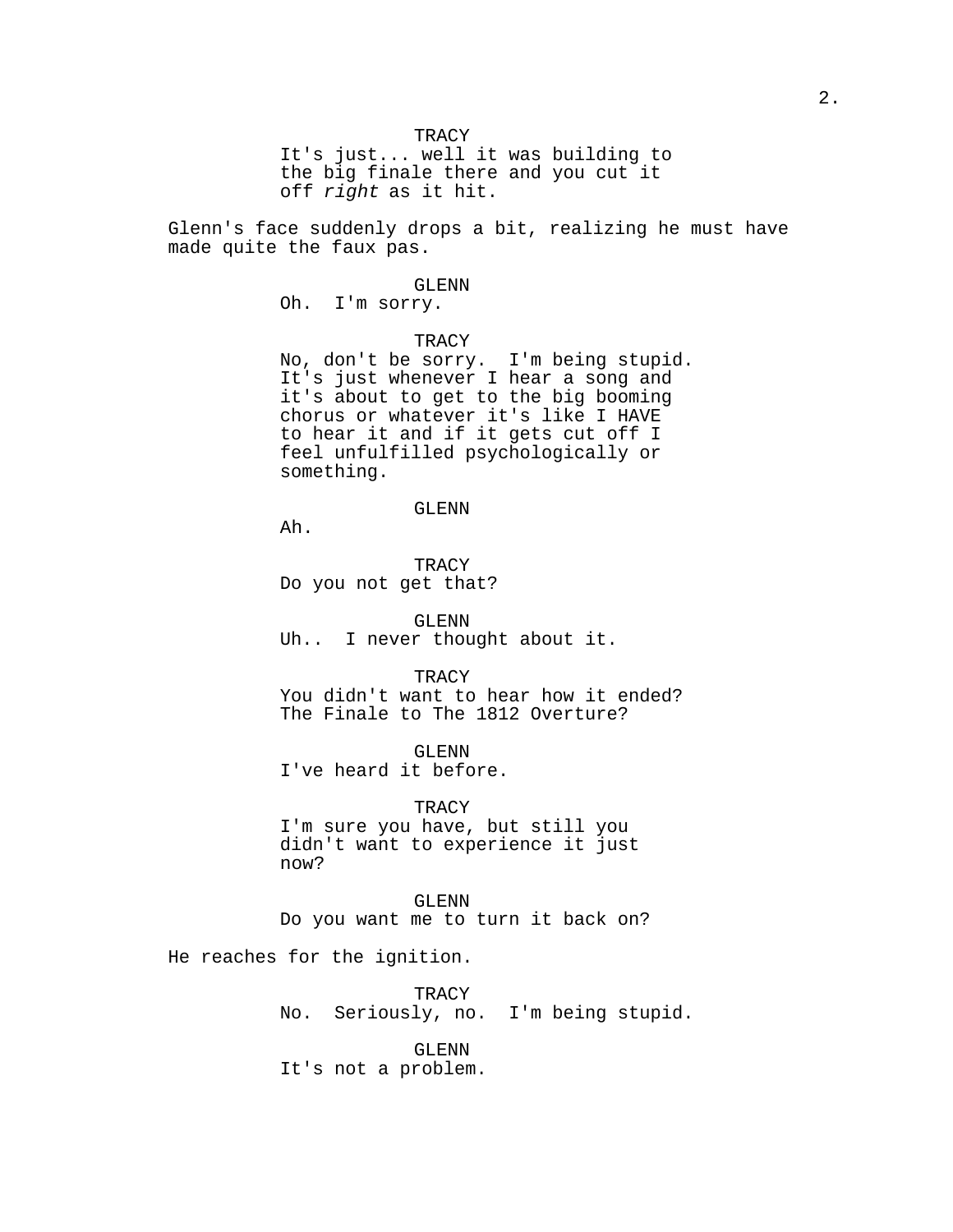It's just... well it was building to the big finale there and you cut it off right as it hit.

Glenn's face suddenly drops a bit, realizing he must have made quite the faux pas.

#### GLENN

Oh. I'm sorry.

# **TRACY**

No, don't be sorry. I'm being stupid. It's just whenever I hear a song and it's about to get to the big booming chorus or whatever it's like I HAVE to hear it and if it gets cut off I feel unfulfilled psychologically or something.

#### GLENN

Ah.

**TRACY** Do you not get that?

GLENN Uh.. I never thought about it.

**TRACY** You didn't want to hear how it ended? The Finale to The 1812 Overture?

GLENN I've heard it before.

**TRACY** I'm sure you have, but still you didn't want to experience it just now?

GLENN Do you want me to turn it back on?

He reaches for the ignition.

**TRACY** No. Seriously, no. I'm being stupid.

GLENN It's not a problem.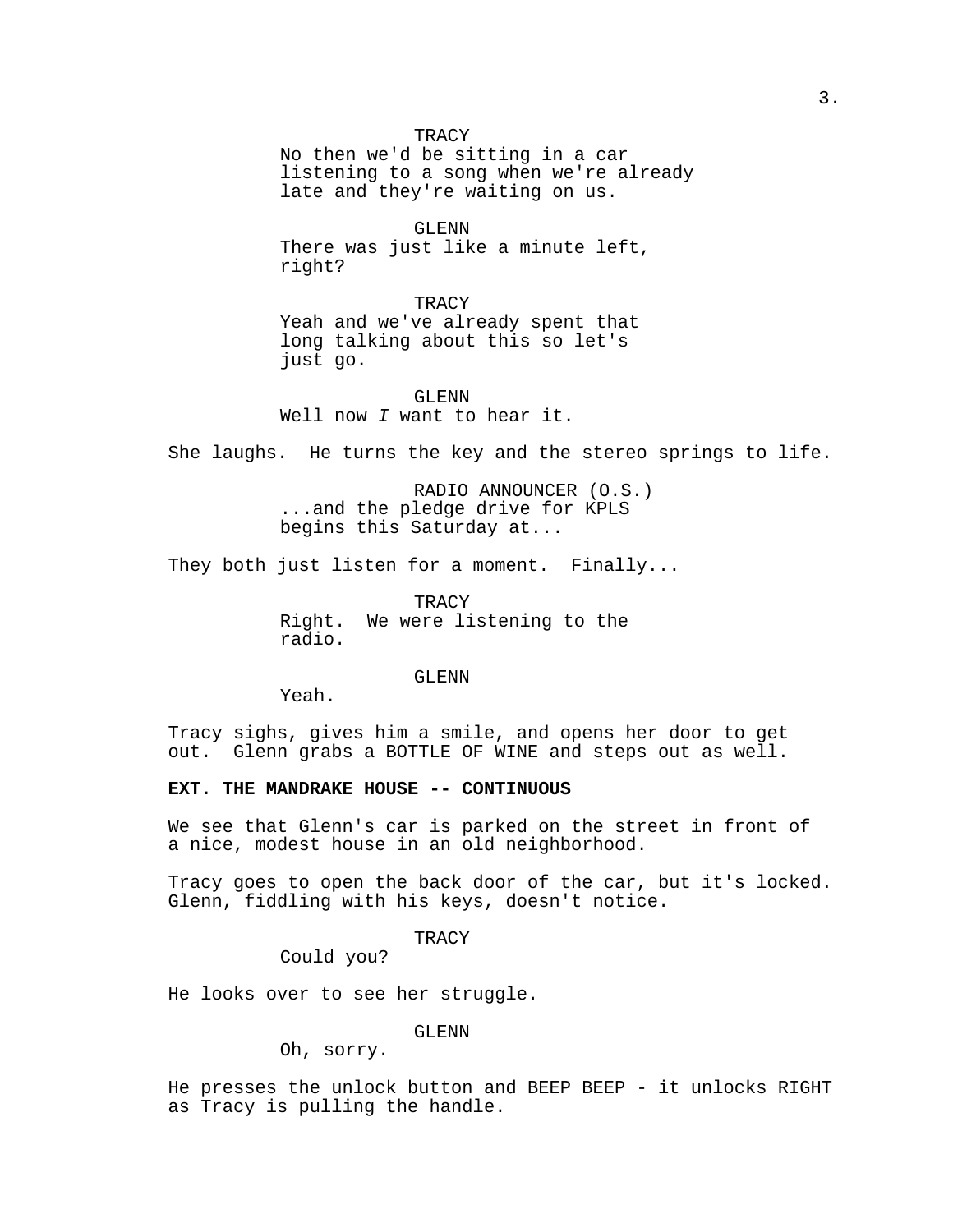**TRACY** 

No then we'd be sitting in a car listening to a song when we're already late and they're waiting on us.

GLENN There was just like a minute left, right?

TRACY Yeah and we've already spent that long talking about this so let's just go.

# GLENN Well now I want to hear it.

She laughs. He turns the key and the stereo springs to life.

RADIO ANNOUNCER (O.S.) ...and the pledge drive for KPLS begins this Saturday at...

They both just listen for a moment. Finally...

TRACY Right. We were listening to the radio.

GLENN

Yeah.

Tracy sighs, gives him a smile, and opens her door to get out. Glenn grabs a BOTTLE OF WINE and steps out as well.

# **EXT. THE MANDRAKE HOUSE -- CONTINUOUS**

We see that Glenn's car is parked on the street in front of a nice, modest house in an old neighborhood.

Tracy goes to open the back door of the car, but it's locked. Glenn, fiddling with his keys, doesn't notice.

TRACY

Could you?

He looks over to see her struggle.

GLENN

Oh, sorry.

He presses the unlock button and BEEP BEEP - it unlocks RIGHT as Tracy is pulling the handle.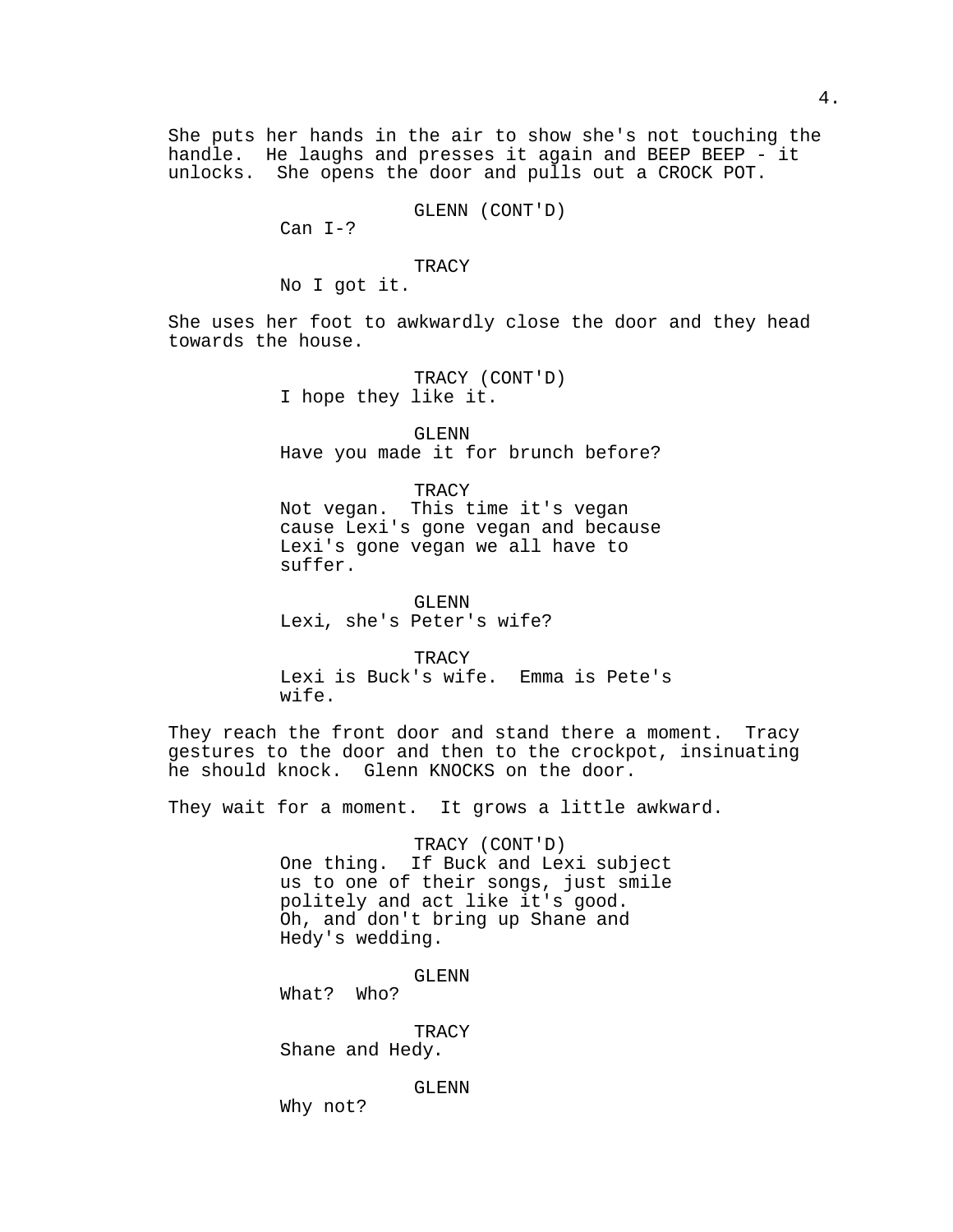She puts her hands in the air to show she's not touching the handle. He laughs and presses it again and BEEP BEEP - it unlocks. She opens the door and pulls out a CROCK POT.

GLENN (CONT'D)

Can  $I-?$ 

TRACY

No I got it.

She uses her foot to awkwardly close the door and they head towards the house.

> TRACY (CONT'D) I hope they like it.

GLENN Have you made it for brunch before?

TRACY Not vegan. This time it's vegan cause Lexi's gone vegan and because Lexi's gone vegan we all have to suffer.

GLENN Lexi, she's Peter's wife?

**TRACY** Lexi is Buck's wife. Emma is Pete's wife.

They reach the front door and stand there a moment. Tracy gestures to the door and then to the crockpot, insinuating he should knock. Glenn KNOCKS on the door.

They wait for a moment. It grows a little awkward.

TRACY (CONT'D) One thing. If Buck and Lexi subject us to one of their songs, just smile politely and act like it's good. Oh, and don't bring up Shane and Hedy's wedding.

GLENN What? Who?

**TRACY** Shane and Hedy.

GLENN

Why not?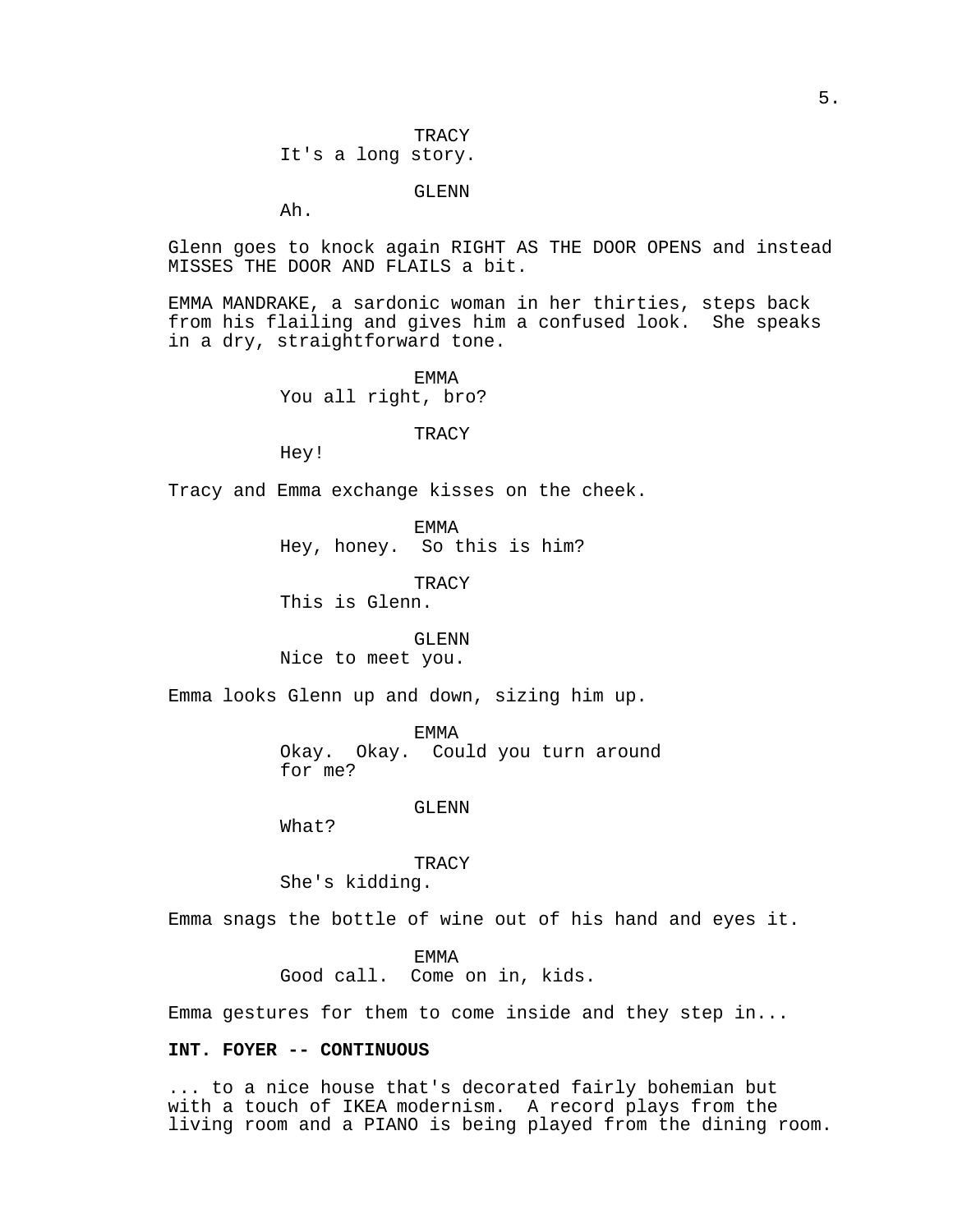5.

**TRACY** It's a long story.

GLENN

Ah.

Glenn goes to knock again RIGHT AS THE DOOR OPENS and instead MISSES THE DOOR AND FLAILS a bit.

EMMA MANDRAKE, a sardonic woman in her thirties, steps back from his flailing and gives him a confused look. She speaks in a dry, straightforward tone.

> EMMA You all right, bro?

> > **TRACY**

Hey!

Tracy and Emma exchange kisses on the cheek.

EMMA Hey, honey. So this is him?

**TRACY** 

This is Glenn.

GLENN Nice to meet you.

Emma looks Glenn up and down, sizing him up.

EMMA Okay. Okay. Could you turn around for me?

GLENN

What?

**TRACY** She's kidding.

Emma snags the bottle of wine out of his hand and eyes it.

EMMA Good call. Come on in, kids.

Emma gestures for them to come inside and they step in...

# **INT. FOYER -- CONTINUOUS**

... to a nice house that's decorated fairly bohemian but with a touch of IKEA modernism. A record plays from the living room and a PIANO is being played from the dining room.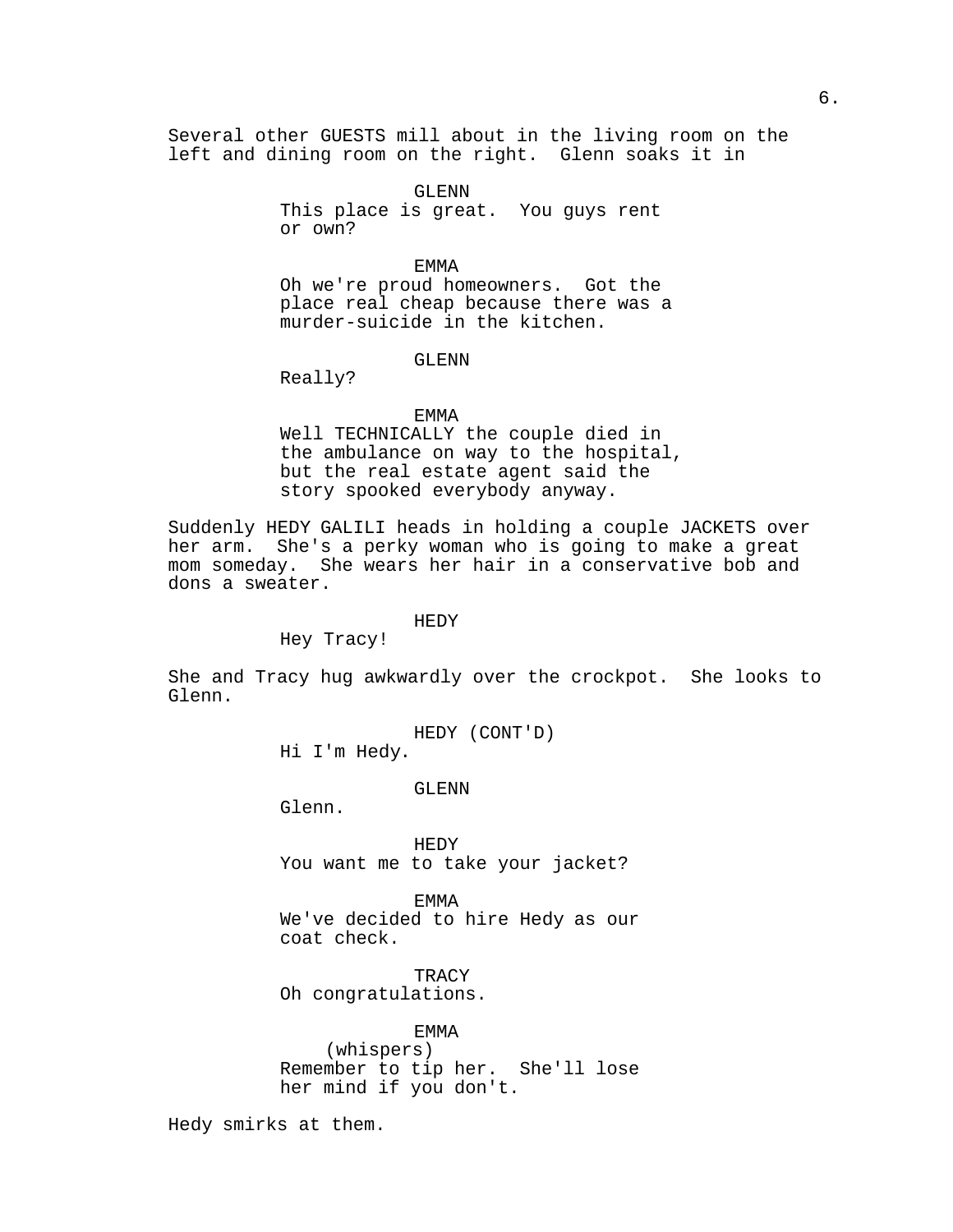Several other GUESTS mill about in the living room on the left and dining room on the right. Glenn soaks it in

> GLENN This place is great. You guys rent or own?

EMMA Oh we're proud homeowners. Got the place real cheap because there was a murder-suicide in the kitchen.

# GLENN

Really?

#### EMMA

Well TECHNICALLY the couple died in the ambulance on way to the hospital, but the real estate agent said the story spooked everybody anyway.

Suddenly HEDY GALILI heads in holding a couple JACKETS over her arm. She's a perky woman who is going to make a great mom someday. She wears her hair in a conservative bob and dons a sweater.

#### HEDY

Hey Tracy!

She and Tracy hug awkwardly over the crockpot. She looks to Glenn.

HEDY (CONT'D)

Hi I'm Hedy.

GLENN

Glenn.

HEDY You want me to take your jacket?

EMMA We've decided to hire Hedy as our coat check.

**TRACY** Oh congratulations.

# EMMA

(whispers) Remember to tip her. She'll lose her mind if you don't.

Hedy smirks at them.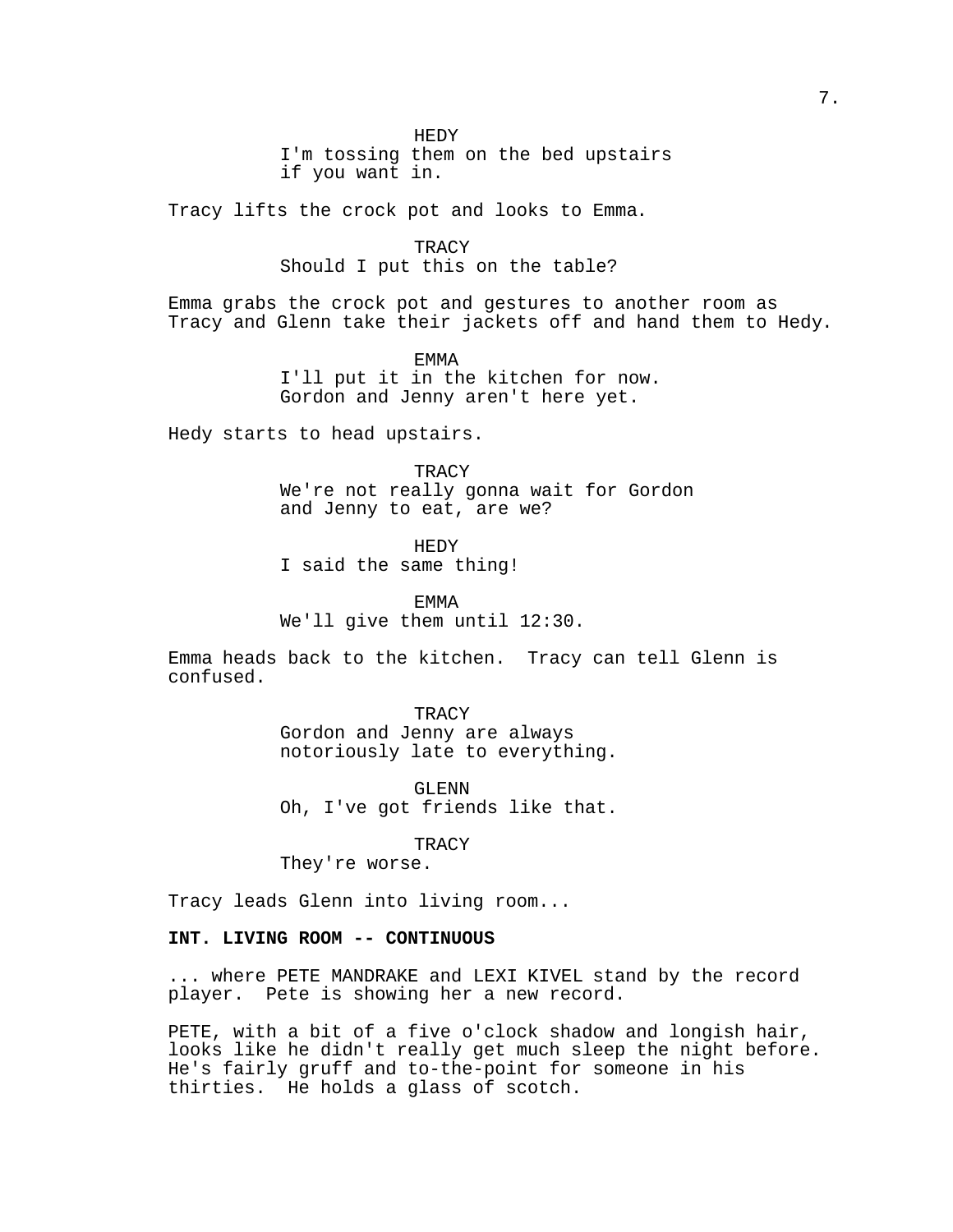HEDY

I'm tossing them on the bed upstairs if you want in.

Tracy lifts the crock pot and looks to Emma.

**TRACY** Should I put this on the table?

Emma grabs the crock pot and gestures to another room as Tracy and Glenn take their jackets off and hand them to Hedy.

EMMA

I'll put it in the kitchen for now. Gordon and Jenny aren't here yet.

Hedy starts to head upstairs.

**TRACY** We're not really gonna wait for Gordon and Jenny to eat, are we?

HEDY I said the same thing!

EMMA We'll give them until 12:30.

Emma heads back to the kitchen. Tracy can tell Glenn is confused.

> TRACY Gordon and Jenny are always notoriously late to everything.

> GLENN Oh, I've got friends like that.

> > **TRACY**

They're worse.

Tracy leads Glenn into living room...

# **INT. LIVING ROOM -- CONTINUOUS**

... where PETE MANDRAKE and LEXI KIVEL stand by the record player. Pete is showing her a new record.

PETE, with a bit of a five o'clock shadow and longish hair, looks like he didn't really get much sleep the night before. He's fairly gruff and to-the-point for someone in his thirties. He holds a glass of scotch.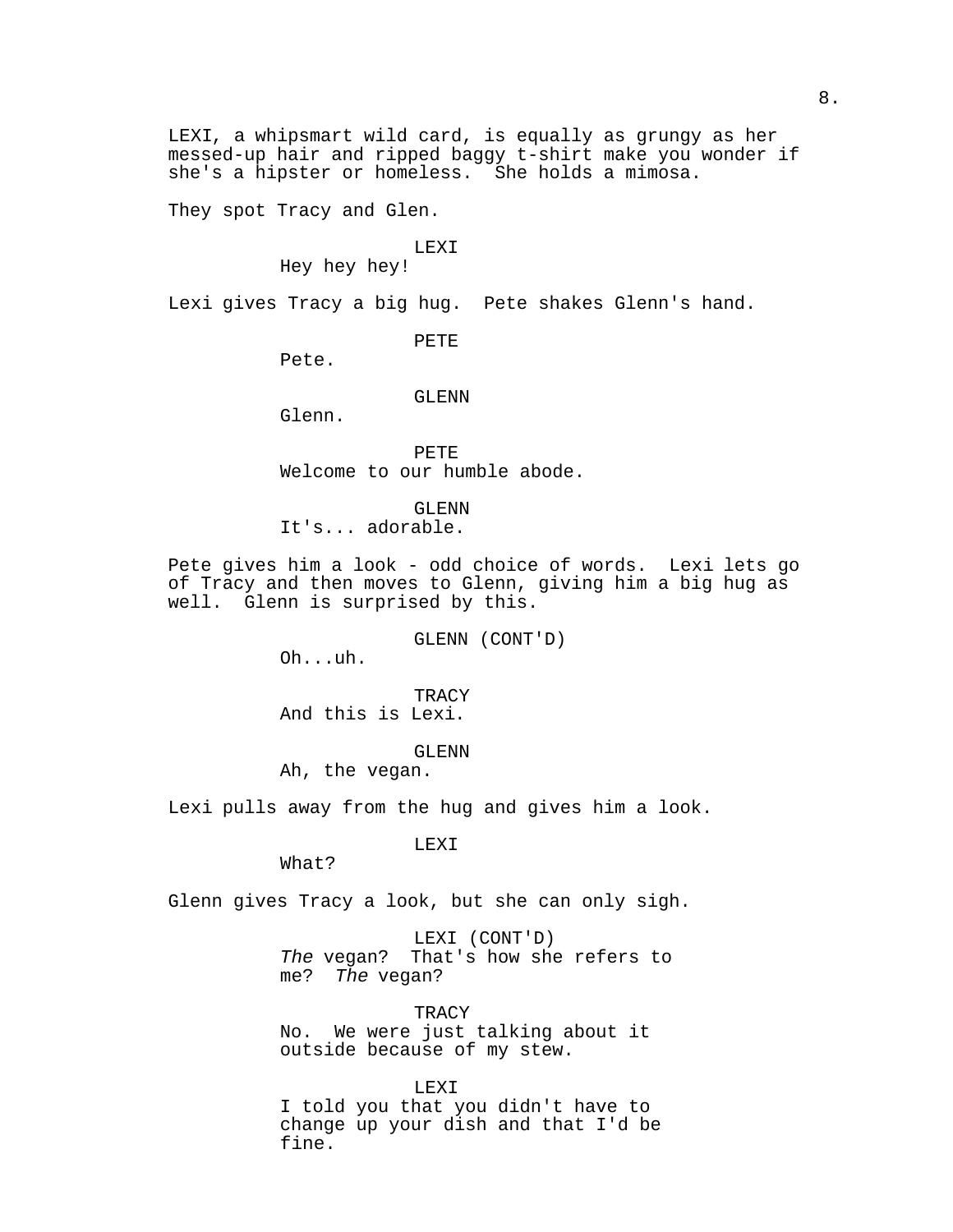LEXI, a whipsmart wild card, is equally as grungy as her messed-up hair and ripped baggy t-shirt make you wonder if she's a hipster or homeless. She holds a mimosa.

They spot Tracy and Glen.

# LEXI

Hey hey hey!

Lexi gives Tracy a big hug. Pete shakes Glenn's hand.

PETE

Pete.

#### GLENN

Glenn.

PETE Welcome to our humble abode.

GLENN

It's... adorable.

Pete gives him a look - odd choice of words. Lexi lets go of Tracy and then moves to Glenn, giving him a big hug as well. Glenn is surprised by this.

GLENN (CONT'D)

Oh...uh.

**TRACY** And this is Lexi.

GLENN

Ah, the vegan.

Lexi pulls away from the hug and gives him a look.

LEXI

What?

Glenn gives Tracy a look, but she can only sigh.

LEXI (CONT'D) The vegan? That's how she refers to me? The vegan?

TRACY No. We were just talking about it outside because of my stew.

LEXI I told you that you didn't have to change up your dish and that I'd be fine.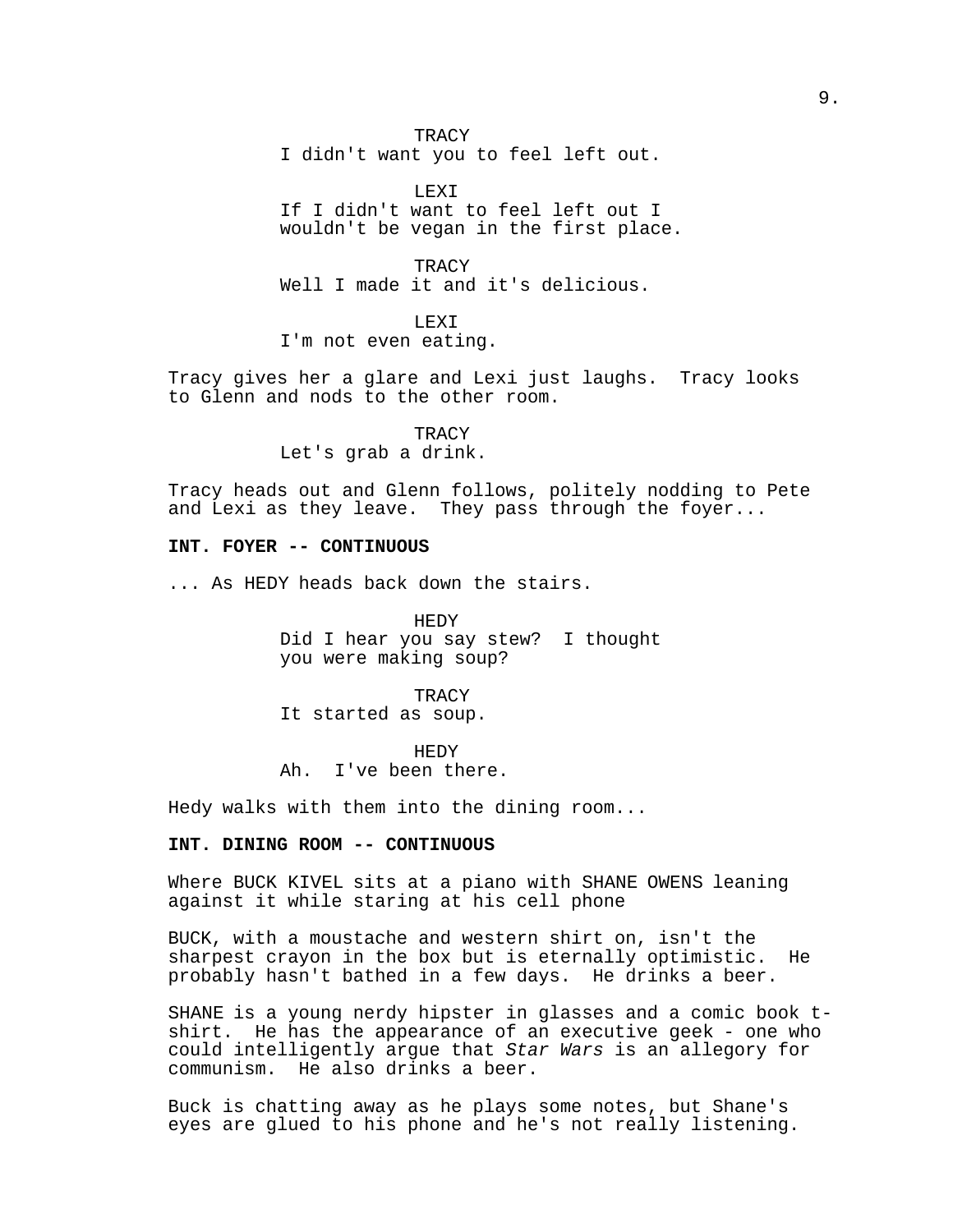**TRACY** I didn't want you to feel left out.

LEXI If I didn't want to feel left out I wouldn't be vegan in the first place.

**TRACY** Well I made it and it's delicious.

LEXI I'm not even eating.

Tracy gives her a glare and Lexi just laughs. Tracy looks to Glenn and nods to the other room.

> **TRACY** Let's grab a drink.

Tracy heads out and Glenn follows, politely nodding to Pete and Lexi as they leave. They pass through the foyer...

# **INT. FOYER -- CONTINUOUS**

... As HEDY heads back down the stairs.

HEDY Did I hear you say stew? I thought you were making soup?

**TRACY** It started as soup.

HEDY Ah. I've been there.

Hedy walks with them into the dining room...

# **INT. DINING ROOM -- CONTINUOUS**

Where BUCK KIVEL sits at a piano with SHANE OWENS leaning against it while staring at his cell phone

BUCK, with a moustache and western shirt on, isn't the sharpest crayon in the box but is eternally optimistic. He probably hasn't bathed in a few days. He drinks a beer.

SHANE is a young nerdy hipster in glasses and a comic book tshirt. He has the appearance of an executive geek - one who could intelligently argue that Star Wars is an allegory for communism. He also drinks a beer.

Buck is chatting away as he plays some notes, but Shane's eyes are glued to his phone and he's not really listening.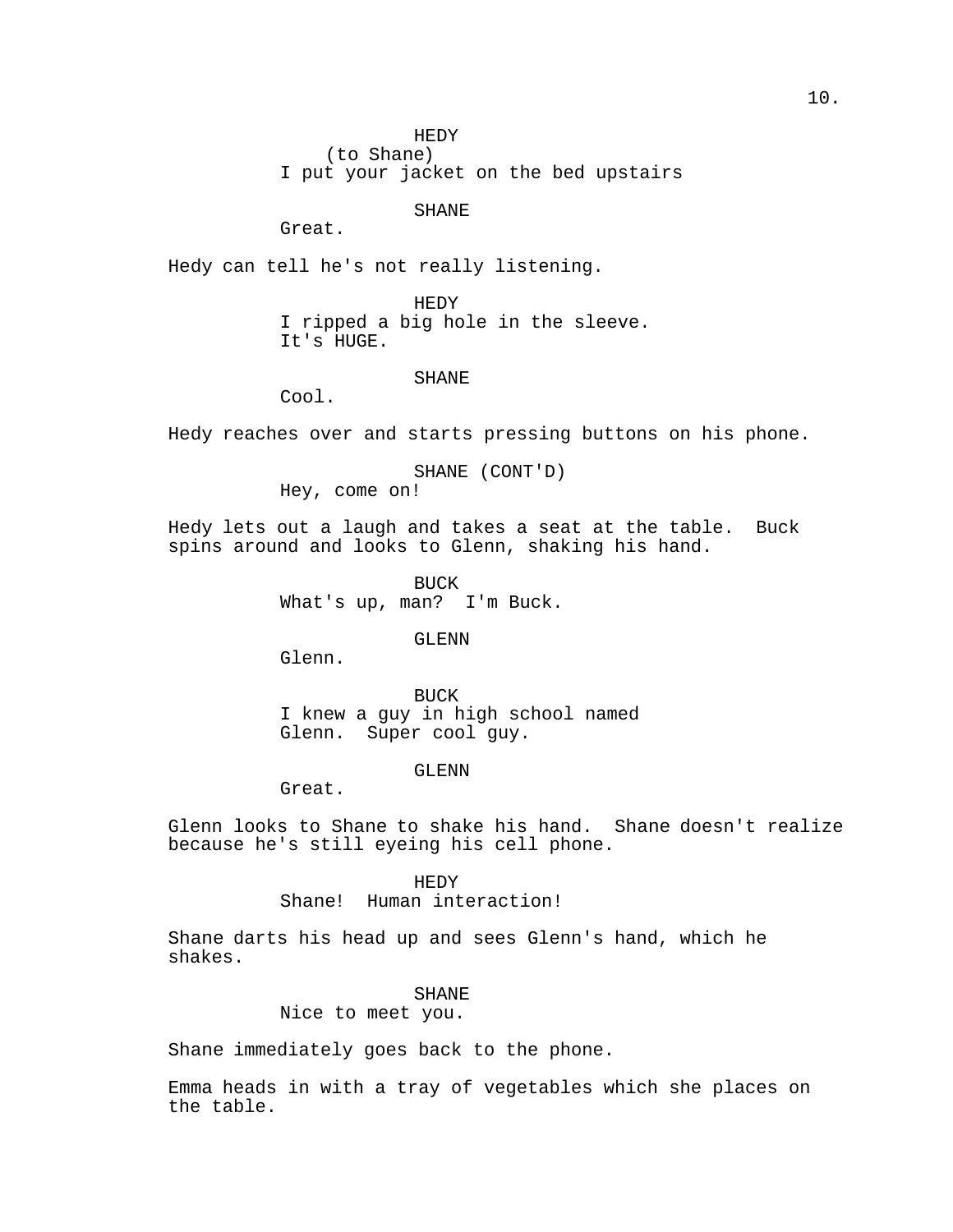(to Shane)

I put your jacket on the bed upstairs

SHANE

Great.

Hedy can tell he's not really listening.

HEDY I ripped a big hole in the sleeve. It's HUGE.

## SHANE

Cool.

Hedy reaches over and starts pressing buttons on his phone.

SHANE (CONT'D) Hey, come on!

Hedy lets out a laugh and takes a seat at the table. Buck spins around and looks to Glenn, shaking his hand.

> BUCK What's up, man? I'm Buck.

> > GLENN

Glenn.

BUCK I knew a guy in high school named Glenn. Super cool guy.

# GLENN

Great.

Glenn looks to Shane to shake his hand. Shane doesn't realize because he's still eyeing his cell phone.

# HEDY

Shane! Human interaction!

Shane darts his head up and sees Glenn's hand, which he shakes.

# SHANE

Nice to meet you.

Shane immediately goes back to the phone.

Emma heads in with a tray of vegetables which she places on the table.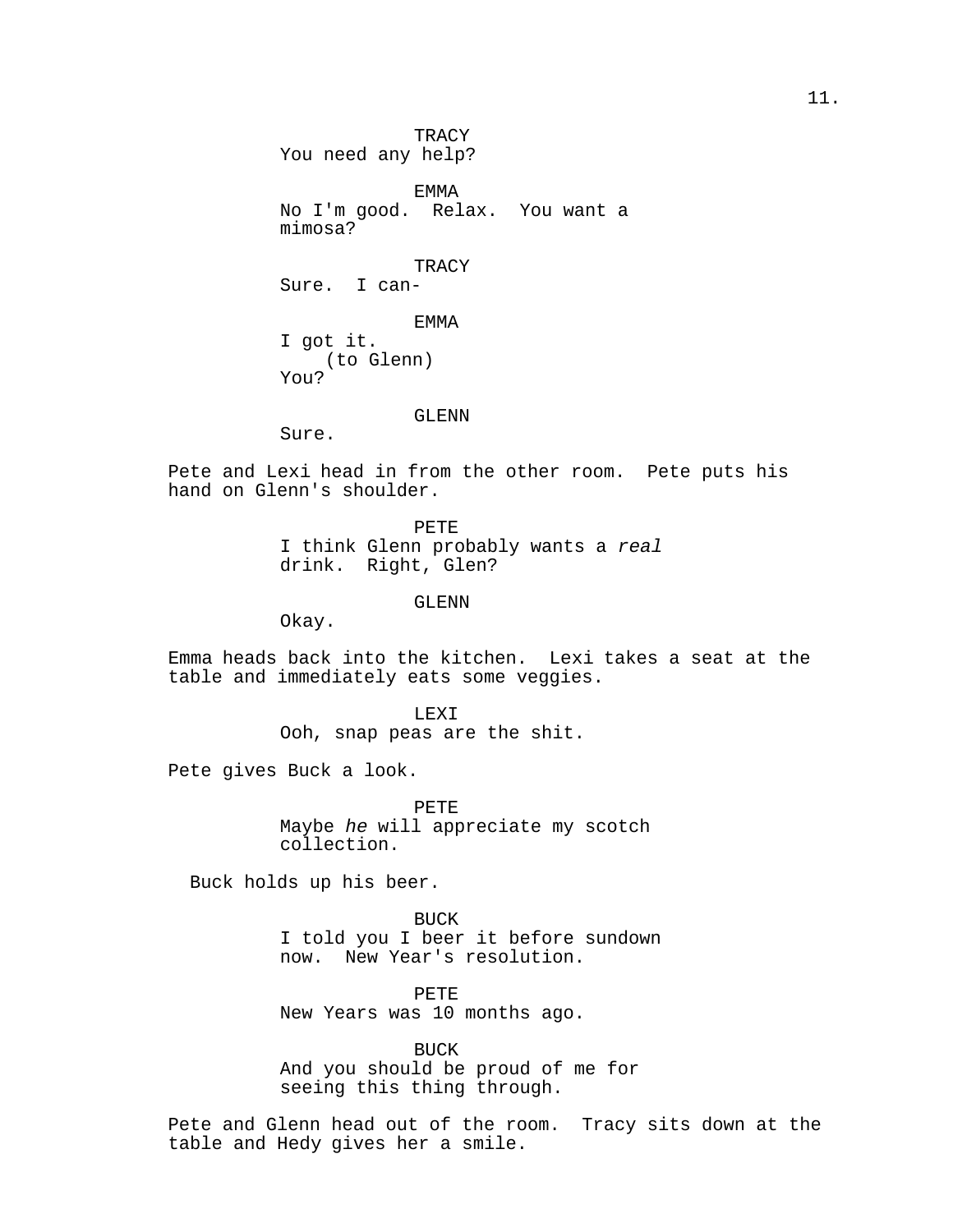**TRACY** You need any help?

EMMA No I'm good. Relax. You want a mimosa?

TRACY Sure. I can-

EMMA I got it. (to Glenn) You?

GLENN

Sure.

Pete and Lexi head in from the other room. Pete puts his hand on Glenn's shoulder.

> PETE I think Glenn probably wants a real drink. Right, Glen?

> > GLENN

Okay.

Emma heads back into the kitchen. Lexi takes a seat at the table and immediately eats some veggies.

> LEXI Ooh, snap peas are the shit.

Pete gives Buck a look.

PETE Maybe he will appreciate my scotch collection.

Buck holds up his beer.

BUCK I told you I beer it before sundown now. New Year's resolution.

PETE New Years was 10 months ago.

BUCK And you should be proud of me for seeing this thing through.

Pete and Glenn head out of the room. Tracy sits down at the table and Hedy gives her a smile.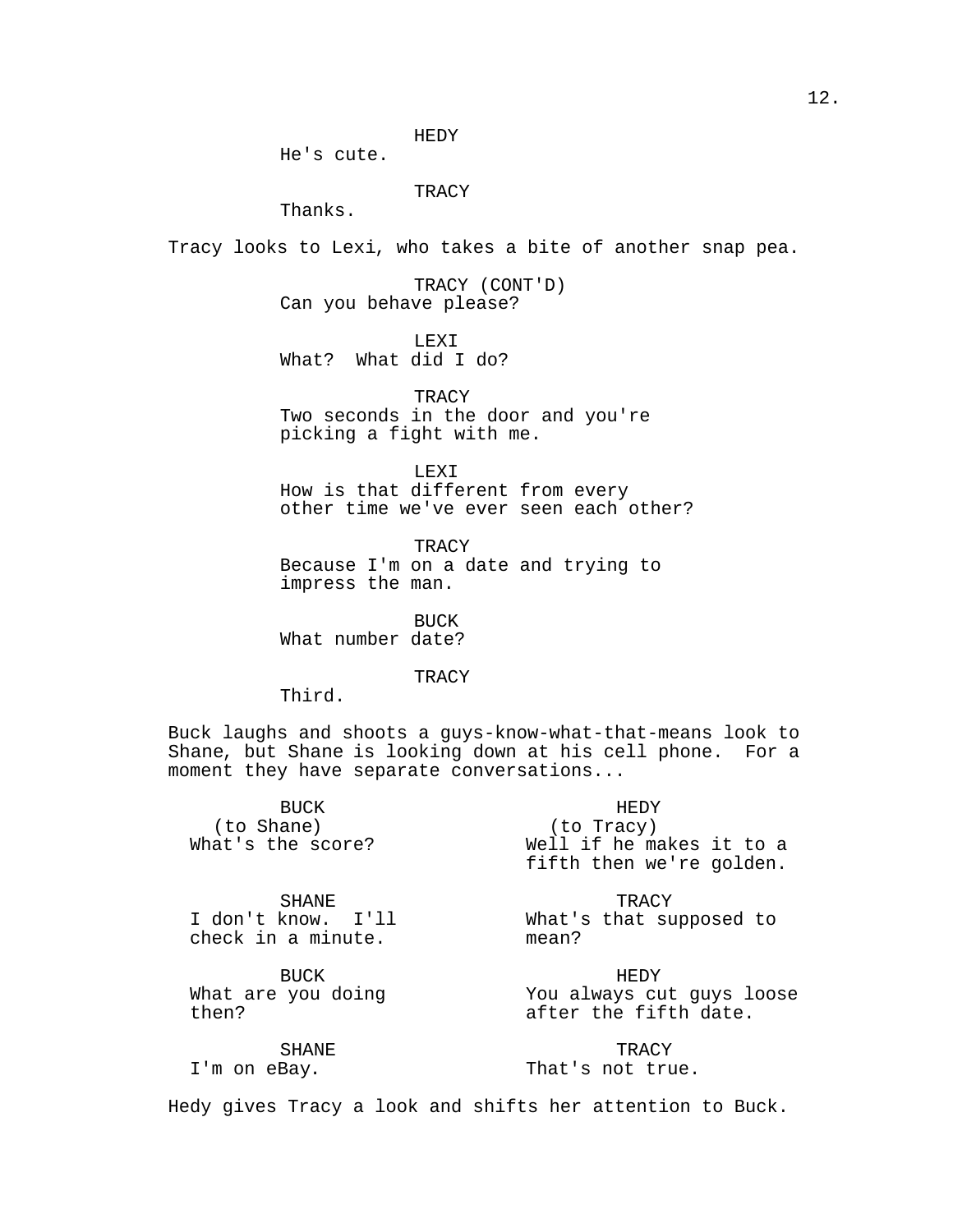He's cute.

**TRACY** 

Thanks.

Tracy looks to Lexi, who takes a bite of another snap pea.

TRACY (CONT'D) Can you behave please?

LEXI What? What did I do?

TRACY Two seconds in the door and you're picking a fight with me.

LEXI How is that different from every other time we've ever seen each other?

**TRACY** Because I'm on a date and trying to impress the man.

BUCK What number date?

TRACY

Third.

SHANE

I'm on eBay.

Buck laughs and shoots a guys-know-what-that-means look to Shane, but Shane is looking down at his cell phone. For a moment they have separate conversations...

| <b>BUCK</b><br>(to Shane)<br>What's the score? | <b>HEDY</b><br>(to Tracy)<br>Well if he makes it to a<br>fifth then we're golden. |
|------------------------------------------------|-----------------------------------------------------------------------------------|
| <b>SHANE</b>                                   | TRACY                                                                             |
| I don't know. I'll                             | What's that supposed to                                                           |
| check in a minute.                             | mean?                                                                             |
| <b>BUCK</b>                                    | HEDY                                                                              |
| What are you doing                             | You always cut guys loose                                                         |
| then?                                          | after the fifth date.                                                             |

TRACY That's not true.

Hedy gives Tracy a look and shifts her attention to Buck.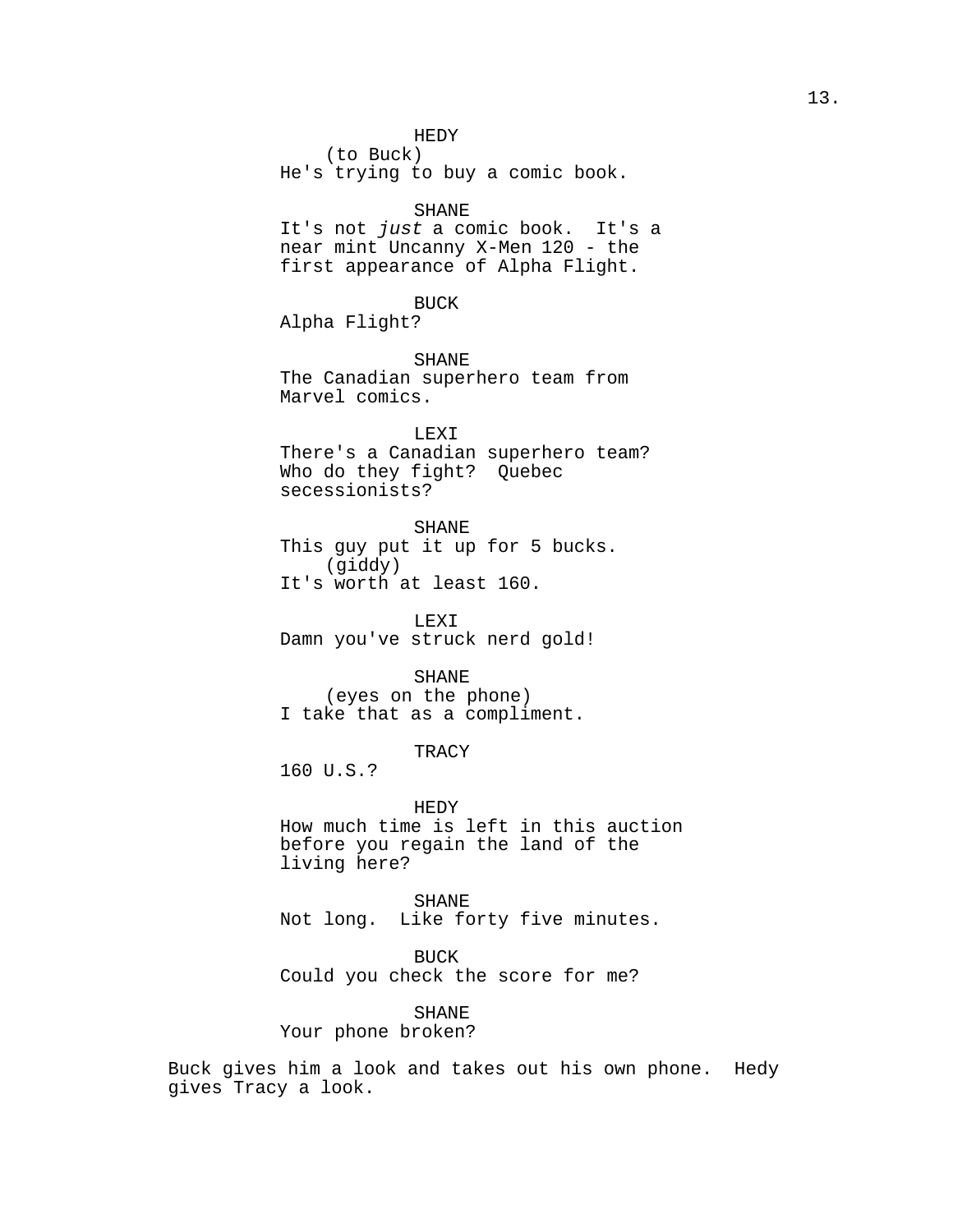HEDY

(to Buck)

He's trying to buy a comic book.

### SHANE

It's not just a comic book. It's a near mint Uncanny X-Men 120 - the first appearance of Alpha Flight.

# BUCK

Alpha Flight?

SHANE

The Canadian superhero team from Marvel comics.

LEXI There's a Canadian superhero team? Who do they fight? Ouebec secessionists?

SHANE

This guy put it up for 5 bucks. (giddy) It's worth at least 160.

LEXI Damn you've struck nerd gold!

# SHANE

(eyes on the phone) I take that as a compliment.

## **TRACY**

160 U.S.?

HEDY How much time is left in this auction before you regain the land of the living here?

SHANE Not long. Like forty five minutes.

BUCK Could you check the score for me?

# SHANE Your phone broken?

Buck gives him a look and takes out his own phone. Hedy gives Tracy a look.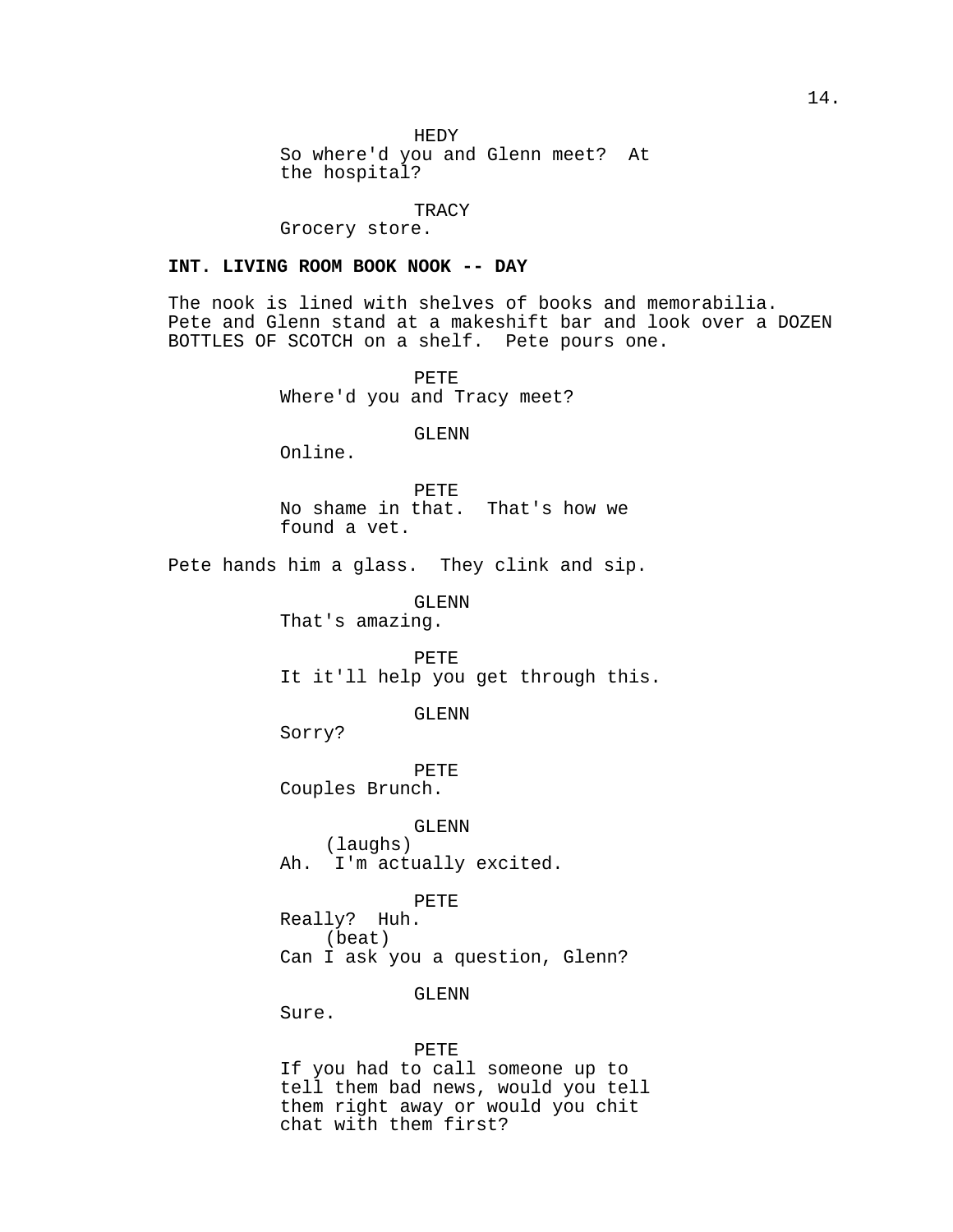HEDY

So where'd you and Glenn meet? At the hospital?

TRACY

Grocery store.

# **INT. LIVING ROOM BOOK NOOK -- DAY**

The nook is lined with shelves of books and memorabilia. Pete and Glenn stand at a makeshift bar and look over a DOZEN BOTTLES OF SCOTCH on a shelf. Pete pours one.

> PETE Where'd you and Tracy meet?

> > GLENN

Online.

PETE No shame in that. That's how we found a vet.

Pete hands him a glass. They clink and sip.

GLENN

That's amazing.

PETE It it'll help you get through this.

GLENN

Sorry?

PETE Couples Brunch.

GLENN

(laughs) Ah. I'm actually excited.

# PETE

Really? Huh. (beat) Can I ask you a question, Glenn?

GLENN

Sure.

#### PETE

If you had to call someone up to tell them bad news, would you tell them right away or would you chit chat with them first?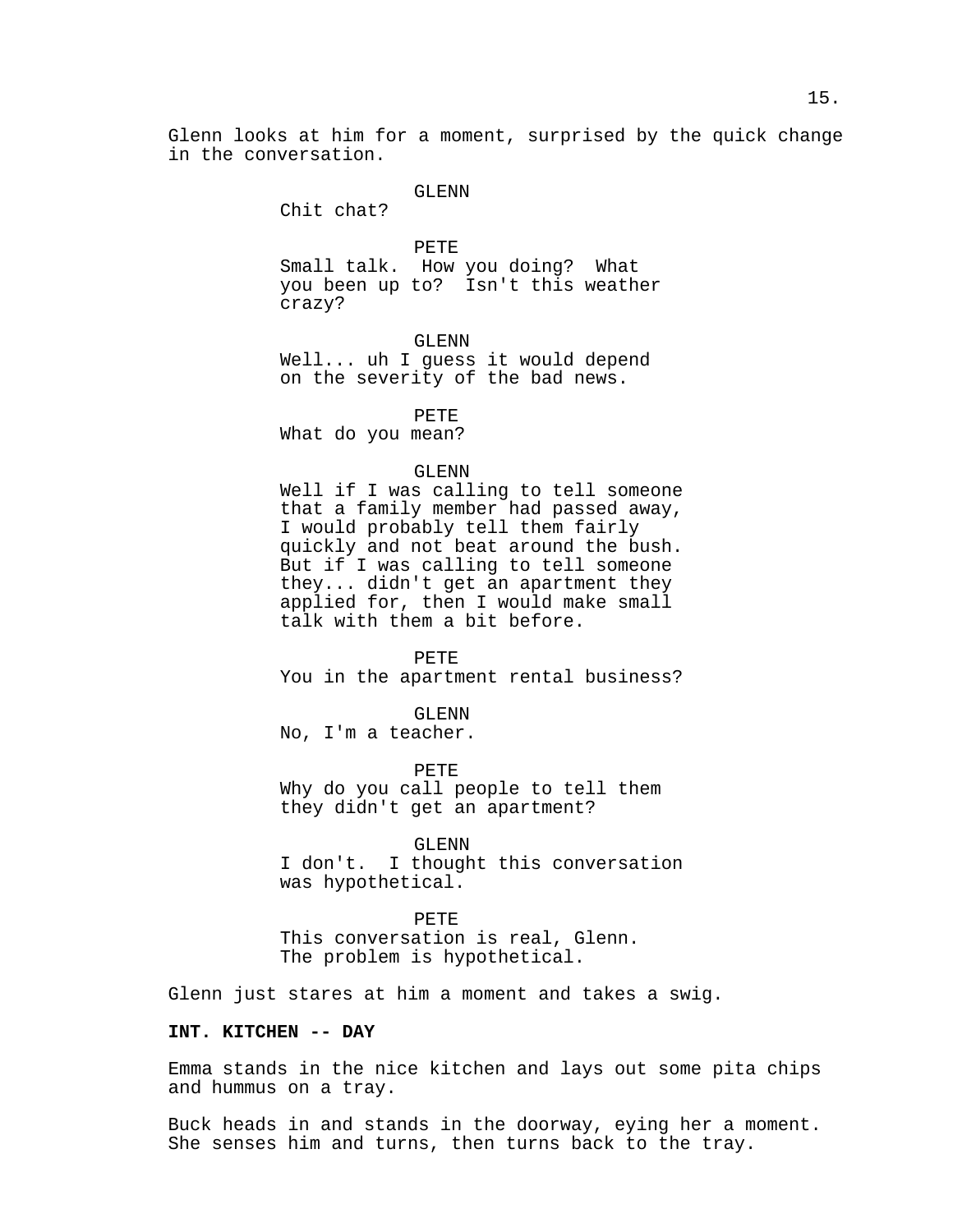Glenn looks at him for a moment, surprised by the quick change in the conversation.

#### GLENN

Chit chat?

PETE Small talk. How you doing? What you been up to? Isn't this weather crazy?

GLENN

Well... uh I guess it would depend on the severity of the bad news.

PETE

What do you mean?

# GLENN

Well if I was calling to tell someone that a family member had passed away, I would probably tell them fairly quickly and not beat around the bush. But if I was calling to tell someone they... didn't get an apartment they applied for, then I would make small talk with them a bit before.

# PETE

You in the apartment rental business?

GLENN

No, I'm a teacher.

PETE

Why do you call people to tell them they didn't get an apartment?

GLENN

I don't. I thought this conversation was hypothetical.

#### PETE

This conversation is real, Glenn. The problem is hypothetical.

Glenn just stares at him a moment and takes a swig.

# **INT. KITCHEN -- DAY**

Emma stands in the nice kitchen and lays out some pita chips and hummus on a tray.

Buck heads in and stands in the doorway, eying her a moment. She senses him and turns, then turns back to the tray.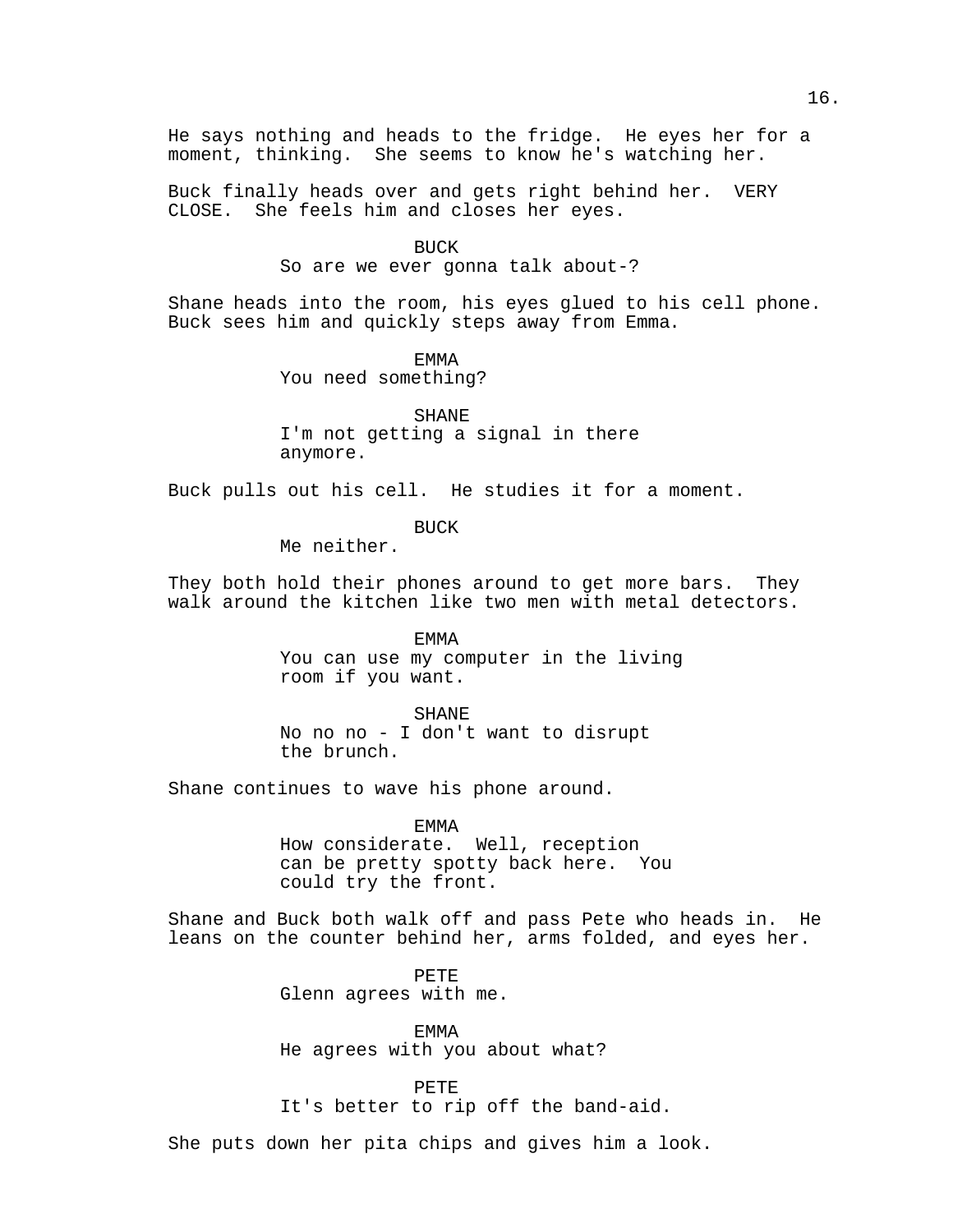He says nothing and heads to the fridge. He eyes her for a moment, thinking. She seems to know he's watching her.

Buck finally heads over and gets right behind her. VERY CLOSE. She feels him and closes her eyes.

# **BUCK**

So are we ever gonna talk about-?

Shane heads into the room, his eyes glued to his cell phone. Buck sees him and quickly steps away from Emma.

EMMA

You need something?

SHANE I'm not getting a signal in there anymore.

Buck pulls out his cell. He studies it for a moment.

BUCK

Me neither.

They both hold their phones around to get more bars. They walk around the kitchen like two men with metal detectors.

> EMMA You can use my computer in the living room if you want.

SHANE No no no - I don't want to disrupt the brunch.

Shane continues to wave his phone around.

EMMA

How considerate. Well, reception can be pretty spotty back here. You could try the front.

Shane and Buck both walk off and pass Pete who heads in. He leans on the counter behind her, arms folded, and eyes her.

> PETE Glenn agrees with me.

EMMA He agrees with you about what?

PETE It's better to rip off the band-aid.

She puts down her pita chips and gives him a look.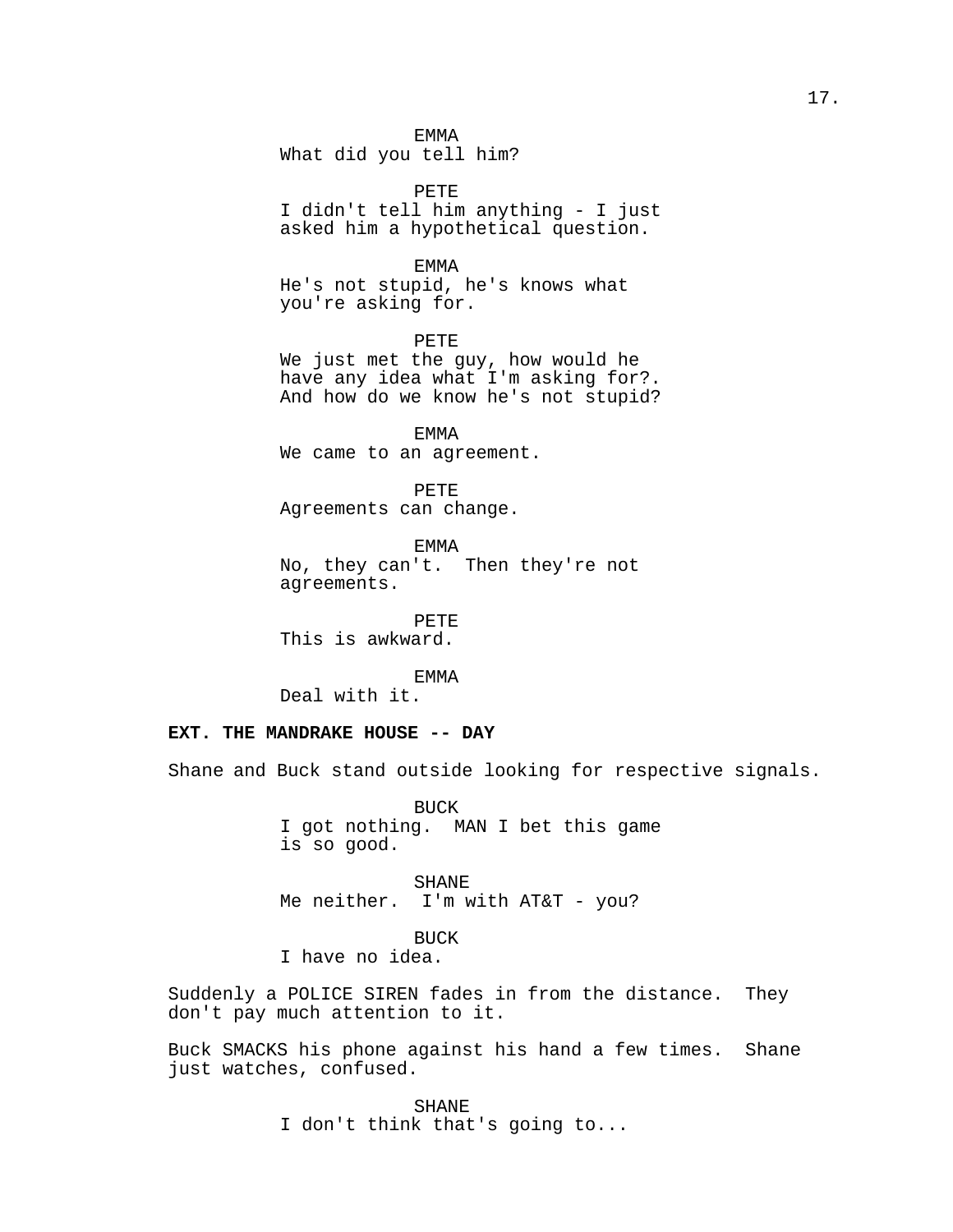EMMA

What did you tell him?

PETE I didn't tell him anything - I just asked him a hypothetical question.

EMMA

He's not stupid, he's knows what you're asking for.

PETE We just met the guy, how would he have any idea what I'm asking for?. And how do we know he's not stupid?

EMMA We came to an agreement.

PETE Agreements can change.

EMMA No, they can't. Then they're not agreements.

PETE This is awkward.

EMMA

Deal with it.

# **EXT. THE MANDRAKE HOUSE -- DAY**

Shane and Buck stand outside looking for respective signals.

BUCK I got nothing. MAN I bet this game is so good.

SHANE Me neither. I'm with AT&T - you?

BUCK I have no idea.

Suddenly a POLICE SIREN fades in from the distance. They don't pay much attention to it.

Buck SMACKS his phone against his hand a few times. Shane just watches, confused.

> SHANE I don't think that's going to...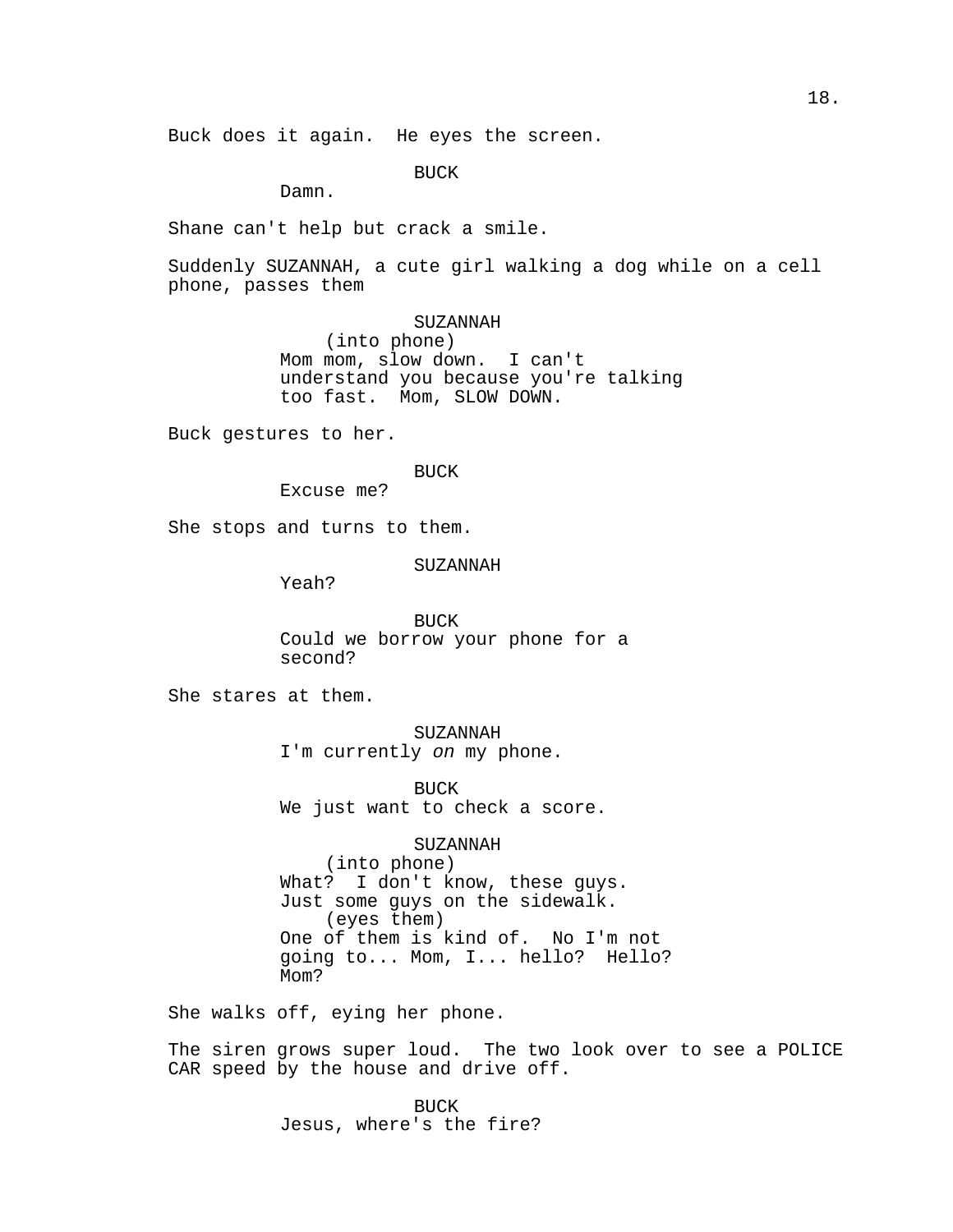Buck does it again. He eyes the screen.

BUCK

Damn.

Shane can't help but crack a smile.

Suddenly SUZANNAH, a cute girl walking a dog while on a cell phone, passes them

SUZANNAH

(into phone) Mom mom, slow down. I can't understand you because you're talking too fast. Mom, SLOW DOWN.

Buck gestures to her.

BUCK

Excuse me?

She stops and turns to them.

SUZANNAH

Yeah?

BUCK Could we borrow your phone for a second?

She stares at them.

SUZANNAH I'm currently on my phone.

BUCK We just want to check a score.

SUZANNAH (into phone) What? I don't know, these guys. Just some guys on the sidewalk. (eyes them) One of them is kind of. No I'm not going to... Mom, I... hello? Hello? Mom?

She walks off, eying her phone.

The siren grows super loud. The two look over to see a POLICE CAR speed by the house and drive off.

> BUCK Jesus, where's the fire?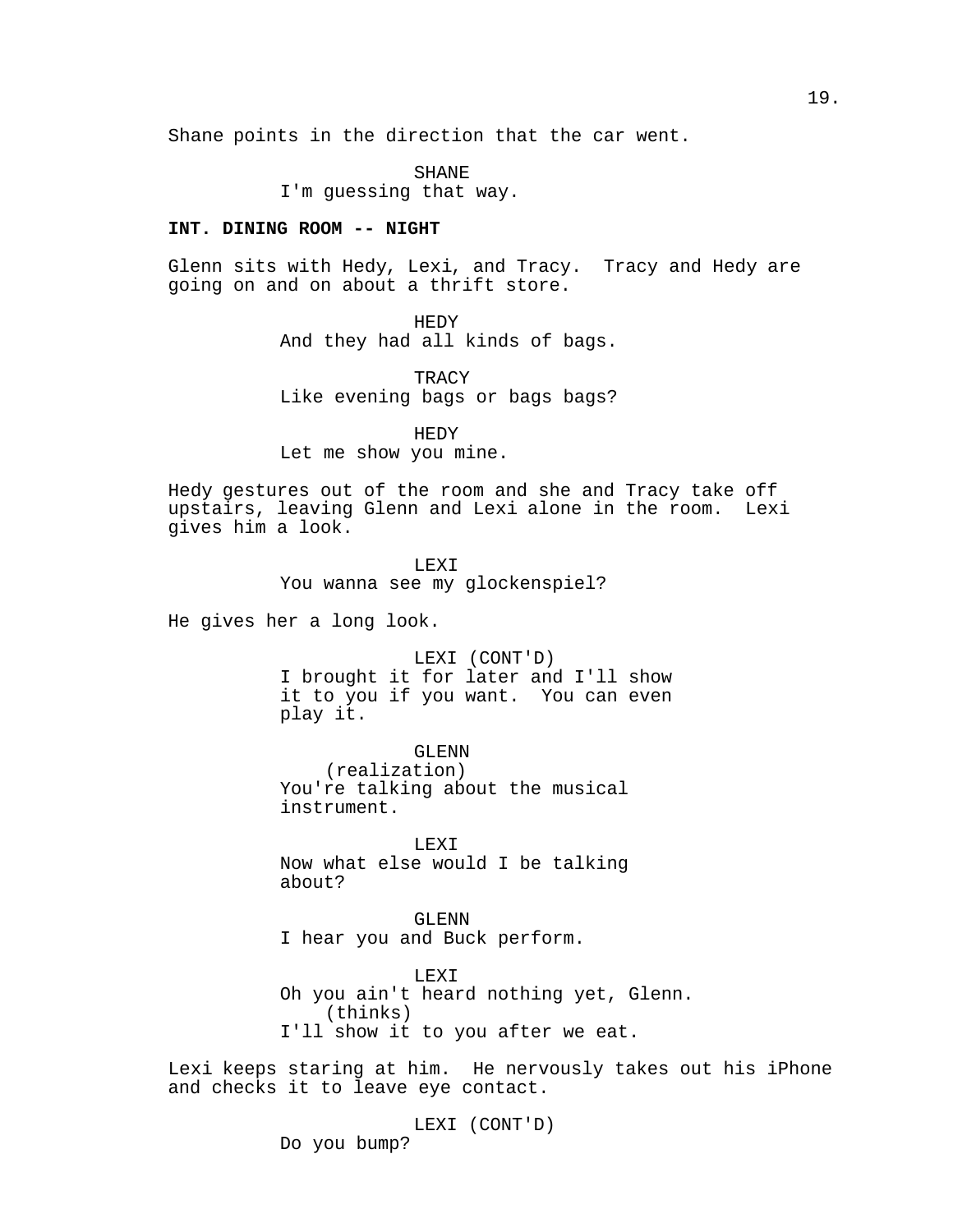Shane points in the direction that the car went.

SHANE

I'm guessing that way.

### **INT. DINING ROOM -- NIGHT**

Glenn sits with Hedy, Lexi, and Tracy. Tracy and Hedy are going on and on about a thrift store.

HEDY

And they had all kinds of bags.

**TRACY** Like evening bags or bags bags?

HEDY Let me show you mine.

Hedy gestures out of the room and she and Tracy take off upstairs, leaving Glenn and Lexi alone in the room. Lexi gives him a look.

LEXI

You wanna see my glockenspiel?

He gives her a long look.

LEXI (CONT'D) I brought it for later and I'll show it to you if you want. You can even play it.

GLENN (realization) You're talking about the musical instrument.

LEXI Now what else would I be talking about?

GLENN I hear you and Buck perform.

LEXI Oh you ain't heard nothing yet, Glenn. (thinks) I'll show it to you after we eat.

Lexi keeps staring at him. He nervously takes out his iPhone and checks it to leave eye contact.

> LEXI (CONT'D) Do you bump?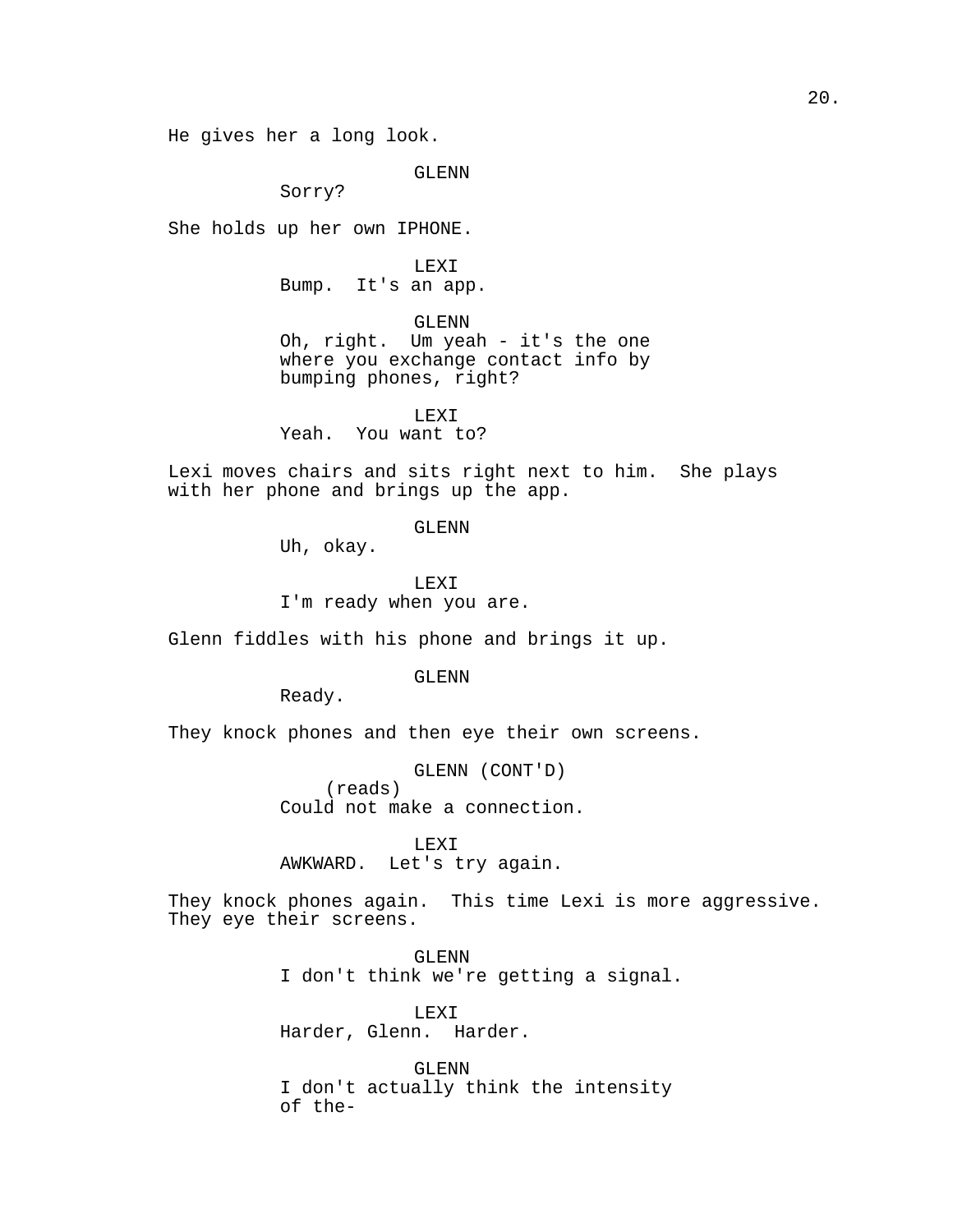He gives her a long look.

GLENN

Sorry?

She holds up her own IPHONE.

LEXI Bump. It's an app.

GLENN Oh, right. Um yeah - it's the one where you exchange contact info by

bumping phones, right? LEXI

Yeah. You want to?

Lexi moves chairs and sits right next to him. She plays with her phone and brings up the app.

GLENN

Uh, okay.

LEXI I'm ready when you are.

Glenn fiddles with his phone and brings it up.

GLENN

Ready.

They knock phones and then eye their own screens.

GLENN (CONT'D) (reads) Could not make a connection.

LEXI AWKWARD. Let's try again.

They knock phones again. This time Lexi is more aggressive. They eye their screens.

> GLENN I don't think we're getting a signal.

LEXI Harder, Glenn. Harder.

GLENN I don't actually think the intensity of the-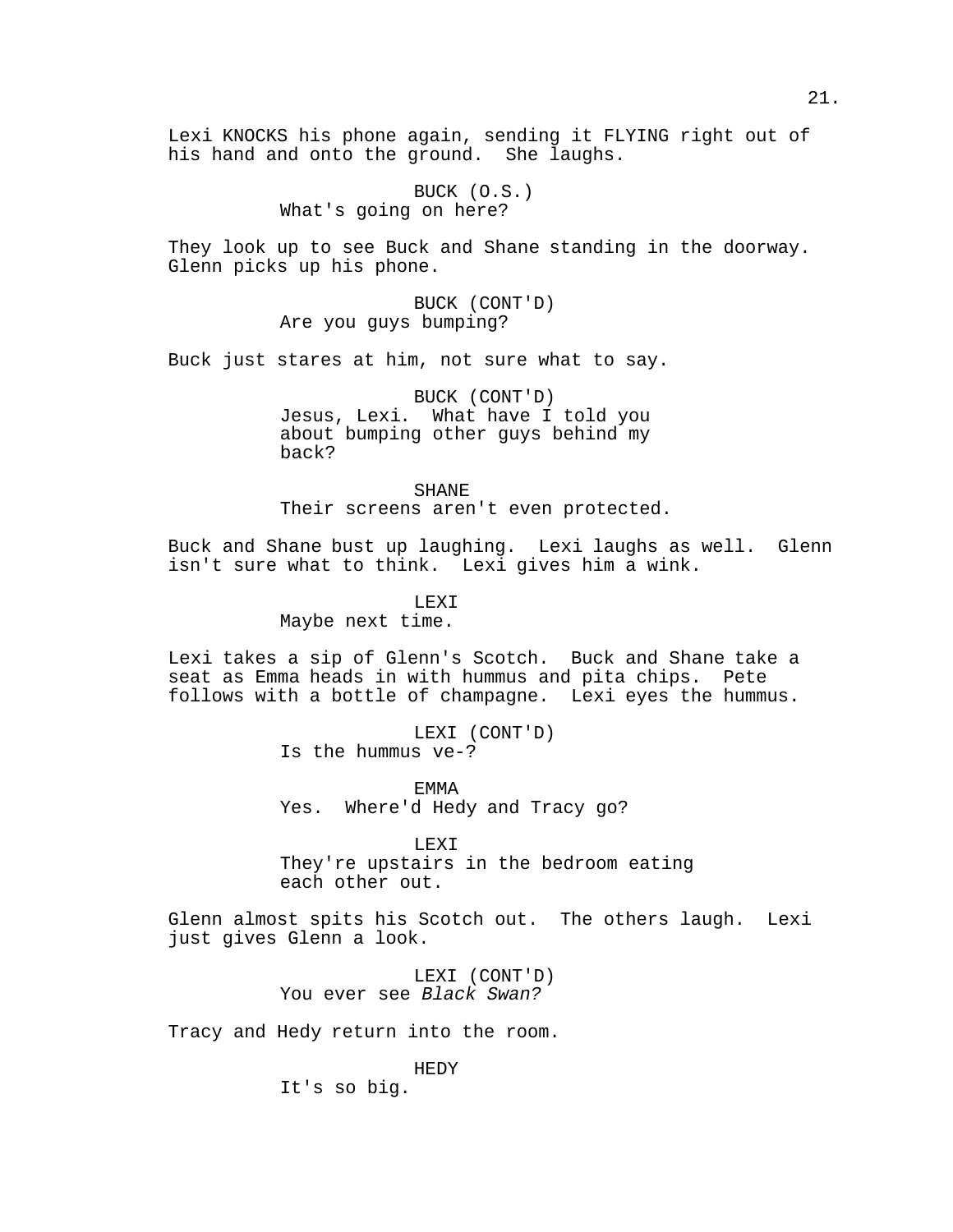Lexi KNOCKS his phone again, sending it FLYING right out of his hand and onto the ground. She laughs.

> BUCK (O.S.) What's going on here?

They look up to see Buck and Shane standing in the doorway. Glenn picks up his phone.

> BUCK (CONT'D) Are you guys bumping?

Buck just stares at him, not sure what to say.

BUCK (CONT'D) Jesus, Lexi. What have I told you about bumping other guys behind my back?

SHANE Their screens aren't even protected.

Buck and Shane bust up laughing. Lexi laughs as well. Glenn isn't sure what to think. Lexi gives him a wink.

LEXI

Maybe next time.

Lexi takes a sip of Glenn's Scotch. Buck and Shane take a seat as Emma heads in with hummus and pita chips. Pete follows with a bottle of champagne. Lexi eyes the hummus.

> LEXI (CONT'D) Is the hummus ve-?

EMMA Yes. Where'd Hedy and Tracy go?

LEXI

They're upstairs in the bedroom eating each other out.

Glenn almost spits his Scotch out. The others laugh. Lexi just gives Glenn a look.

> LEXI (CONT'D) You ever see Black Swan?

Tracy and Hedy return into the room.

HEDY

It's so big.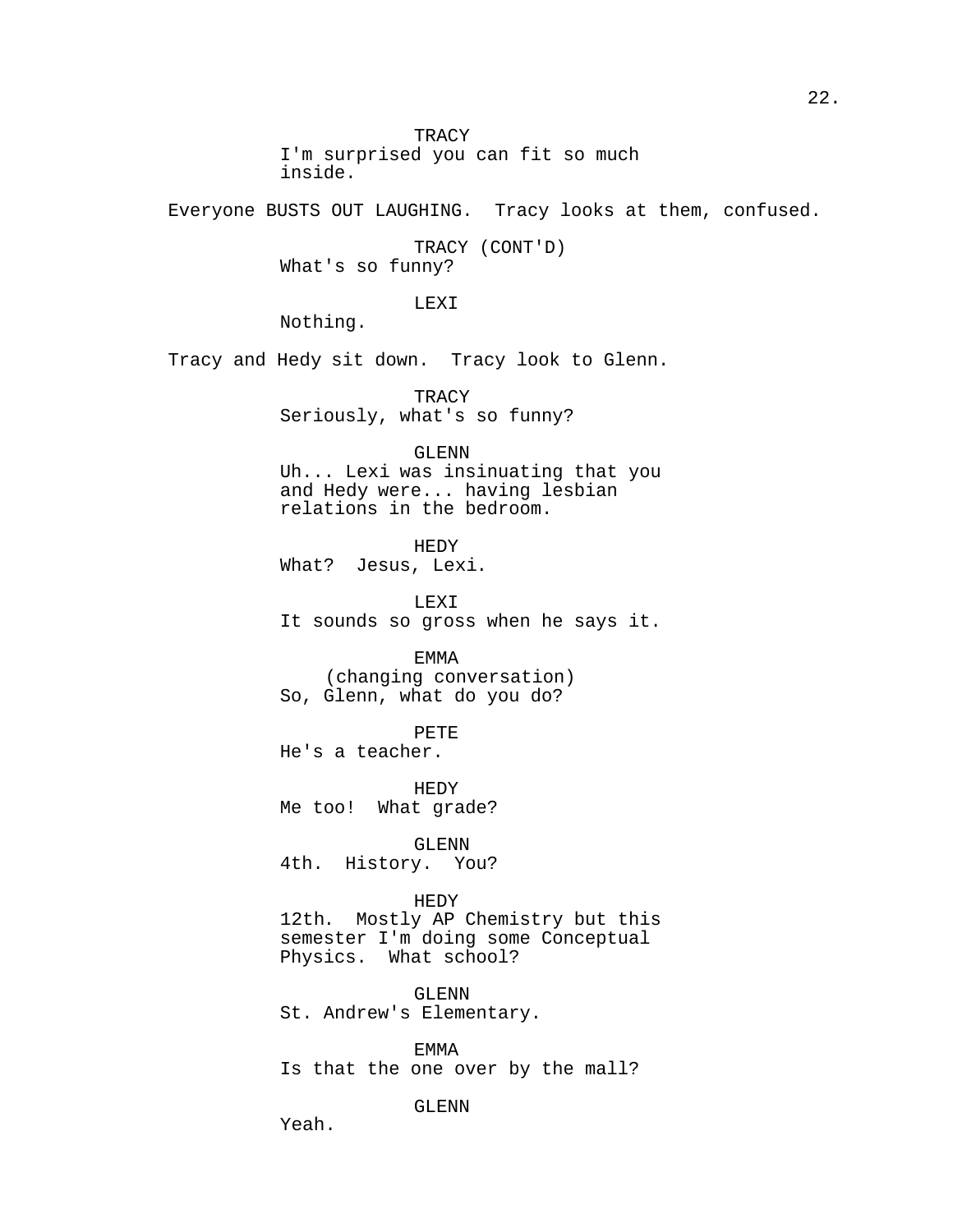**TRACY** I'm surprised you can fit so much inside.

Everyone BUSTS OUT LAUGHING. Tracy looks at them, confused.

TRACY (CONT'D) What's so funny?

LEXI

Nothing.

Tracy and Hedy sit down. Tracy look to Glenn.

**TRACY** Seriously, what's so funny?

# GLENN

Uh... Lexi was insinuating that you and Hedy were... having lesbian relations in the bedroom.

HEDY What? Jesus, Lexi.

LEXI It sounds so gross when he says it.

EMMA (changing conversation) So, Glenn, what do you do?

PETE

He's a teacher.

HEDY Me too! What grade?

GLENN 4th. History. You?

# HEDY

12th. Mostly AP Chemistry but this semester I'm doing some Conceptual Physics. What school?

GLENN St. Andrew's Elementary.

EMMA Is that the one over by the mall?

GLENN

Yeah.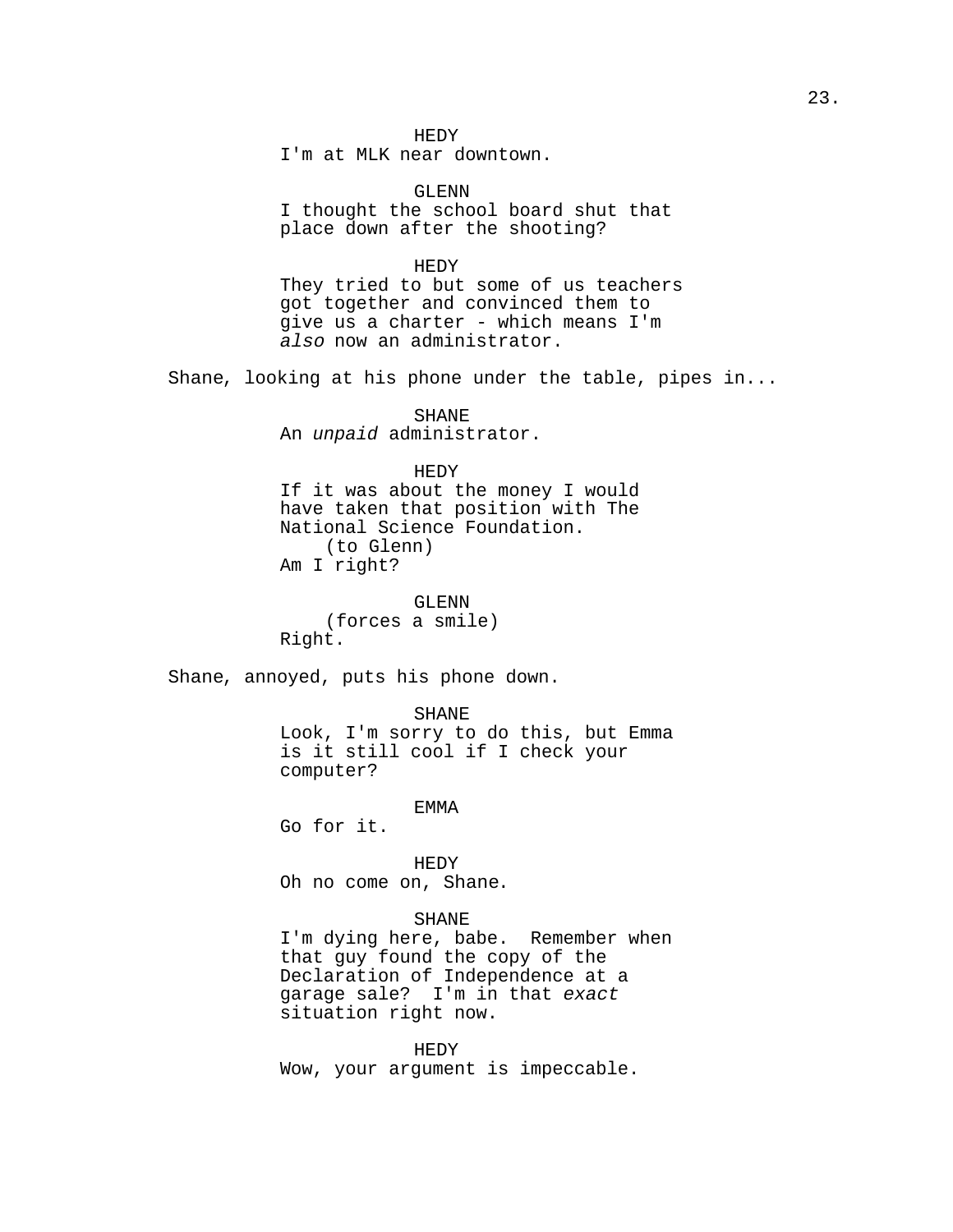I'm at MLK near downtown.

GLENN I thought the school board shut that place down after the shooting?

HEDY

They tried to but some of us teachers got together and convinced them to give us a charter - which means I'm also now an administrator.

Shane, looking at his phone under the table, pipes in...

SHANE An unpaid administrator.

HEDY

If it was about the money I would have taken that position with The National Science Foundation. (to Glenn) Am I right?

GLENN (forces a smile) Right.

Shane, annoyed, puts his phone down.

SHANE

Look, I'm sorry to do this, but Emma is it still cool if I check your computer?

EMMA

Go for it.

HEDY

Oh no come on, Shane.

#### SHANE

I'm dying here, babe. Remember when that guy found the copy of the Declaration of Independence at a garage sale? I'm in that exact situation right now.

HEDY Wow, your argument is impeccable.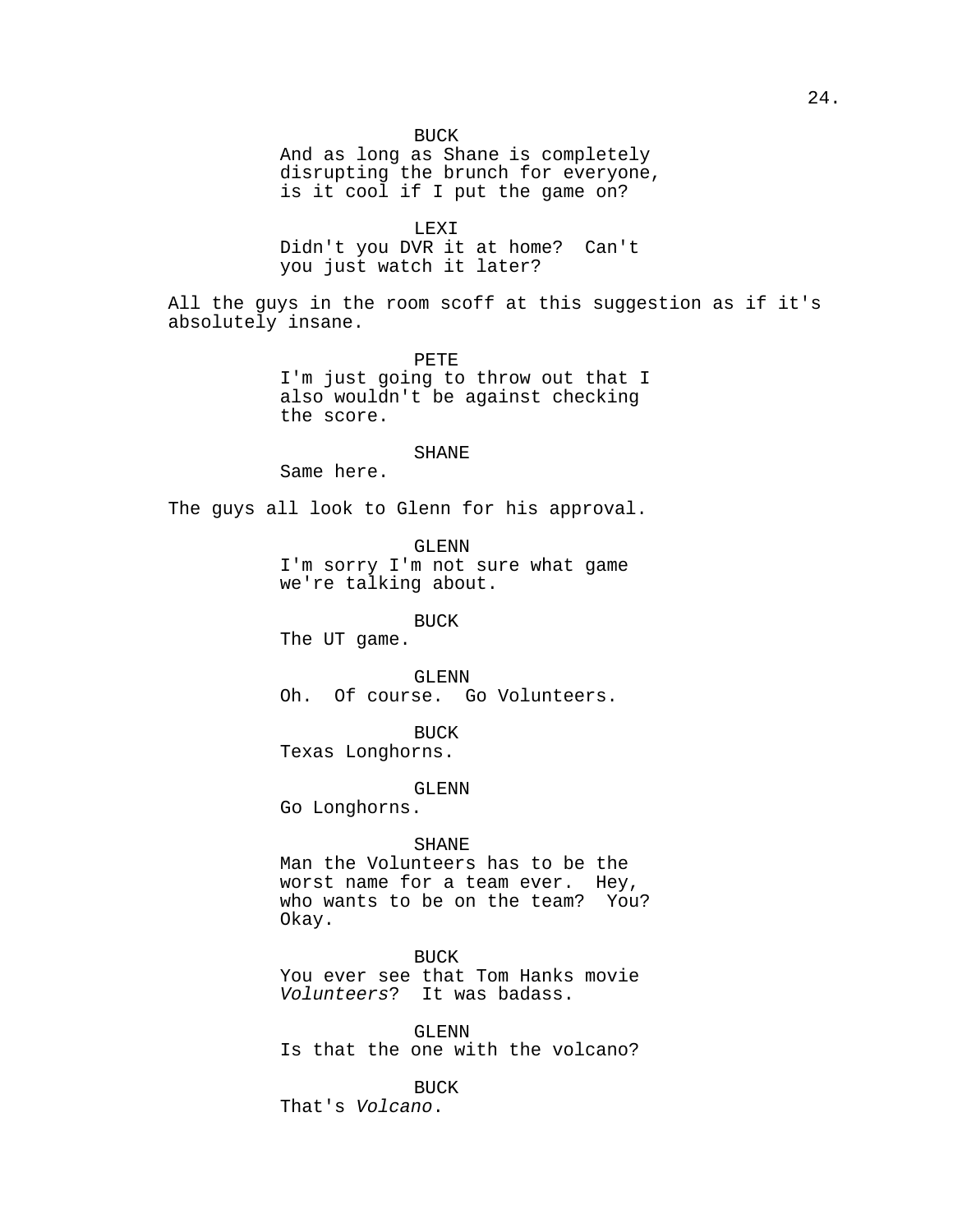And as long as Shane is completely disrupting the brunch for everyone, is it cool if I put the game on?

LEXI

Didn't you DVR it at home? Can't you just watch it later?

All the guys in the room scoff at this suggestion as if it's absolutely insane.

PETE

I'm just going to throw out that I also wouldn't be against checking the score.

#### SHANE

Same here.

The guys all look to Glenn for his approval.

GLENN

I'm sorry I'm not sure what game we're talking about.

BUCK

The UT game.

# GLENN

Oh. Of course. Go Volunteers.

BUCK

Texas Longhorns.

GLENN

Go Longhorns.

#### SHANE

Man the Volunteers has to be the worst name for a team ever. Hey, who wants to be on the team? You? Okay.

# BUCK

You ever see that Tom Hanks movie Volunteers? It was badass.

GLENN Is that the one with the volcano?

BUCK

24.

That's Volcano.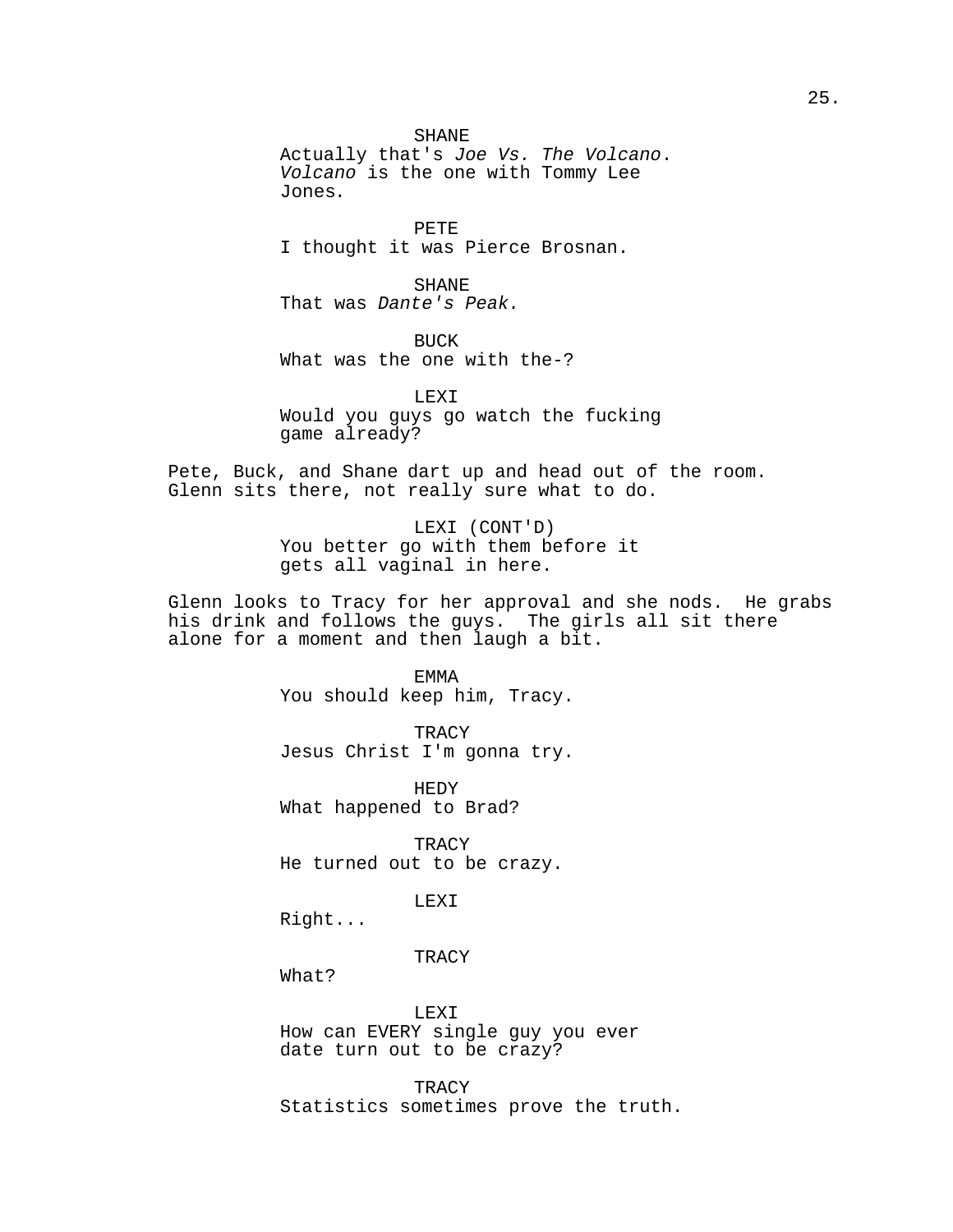SHANE Actually that's Joe Vs. The Volcano. Volcano is the one with Tommy Lee Jones.

PETE I thought it was Pierce Brosnan.

SHANE That was Dante's Peak.

BUCK What was the one with the-?

LEXI Would you guys go watch the fucking game already?

Pete, Buck, and Shane dart up and head out of the room. Glenn sits there, not really sure what to do.

> LEXI (CONT'D) You better go with them before it gets all vaginal in here.

Glenn looks to Tracy for her approval and she nods. He grabs his drink and follows the guys. The girls all sit there alone for a moment and then laugh a bit.

> EMMA You should keep him, Tracy.

> TRACY Jesus Christ I'm gonna try.

HEDY What happened to Brad?

**TRACY** He turned out to be crazy.

LEXI

Right...

### **TRACY**

What?

LEXI

How can EVERY single guy you ever date turn out to be crazy?

TRACY Statistics sometimes prove the truth.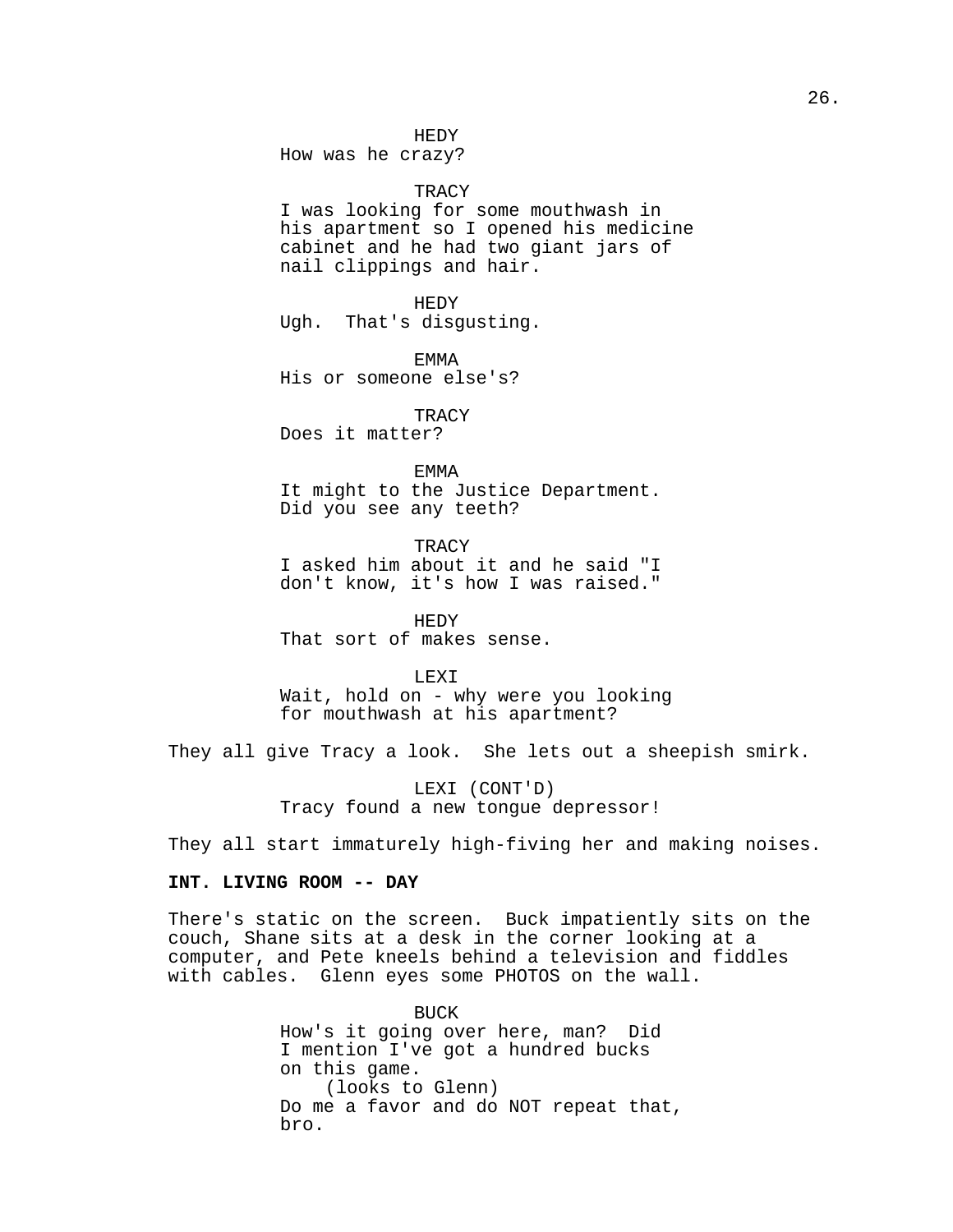HEDY

How was he crazy?

TRACY

I was looking for some mouthwash in his apartment so I opened his medicine cabinet and he had two giant jars of nail clippings and hair.

HEDY Ugh. That's disgusting.

EMMA His or someone else's?

**TRACY** Does it matter?

EMMA

It might to the Justice Department. Did you see any teeth?

**TRACY** I asked him about it and he said "I don't know, it's how I was raised."

HEDY That sort of makes sense.

### LEXI

Wait, hold on - why were you looking for mouthwash at his apartment?

They all give Tracy a look. She lets out a sheepish smirk.

LEXI (CONT'D) Tracy found a new tongue depressor!

They all start immaturely high-fiving her and making noises.

# **INT. LIVING ROOM -- DAY**

There's static on the screen. Buck impatiently sits on the couch, Shane sits at a desk in the corner looking at a computer, and Pete kneels behind a television and fiddles with cables. Glenn eyes some PHOTOS on the wall.

> BUCK How's it going over here, man? Did I mention I've got a hundred bucks on this game. (looks to Glenn) Do me a favor and do NOT repeat that, bro.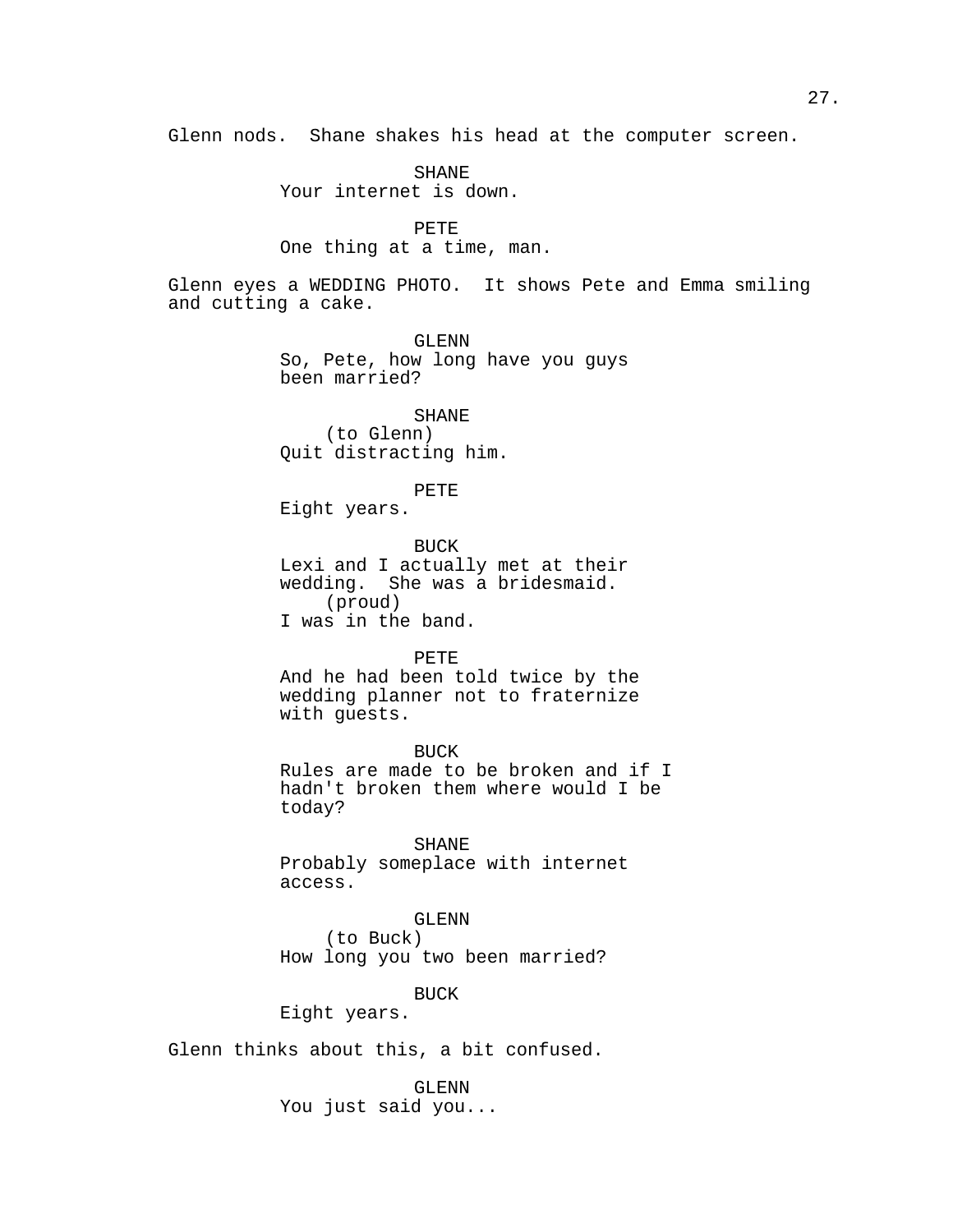Glenn nods. Shane shakes his head at the computer screen.

SHANE Your internet is down.

PETE One thing at a time, man.

Glenn eyes a WEDDING PHOTO. It shows Pete and Emma smiling and cutting a cake.

> GLENN So, Pete, how long have you guys been married?

> > SHANE

(to Glenn) Quit distracting him.

PETE

Eight years.

BUCK Lexi and I actually met at their wedding. She was a bridesmaid. (proud) I was in the band.

# PETE

And he had been told twice by the wedding planner not to fraternize with guests.

BUCK Rules are made to be broken and if I hadn't broken them where would I be today?

SHANE

Probably someplace with internet access.

GLENN

(to Buck) How long you two been married?

BUCK

Eight years.

Glenn thinks about this, a bit confused.

GLENN

You just said you...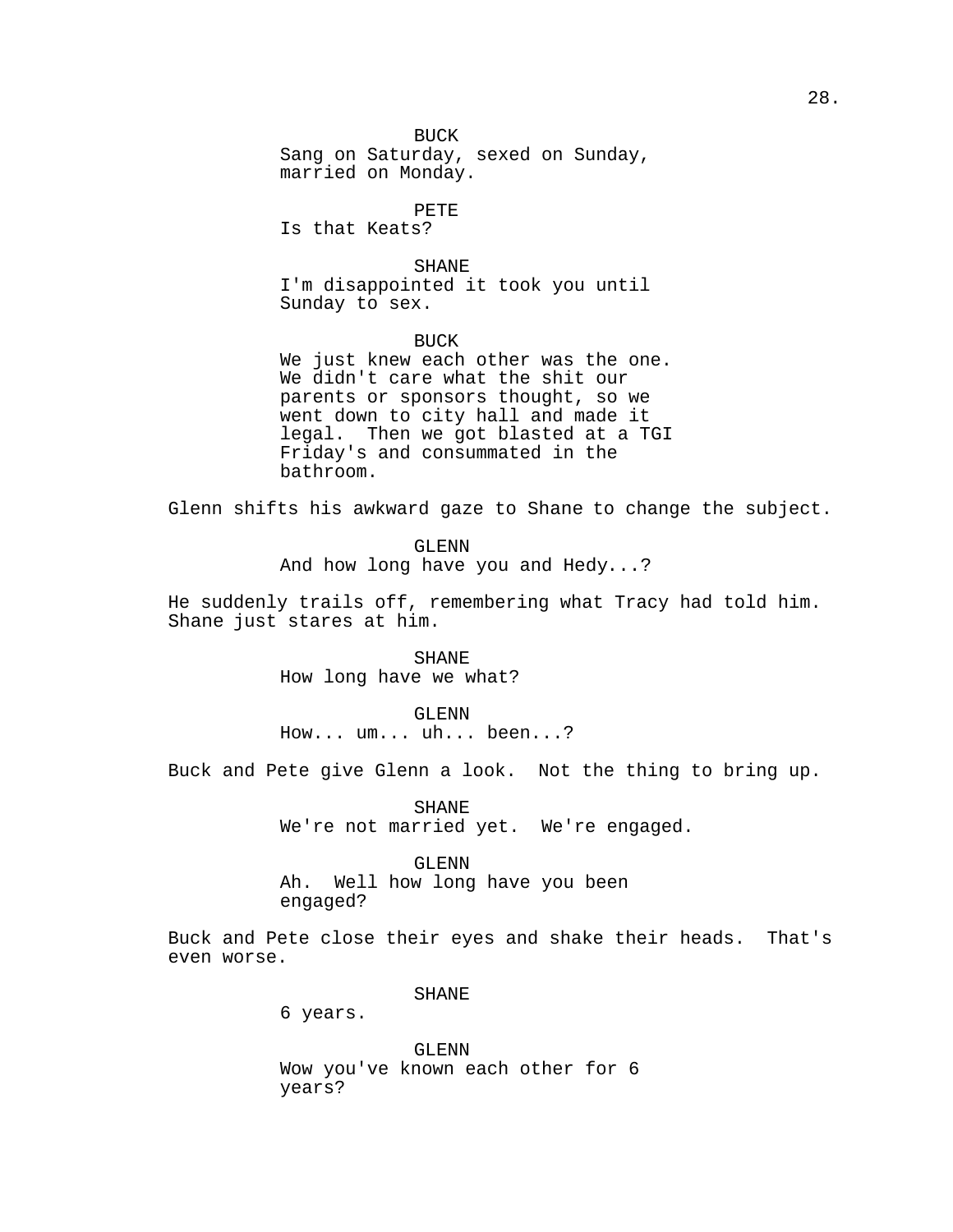BUCK Sang on Saturday, sexed on Sunday, married on Monday.

PETE

Is that Keats?

SHANE I'm disappointed it took you until Sunday to sex.

BUCK We just knew each other was the one. We didn't care what the shit our parents or sponsors thought, so we went down to city hall and made it legal. Then we got blasted at a TGI Friday's and consummated in the bathroom.

Glenn shifts his awkward gaze to Shane to change the subject.

GLENN And how long have you and Hedy...?

He suddenly trails off, remembering what Tracy had told him. Shane just stares at him.

> SHANE How long have we what?

> > GLENN

How... um... uh... been...?

Buck and Pete give Glenn a look. Not the thing to bring up.

SHANE We're not married yet. We're engaged.

GLENN Ah. Well how long have you been

engaged?

Buck and Pete close their eyes and shake their heads. That's even worse.

SHANE

6 years.

GLENN Wow you've known each other for 6 years?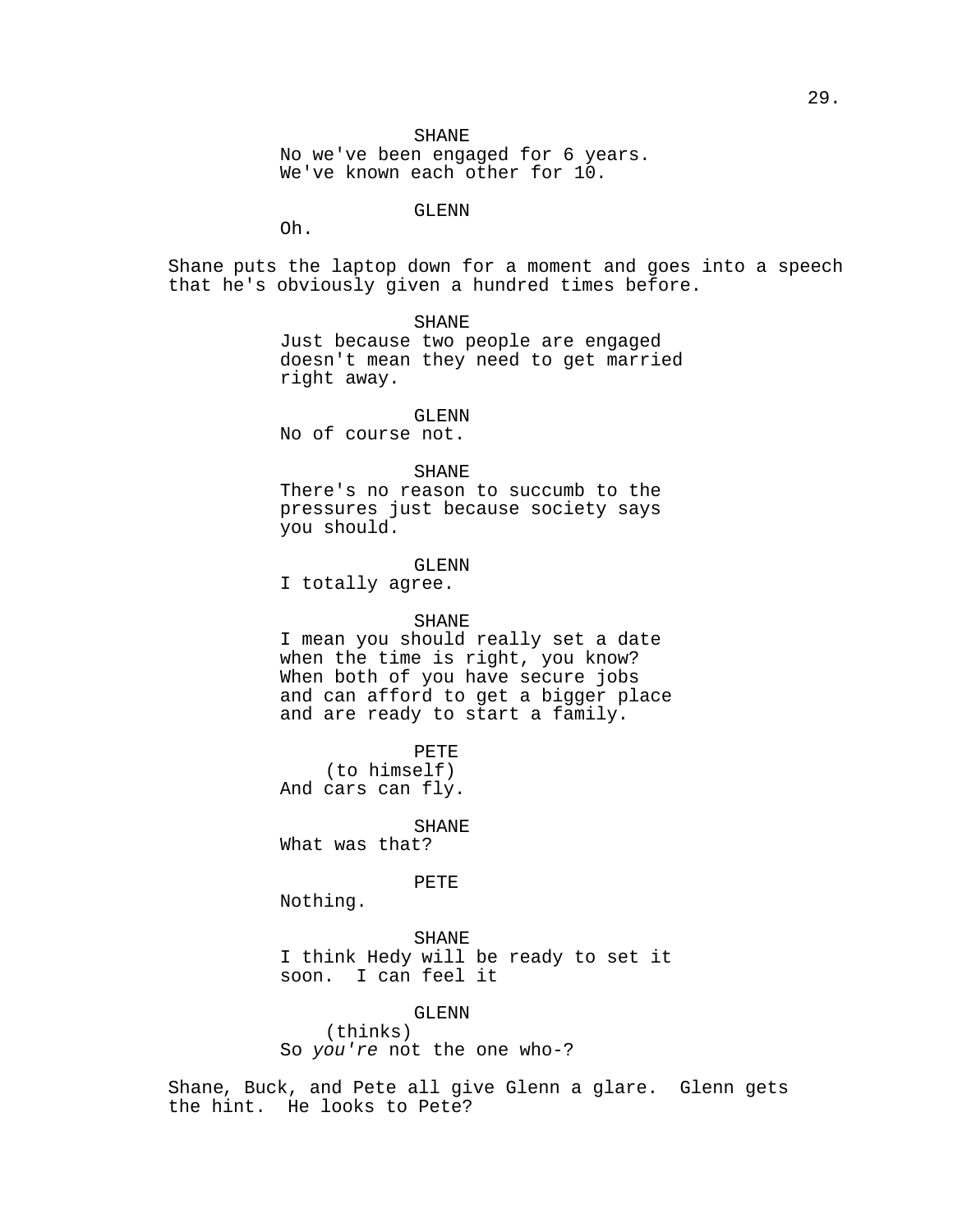No we've been engaged for 6 years. We've known each other for  $10$ .

# GLENN

Oh.

Shane puts the laptop down for a moment and goes into a speech that he's obviously given a hundred times before.

> SHANE Just because two people are engaged doesn't mean they need to get married

right away. GLENN

No of course not.

# SHANE

There's no reason to succumb to the pressures just because society says you should.

## GLENN

I totally agree.

#### SHANE

I mean you should really set a date when the time is right, you know? When both of you have secure jobs and can afford to get a bigger place and are ready to start a family.

PETE (to himself) And cars can fly.

## SHANE

What was that?

# PETE

Nothing.

SHANE I think Hedy will be ready to set it soon. I can feel it

GLENN

(thinks) So you're not the one who-?

Shane, Buck, and Pete all give Glenn a glare. Glenn gets the hint. He looks to Pete?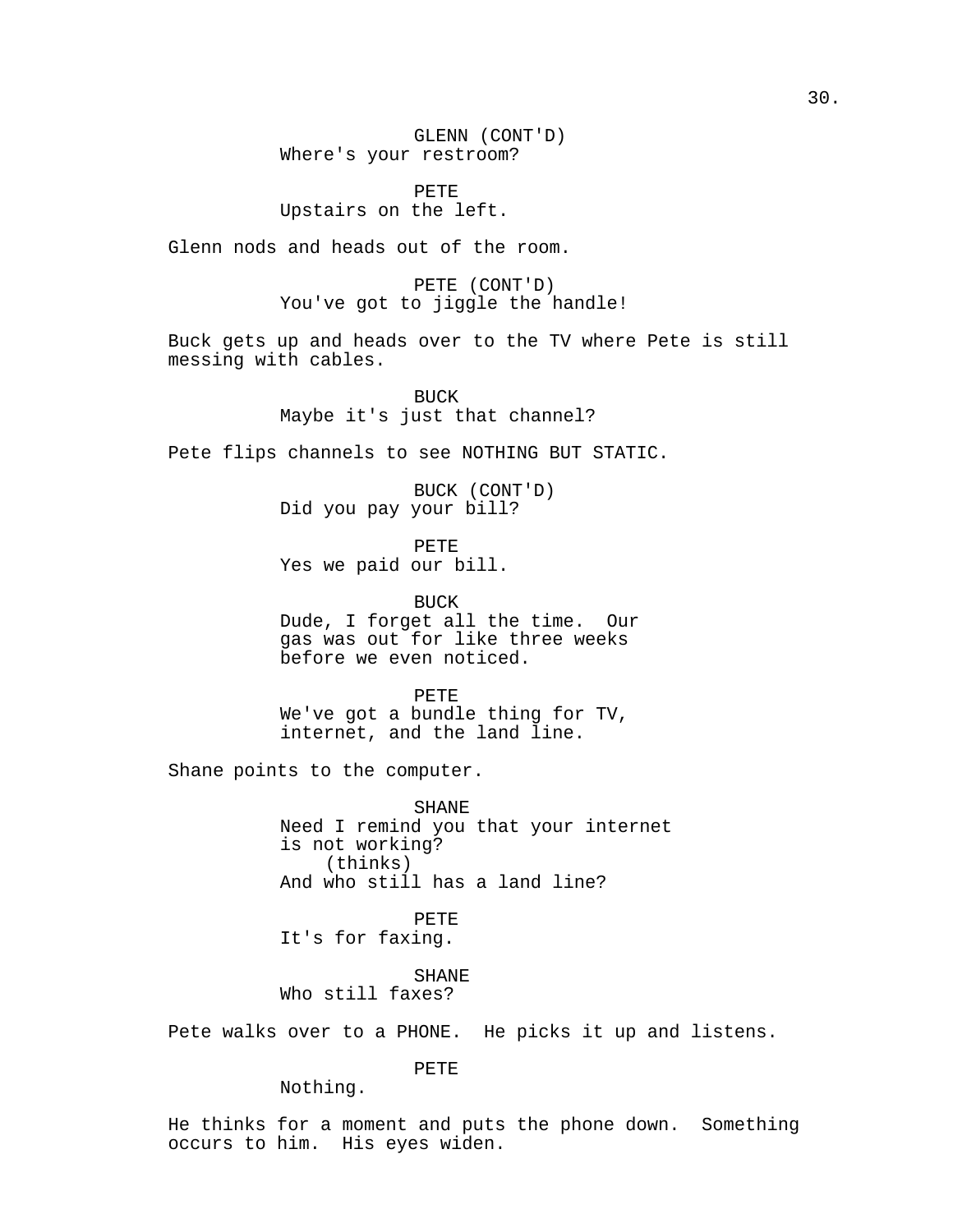GLENN (CONT'D) Where's your restroom?

PETE Upstairs on the left.

Glenn nods and heads out of the room.

PETE (CONT'D) You've got to jiggle the handle!

Buck gets up and heads over to the TV where Pete is still messing with cables.

> BUCK Maybe it's just that channel?

Pete flips channels to see NOTHING BUT STATIC.

BUCK (CONT'D) Did you pay your bill?

PETE Yes we paid our bill.

BUCK Dude, I forget all the time. Our gas was out for like three weeks before we even noticed.

PETE We've got a bundle thing for TV, internet, and the land line.

Shane points to the computer.

SHANE Need I remind you that your internet is not working? (thinks) And who still has a land line?

PETE It's for faxing.

SHANE Who still faxes?

Pete walks over to a PHONE. He picks it up and listens.

PETE

Nothing.

He thinks for a moment and puts the phone down. Something occurs to him. His eyes widen.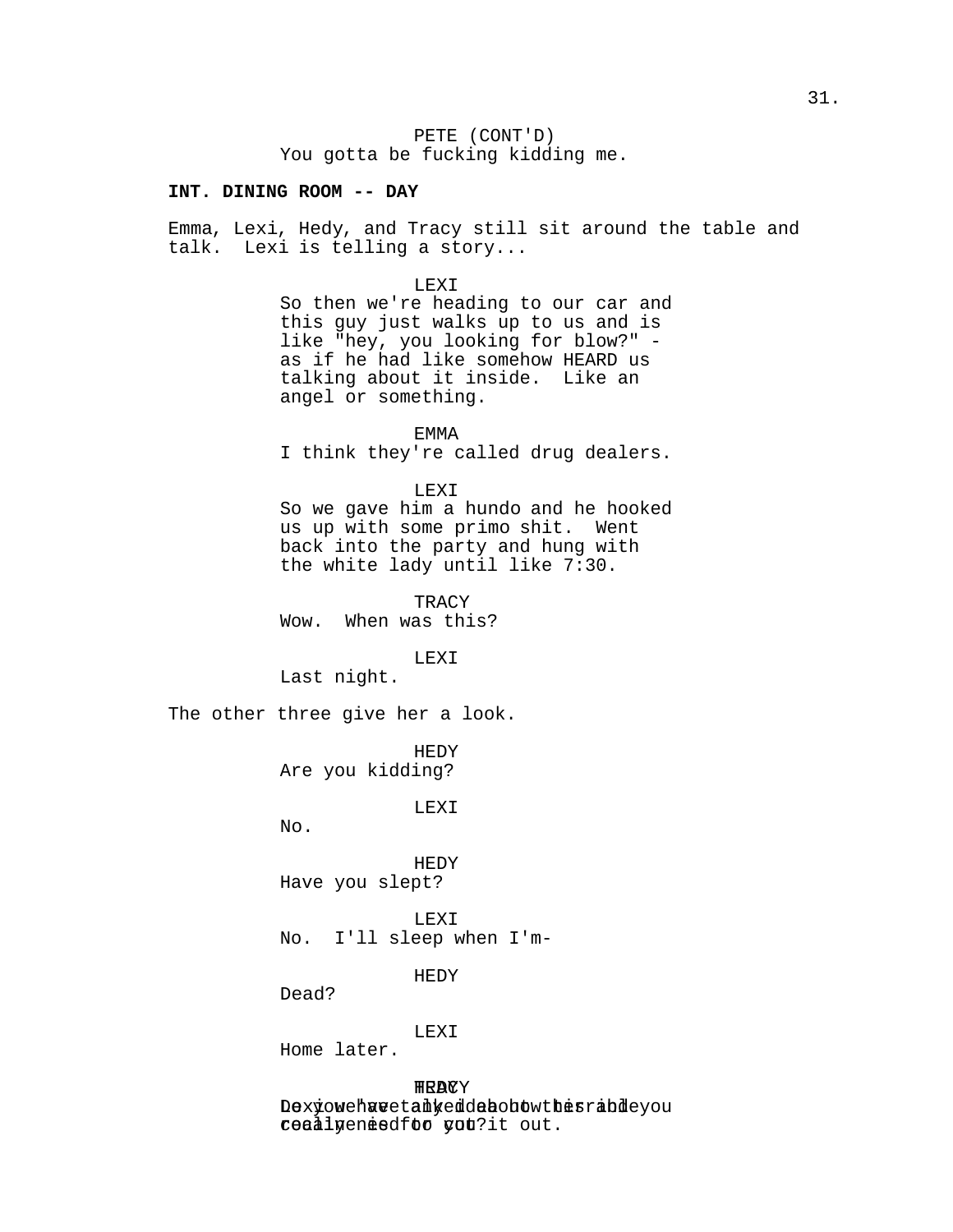PETE (CONT'D) You gotta be fucking kidding me.

## **INT. DINING ROOM -- DAY**

Emma, Lexi, Hedy, and Tracy still sit around the table and talk. Lexi is telling a story...

#### LEXI

So then we're heading to our car and this guy just walks up to us and is like "hey, you looking for blow?" as if he had like somehow HEARD us talking about it inside. Like an angel or something.

### EMMA

I think they're called drug dealers.

#### LEXI

So we gave him a hundo and he hooked us up with some primo shit. Went back into the party and hung with the white lady until like 7:30.

TRACY Wow. When was this?

#### LEXI

Last night.

The other three give her a look.

HEDY Are you kidding?

LEXI

 $N_{\Omega}$ .

HEDY Have you slept?

LEXI No. I'll sleep when I'm-

HEDY

Dead?

# LEXI

Home later.

HEDY TRACY Dexyowehuveta hyedde bohow the srabdeyou reaalyenesdfoo you?it out.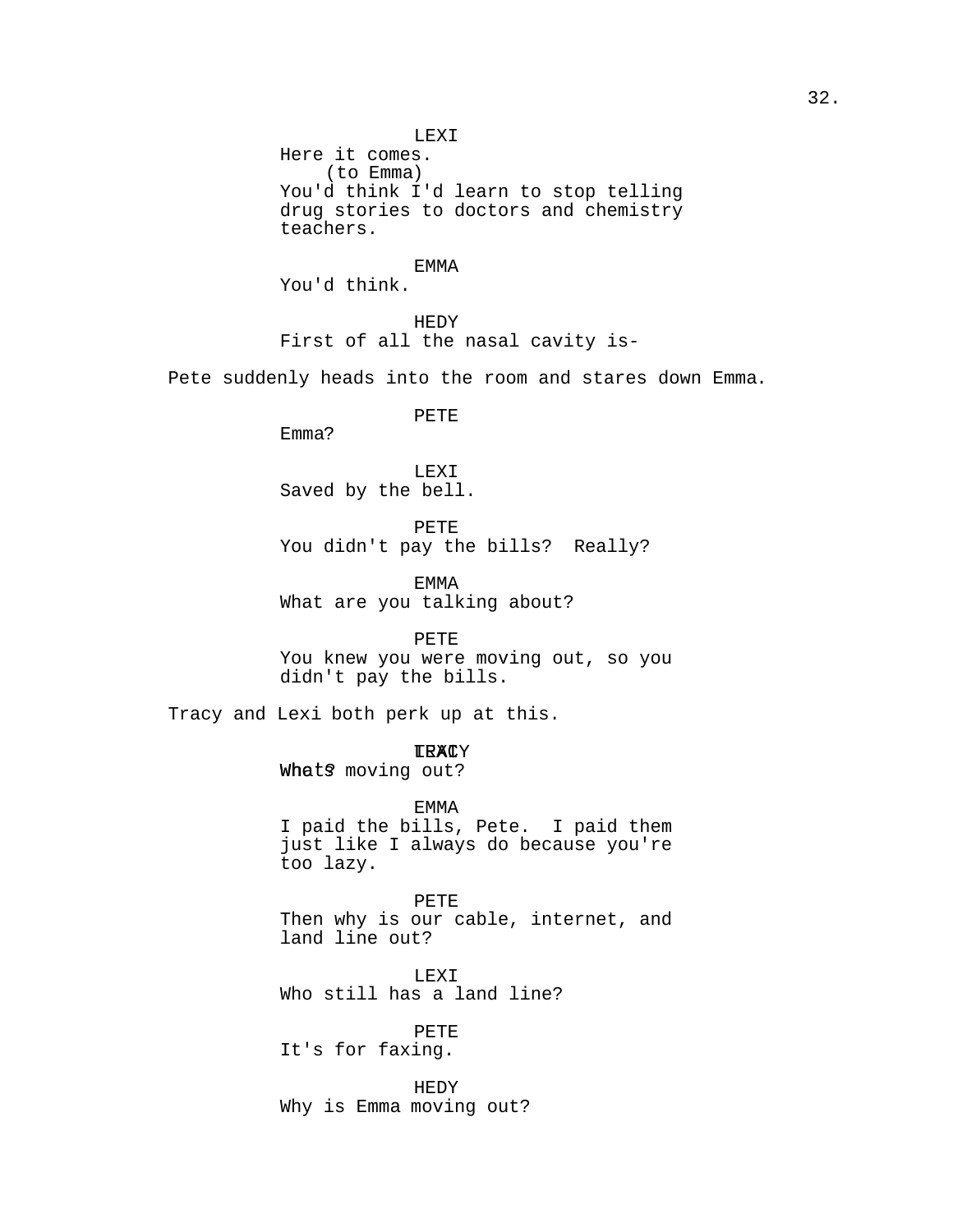LEXI Here it comes. (to Emma) You'd think I'd learn to stop telling drug stories to doctors and chemistry teachers.

EMMA You'd think.

HEDY First of all the nasal cavity is-

Pete suddenly heads into the room and stares down Emma.

PETE

Emma?

LEXI Saved by the bell.

PETE

You didn't pay the bills? Really?

EMMA What are you talking about?

PETE

You knew you were moving out, so you didn't pay the bills.

Tracy and Lexi both perk up at this.

<mark>TRAC</mark>Y

Whats moving out?

EMMA I paid the bills, Pete. I paid them just like I always do because you're too lazy.

PETE Then why is our cable, internet, and land line out?

LEXI Who still has a land line?

PETE It's for faxing.

HEDY Why is Emma moving out?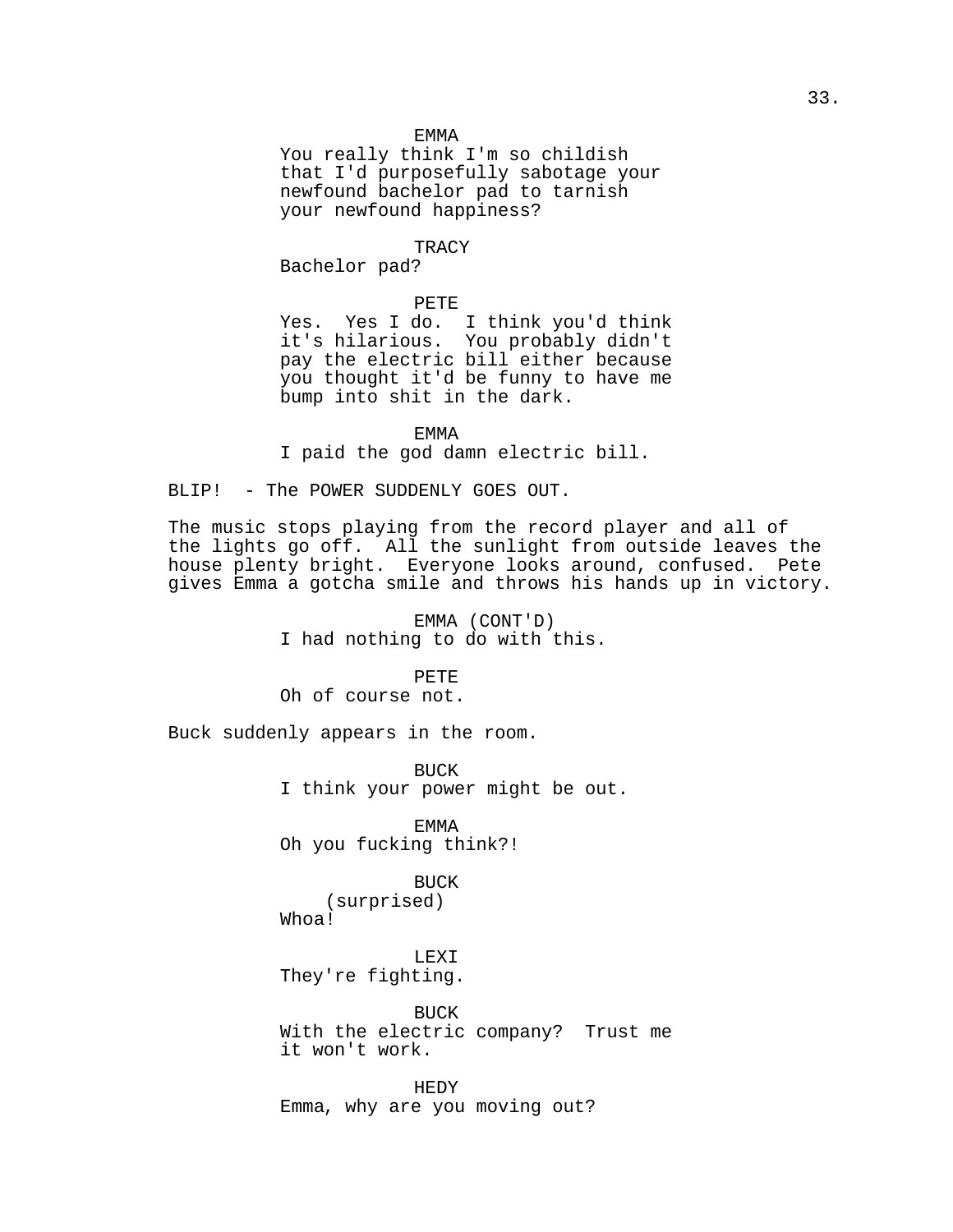#### EMMA

You really think I'm so childish that I'd purposefully sabotage your newfound bachelor pad to tarnish your newfound happiness?

## **TRACY**

Bachelor pad?

# PETE

Yes. Yes I do. I think you'd think it's hilarious. You probably didn't pay the electric bill either because you thought it'd be funny to have me bump into shit in the dark.

EMMA

I paid the god damn electric bill.

BLIP! - The POWER SUDDENLY GOES OUT.

The music stops playing from the record player and all of the lights go off. All the sunlight from outside leaves the house plenty bright. Everyone looks around, confused. Pete gives Emma a gotcha smile and throws his hands up in victory.

> EMMA (CONT'D) I had nothing to do with this.

## PETE

Oh of course not.

Buck suddenly appears in the room.

BUCK I think your power might be out.

EMMA Oh you fucking think?!

## BUCK

(surprised) Whoa!

LEXI They're fighting.

BUCK With the electric company? Trust me it won't work.

HEDY Emma, why are you moving out?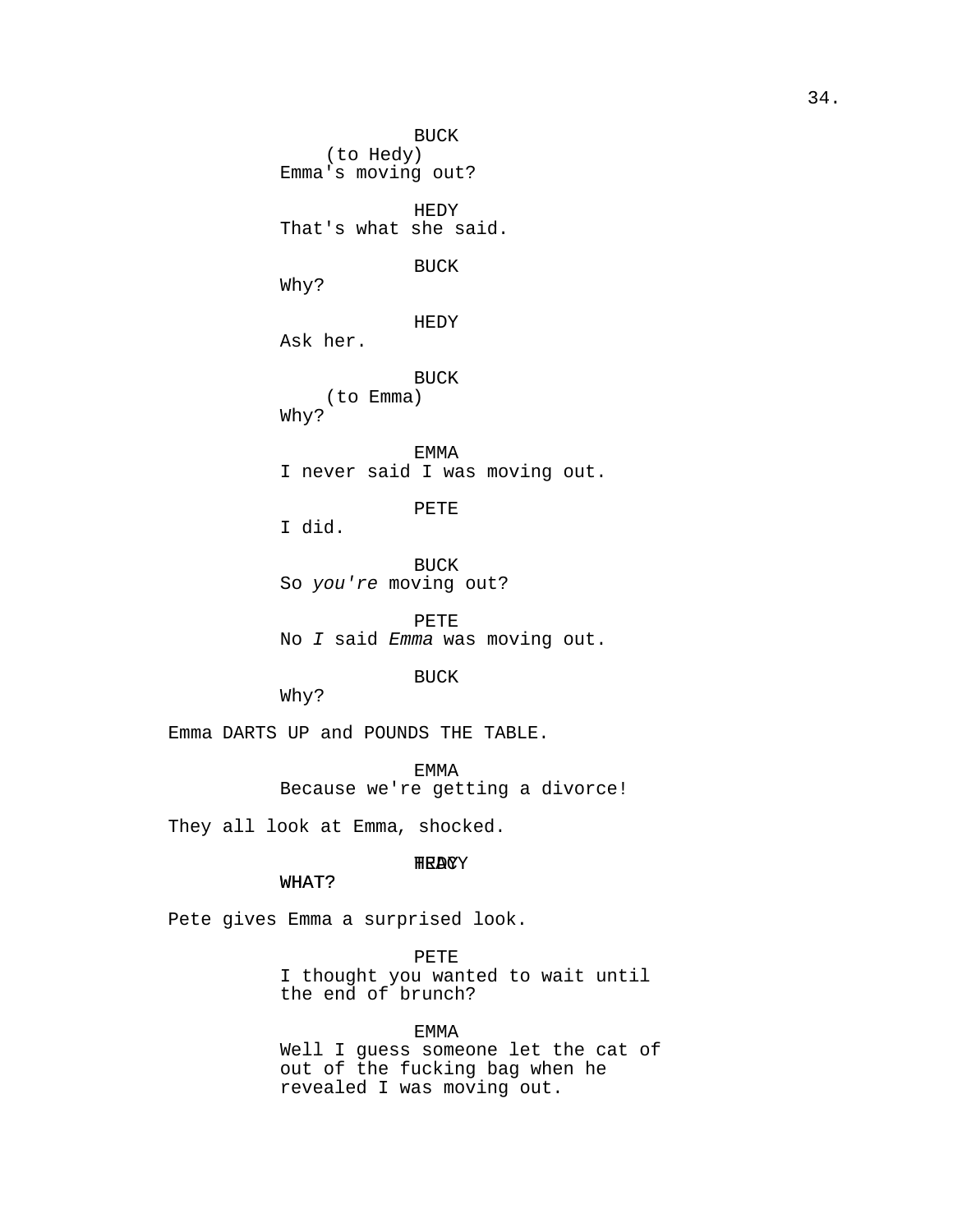BUCK (to Hedy) Emma's moving out? HEDY That's what she said. BUCK Why? HEDY Ask her. BUCK (to Emma) Why? EMMA I never said I was moving out. PETE

I did.

BUCK So you're moving out?

PETE No I said Emma was moving out.

BUCK

Why?

Emma DARTS UP and POUNDS THE TABLE.

EMMA Because we're getting a divorce!

They all look at Emma, shocked.

# **HRACY**

# WHAT?

Pete gives Emma a surprised look.

PETE I thought you wanted to wait until the end of brunch?

EMMA Well I guess someone let the cat of out of the fucking bag when he revealed I was moving out.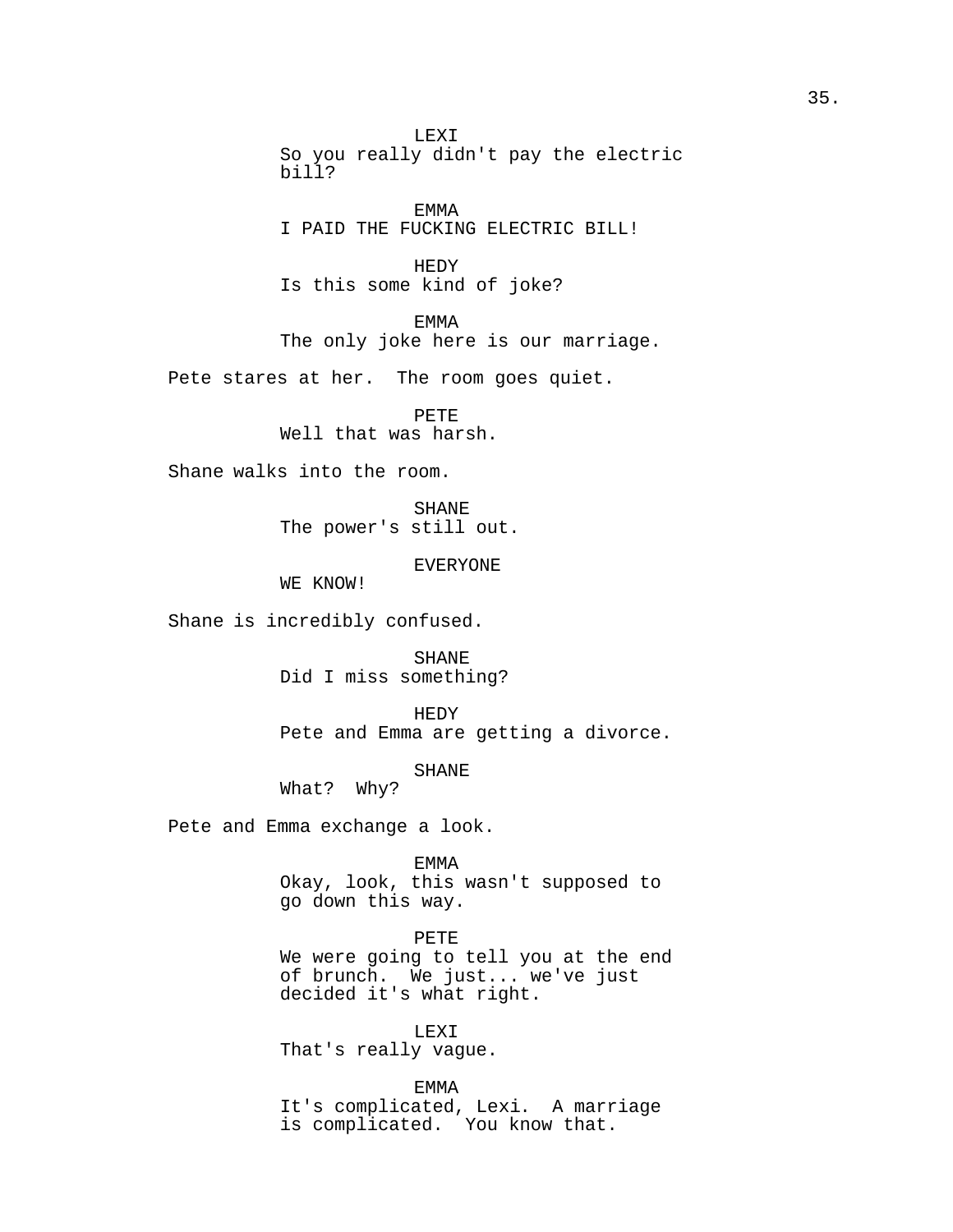LEXI So you really didn't pay the electric bill?

EMMA I PAID THE FUCKING ELECTRIC BILL!

HEDY Is this some kind of joke?

EMMA

The only joke here is our marriage.

Pete stares at her. The room goes quiet.

PETE Well that was harsh.

Shane walks into the room.

SHANE The power's still out.

EVERYONE

WE KNOW!

Shane is incredibly confused.

SHANE Did I miss something?

HEDY Pete and Emma are getting a divorce.

SHANE

What? Why?

Pete and Emma exchange a look.

EMMA

Okay, look, this wasn't supposed to go down this way.

# PETE

We were going to tell you at the end of brunch. We just... we've just decided it's what right.

LEXI That's really vague.

EMMA It's complicated, Lexi. A marriage is complicated. You know that.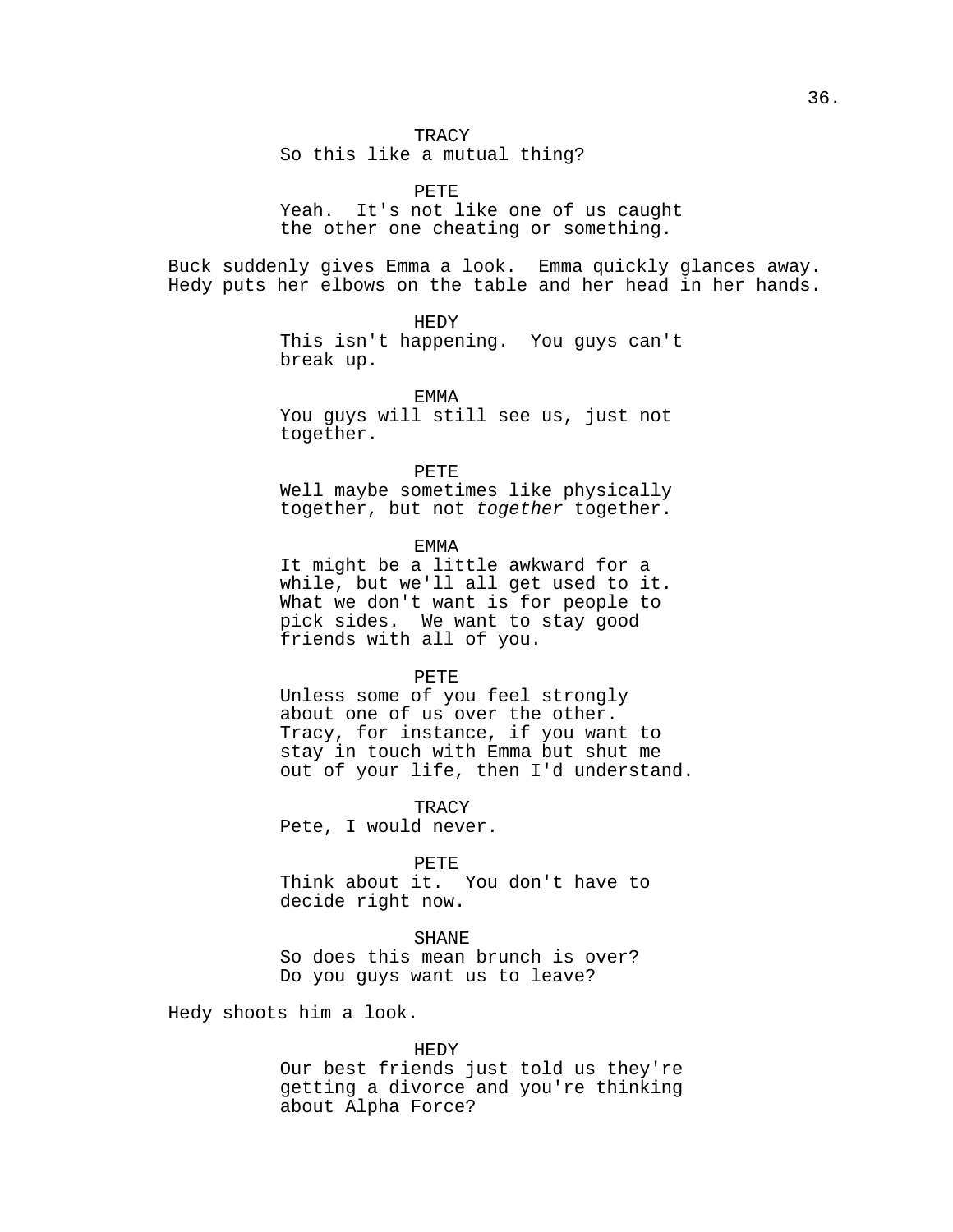So this like a mutual thing?

PETE Yeah. It's not like one of us caught the other one cheating or something.

Buck suddenly gives Emma a look. Emma quickly glances away. Hedy puts her elbows on the table and her head in her hands.

> HEDY This isn't happening. You guys can't break up.

EMMA You guys will still see us, just not together.

PETE Well maybe sometimes like physically

together, but not together together.

EMMA

It might be a little awkward for a while, but we'll all get used to it. What we don't want is for people to pick sides. We want to stay good friends with all of you.

### PETE

Unless some of you feel strongly about one of us over the other. Tracy, for instance, if you want to stay in touch with Emma but shut me out of your life, then I'd understand.

TRACY Pete, I would never.

### PETE

Think about it. You don't have to decide right now.

SHANE

So does this mean brunch is over? Do you guys want us to leave?

Hedy shoots him a look.

### HEDY

Our best friends just told us they're getting a divorce and you're thinking about Alpha Force?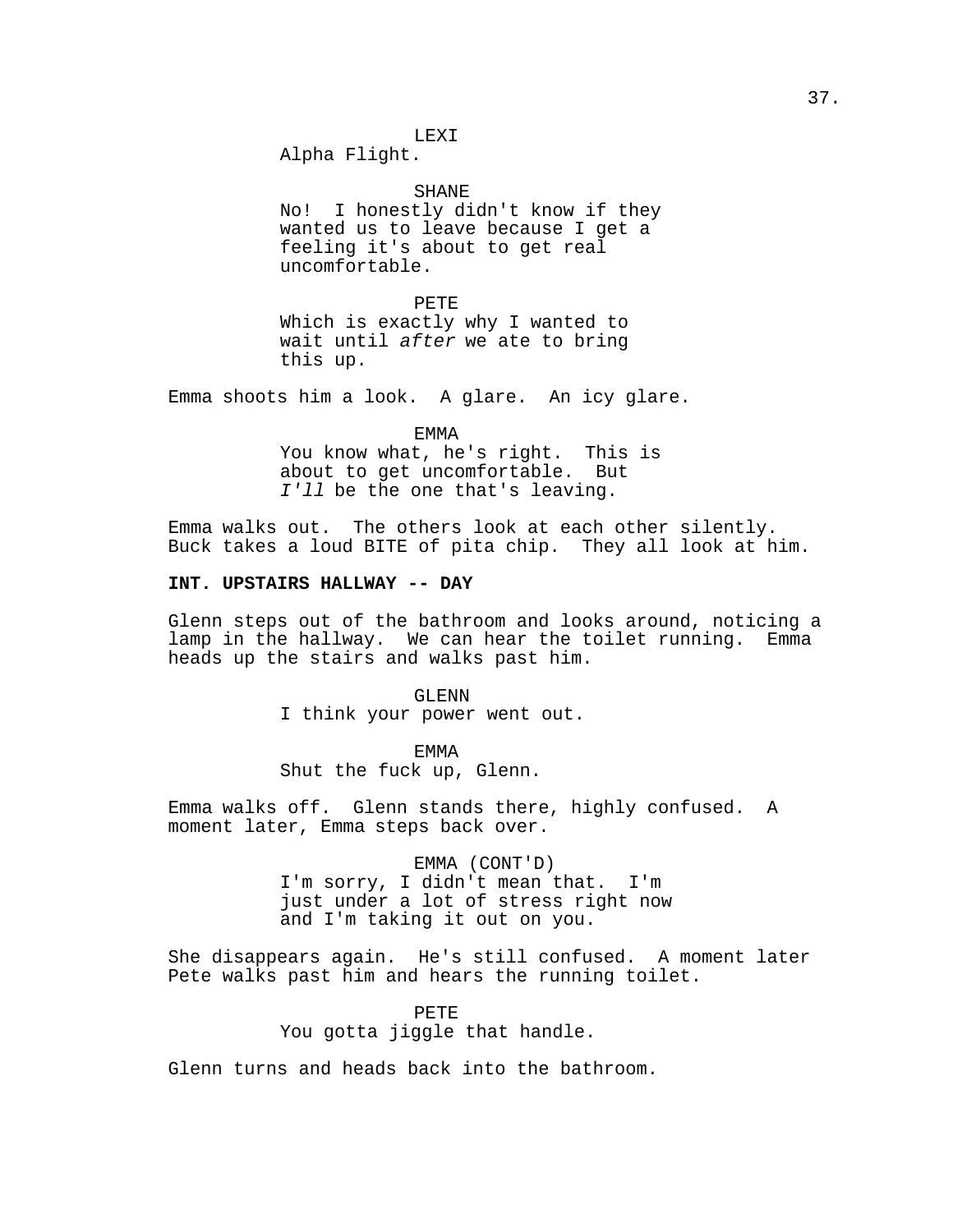### LEXI

Alpha Flight.

SHANE

No! I honestly didn't know if they wanted us to leave because I get a feeling it's about to get real uncomfortable.

PETE Which is exactly why I wanted to wait until after we ate to bring this up.

Emma shoots him a look. A glare. An icy glare.

EMMA You know what, he's right. This is about to get uncomfortable. But I'll be the one that's leaving.

Emma walks out. The others look at each other silently. Buck takes a loud BITE of pita chip. They all look at him.

# **INT. UPSTAIRS HALLWAY -- DAY**

Glenn steps out of the bathroom and looks around, noticing a lamp in the hallway. We can hear the toilet running. Emma heads up the stairs and walks past him.

> GLENN I think your power went out.

EMMA Shut the fuck up, Glenn.

Emma walks off. Glenn stands there, highly confused. A moment later, Emma steps back over.

> EMMA (CONT'D) I'm sorry, I didn't mean that. I'm just under a lot of stress right now and I'm taking it out on you.

She disappears again. He's still confused. A moment later Pete walks past him and hears the running toilet.

> PETE You gotta jiggle that handle.

Glenn turns and heads back into the bathroom.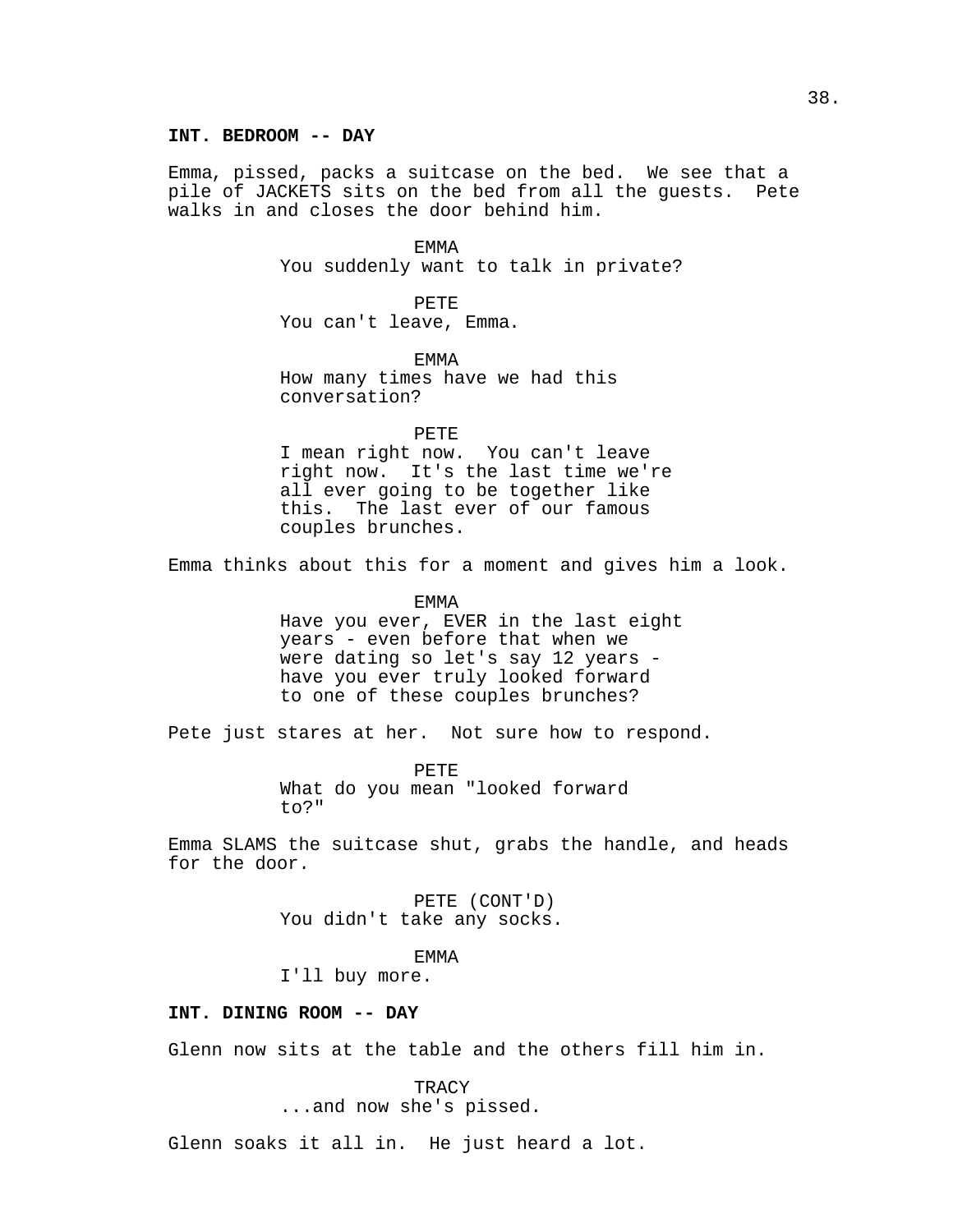### **INT. BEDROOM -- DAY**

Emma, pissed, packs a suitcase on the bed. We see that a pile of JACKETS sits on the bed from all the guests. Pete walks in and closes the door behind him.

EMMA

You suddenly want to talk in private?

PETE You can't leave, Emma.

EMMA How many times have we had this conversation?

PETE

I mean right now. You can't leave right now. It's the last time we're all ever going to be together like this. The last ever of our famous couples brunches.

Emma thinks about this for a moment and gives him a look.

EMMA Have you ever, EVER in the last eight years - even before that when we were dating so let's say 12 years have you ever truly looked forward to one of these couples brunches?

Pete just stares at her. Not sure how to respond.

PETE What do you mean "looked forward to?"

Emma SLAMS the suitcase shut, grabs the handle, and heads for the door.

> PETE (CONT'D) You didn't take any socks.

> > EMMA

I'll buy more.

# **INT. DINING ROOM -- DAY**

Glenn now sits at the table and the others fill him in.

TRACY

...and now she's pissed.

Glenn soaks it all in. He just heard a lot.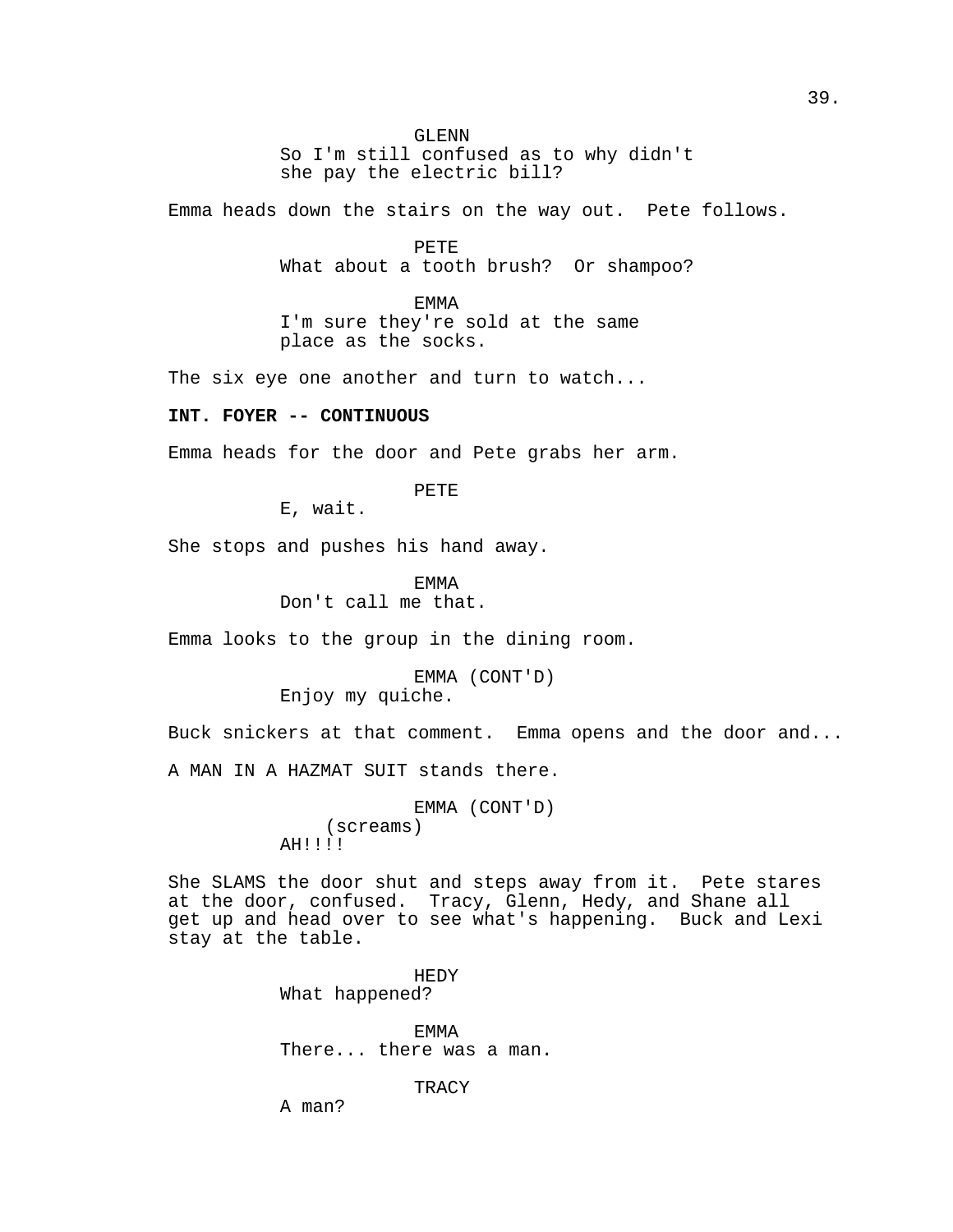### GLENN

So I'm still confused as to why didn't she pay the electric bill?

Emma heads down the stairs on the way out. Pete follows.

PETE

What about a tooth brush? Or shampoo?

EMMA I'm sure they're sold at the same place as the socks.

The six eye one another and turn to watch...

# **INT. FOYER -- CONTINUOUS**

Emma heads for the door and Pete grabs her arm.

PETE

E, wait.

She stops and pushes his hand away.

EMMA

Don't call me that.

Emma looks to the group in the dining room.

EMMA (CONT'D) Enjoy my quiche.

Buck snickers at that comment. Emma opens and the door and...

A MAN IN A HAZMAT SUIT stands there.

EMMA (CONT'D) (screams) AH!!!!

She SLAMS the door shut and steps away from it. Pete stares at the door, confused. Tracy, Glenn, Hedy, and Shane all get up and head over to see what's happening. Buck and Lexi stay at the table.

> HEDY What happened?

EMMA There... there was a man.

TRACY

A man?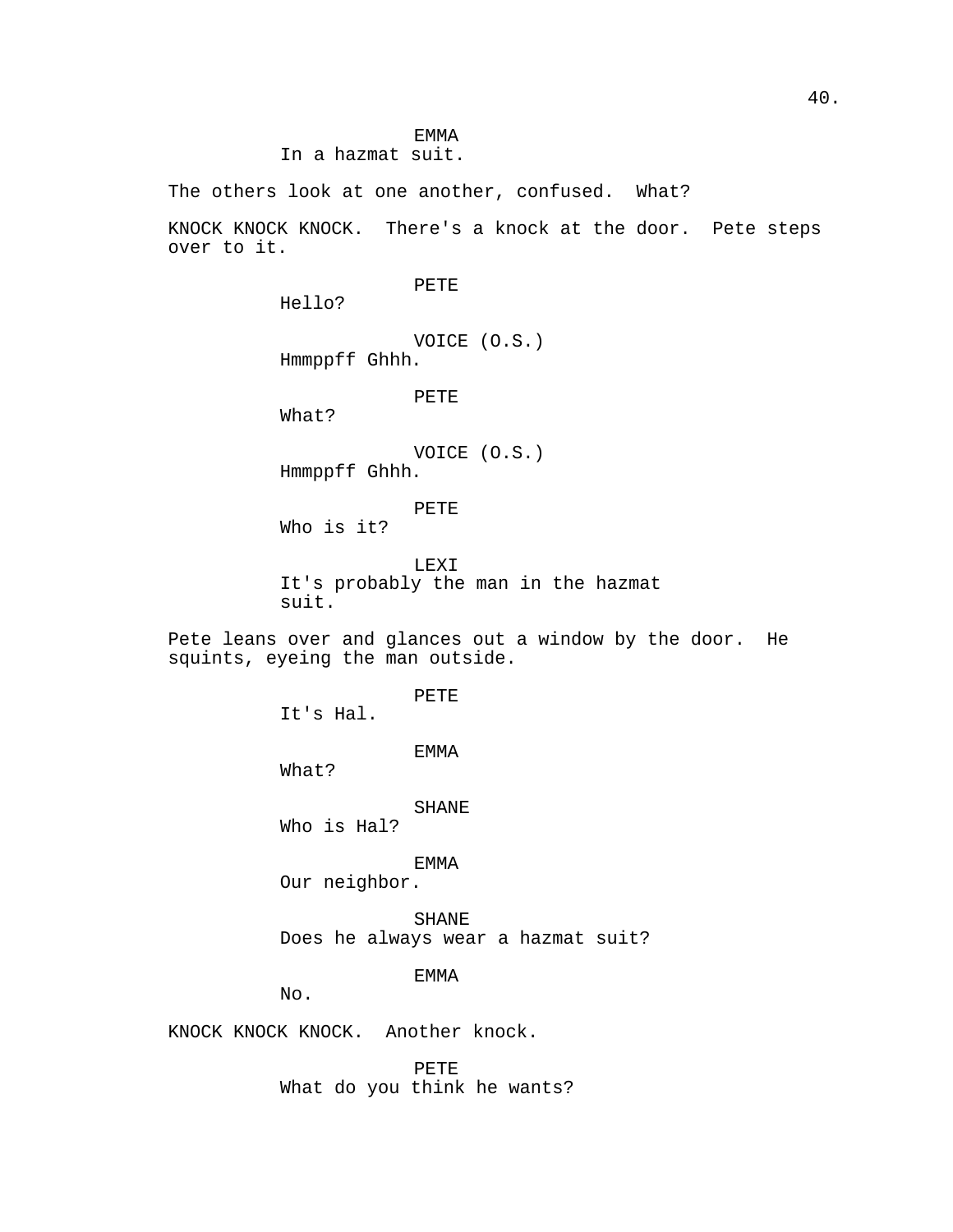EMMA In a hazmat suit.

The others look at one another, confused. What?

KNOCK KNOCK KNOCK. There's a knock at the door. Pete steps over to it.

PETE

Hello?

VOICE (O.S.) Hmmppff Ghhh.

PETE

What?

VOICE (O.S.) Hmmppff Ghhh.

PETE Who is it?

LEXI It's probably the man in the hazmat suit.

Pete leans over and glances out a window by the door. He squints, eyeing the man outside.

PETE

It's Hal.

EMMA

What?

SHANE

Who is Hal?

EMMA

Our neighbor.

SHANE Does he always wear a hazmat suit?

EMMA

No.

KNOCK KNOCK KNOCK. Another knock.

PETE What do you think he wants?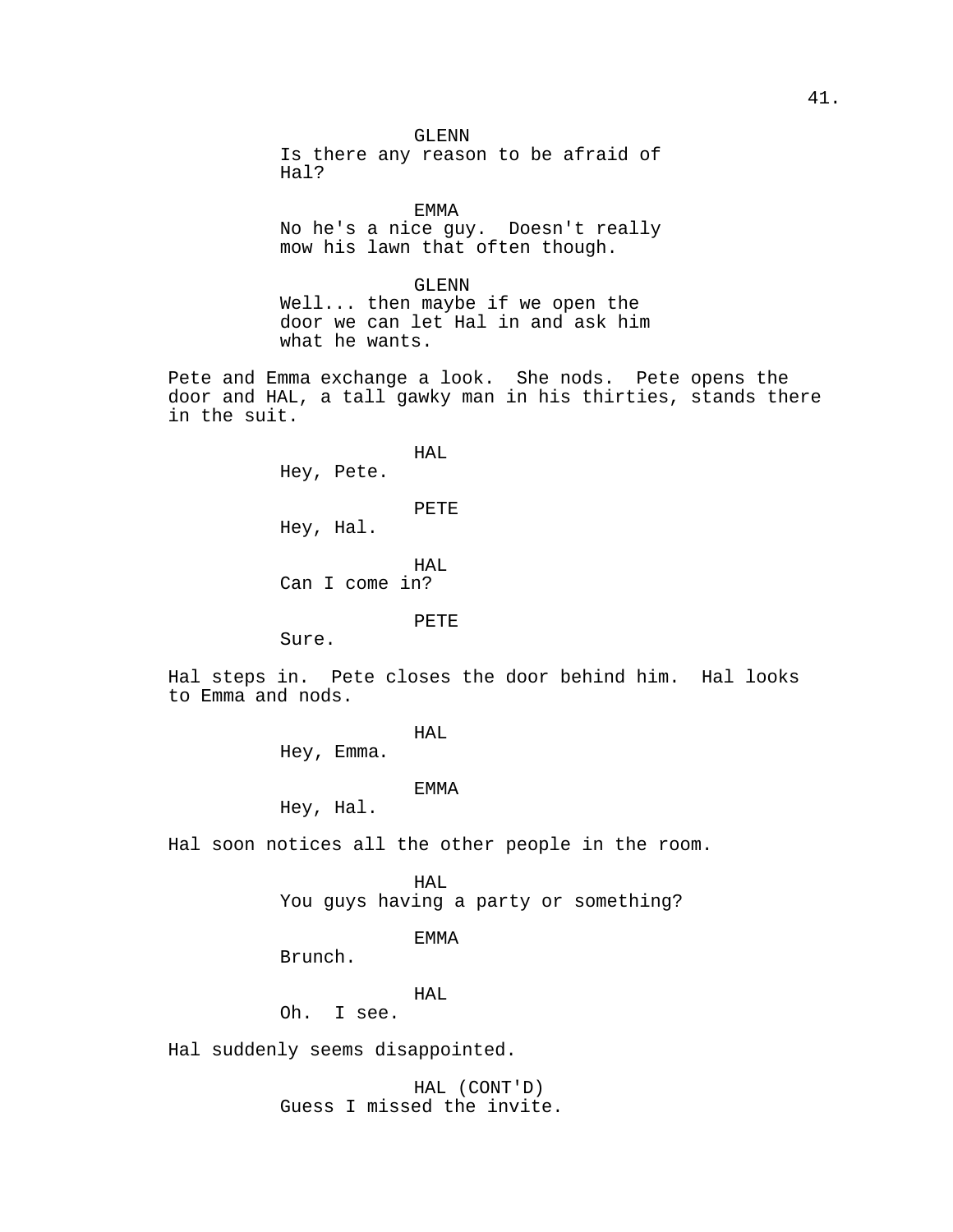GLENN Is there any reason to be afraid of Hal?

EMMA No he's a nice guy. Doesn't really mow his lawn that often though.

GLENN Well... then maybe if we open the door we can let Hal in and ask him what he wants.

Pete and Emma exchange a look. She nods. Pete opens the door and HAL, a tall gawky man in his thirties, stands there in the suit.

> HAL Hey, Pete. PETE Hey, Hal. HAL Can I come in?

# PETE

Sure.

Hal steps in. Pete closes the door behind him. Hal looks to Emma and nods.

# HAL

Hey, Emma.

### EMMA

Hey, Hal.

Hal soon notices all the other people in the room.

HAL

You guys having a party or something?

### EMMA

Brunch.

HAL

Oh. I see.

Hal suddenly seems disappointed.

HAL (CONT'D) Guess I missed the invite.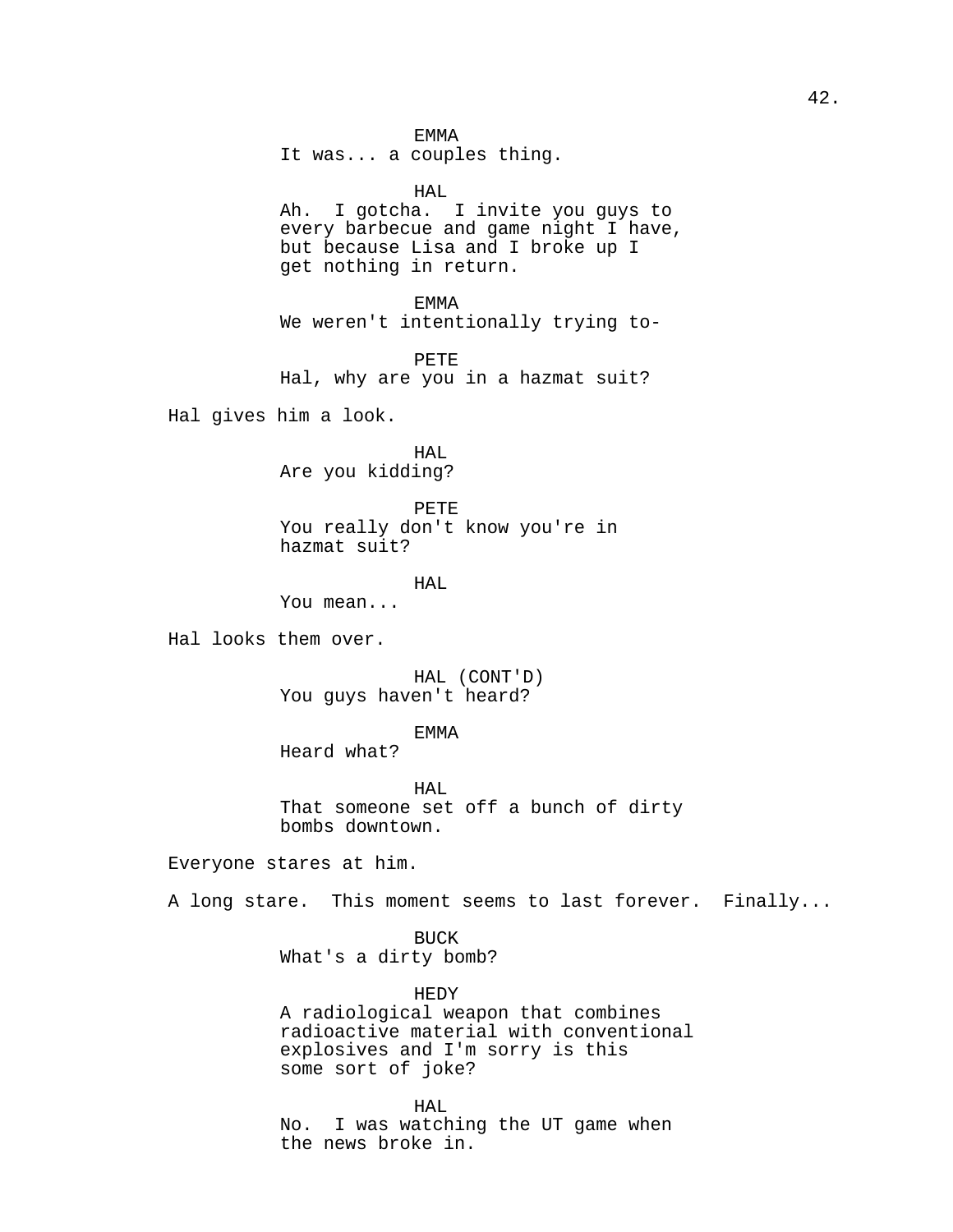EMMA

It was... a couples thing.

HAL Ah. I gotcha. I invite you guys to every barbecue and game night I have, but because Lisa and I broke up I get nothing in return.

EMMA We weren't intentionally trying to-

PETE Hal, why are you in a hazmat suit?

Hal gives him a look.

HAL Are you kidding?

PETE You really don't know you're in hazmat suit?

HAL

You mean...

Hal looks them over.

HAL (CONT'D) You guys haven't heard?

EMMA

Heard what?

HAL That someone set off a bunch of dirty bombs downtown.

Everyone stares at him.

A long stare. This moment seems to last forever. Finally...

BUCK

What's a dirty bomb?

HEDY

A radiological weapon that combines radioactive material with conventional explosives and I'm sorry is this some sort of joke?

HAL No. I was watching the UT game when the news broke in.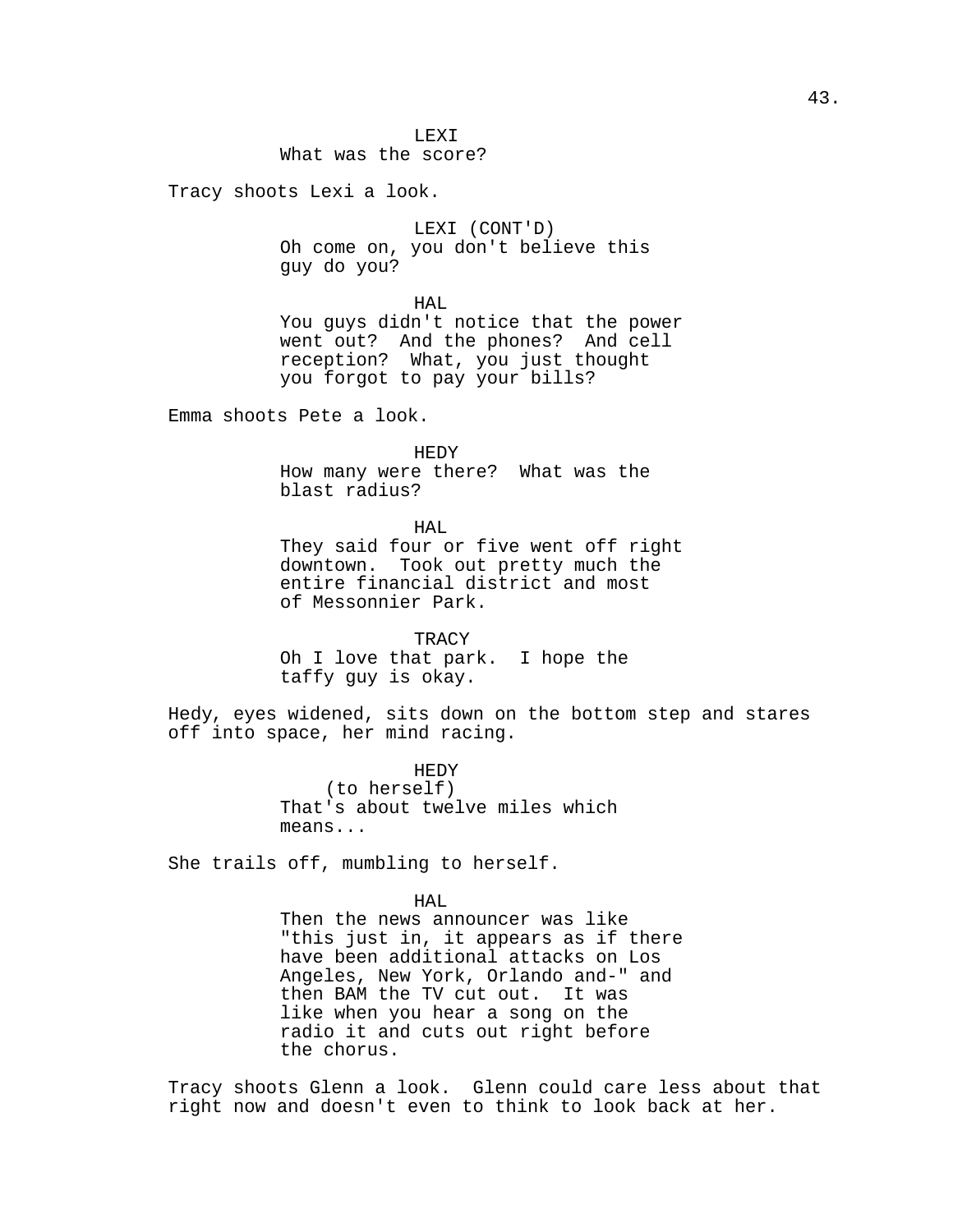# What was the score?

Tracy shoots Lexi a look.

LEXI (CONT'D) Oh come on, you don't believe this guy do you?

HAL

You guys didn't notice that the power went out? And the phones? And cell reception? What, you just thought you forgot to pay your bills?

Emma shoots Pete a look.

HEDY How many were there? What was the blast radius?

HAL They said four or five went off right downtown. Took out pretty much the entire financial district and most of Messonnier Park.

**TRACY** Oh I love that park. I hope the taffy guy is okay.

Hedy, eyes widened, sits down on the bottom step and stares off into space, her mind racing.

> HEDY (to herself) That's about twelve miles which means...

She trails off, mumbling to herself.

HAL.

Then the news announcer was like "this just in, it appears as if there have been additional attacks on Los Angeles, New York, Orlando and-" and then BAM the TV cut out. It was like when you hear a song on the radio it and cuts out right before the chorus.

Tracy shoots Glenn a look. Glenn could care less about that right now and doesn't even to think to look back at her.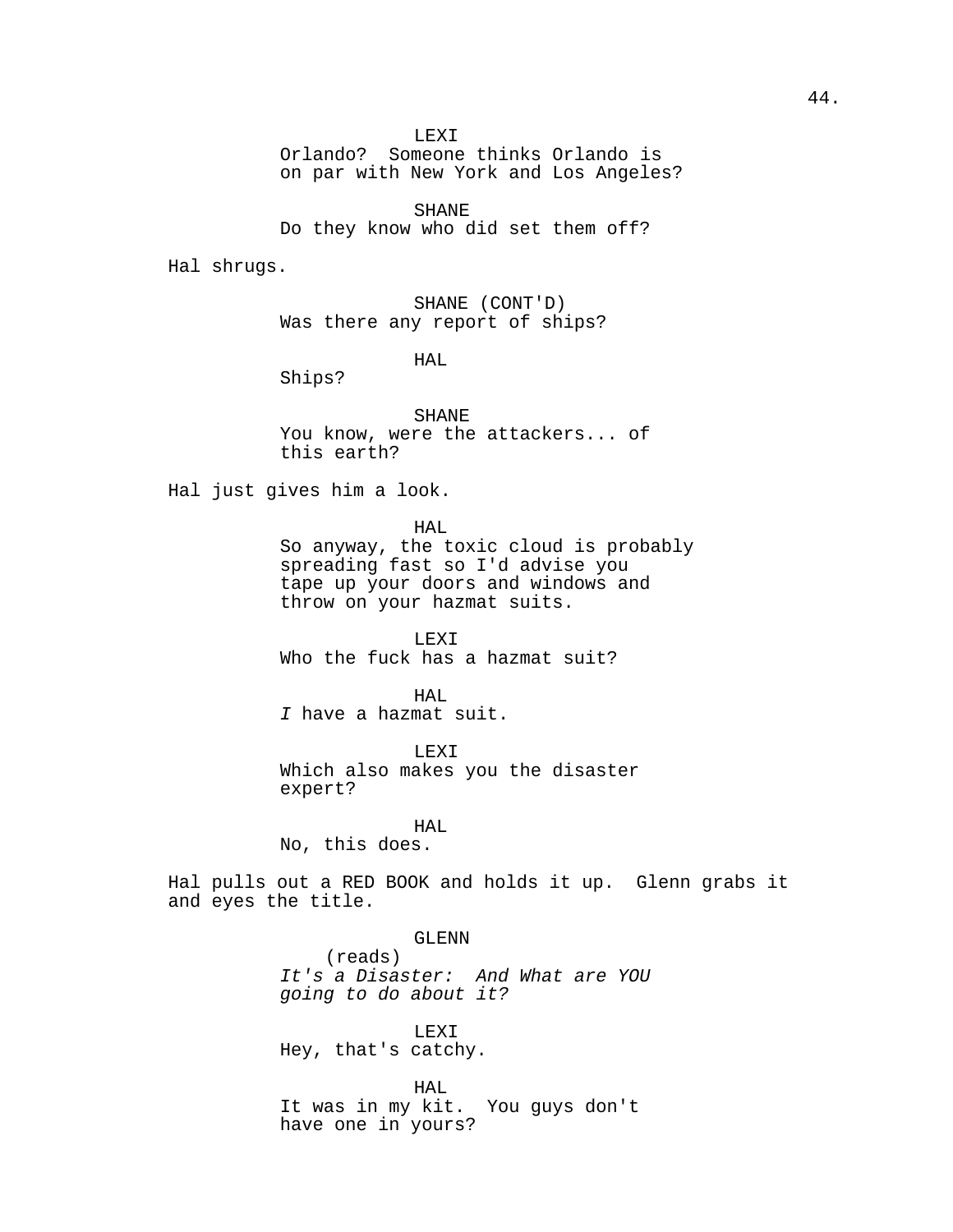LEXI

Orlando? Someone thinks Orlando is on par with New York and Los Angeles?

SHANE Do they know who did set them off?

Hal shrugs.

SHANE (CONT'D) Was there any report of ships?

HAL

Ships?

SHANE You know, were the attackers... of this earth?

Hal just gives him a look.

HAL

So anyway, the toxic cloud is probably spreading fast so I'd advise you tape up your doors and windows and throw on your hazmat suits.

LEXI Who the fuck has a hazmat suit?

HAL I have a hazmat suit.

LEXI Which also makes you the disaster expert?

HAL.

No, this does.

Hal pulls out a RED BOOK and holds it up. Glenn grabs it and eyes the title.

> GLENN (reads) It's a Disaster: And What are YOU going to do about it?

LEXI Hey, that's catchy.

HAL It was in my kit. You guys don't have one in yours?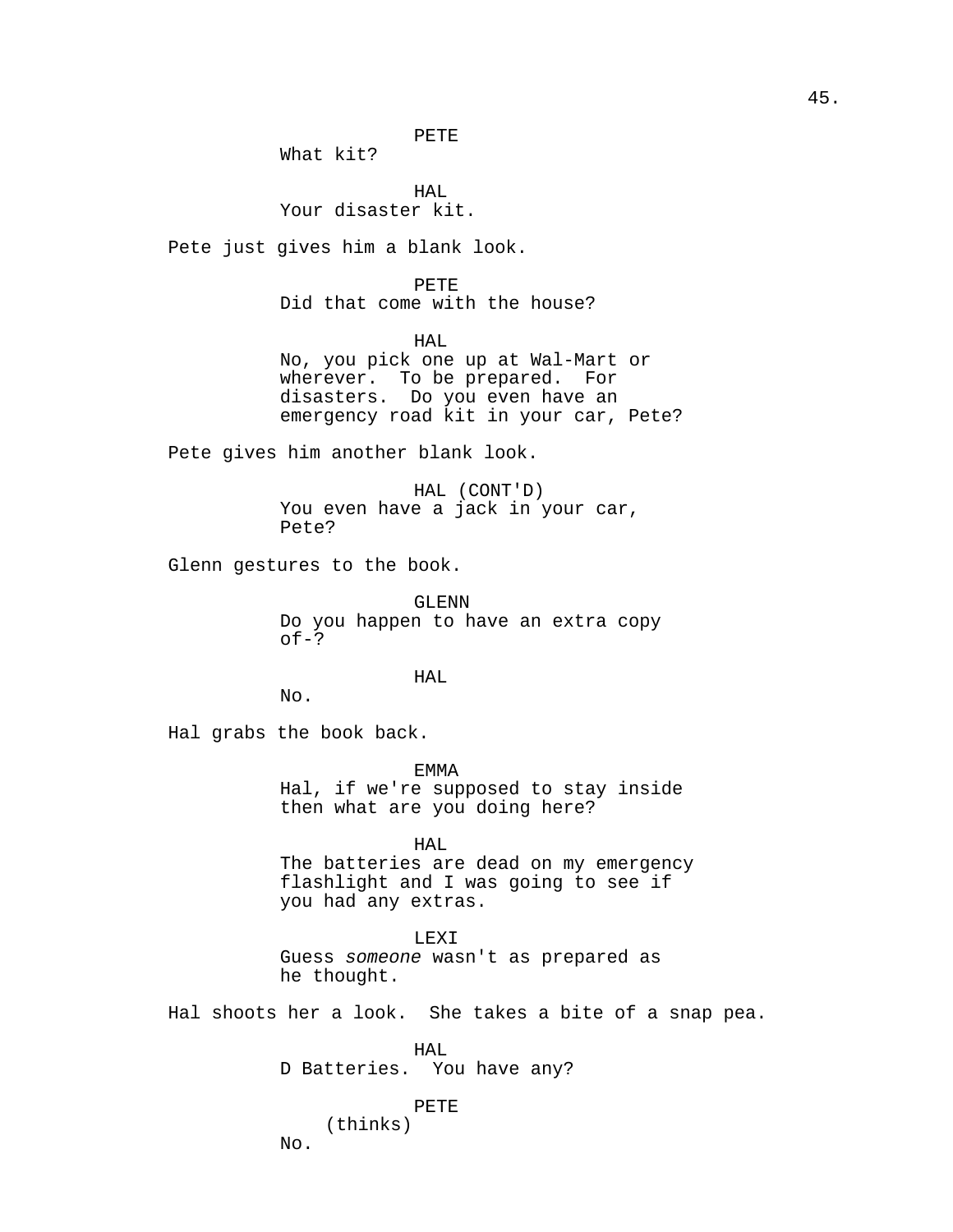PETE

What kit?

HAL Your disaster kit.

Pete just gives him a blank look.

PETE Did that come with the house?

HAL

No, you pick one up at Wal-Mart or wherever. To be prepared. For disasters. Do you even have an emergency road kit in your car, Pete?

Pete gives him another blank look.

HAL (CONT'D) You even have a jack in your car, Pete?

Glenn gestures to the book.

GLENN Do you happen to have an extra copy  $of-?$ 

HAL

No.

Hal grabs the book back.

EMMA

Hal, if we're supposed to stay inside then what are you doing here?

HAL

The batteries are dead on my emergency flashlight and I was going to see if you had any extras.

LEXI

Guess someone wasn't as prepared as he thought.

Hal shoots her a look. She takes a bite of a snap pea.

HAL D Batteries. You have any?

PETE

(thinks) No.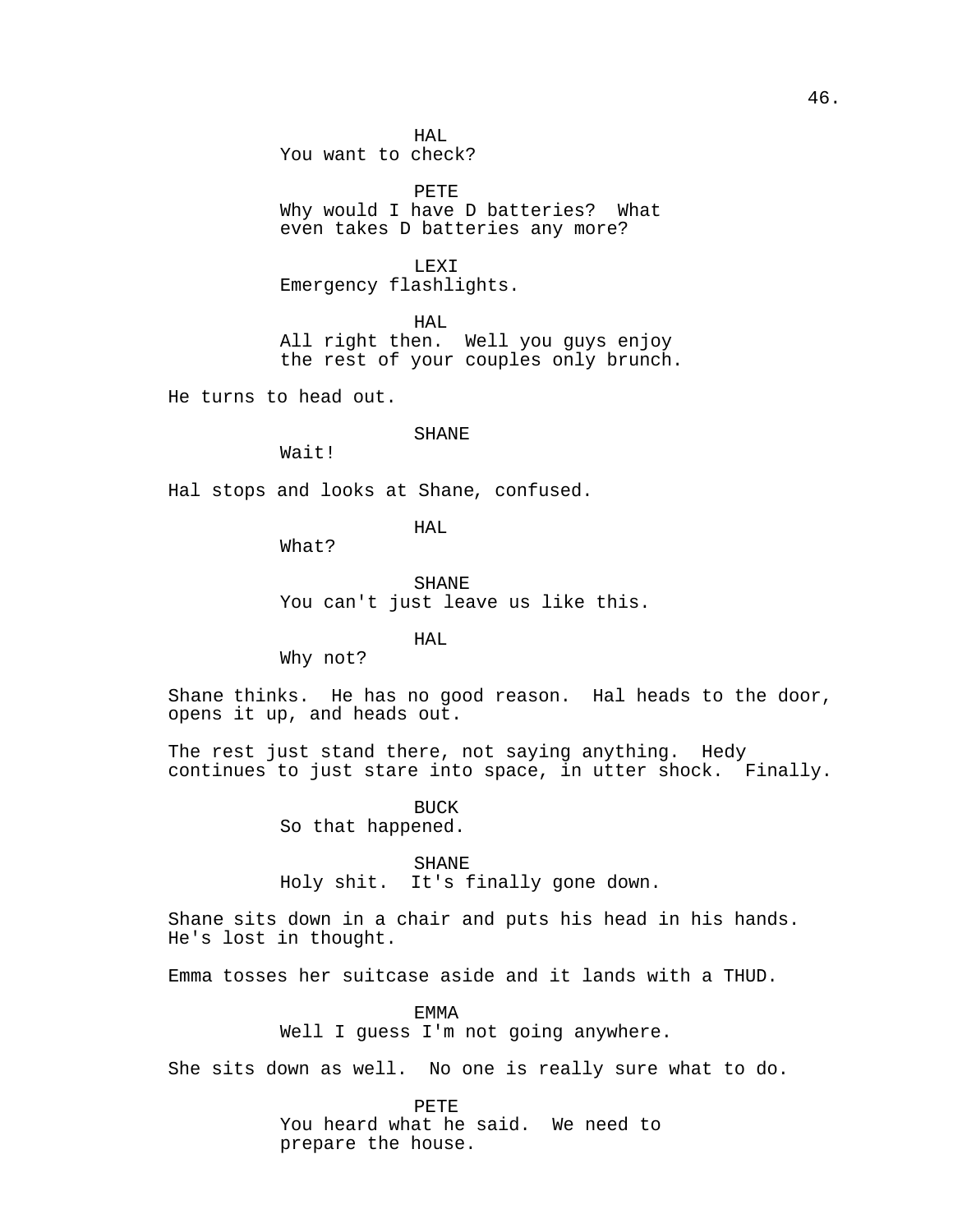HAL You want to check?

PETE Why would I have D batteries? What even takes D batteries any more?

LEXI Emergency flashlights.

HAL All right then. Well you guys enjoy the rest of your couples only brunch.

He turns to head out.

# SHANE

Wait!

Hal stops and looks at Shane, confused.

HAL

What?

SHANE You can't just leave us like this.

HAL

Why not?

Shane thinks. He has no good reason. Hal heads to the door, opens it up, and heads out.

The rest just stand there, not saying anything. Hedy continues to just stare into space, in utter shock. Finally.

> BUCK So that happened.

> > SHANE

Holy shit. It's finally gone down.

Shane sits down in a chair and puts his head in his hands. He's lost in thought.

Emma tosses her suitcase aside and it lands with a THUD.

EMMA Well I guess I'm not going anywhere.

She sits down as well. No one is really sure what to do.

PETE You heard what he said. We need to prepare the house.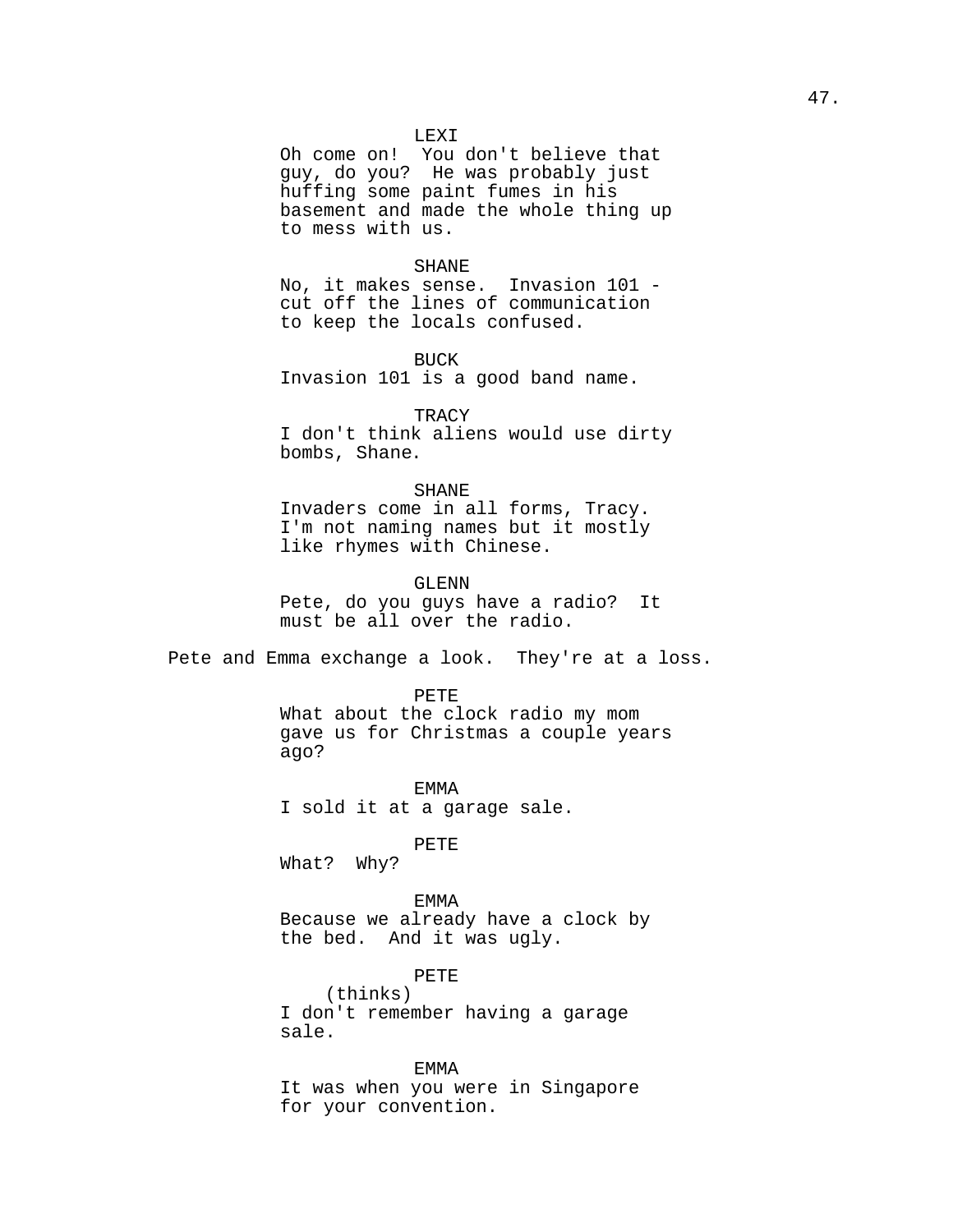### LEXI

Oh come on! You don't believe that guy, do you? He was probably just huffing some paint fumes in his basement and made the whole thing up to mess with us.

### SHANE

No, it makes sense. Invasion 101 cut off the lines of communication to keep the locals confused.

#### BUCK

Invasion 101 is a good band name.

### **TRACY**

I don't think aliens would use dirty bombs, Shane.

# SHANE

Invaders come in all forms, Tracy. I'm not naming names but it mostly like rhymes with Chinese.

# GLENN

Pete, do you guys have a radio? It must be all over the radio.

Pete and Emma exchange a look. They're at a loss.

#### PETE

What about the clock radio my mom gave us for Christmas a couple years ago?

EMMA I sold it at a garage sale.

PETE

What? Why?

# EMMA

Because we already have a clock by the bed. And it was ugly.

# PETE

(thinks) I don't remember having a garage sale.

EMMA It was when you were in Singapore for your convention.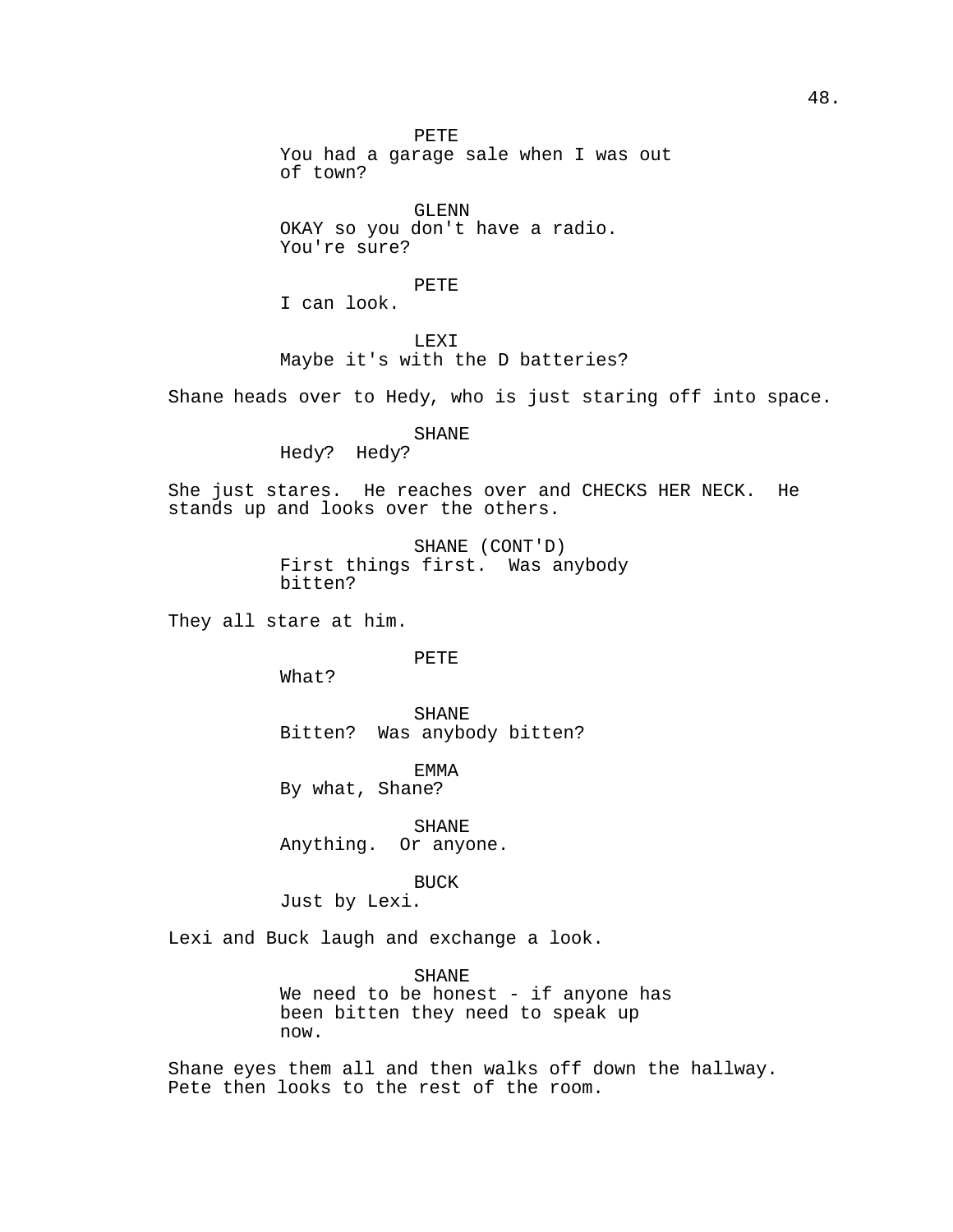PETE You had a garage sale when I was out of town? GLENN OKAY so you don't have a radio. You're sure? PETE I can look. LEXI Maybe it's with the D batteries? Shane heads over to Hedy, who is just staring off into space. SHANE Hedy? Hedy? She just stares. He reaches over and CHECKS HER NECK. He stands up and looks over the others. SHANE (CONT'D) First things first. Was anybody bitten? They all stare at him. PETE What? SHANE Bitten? Was anybody bitten? EMMA By what, Shane? SHANE Anything. Or anyone. BUCK Just by Lexi. Lexi and Buck laugh and exchange a look. SHANE We need to be honest - if anyone has been bitten they need to speak up now.

Shane eyes them all and then walks off down the hallway. Pete then looks to the rest of the room.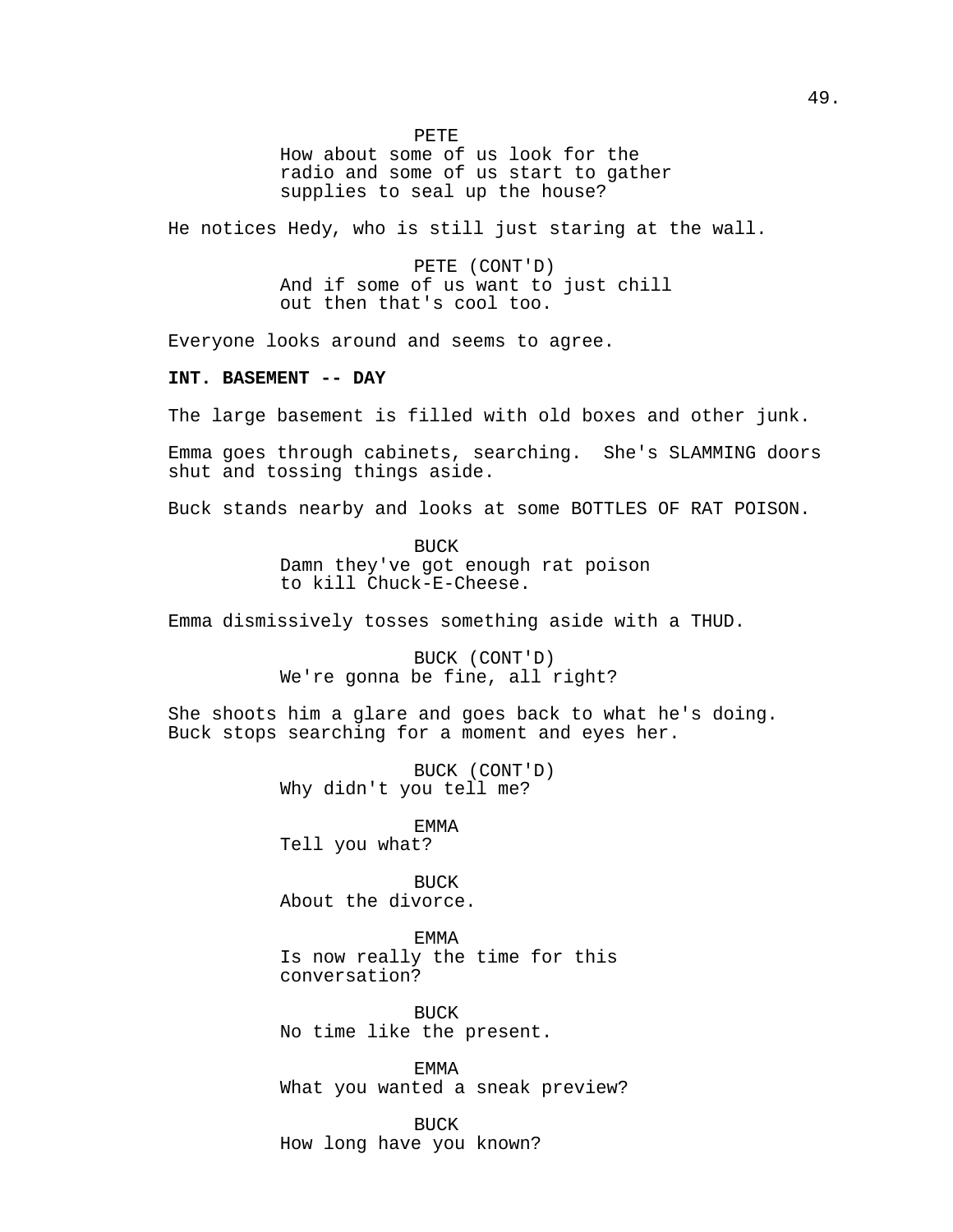PETE

How about some of us look for the radio and some of us start to gather supplies to seal up the house?

He notices Hedy, who is still just staring at the wall.

PETE (CONT'D) And if some of us want to just chill out then that's cool too.

Everyone looks around and seems to agree.

# **INT. BASEMENT -- DAY**

The large basement is filled with old boxes and other junk.

Emma goes through cabinets, searching. She's SLAMMING doors shut and tossing things aside.

Buck stands nearby and looks at some BOTTLES OF RAT POISON.

BUCK Damn they've got enough rat poison to kill Chuck-E-Cheese.

Emma dismissively tosses something aside with a THUD.

BUCK (CONT'D) We're gonna be fine, all right?

She shoots him a glare and goes back to what he's doing. Buck stops searching for a moment and eyes her.

> BUCK (CONT'D) Why didn't you tell me?

EMMA Tell you what?

BUCK About the divorce.

EMMA Is now really the time for this conversation?

BUCK No time like the present.

EMMA What you wanted a sneak preview?

BUCK How long have you known?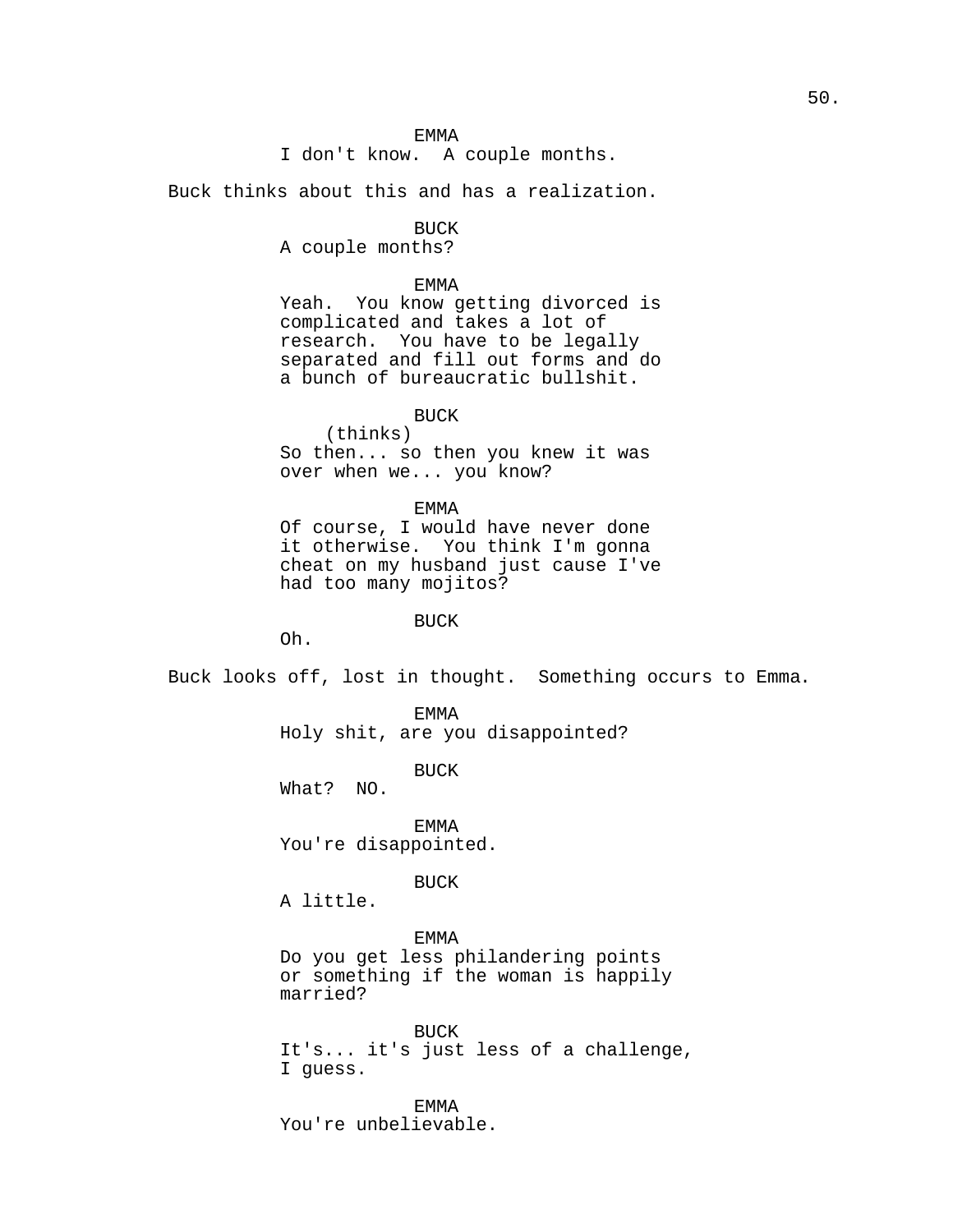```
I don't know. A couple months.
```
Buck thinks about this and has a realization.

BUCK

A couple months?

# EMMA

Yeah. You know getting divorced is complicated and takes a lot of research. You have to be legally separated and fill out forms and do a bunch of bureaucratic bullshit.

**BUCK** 

(thinks) So then... so then you knew it was over when we... you know?

EMMA

Of course, I would have never done it otherwise. You think I'm gonna cheat on my husband just cause I've had too many mojitos?

BUCK

Oh.

Buck looks off, lost in thought. Something occurs to Emma.

EMMA Holy shit, are you disappointed?

BUCK

What? NO.

EMMA You're disappointed.

BUCK

A little.

### EMMA

Do you get less philandering points or something if the woman is happily married?

BUCK It's... it's just less of a challenge, I guess.

EMMA You're unbelievable.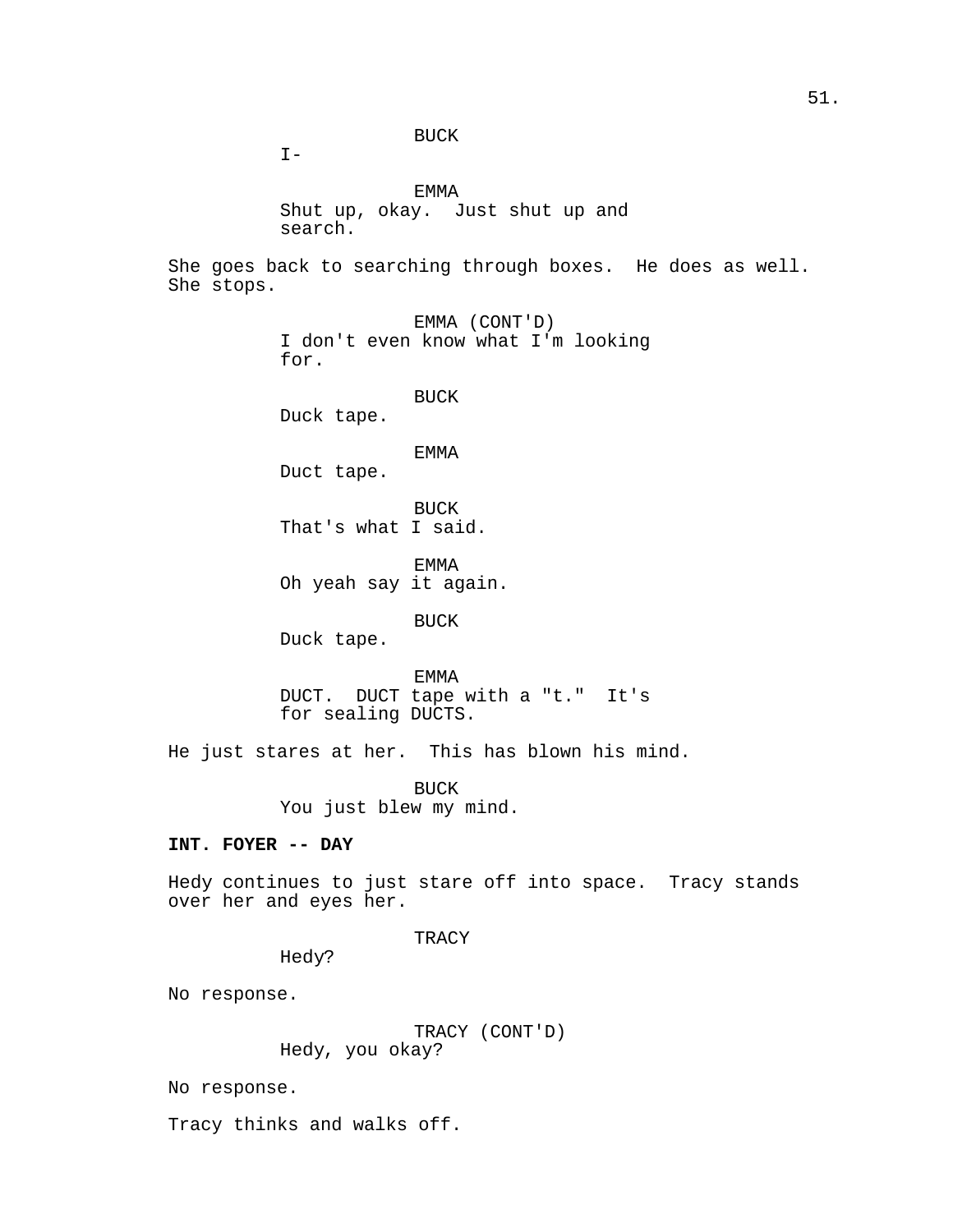BUCK

 $I -$ 

EMMA Shut up, okay. Just shut up and search.

She goes back to searching through boxes. He does as well. She stops.

> EMMA (CONT'D) I don't even know what I'm looking for.

> > BUCK

Duck tape.

# EMMA

Duct tape.

BUCK That's what I said.

EMMA Oh yeah say it again.

# BUCK

Duck tape.

EMMA DUCT. DUCT tape with a "t." It's for sealing DUCTS.

He just stares at her. This has blown his mind.

BUCK You just blew my mind.

# **INT. FOYER -- DAY**

Hedy continues to just stare off into space. Tracy stands over her and eyes her.

### TRACY

Hedy?

No response.

TRACY (CONT'D) Hedy, you okay?

No response.

Tracy thinks and walks off.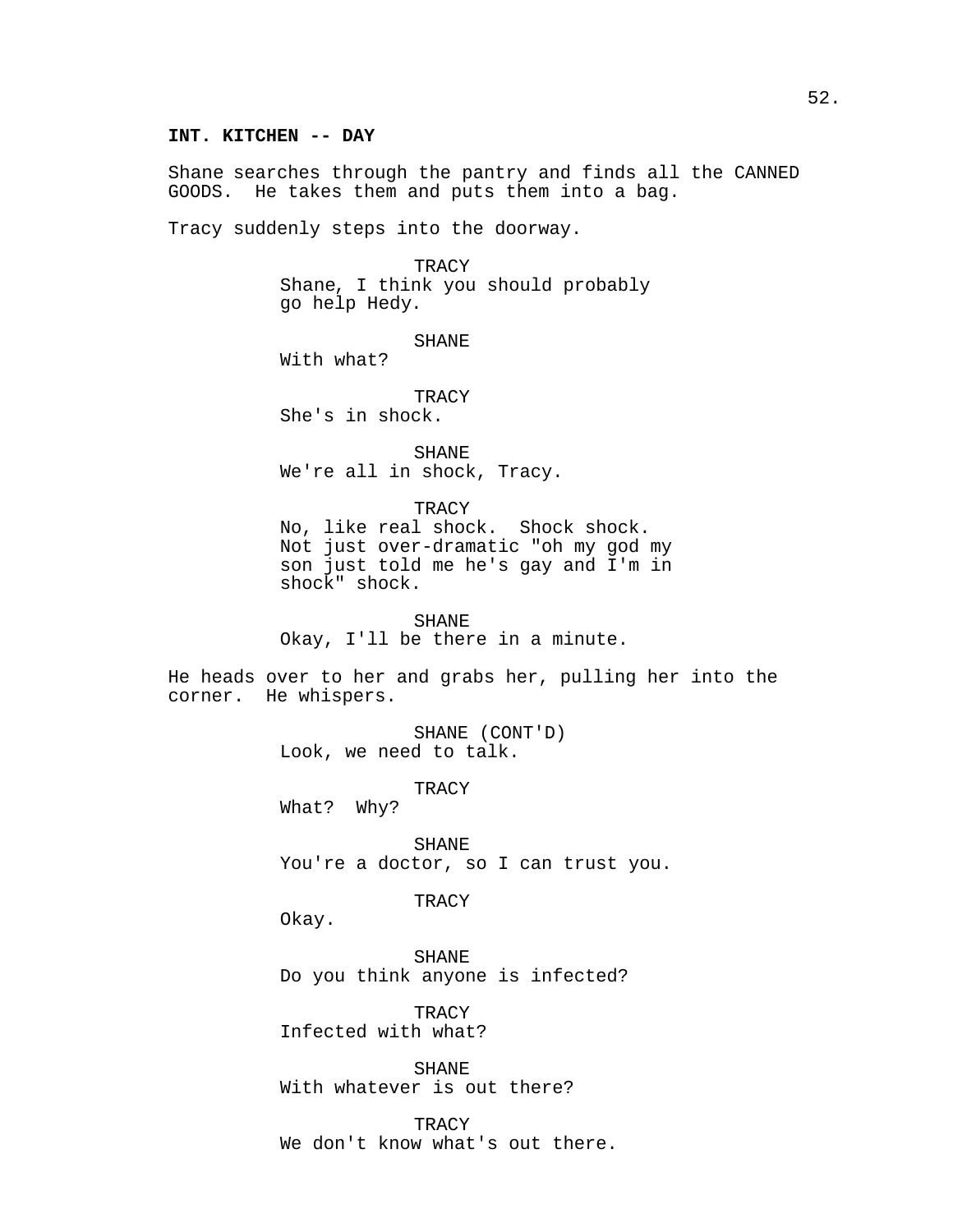### **INT. KITCHEN -- DAY**

Shane searches through the pantry and finds all the CANNED GOODS. He takes them and puts them into a bag.

Tracy suddenly steps into the doorway.

**TRACY** Shane, I think you should probably go help Hedy.

SHANE

With what?

**TRACY** She's in shock.

SHANE We're all in shock, Tracy.

**TRACY** 

No, like real shock. Shock shock. Not just over-dramatic "oh my god my son just told me he's gay and I'm in shock" shock.

SHANE Okay, I'll be there in a minute.

He heads over to her and grabs her, pulling her into the corner. He whispers.

> SHANE (CONT'D) Look, we need to talk.

> > **TRACY**

What? Why?

SHANE You're a doctor, so I can trust you.

**TRACY** 

Okay.

SHANE Do you think anyone is infected?

TRACY Infected with what?

SHANE With whatever is out there?

TRACY We don't know what's out there.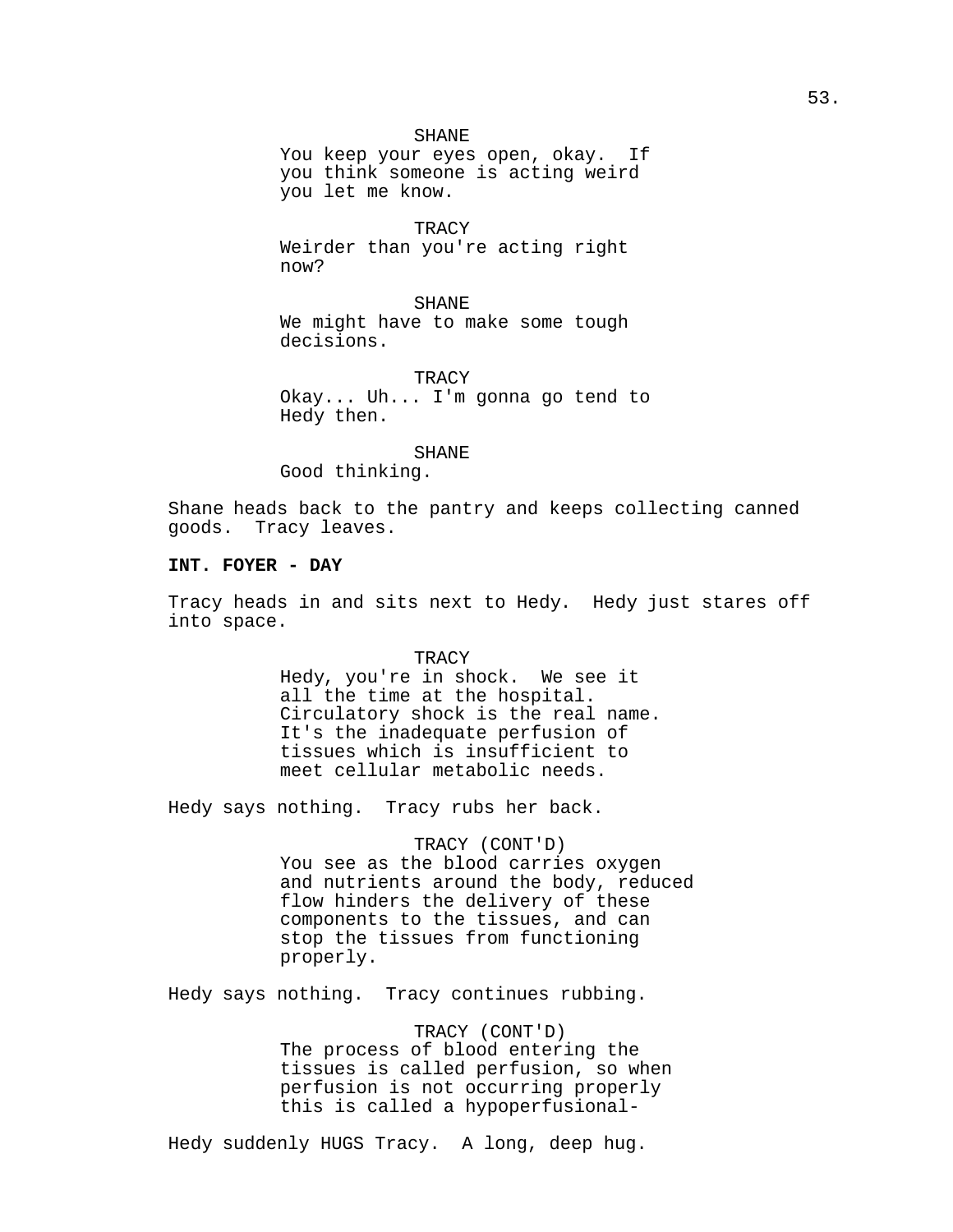### SHANE

You keep your eyes open, okay. If you think someone is acting weird you let me know.

TRACY Weirder than you're acting right now?

SHANE We might have to make some tough decisions.

**TRACY** Okay... Uh... I'm gonna go tend to Hedy then.

### SHANE

Good thinking.

Shane heads back to the pantry and keeps collecting canned goods. Tracy leaves.

# **INT. FOYER - DAY**

Tracy heads in and sits next to Hedy. Hedy just stares off into space.

> **TRACY** Hedy, you're in shock. We see it all the time at the hospital. Circulatory shock is the real name. It's the inadequate perfusion of tissues which is insufficient to meet cellular metabolic needs.

Hedy says nothing. Tracy rubs her back.

# TRACY (CONT'D)

You see as the blood carries oxygen and nutrients around the body, reduced flow hinders the delivery of these components to the tissues, and can stop the tissues from functioning properly.

Hedy says nothing. Tracy continues rubbing.

TRACY (CONT'D) The process of blood entering the tissues is called perfusion, so when perfusion is not occurring properly this is called a hypoperfusional-

Hedy suddenly HUGS Tracy. A long, deep hug.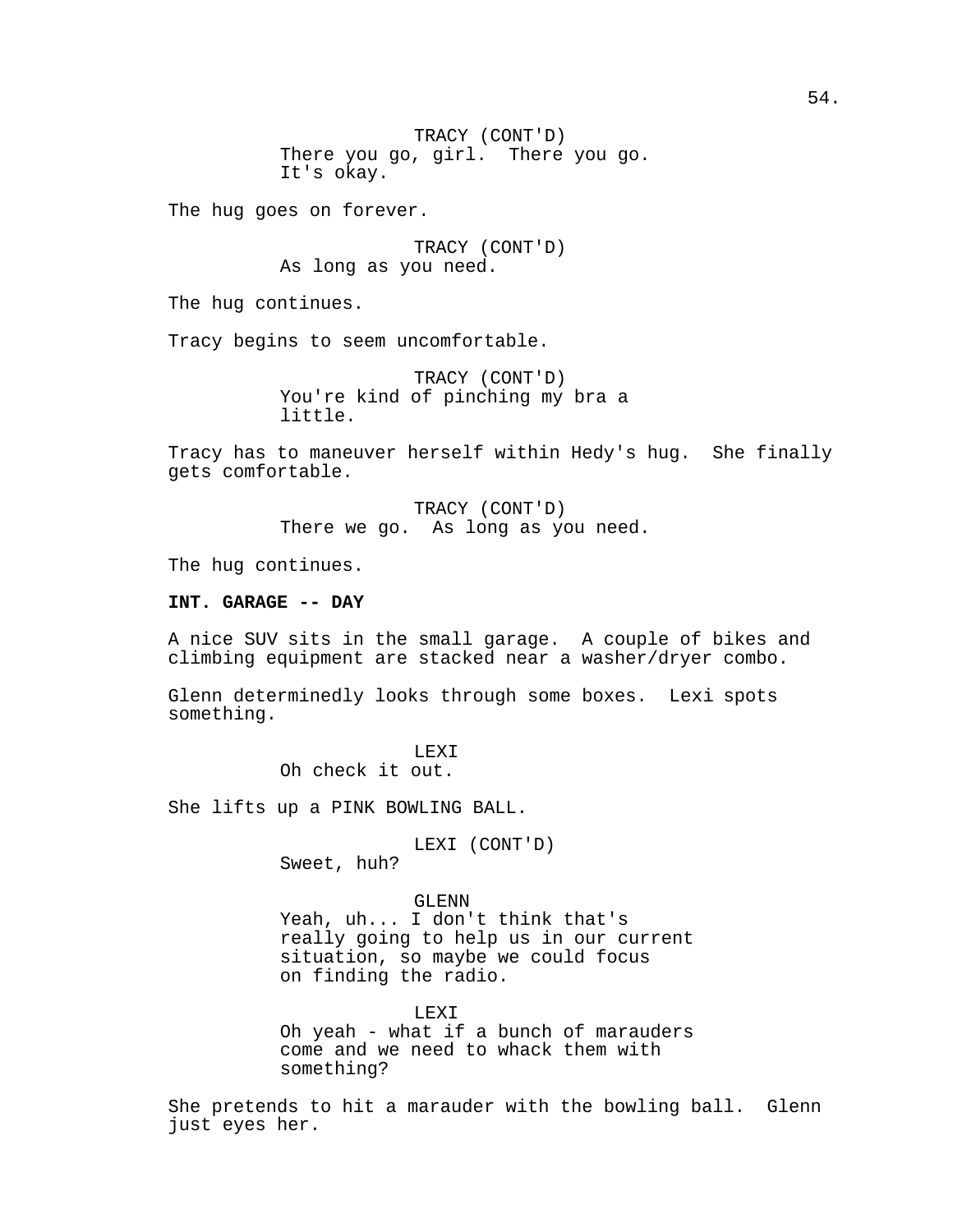TRACY (CONT'D) There you go, girl. There you go. It's okay.

The hug goes on forever.

TRACY (CONT'D) As long as you need.

The hug continues.

Tracy begins to seem uncomfortable.

TRACY (CONT'D) You're kind of pinching my bra a little.

Tracy has to maneuver herself within Hedy's hug. She finally gets comfortable.

> TRACY (CONT'D) There we go. As long as you need.

The hug continues.

### **INT. GARAGE -- DAY**

A nice SUV sits in the small garage. A couple of bikes and climbing equipment are stacked near a washer/dryer combo.

Glenn determinedly looks through some boxes. Lexi spots something.

> LEXI Oh check it out.

She lifts up a PINK BOWLING BALL.

LEXI (CONT'D) Sweet, huh?

GLENN

Yeah, uh... I don't think that's really going to help us in our current situation, so maybe we could focus on finding the radio.

LEXI Oh yeah - what if a bunch of marauders come and we need to whack them with something?

She pretends to hit a marauder with the bowling ball. Glenn just eyes her.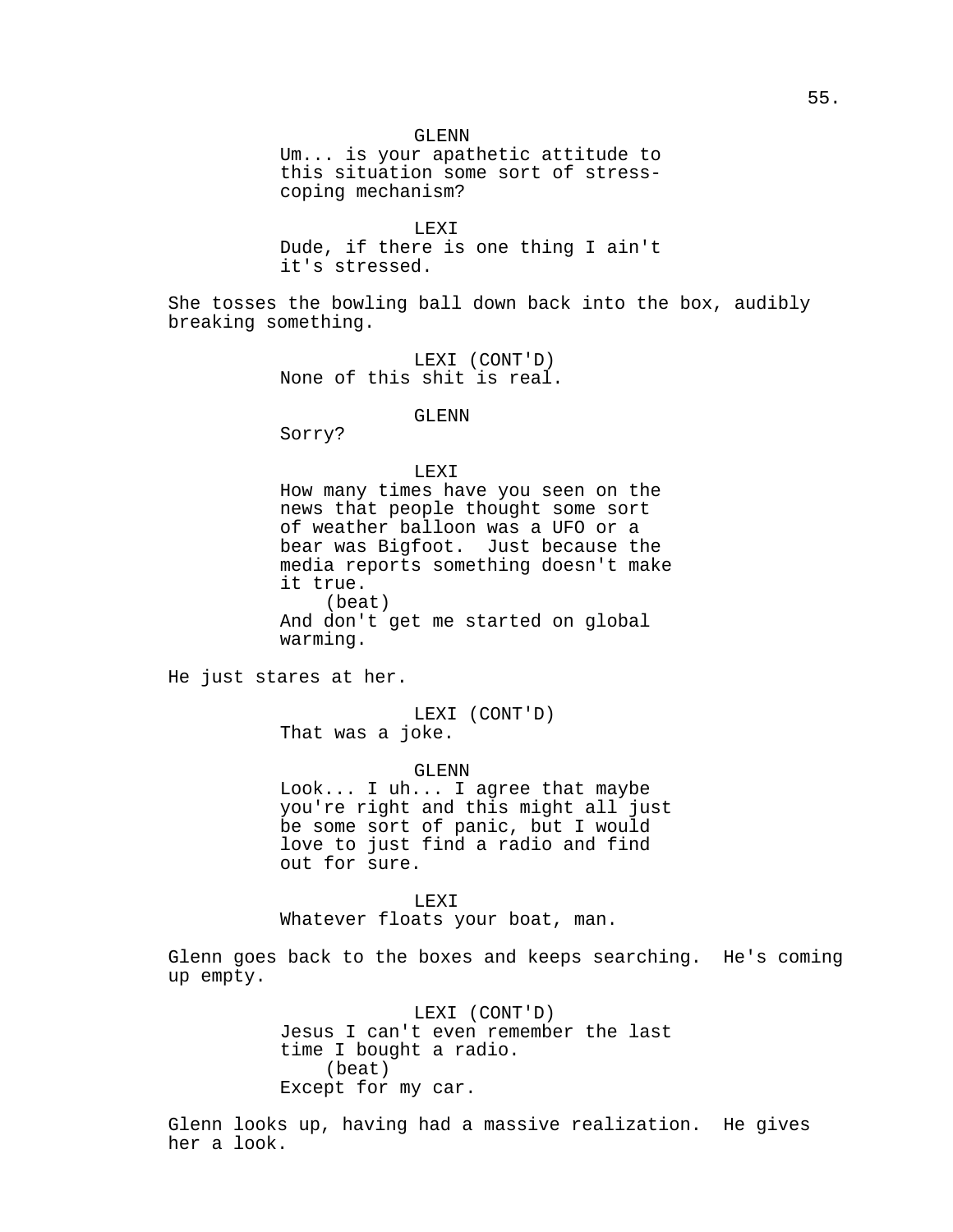GLENN Um... is your apathetic attitude to this situation some sort of stresscoping mechanism?

LEXI Dude, if there is one thing I ain't it's stressed.

She tosses the bowling ball down back into the box, audibly breaking something.

> LEXI (CONT'D) None of this shit is real.

# GLENN

Sorry?

# LEXI

How many times have you seen on the news that people thought some sort of weather balloon was a UFO or a bear was Bigfoot. Just because the media reports something doesn't make it true. (beat) And don't get me started on global warming.

He just stares at her.

LEXI (CONT'D) That was a joke.

GLENN

Look... I uh... I agree that maybe you're right and this might all just be some sort of panic, but I would love to just find a radio and find out for sure.

LEXI

Whatever floats your boat, man.

Glenn goes back to the boxes and keeps searching. He's coming up empty.

> LEXI (CONT'D) Jesus I can't even remember the last time I bought a radio. (beat) Except for my car.

Glenn looks up, having had a massive realization. He gives her a look.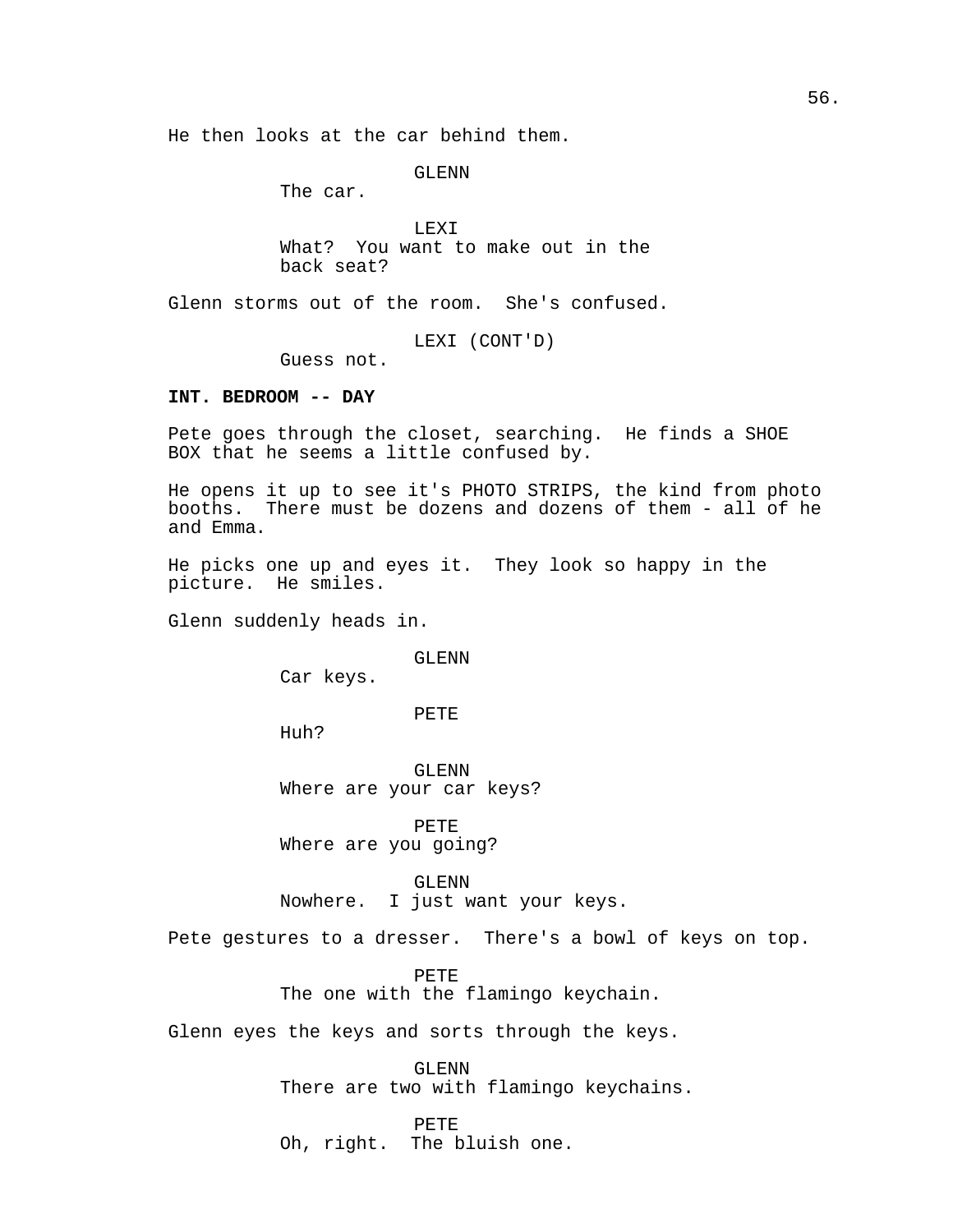He then looks at the car behind them.

GLENN

The car.

LEXI What? You want to make out in the back seat?

Glenn storms out of the room. She's confused.

LEXI (CONT'D)

Guess not.

# **INT. BEDROOM -- DAY**

Pete goes through the closet, searching. He finds a SHOE BOX that he seems a little confused by.

He opens it up to see it's PHOTO STRIPS, the kind from photo booths. There must be dozens and dozens of them - all of he and Emma.

He picks one up and eyes it. They look so happy in the picture. He smiles.

Glenn suddenly heads in.

### GLENN

Car keys.

PETE

Huh?

GLENN Where are your car keys?

PETE Where are you going?

GLENN Nowhere. I just want your keys.

Pete gestures to a dresser. There's a bowl of keys on top.

PETE The one with the flamingo keychain.

Glenn eyes the keys and sorts through the keys.

GLENN There are two with flamingo keychains.

PETE

Oh, right. The bluish one.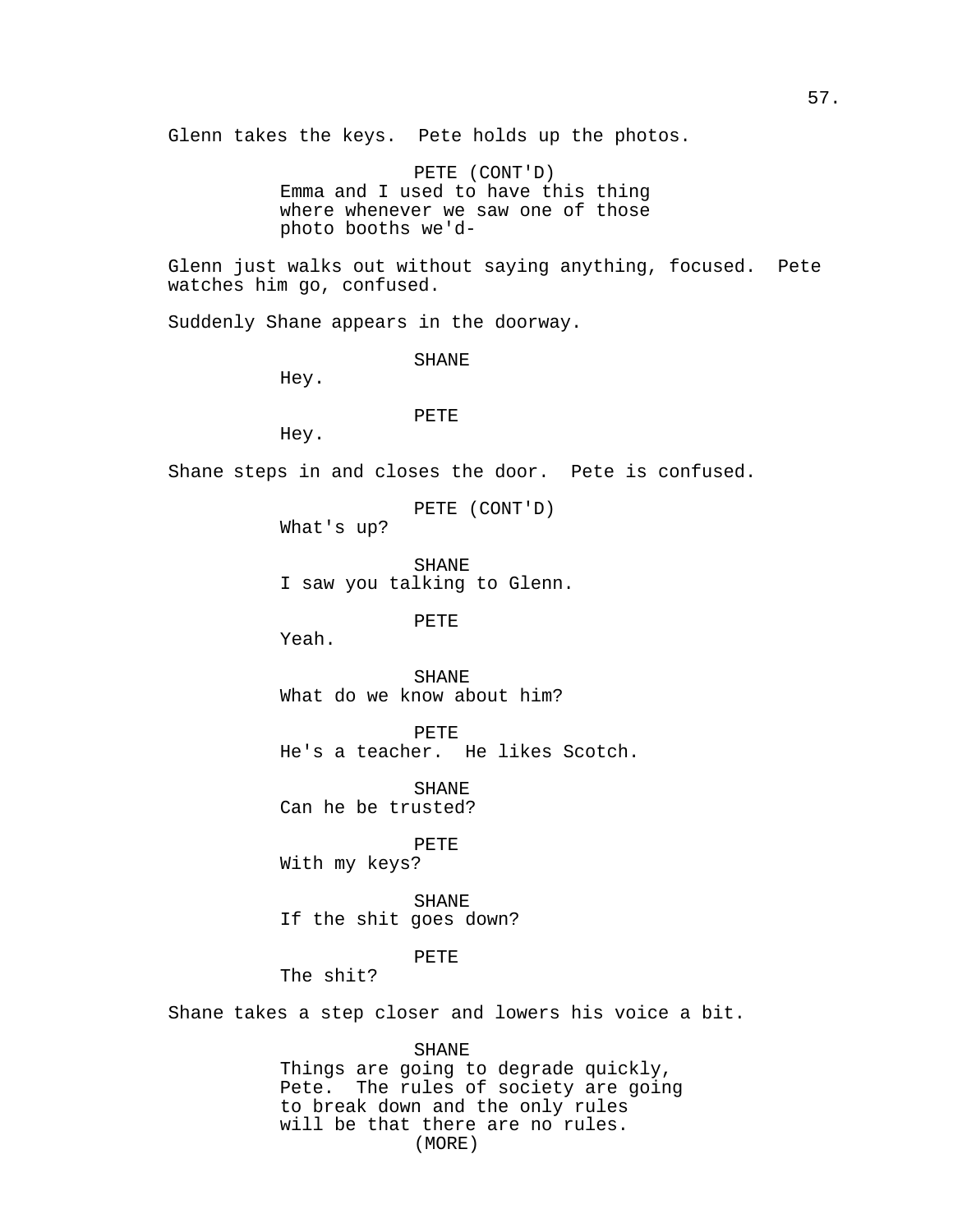Glenn takes the keys. Pete holds up the photos.

PETE (CONT'D) Emma and I used to have this thing where whenever we saw one of those photo booths we'd-

Glenn just walks out without saying anything, focused. Pete watches him go, confused.

Suddenly Shane appears in the doorway.

SHANE

Hey.

# PETE

Hey.

Shane steps in and closes the door. Pete is confused.

PETE (CONT'D)

What's up?

SHANE I saw you talking to Glenn.

PETE

Yeah.

SHANE What do we know about him?

PETE He's a teacher. He likes Scotch.

SHANE Can he be trusted?

PETE With my keys?

SHANE If the shit goes down?

# PETE

The shit?

Shane takes a step closer and lowers his voice a bit.

#### SHANE

Things are going to degrade quickly, Pete. The rules of society are going to break down and the only rules will be that there are no rules. (MORE)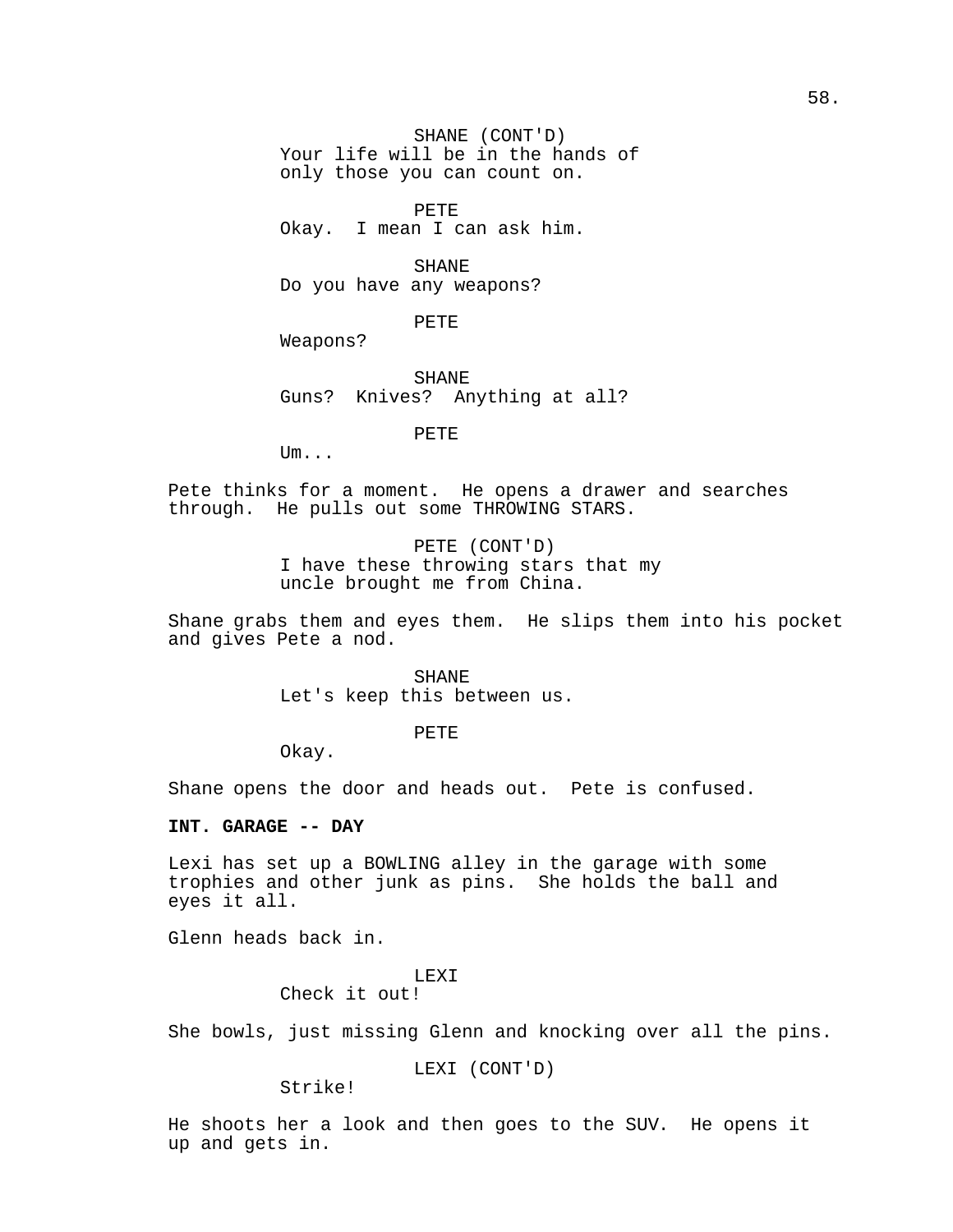SHANE (CONT'D) Your life will be in the hands of only those you can count on.

PETE Okay. I mean I can ask him.

SHANE Do you have any weapons?

PETE

Weapons?

SHANE Guns? Knives? Anything at all?

PETE

Um...

Pete thinks for a moment. He opens a drawer and searches through. He pulls out some THROWING STARS.

> PETE (CONT'D) I have these throwing stars that my uncle brought me from China.

Shane grabs them and eyes them. He slips them into his pocket and gives Pete a nod.

> SHANE Let's keep this between us.

> > PETE

Okay.

Shane opens the door and heads out. Pete is confused.

# **INT. GARAGE -- DAY**

Lexi has set up a BOWLING alley in the garage with some trophies and other junk as pins. She holds the ball and eyes it all.

Glenn heads back in.

LEXI

Check it out!

She bowls, just missing Glenn and knocking over all the pins.

LEXI (CONT'D)

Strike!

He shoots her a look and then goes to the SUV. He opens it up and gets in.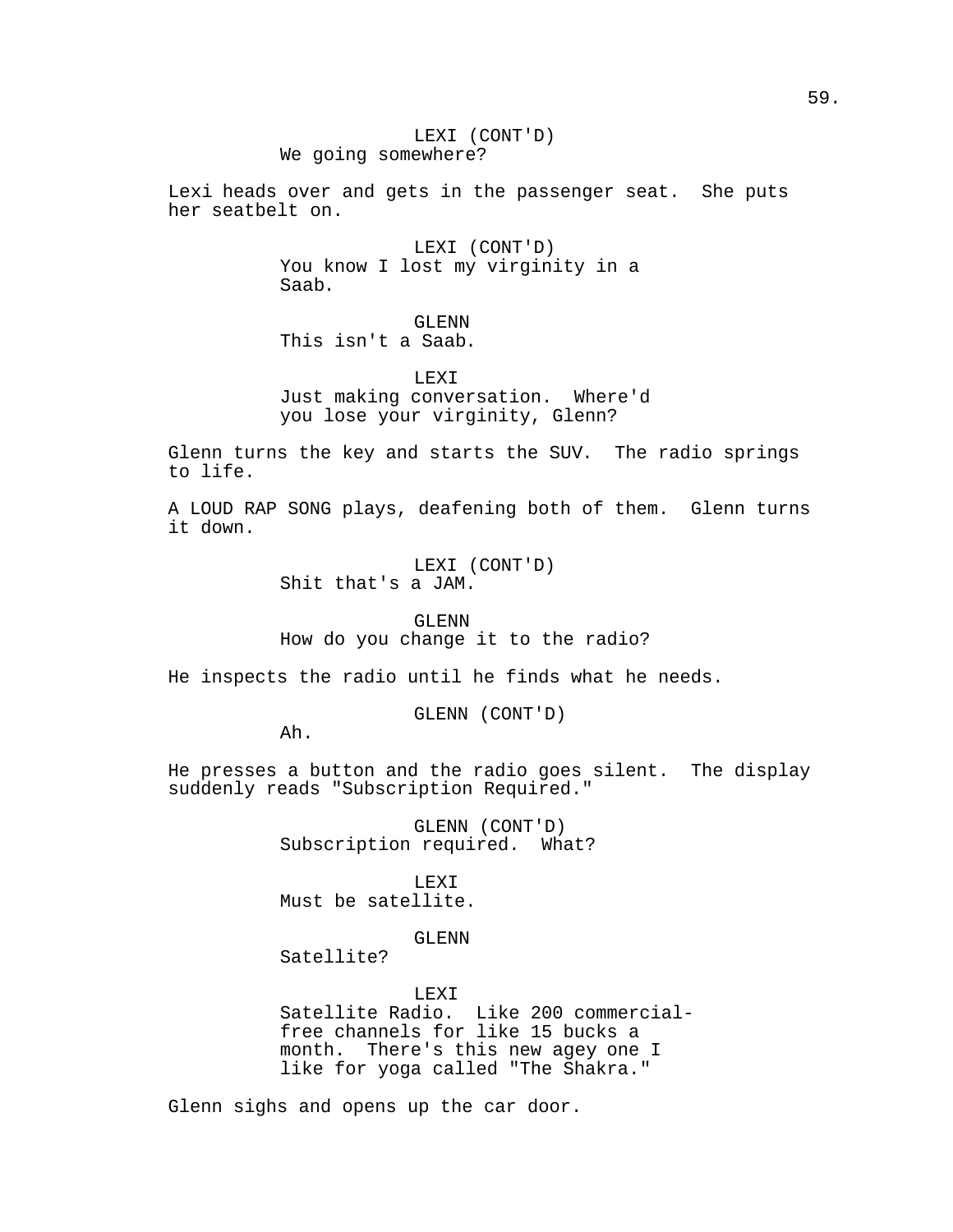LEXI (CONT'D) We going somewhere?

Lexi heads over and gets in the passenger seat. She puts her seatbelt on.

> LEXI (CONT'D) You know I lost my virginity in a Saab.

GLENN This isn't a Saab.

LEXI Just making conversation. Where'd you lose your virginity, Glenn?

Glenn turns the key and starts the SUV. The radio springs to life.

A LOUD RAP SONG plays, deafening both of them. Glenn turns it down.

> LEXI (CONT'D) Shit that's a JAM.

GLENN How do you change it to the radio?

He inspects the radio until he finds what he needs.

GLENN (CONT'D)

Ah.

He presses a button and the radio goes silent. The display suddenly reads "Subscription Required."

> GLENN (CONT'D) Subscription required. What?

LEXI Must be satellite.

GLENN

Satellite?

LEXI Satellite Radio. Like 200 commercialfree channels for like 15 bucks a month. There's this new agey one I like for yoga called "The Shakra."

Glenn sighs and opens up the car door.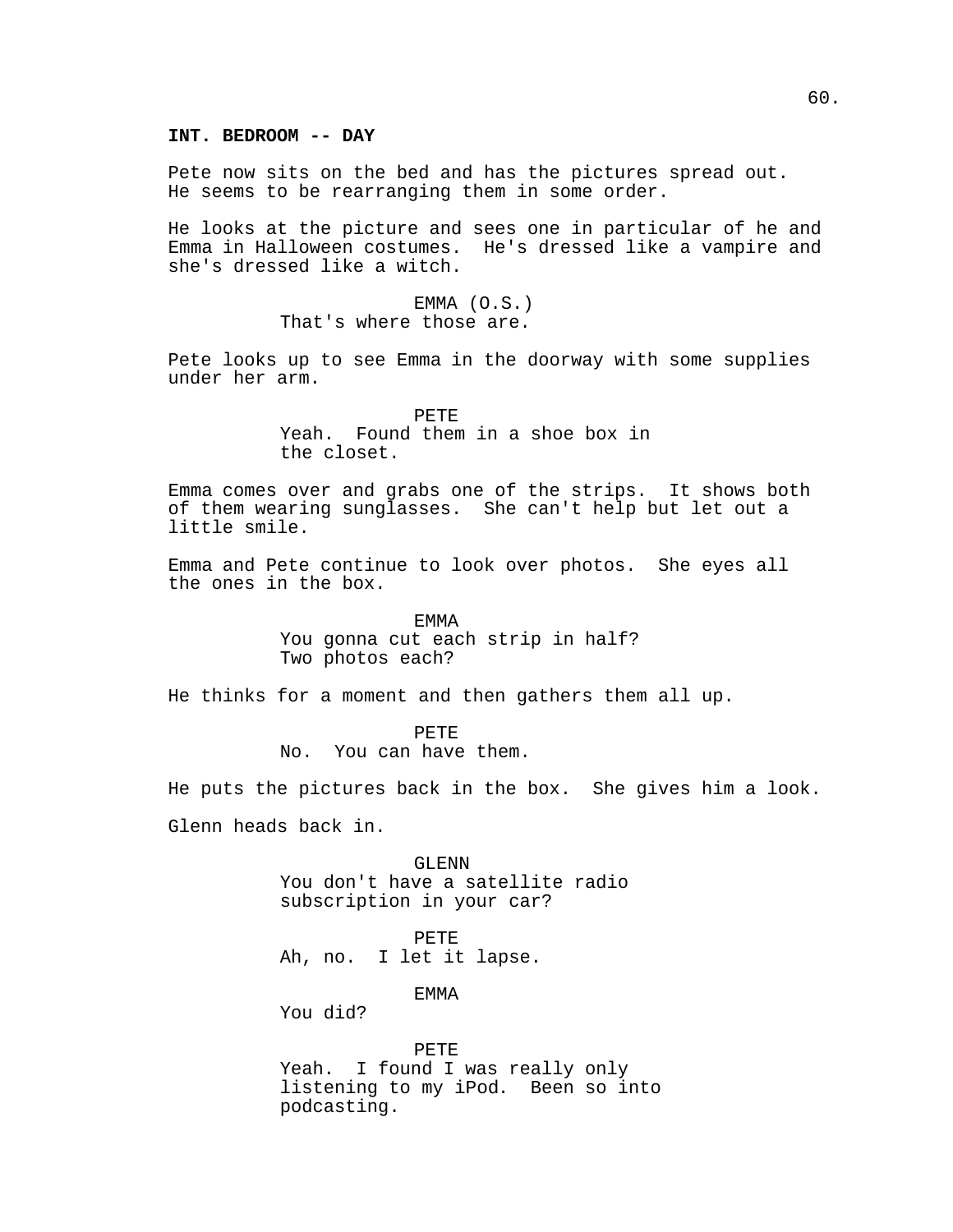### **INT. BEDROOM -- DAY**

Pete now sits on the bed and has the pictures spread out. He seems to be rearranging them in some order.

He looks at the picture and sees one in particular of he and Emma in Halloween costumes. He's dressed like a vampire and she's dressed like a witch.

> EMMA (O.S.) That's where those are.

Pete looks up to see Emma in the doorway with some supplies under her arm.

> PETE Yeah. Found them in a shoe box in the closet.

Emma comes over and grabs one of the strips. It shows both of them wearing sunglasses. She can't help but let out a little smile.

Emma and Pete continue to look over photos. She eyes all the ones in the box.

> EMMA You gonna cut each strip in half? Two photos each?

He thinks for a moment and then gathers them all up.

PETE No. You can have them.

He puts the pictures back in the box. She gives him a look.

Glenn heads back in.

GLENN You don't have a satellite radio subscription in your car?

PETE Ah, no. I let it lapse.

EMMA

You did?

PETE Yeah. I found I was really only listening to my iPod. Been so into podcasting.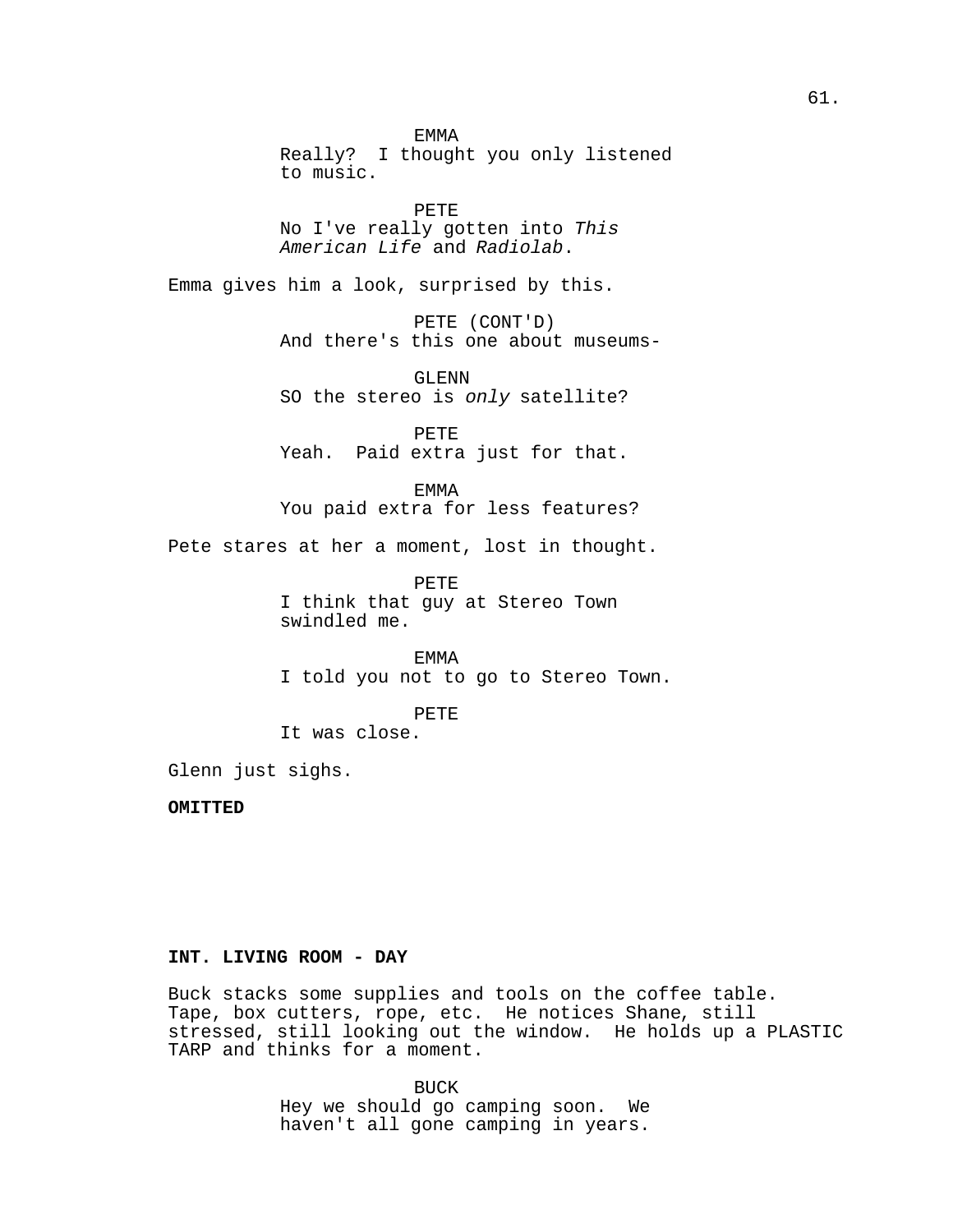EMMA Really? I thought you only listened to music.

PETE No I've really gotten into This American Life and Radiolab.

Emma gives him a look, surprised by this.

PETE (CONT'D) And there's this one about museums-

GLENN SO the stereo is only satellite?

PETE Yeah. Paid extra just for that.

EMMA You paid extra for less features?

Pete stares at her a moment, lost in thought.

PETE I think that guy at Stereo Town swindled me.

EMMA I told you not to go to Stereo Town.

PETE

It was close.

Glenn just sighs.

**OMITTED**

# **INT. LIVING ROOM - DAY**

Buck stacks some supplies and tools on the coffee table. Tape, box cutters, rope, etc. He notices Shane, still stressed, still looking out the window. He holds up a PLASTIC TARP and thinks for a moment.

> BUCK Hey we should go camping soon. We haven't all gone camping in years.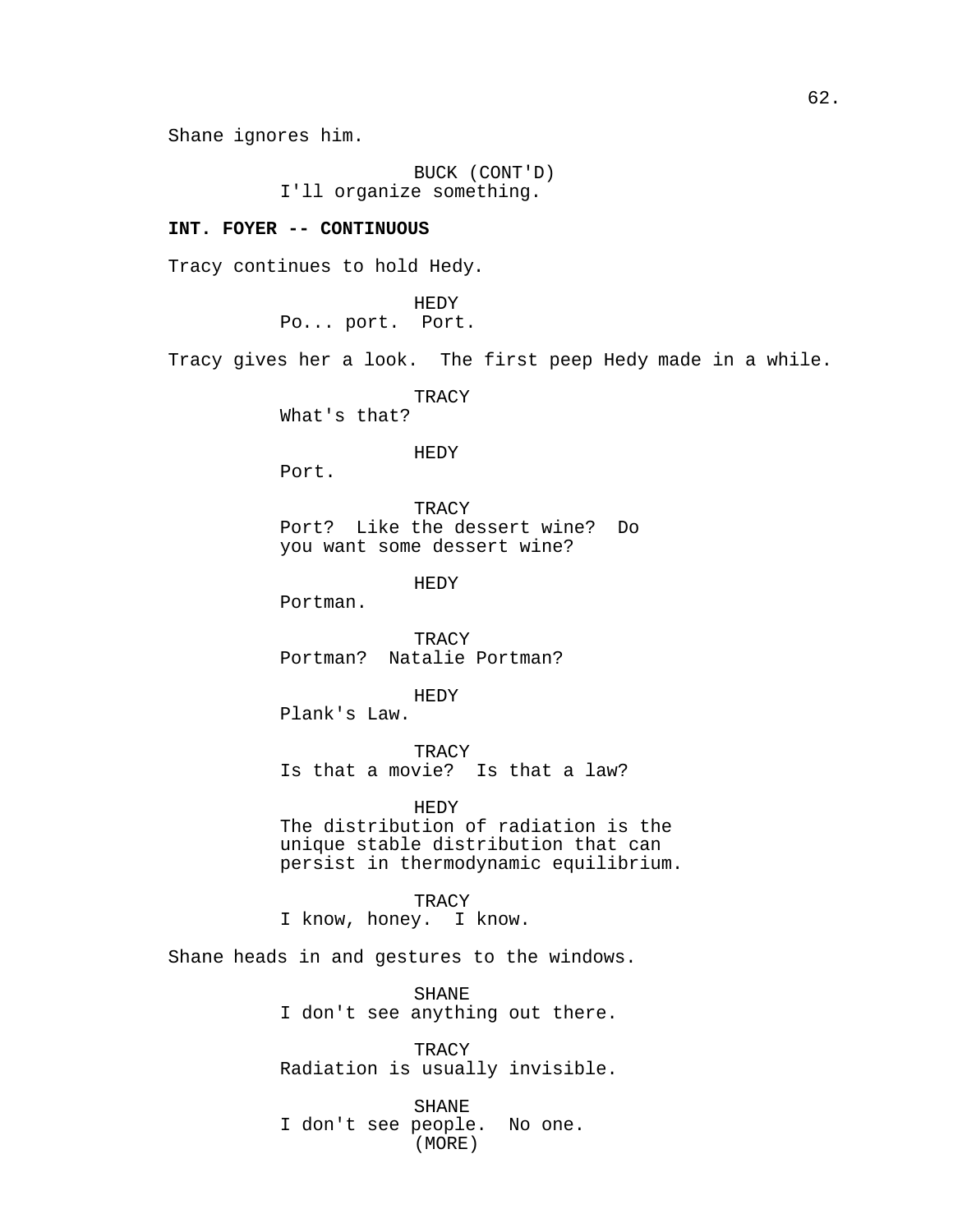Shane ignores him.

BUCK (CONT'D) I'll organize something.

### **INT. FOYER -- CONTINUOUS**

Tracy continues to hold Hedy.

HEDY Po... port. Port.

Tracy gives her a look. The first peep Hedy made in a while.

**TRACY** 

What's that?

### HEDY

Port.

**TRACY** Port? Like the dessert wine? Do you want some dessert wine?

HEDY

Portman.

**TRACY** Portman? Natalie Portman?

HEDY

Plank's Law.

TRACY Is that a movie? Is that a law?

HEDY The distribution of radiation is the unique stable distribution that can persist in thermodynamic equilibrium.

# **TRACY**

I know, honey. I know.

Shane heads in and gestures to the windows.

SHANE I don't see anything out there.

**TRACY** Radiation is usually invisible.

SHANE I don't see people. No one. (MORE)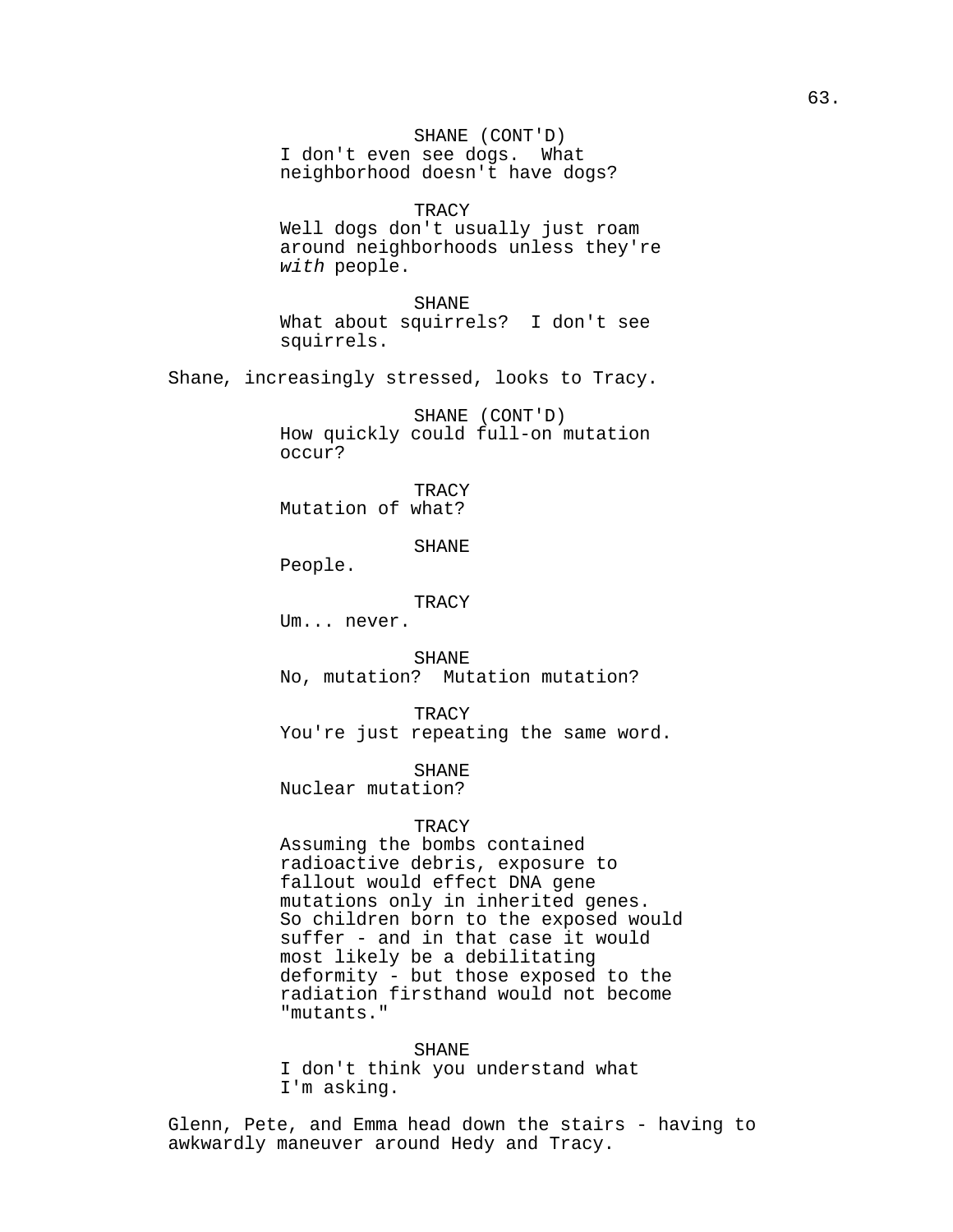SHANE (CONT'D) I don't even see dogs. What neighborhood doesn't have dogs?

**TRACY** 

Well dogs don't usually just roam around neighborhoods unless they're with people.

SHANE What about squirrels? I don't see squirrels.

Shane, increasingly stressed, looks to Tracy.

SHANE (CONT'D) How quickly could full-on mutation occur?

**TRACY** Mutation of what?

SHANE

People.

TRACY

Um... never.

SHANE

No, mutation? Mutation mutation?

TRACY

You're just repeating the same word.

SHANE

Nuclear mutation?

### **TRACY**

Assuming the bombs contained radioactive debris, exposure to fallout would effect DNA gene mutations only in inherited genes. So children born to the exposed would suffer - and in that case it would most likely be a debilitating deformity - but those exposed to the radiation firsthand would not become "mutants."

#### SHANE

I don't think you understand what I'm asking.

Glenn, Pete, and Emma head down the stairs - having to awkwardly maneuver around Hedy and Tracy.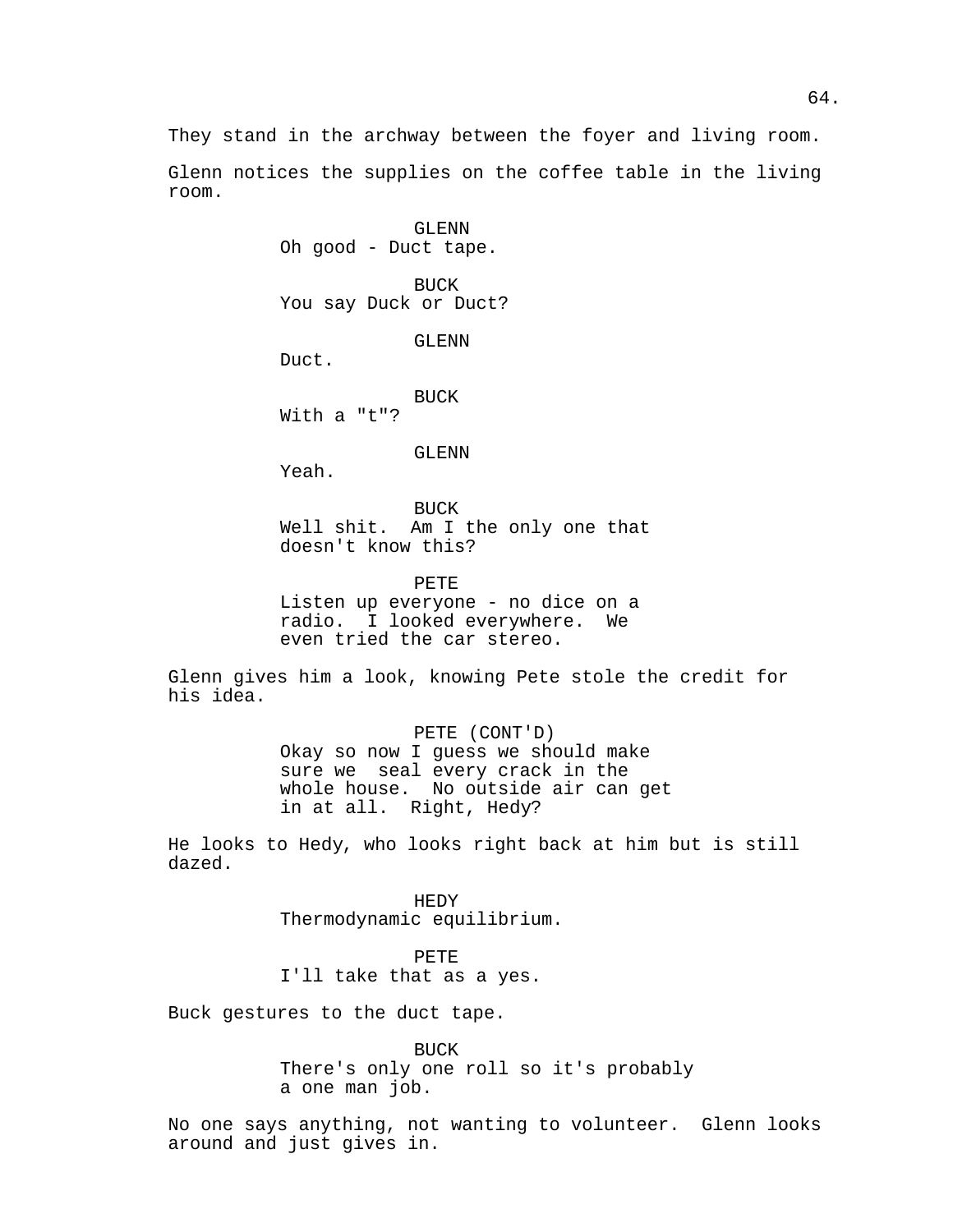They stand in the archway between the foyer and living room.

Glenn notices the supplies on the coffee table in the living room.

> GLENN Oh good - Duct tape.

BUCK You say Duck or Duct?

GLENN

Duct.

BUCK With a "t"?

#### GLENN

Yeah.

BUCK Well shit. Am I the only one that doesn't know this?

PETE

Listen up everyone - no dice on a radio. I looked everywhere. We even tried the car stereo.

Glenn gives him a look, knowing Pete stole the credit for his idea.

> PETE (CONT'D) Okay so now I guess we should make sure we seal every crack in the whole house. No outside air can get in at all. Right, Hedy?

He looks to Hedy, who looks right back at him but is still dazed.

> HEDY Thermodynamic equilibrium.

PETE I'll take that as a yes.

Buck gestures to the duct tape.

BUCK

There's only one roll so it's probably a one man job.

No one says anything, not wanting to volunteer. Glenn looks around and just gives in.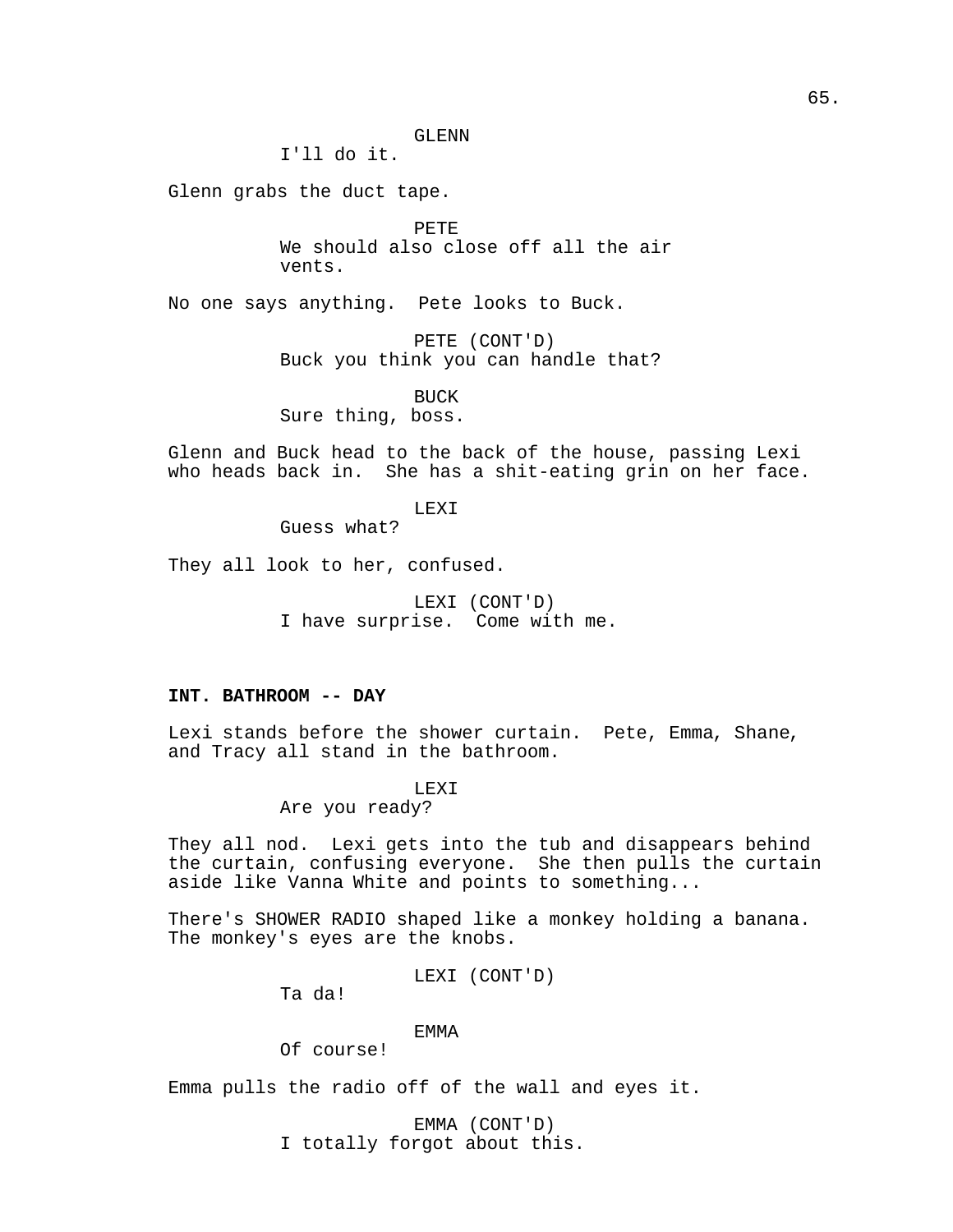I'll do it.

Glenn grabs the duct tape.

PETE We should also close off all the air vents.

No one says anything. Pete looks to Buck.

PETE (CONT'D) Buck you think you can handle that?

BUCK Sure thing, boss.

Glenn and Buck head to the back of the house, passing Lexi who heads back in. She has a shit-eating grin on her face.

LEXI

Guess what?

They all look to her, confused.

LEXI (CONT'D) I have surprise. Come with me.

# **INT. BATHROOM -- DAY**

Lexi stands before the shower curtain. Pete, Emma, Shane, and Tracy all stand in the bathroom.

LEXI

Are you ready?

They all nod. Lexi gets into the tub and disappears behind the curtain, confusing everyone. She then pulls the curtain aside like Vanna White and points to something...

There's SHOWER RADIO shaped like a monkey holding a banana. The monkey's eyes are the knobs.

LEXI (CONT'D)

Ta da!

# EMMA

Of course!

Emma pulls the radio off of the wall and eyes it.

EMMA (CONT'D) I totally forgot about this.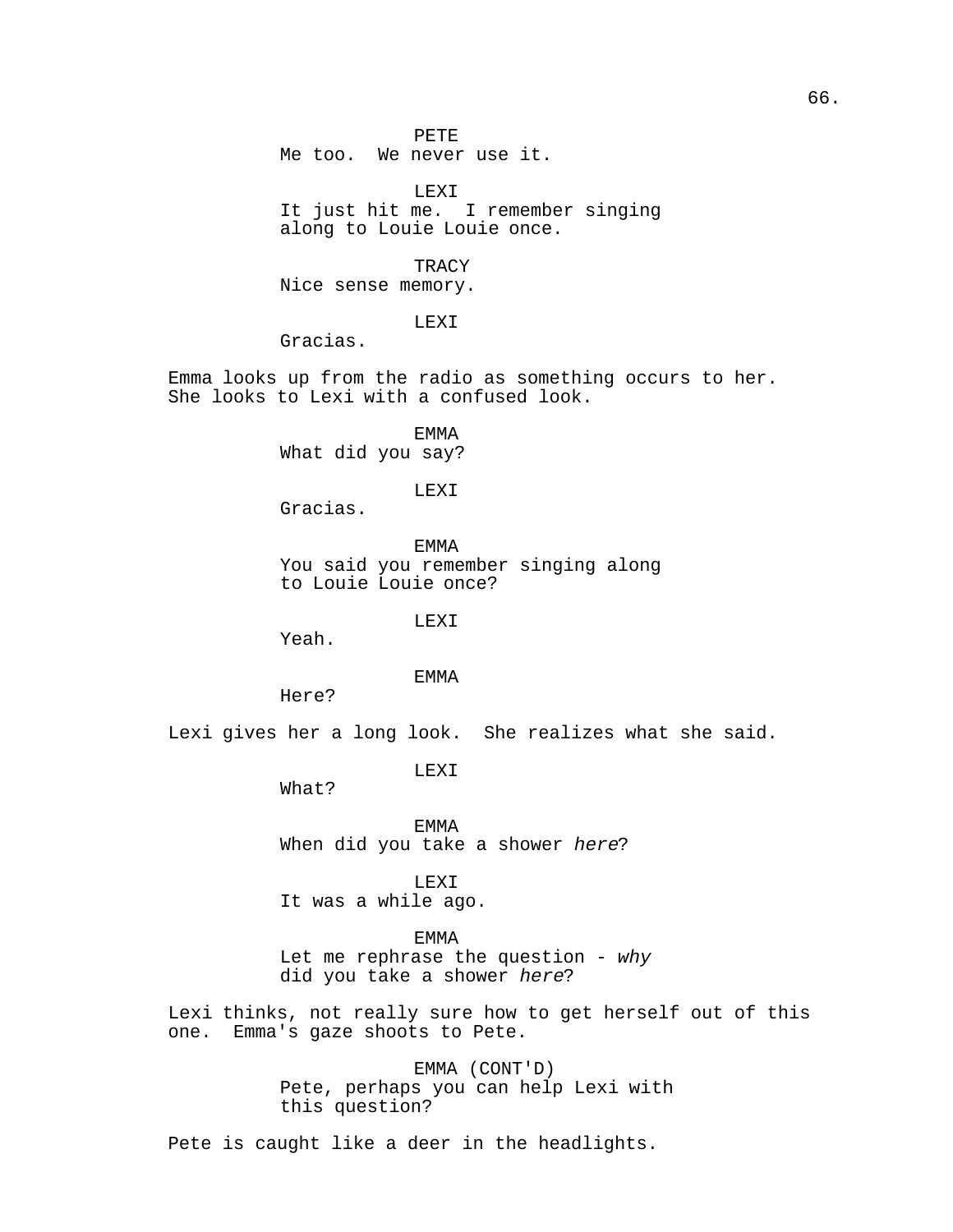PETE Me too. We never use it.

LEXI It just hit me. I remember singing along to Louie Louie once.

**TRACY** Nice sense memory.

LEXI

Gracias.

Emma looks up from the radio as something occurs to her. She looks to Lexi with a confused look.

> EMMA What did you say?

> > LEXI

Gracias.

EMMA You said you remember singing along to Louie Louie once?

LEX<sub>I</sub>

Yeah.

EMMA

Here?

Lexi gives her a long look. She realizes what she said.

LEXI

What?

EMMA When did you take a shower here?

LEXI It was a while ago.

EMMA Let me rephrase the question -  $why$ 

did you take a shower here?

Lexi thinks, not really sure how to get herself out of this one. Emma's gaze shoots to Pete.

> EMMA (CONT'D) Pete, perhaps you can help Lexi with this question?

Pete is caught like a deer in the headlights.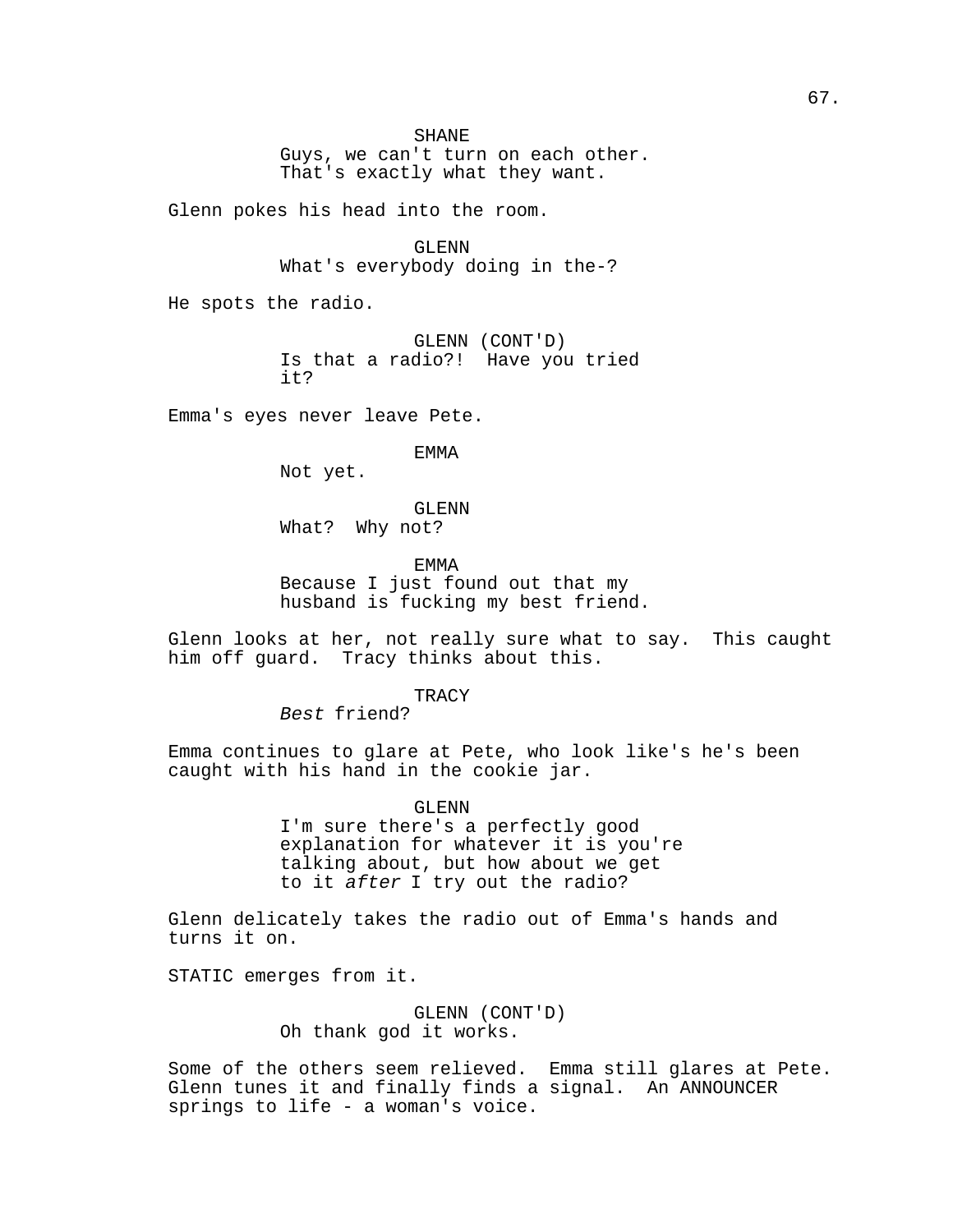Guys, we can't turn on each other. That's exactly what they want.

Glenn pokes his head into the room.

GLENN What's everybody doing in the-?

He spots the radio.

GLENN (CONT'D) Is that a radio?! Have you tried it?

Emma's eyes never leave Pete.

EMMA

Not yet.

GLENN What? Why not?

EMMA Because I just found out that my husband is fucking my best friend.

Glenn looks at her, not really sure what to say. This caught him off guard. Tracy thinks about this.

**TRACY** 

Best friend?

Emma continues to glare at Pete, who look like's he's been caught with his hand in the cookie jar.

> GLENN I'm sure there's a perfectly good explanation for whatever it is you're talking about, but how about we get to it after I try out the radio?

Glenn delicately takes the radio out of Emma's hands and turns it on.

STATIC emerges from it.

GLENN (CONT'D) Oh thank god it works.

Some of the others seem relieved. Emma still glares at Pete. Glenn tunes it and finally finds a signal. An ANNOUNCER springs to life - a woman's voice.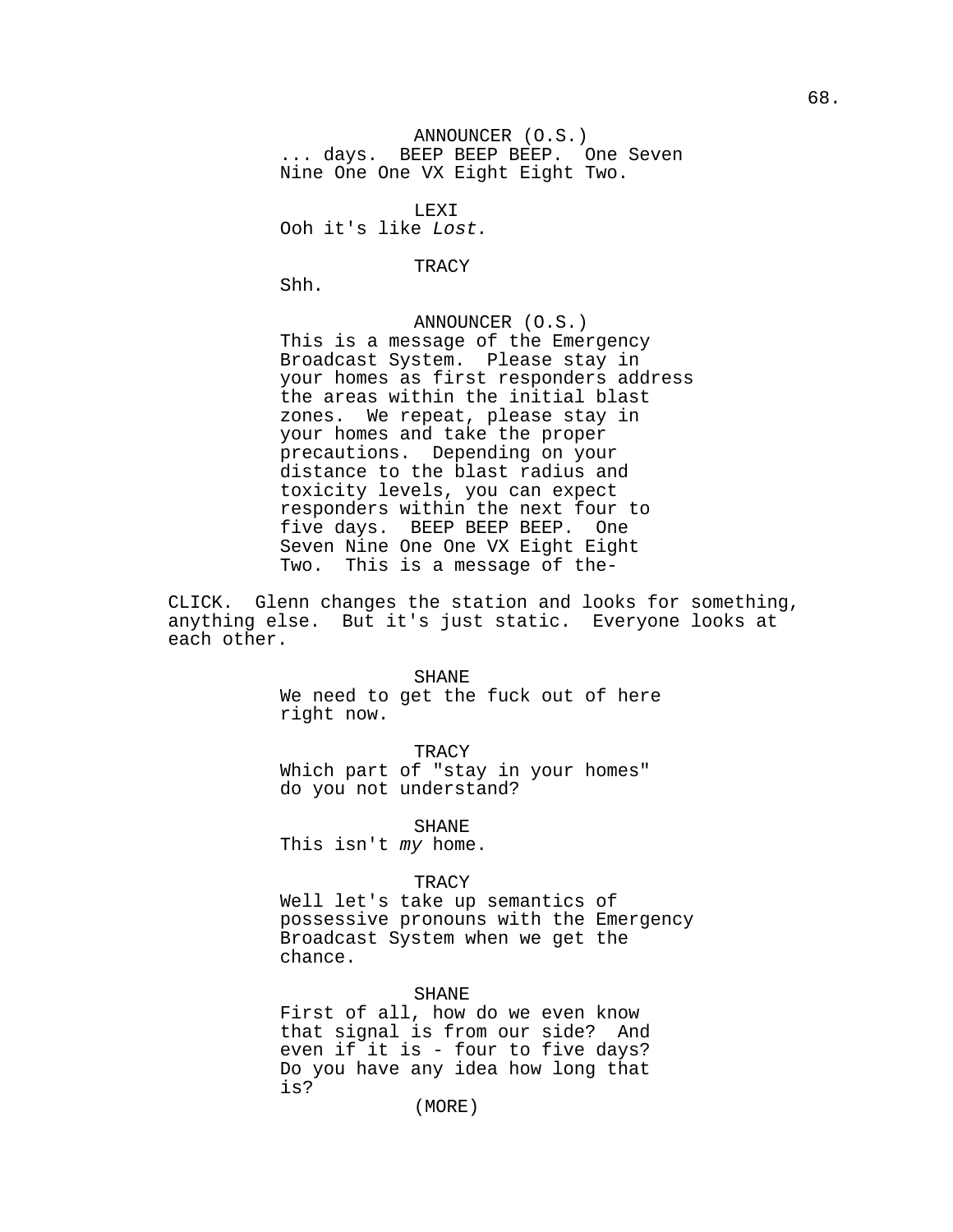ANNOUNCER (O.S.) ... days. BEEP BEEP BEEP. One Seven Nine One One VX Eight Eight Two.

LEXI Ooh it's like Lost.

TRACY

Shh.

ANNOUNCER (O.S.) This is a message of the Emergency Broadcast System. Please stay in your homes as first responders address the areas within the initial blast zones. We repeat, please stay in your homes and take the proper precautions. Depending on your distance to the blast radius and toxicity levels, you can expect responders within the next four to five days. BEEP BEEP BEEP. One Seven Nine One One VX Eight Eight Two. This is a message of the-

CLICK. Glenn changes the station and looks for something, anything else. But it's just static. Everyone looks at each other.

#### SHANE

We need to get the fuck out of here right now.

**TRACY** Which part of "stay in your homes" do you not understand?

SHANE

This isn't my home.

### TRACY

Well let's take up semantics of possessive pronouns with the Emergency Broadcast System when we get the chance.

# SHANE

First of all, how do we even know that signal is from our side? And even if it is - four to five days? Do you have any idea how long that is?

(MORE)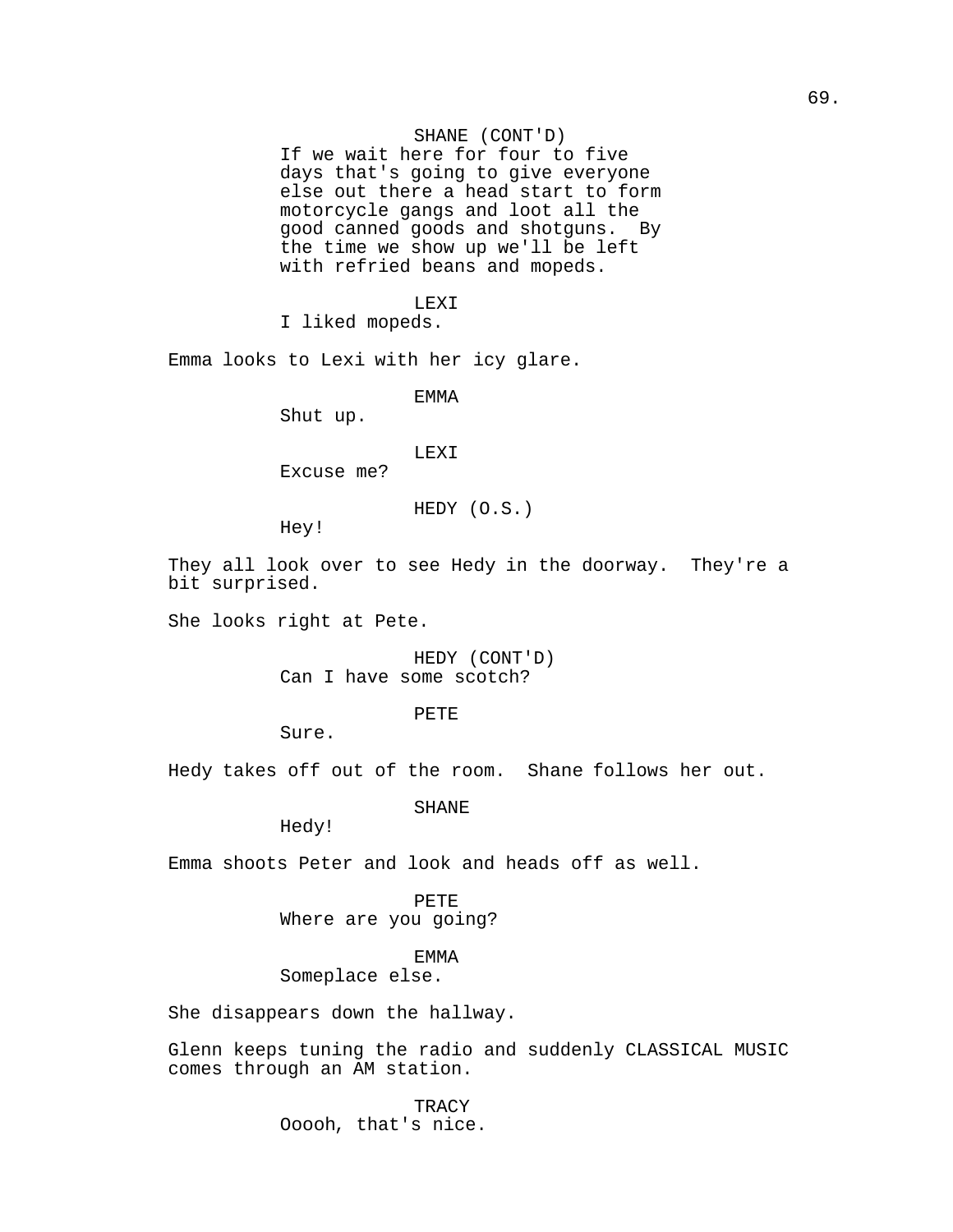# SHANE (CONT'D)

If we wait here for four to five days that's going to give everyone else out there a head start to form motorcycle gangs and loot all the good canned goods and shotguns. By the time we show up we'll be left with refried beans and mopeds.

#### LEXI

I liked mopeds.

Emma looks to Lexi with her icy glare.

EMMA

Shut up.

### LEXI

Excuse me?

HEDY (O.S.)

Hey!

They all look over to see Hedy in the doorway. They're a bit surprised.

She looks right at Pete.

HEDY (CONT'D) Can I have some scotch?

PETE

Sure.

Hedy takes off out of the room. Shane follows her out.

SHANE

Hedy!

Emma shoots Peter and look and heads off as well.

PETE Where are you going?

EMMA

Someplace else.

She disappears down the hallway.

Glenn keeps tuning the radio and suddenly CLASSICAL MUSIC comes through an AM station.

> **TRACY** Ooooh, that's nice.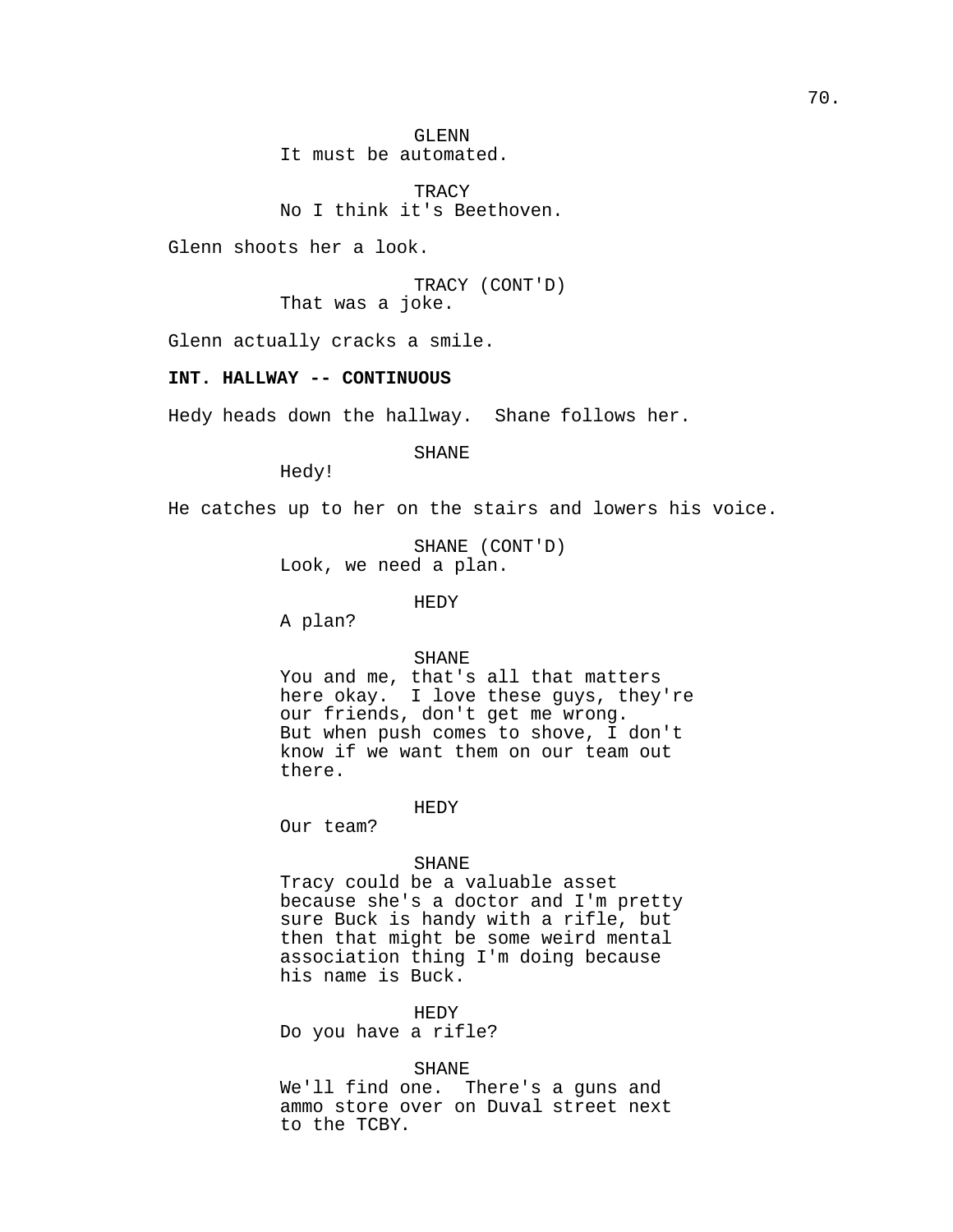GLENN It must be automated.

TRACY No I think it's Beethoven.

Glenn shoots her a look.

TRACY (CONT'D) That was a joke.

Glenn actually cracks a smile.

# **INT. HALLWAY -- CONTINUOUS**

Hedy heads down the hallway. Shane follows her.

SHANE

Hedy!

He catches up to her on the stairs and lowers his voice.

SHANE (CONT'D) Look, we need a plan.

HEDY

A plan?

SHANE

You and me, that's all that matters here okay. I love these guys, they're our friends, don't get me wrong. But when push comes to shove, I don't know if we want them on our team out there.

#### HEDY

Our team?

### SHANE

Tracy could be a valuable asset because she's a doctor and I'm pretty sure Buck is handy with a rifle, but then that might be some weird mental association thing I'm doing because his name is Buck.

HEDY

Do you have a rifle?

# SHANE

We'll find one. There's a guns and ammo store over on Duval street next to the TCBY.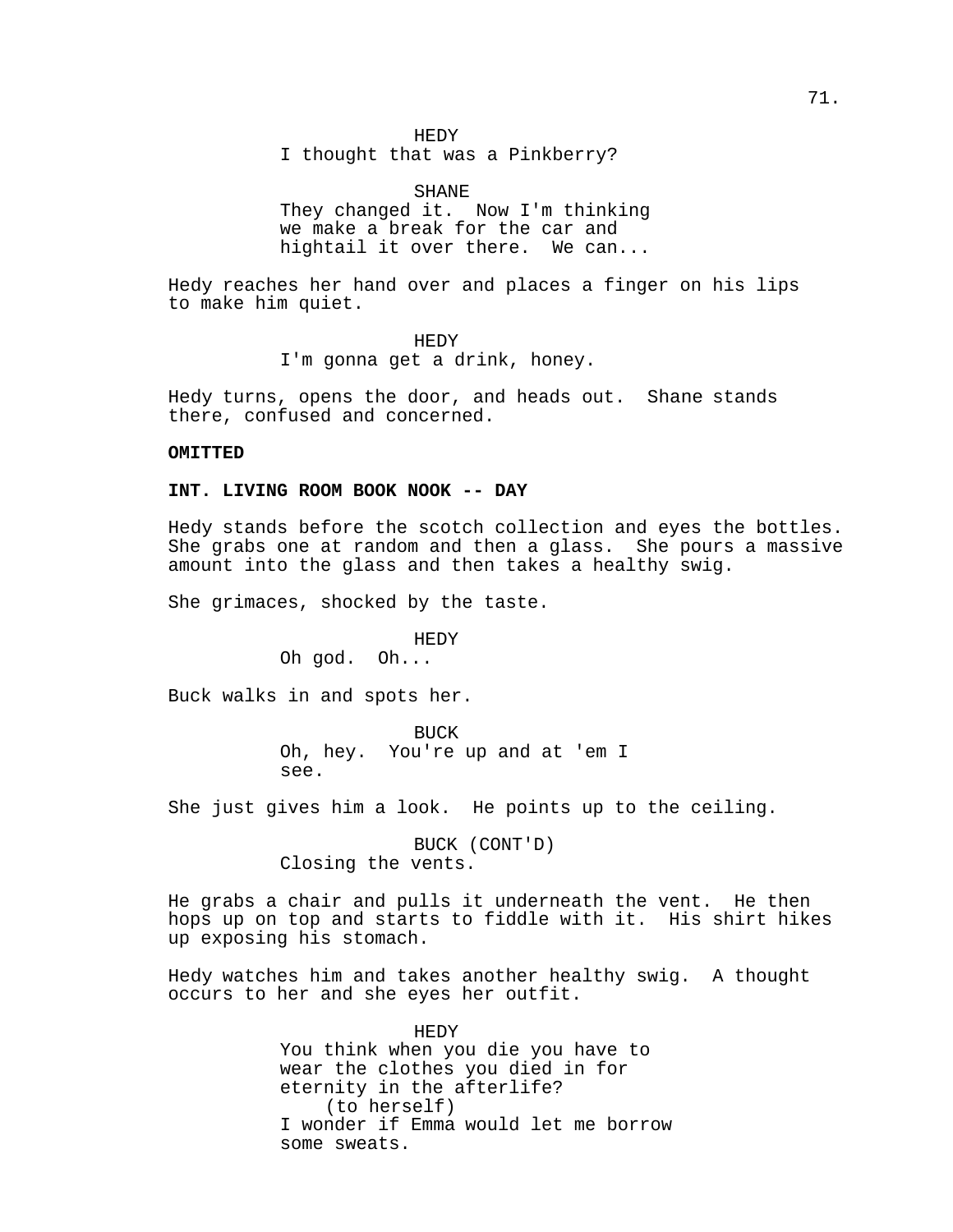### HEDY

I thought that was a Pinkberry?

SHANE They changed it. Now I'm thinking we make a break for the car and hightail it over there. We can...

Hedy reaches her hand over and places a finger on his lips to make him quiet.

> HEDY I'm gonna get a drink, honey.

Hedy turns, opens the door, and heads out. Shane stands there, confused and concerned.

# **OMITTED**

# **INT. LIVING ROOM BOOK NOOK -- DAY**

Hedy stands before the scotch collection and eyes the bottles. She grabs one at random and then a glass. She pours a massive amount into the glass and then takes a healthy swig.

She grimaces, shocked by the taste.

HEDY

Oh god. Oh...

Buck walks in and spots her.

BUCK Oh, hey. You're up and at 'em I see.

She just gives him a look. He points up to the ceiling.

BUCK (CONT'D) Closing the vents.

He grabs a chair and pulls it underneath the vent. He then hops up on top and starts to fiddle with it. His shirt hikes up exposing his stomach.

Hedy watches him and takes another healthy swig. A thought occurs to her and she eyes her outfit.

> HEDY You think when you die you have to wear the clothes you died in for eternity in the afterlife? (to herself) I wonder if Emma would let me borrow some sweats.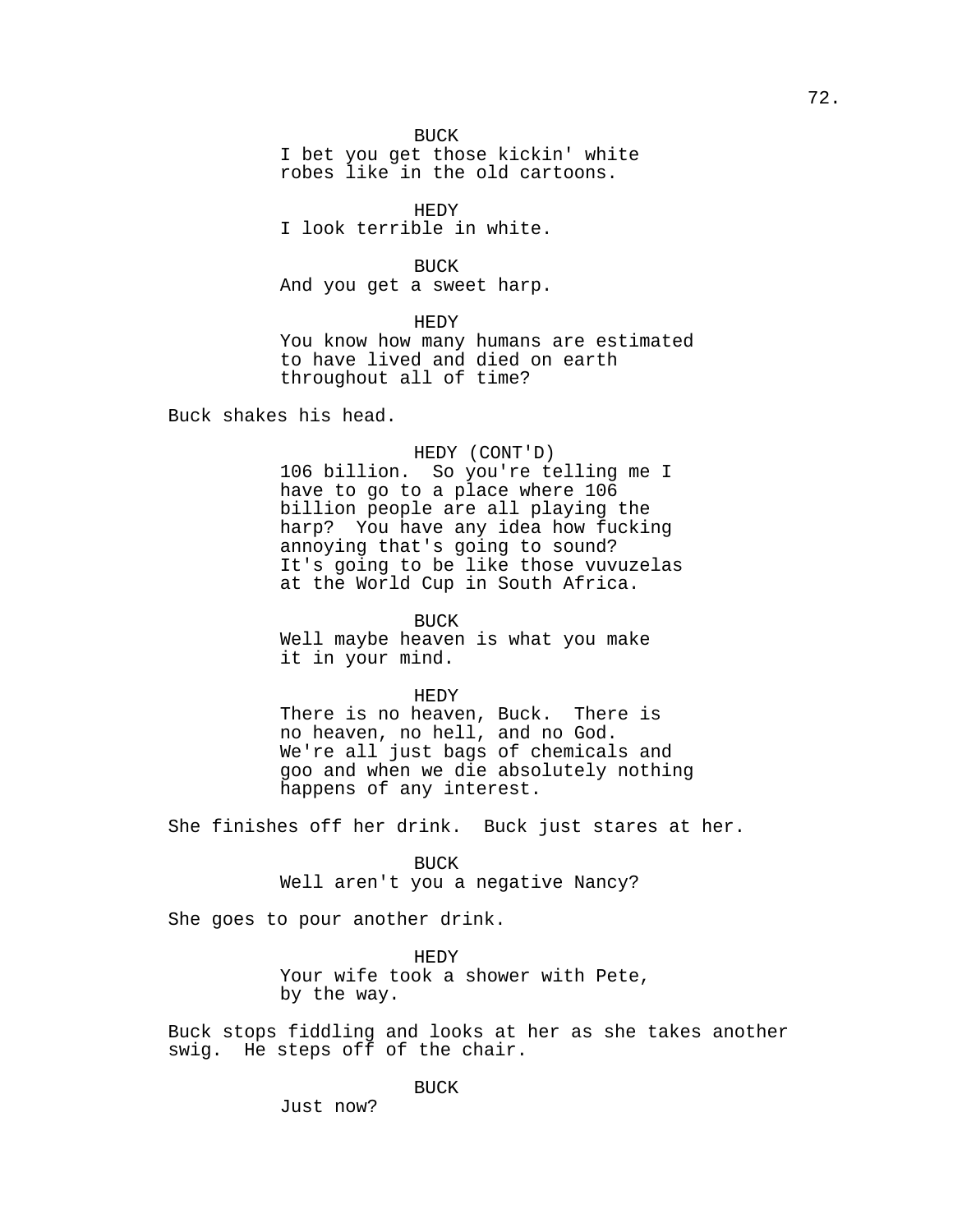BUCK

I bet you get those kickin' white robes like in the old cartoons.

HEDY

I look terrible in white.

BUCK

And you get a sweet harp.

HEDY

You know how many humans are estimated to have lived and died on earth throughout all of time?

Buck shakes his head.

HEDY (CONT'D)

106 billion. So you're telling me I have to go to a place where 106 billion people are all playing the harp? You have any idea how fucking annoying that's going to sound? It's going to be like those vuvuzelas at the World Cup in South Africa.

BUCK Well maybe heaven is what you make it in your mind.

HEDY

There is no heaven, Buck. There is no heaven, no hell, and no God. We're all just bags of chemicals and goo and when we die absolutely nothing happens of any interest.

She finishes off her drink. Buck just stares at her.

BUCK

Well aren't you a negative Nancy?

She goes to pour another drink.

HEDY Your wife took a shower with Pete, by the way.

Buck stops fiddling and looks at her as she takes another swig. He steps off of the chair.

BUCK

Just now?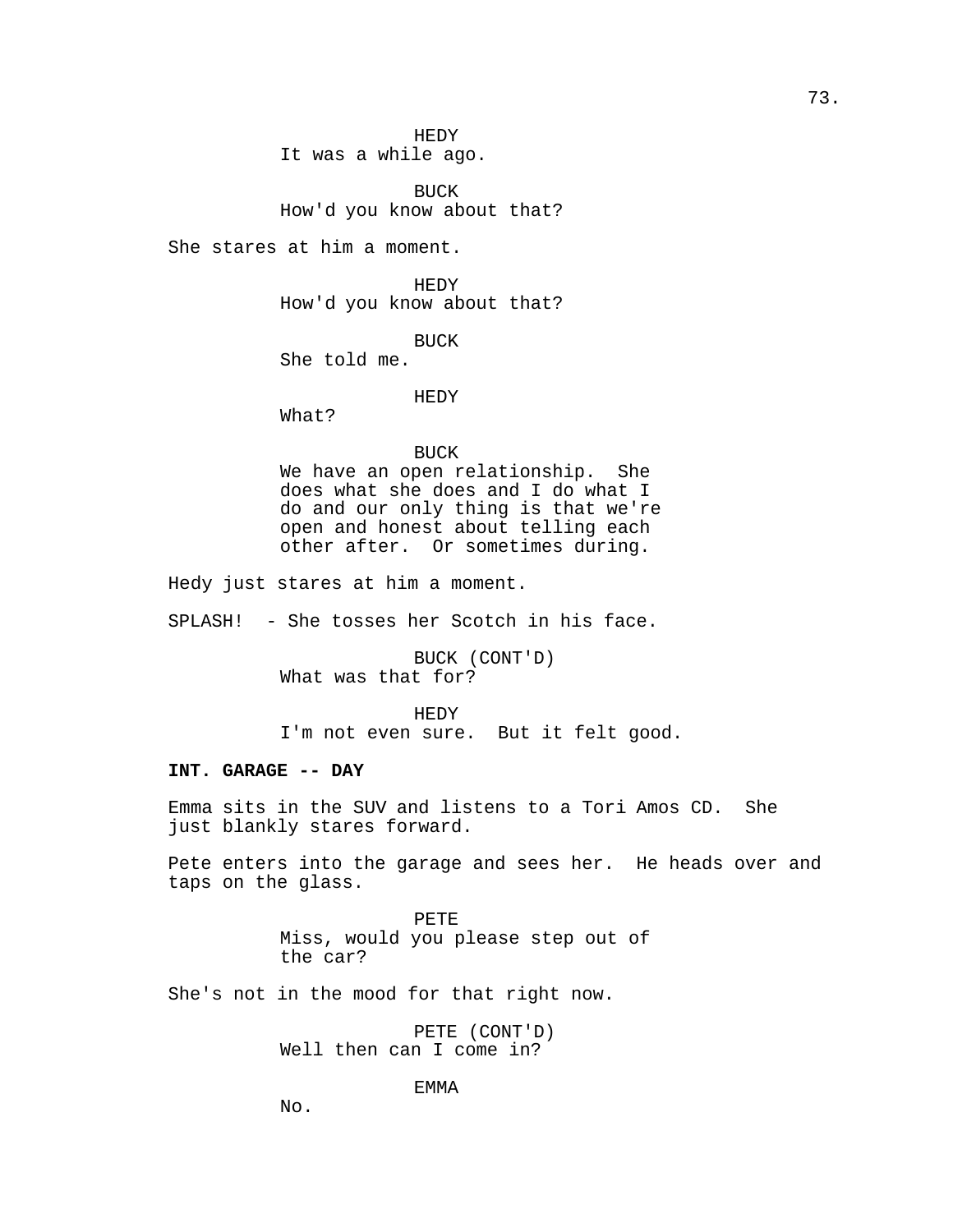HEDY It was a while ago.

BUCK How'd you know about that?

She stares at him a moment.

HEDY How'd you know about that?

BUCK

She told me.

#### HEDY

What?

#### BUCK

We have an open relationship. She does what she does and I do what I do and our only thing is that we're open and honest about telling each other after. Or sometimes during.

Hedy just stares at him a moment.

SPLASH! - She tosses her Scotch in his face.

BUCK (CONT'D) What was that for?

HEDY I'm not even sure. But it felt good.

# **INT. GARAGE -- DAY**

Emma sits in the SUV and listens to a Tori Amos CD. She just blankly stares forward.

Pete enters into the garage and sees her. He heads over and taps on the glass.

> PETE Miss, would you please step out of the car?

She's not in the mood for that right now.

PETE (CONT'D) Well then can I come in?

EMMA

No.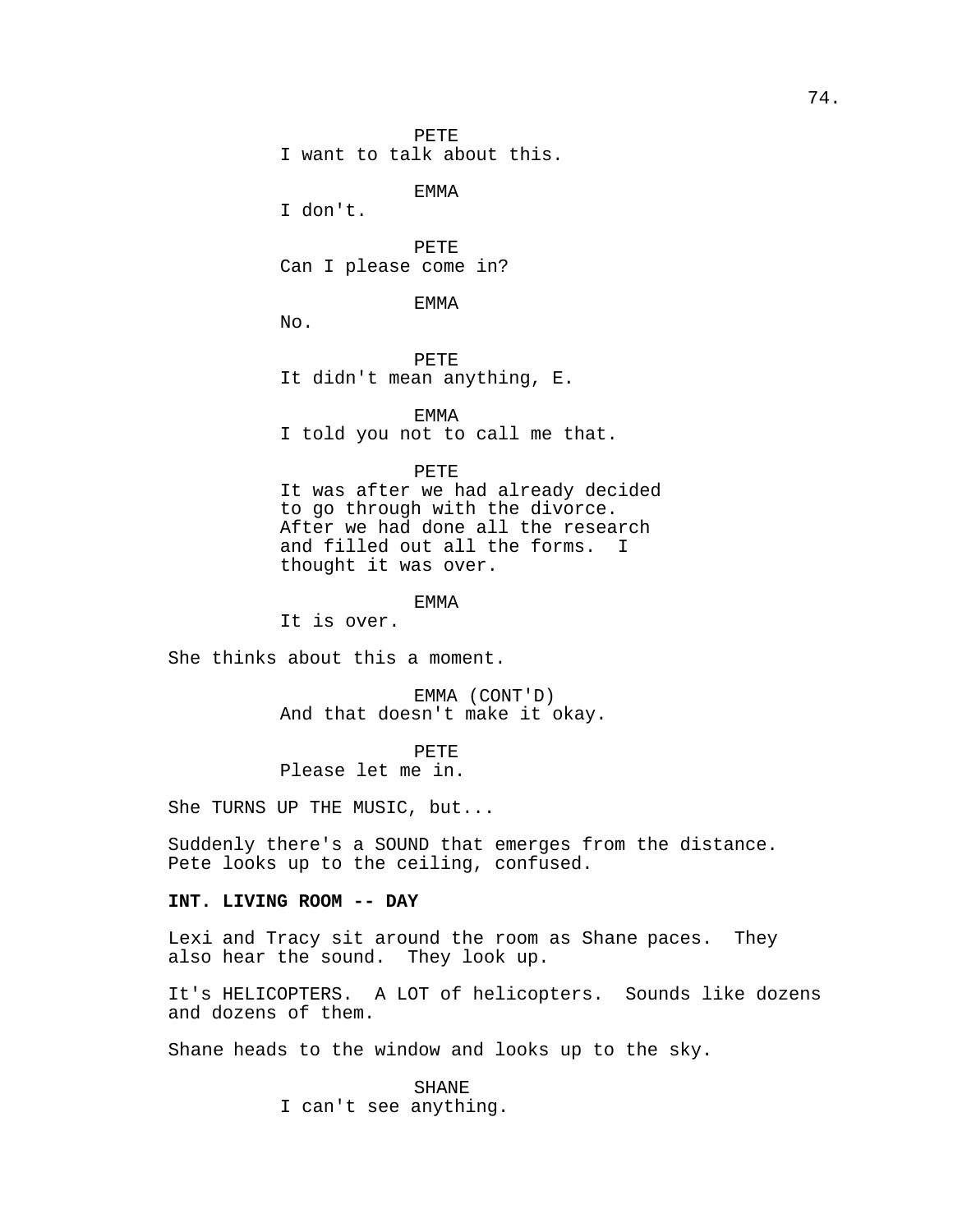PETE I want to talk about this.

EMMA

I don't.

PETE Can I please come in?

EMMA

No.

PETE It didn't mean anything, E.

EMMA I told you not to call me that.

PETE

It was after we had already decided to go through with the divorce. After we had done all the research and filled out all the forms. I thought it was over.

EMMA

It is over.

She thinks about this a moment.

EMMA (CONT'D) And that doesn't make it okay.

PETE Please let me in.

She TURNS UP THE MUSIC, but...

Suddenly there's a SOUND that emerges from the distance. Pete looks up to the ceiling, confused.

# **INT. LIVING ROOM -- DAY**

Lexi and Tracy sit around the room as Shane paces. They also hear the sound. They look up.

It's HELICOPTERS. A LOT of helicopters. Sounds like dozens and dozens of them.

Shane heads to the window and looks up to the sky.

SHANE I can't see anything.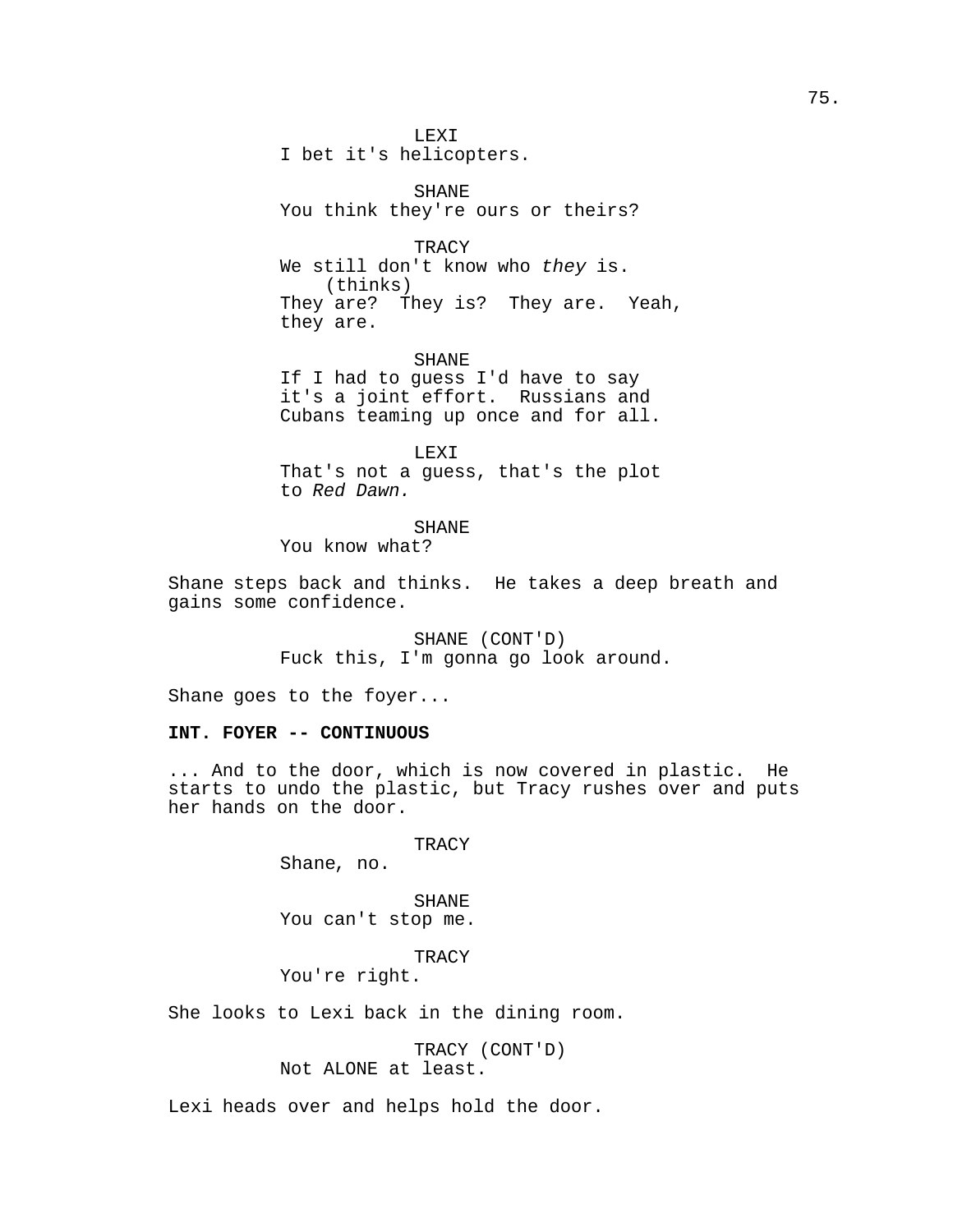LEXI I bet it's helicopters.

SHANE You think they're ours or theirs?

**TRACY** We still don't know who they is. (thinks) They are? They is? They are. Yeah, they are.

SHANE If I had to guess I'd have to say it's a joint effort. Russians and Cubans teaming up once and for all.

LEXI That's not a guess, that's the plot to Red Dawn.

SHANE

You know what?

Shane steps back and thinks. He takes a deep breath and gains some confidence.

> SHANE (CONT'D) Fuck this, I'm gonna go look around.

Shane goes to the foyer...

## **INT. FOYER -- CONTINUOUS**

... And to the door, which is now covered in plastic. He starts to undo the plastic, but Tracy rushes over and puts her hands on the door.

**TRACY** 

Shane, no.

SHANE You can't stop me.

**TRACY** 

You're right.

She looks to Lexi back in the dining room.

TRACY (CONT'D) Not ALONE at least.

Lexi heads over and helps hold the door.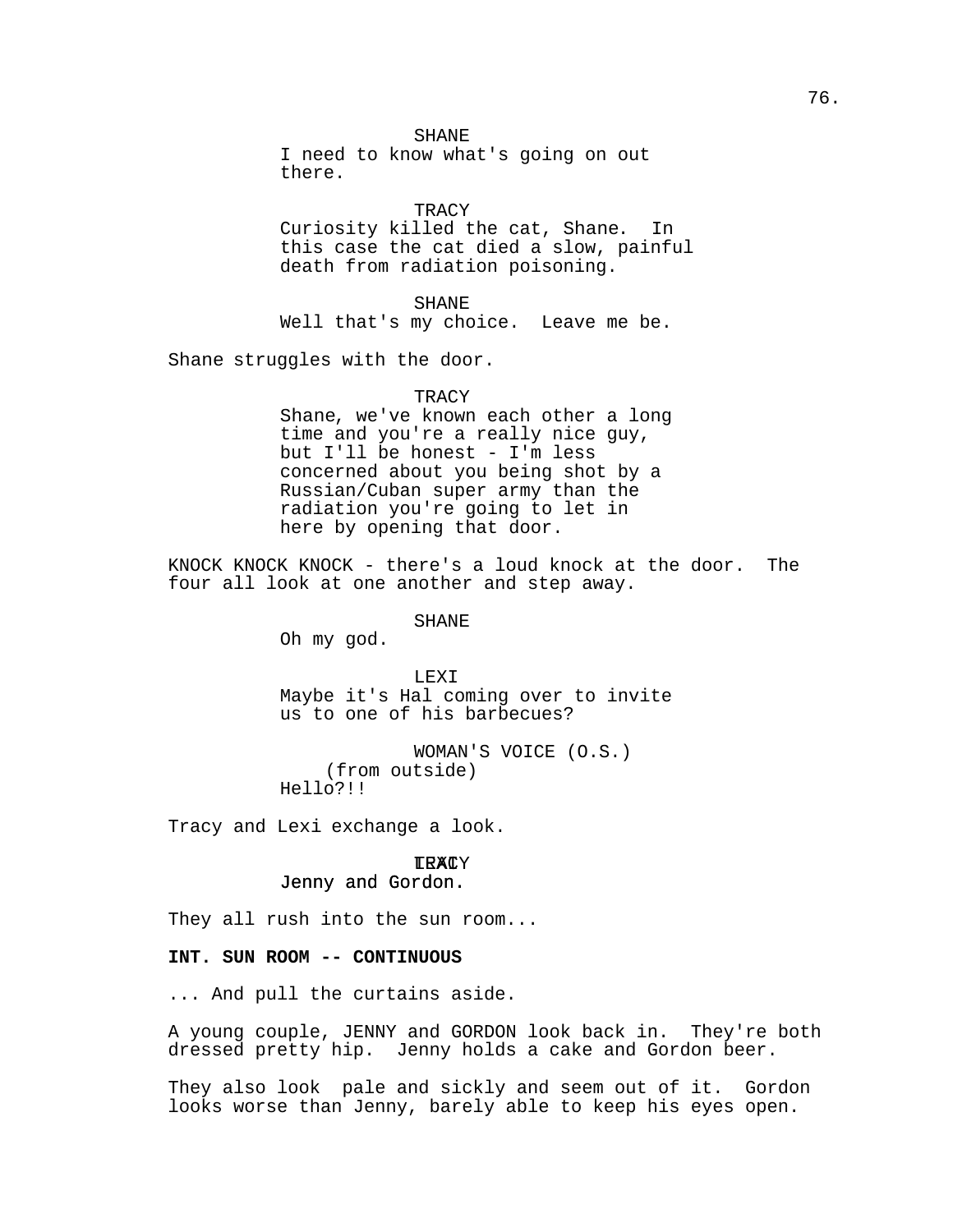I need to know what's going on out there.

### **TRACY**

Curiosity killed the cat, Shane. In this case the cat died a slow, painful death from radiation poisoning.

SHANE

Well that's my choice. Leave me be.

Shane struggles with the door.

#### TRACY

Shane, we've known each other a long time and you're a really nice guy, but I'll be honest - I'm less concerned about you being shot by a Russian/Cuban super army than the radiation you're going to let in here by opening that door.

KNOCK KNOCK KNOCK - there's a loud knock at the door. The four all look at one another and step away.

## SHANE

Oh my god.

LEXI Maybe it's Hal coming over to invite us to one of his barbecues?

WOMAN'S VOICE (O.S.) (from outside) Hello?!!

Tracy and Lexi exchange a look.

# <mark>TRAC</mark>Y

# Jenny and Gordon.

They all rush into the sun room...

## **INT. SUN ROOM -- CONTINUOUS**

... And pull the curtains aside.

A young couple, JENNY and GORDON look back in. They're both dressed pretty hip. Jenny holds a cake and Gordon beer.

They also look pale and sickly and seem out of it. Gordon looks worse than Jenny, barely able to keep his eyes open.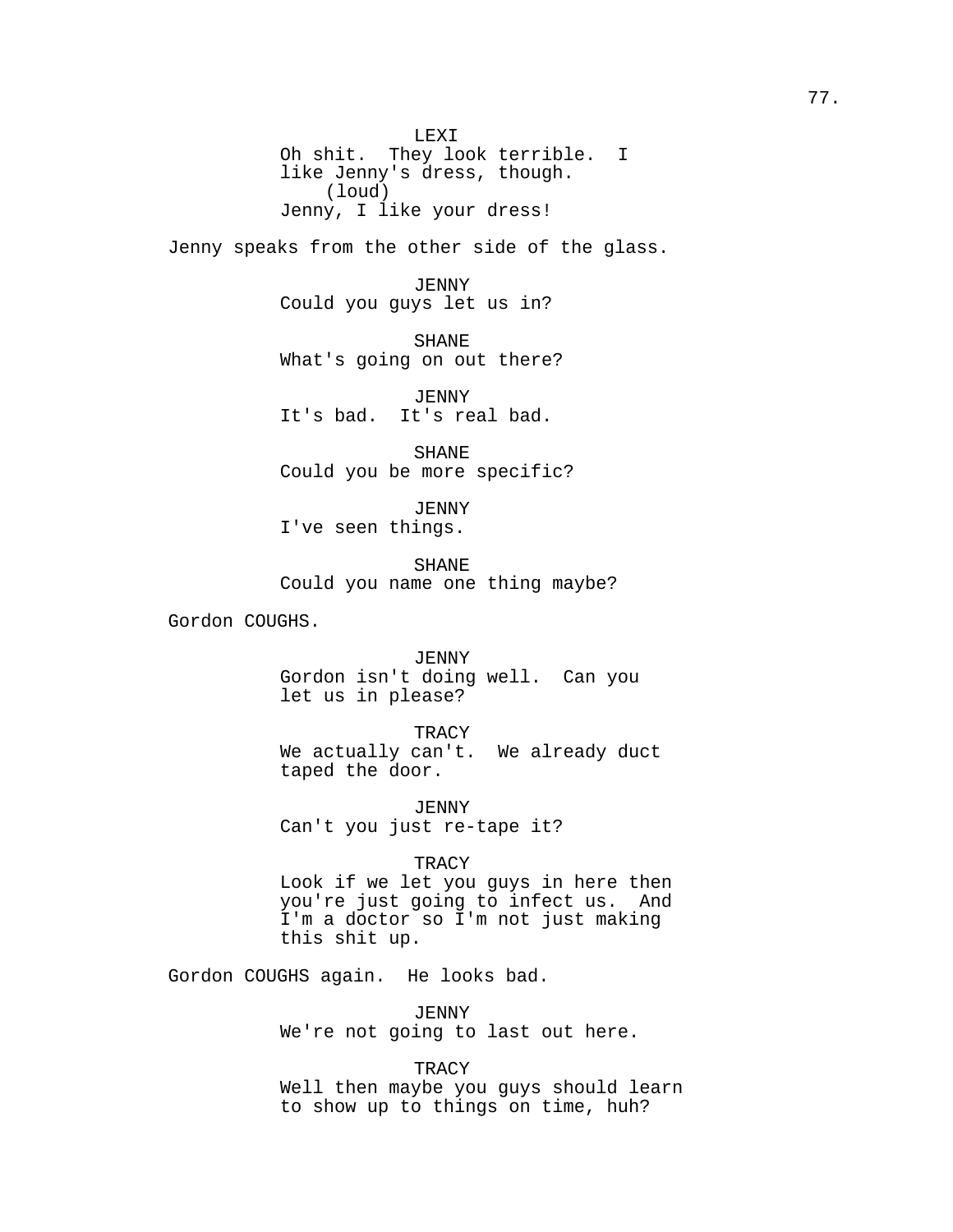LEXI Oh shit. They look terrible. I like Jenny's dress, though. (loud) Jenny, I like your dress!

Jenny speaks from the other side of the glass.

JENNY Could you guys let us in?

SHANE What's going on out there?

JENNY It's bad. It's real bad.

SHANE Could you be more specific?

JENNY I've seen things.

SHANE Could you name one thing maybe?

Gordon COUGHS.

JENNY Gordon isn't doing well. Can you let us in please?

TRACY

We actually can't. We already duct taped the door.

JENNY Can't you just re-tape it?

**TRACY** 

Look if we let you guys in here then you're just going to infect us. And I'm a doctor so I'm not just making this shit up.

Gordon COUGHS again. He looks bad.

JENNY We're not going to last out here.

**TRACY** Well then maybe you guys should learn to show up to things on time, huh?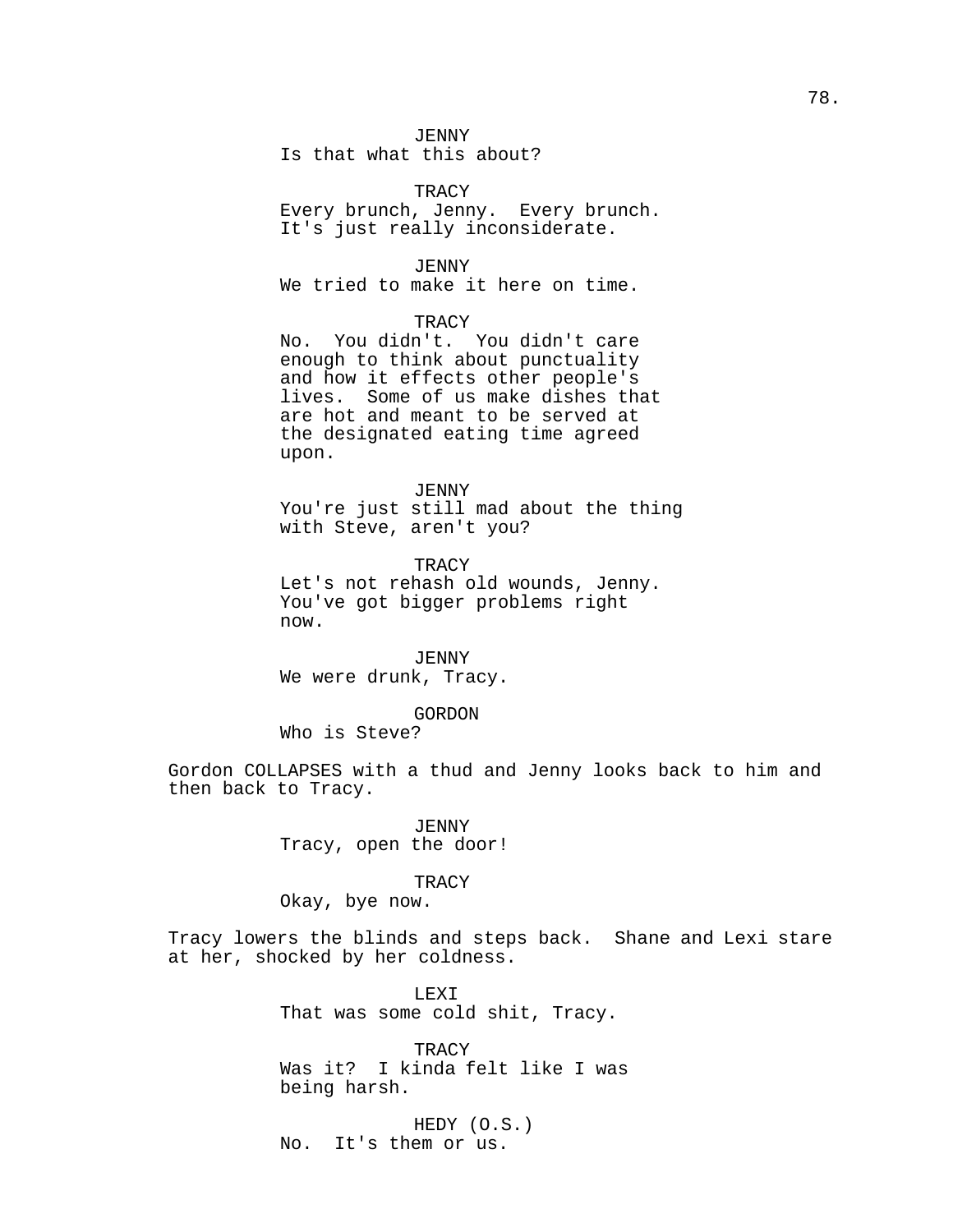### JENNY

Is that what this about?

**TRACY** Every brunch, Jenny. Every brunch. It's just really inconsiderate.

JENNY We tried to make it here on time.

# **TRACY**

No. You didn't. You didn't care enough to think about punctuality and how it effects other people's lives. Some of us make dishes that are hot and meant to be served at the designated eating time agreed upon.

JENNY

You're just still mad about the thing with Steve, aren't you?

**TRACY** Let's not rehash old wounds, Jenny. You've got bigger problems right now.

JENNY We were drunk, Tracy.

GORDON

Who is Steve?

Gordon COLLAPSES with a thud and Jenny looks back to him and then back to Tracy.

> JENNY Tracy, open the door!

## TRACY

Okay, bye now.

Tracy lowers the blinds and steps back. Shane and Lexi stare at her, shocked by her coldness.

> LEXI That was some cold shit, Tracy.

**TRACY** Was it? I kinda felt like I was being harsh.

HEDY (O.S.) No. It's them or us.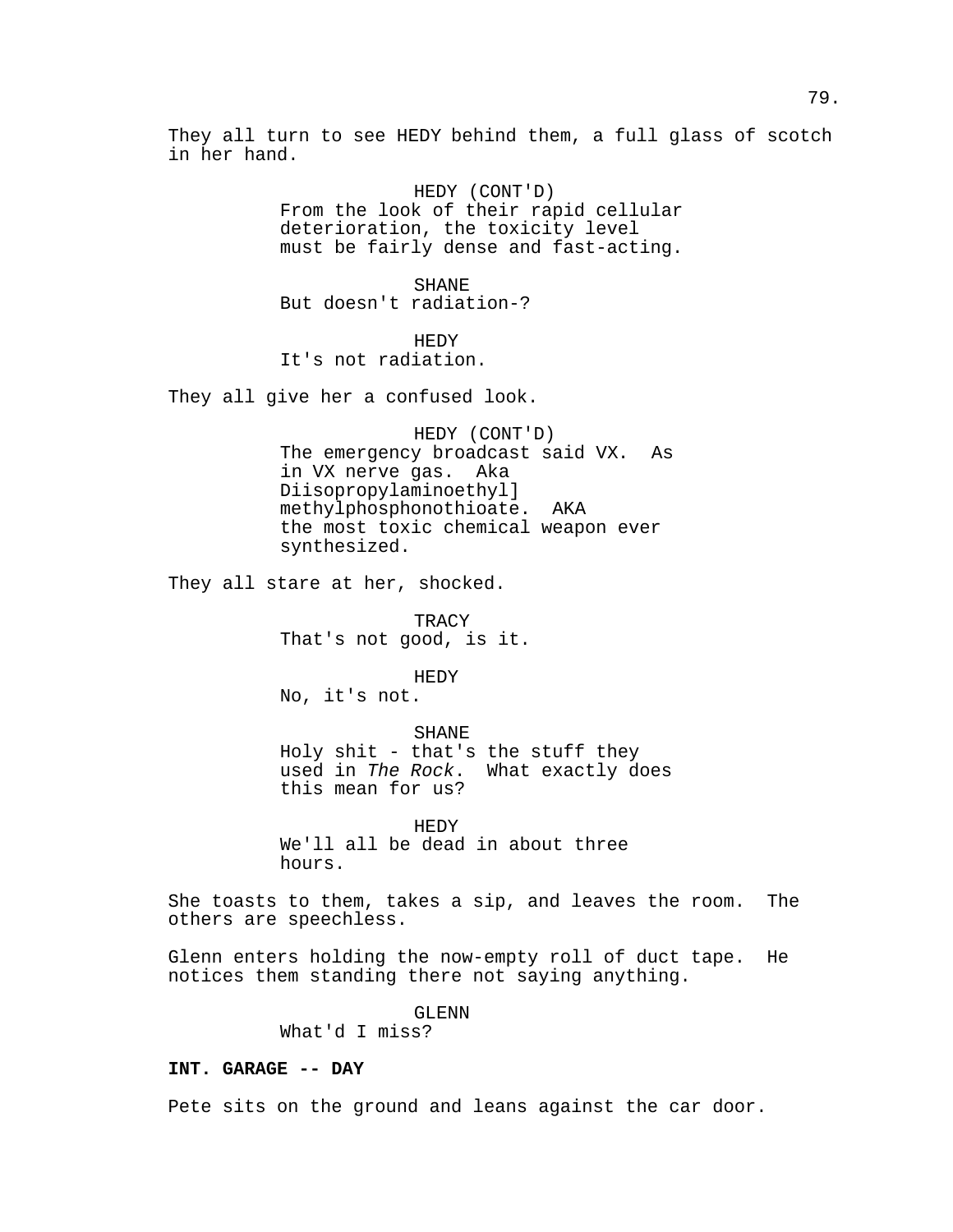They all turn to see HEDY behind them, a full glass of scotch in her hand.

> HEDY (CONT'D) From the look of their rapid cellular deterioration, the toxicity level must be fairly dense and fast-acting.

SHANE But doesn't radiation-?

HEDY It's not radiation.

They all give her a confused look.

HEDY (CONT'D) The emergency broadcast said VX. As in VX nerve gas. Aka Diisopropylaminoethyl] methylphosphonothioate. AKA the most toxic chemical weapon ever synthesized.

They all stare at her, shocked.

TRACY That's not good, is it.

HEDY No, it's not.

SHANE Holy shit - that's the stuff they used in The Rock. What exactly does this mean for us?

HEDY We'll all be dead in about three hours.

She toasts to them, takes a sip, and leaves the room. The others are speechless.

Glenn enters holding the now-empty roll of duct tape. He notices them standing there not saying anything.

GLENN

What'd I miss?

## **INT. GARAGE -- DAY**

Pete sits on the ground and leans against the car door.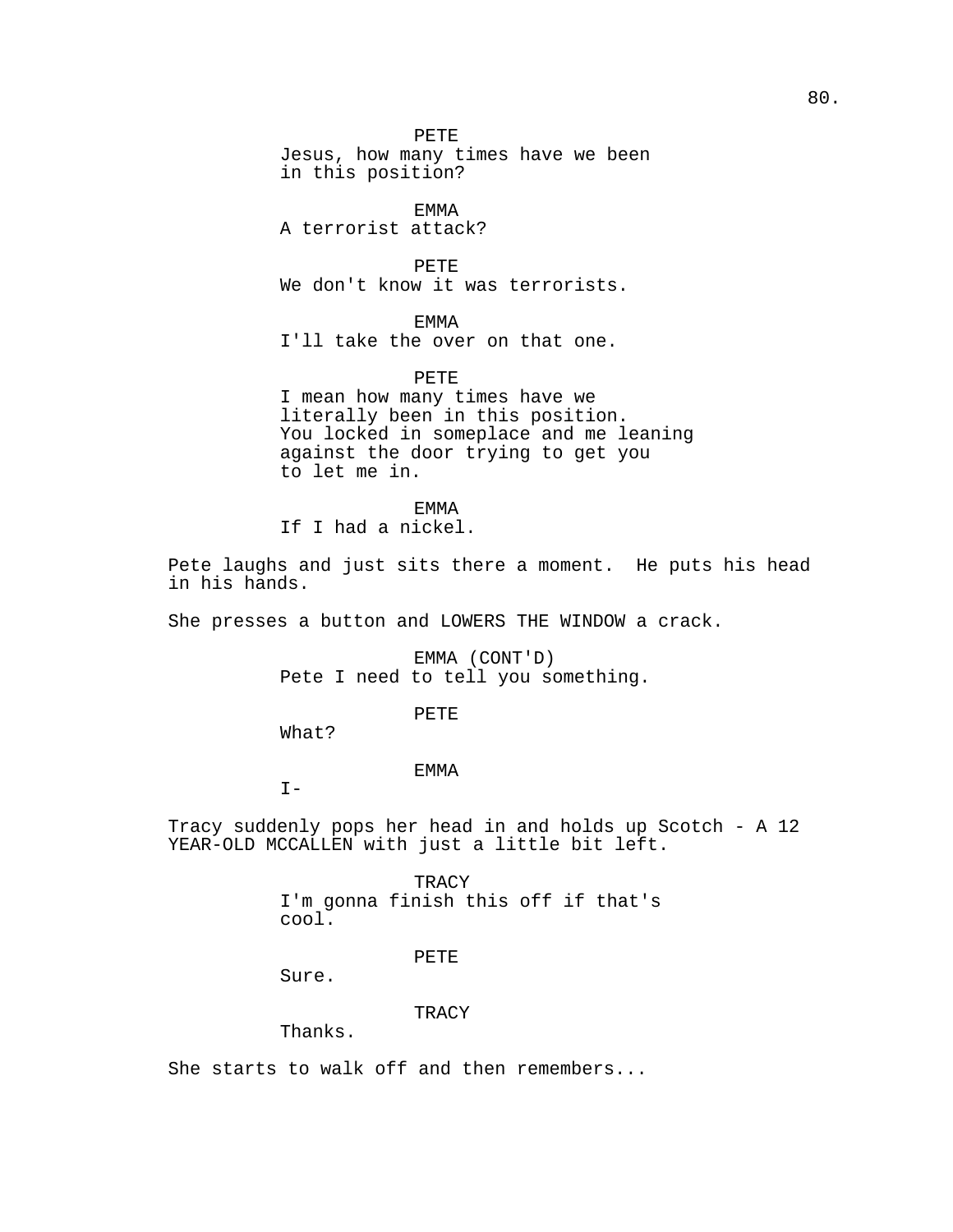PETE Jesus, how many times have we been in this position?

EMMA A terrorist attack?

PETE We don't know it was terrorists.

EMMA

I'll take the over on that one.

PETE

I mean how many times have we literally been in this position. You locked in someplace and me leaning against the door trying to get you to let me in.

EMMA

If I had a nickel.

Pete laughs and just sits there a moment. He puts his head in his hands.

She presses a button and LOWERS THE WINDOW a crack.

EMMA (CONT'D) Pete I need to tell you something.

PETE

What?

EMMA

 $I -$ 

Tracy suddenly pops her head in and holds up Scotch - A 12 YEAR-OLD MCCALLEN with just a little bit left.

> TRACY I'm gonna finish this off if that's cool.

> > PETE

Sure.

TRACY

Thanks.

She starts to walk off and then remembers...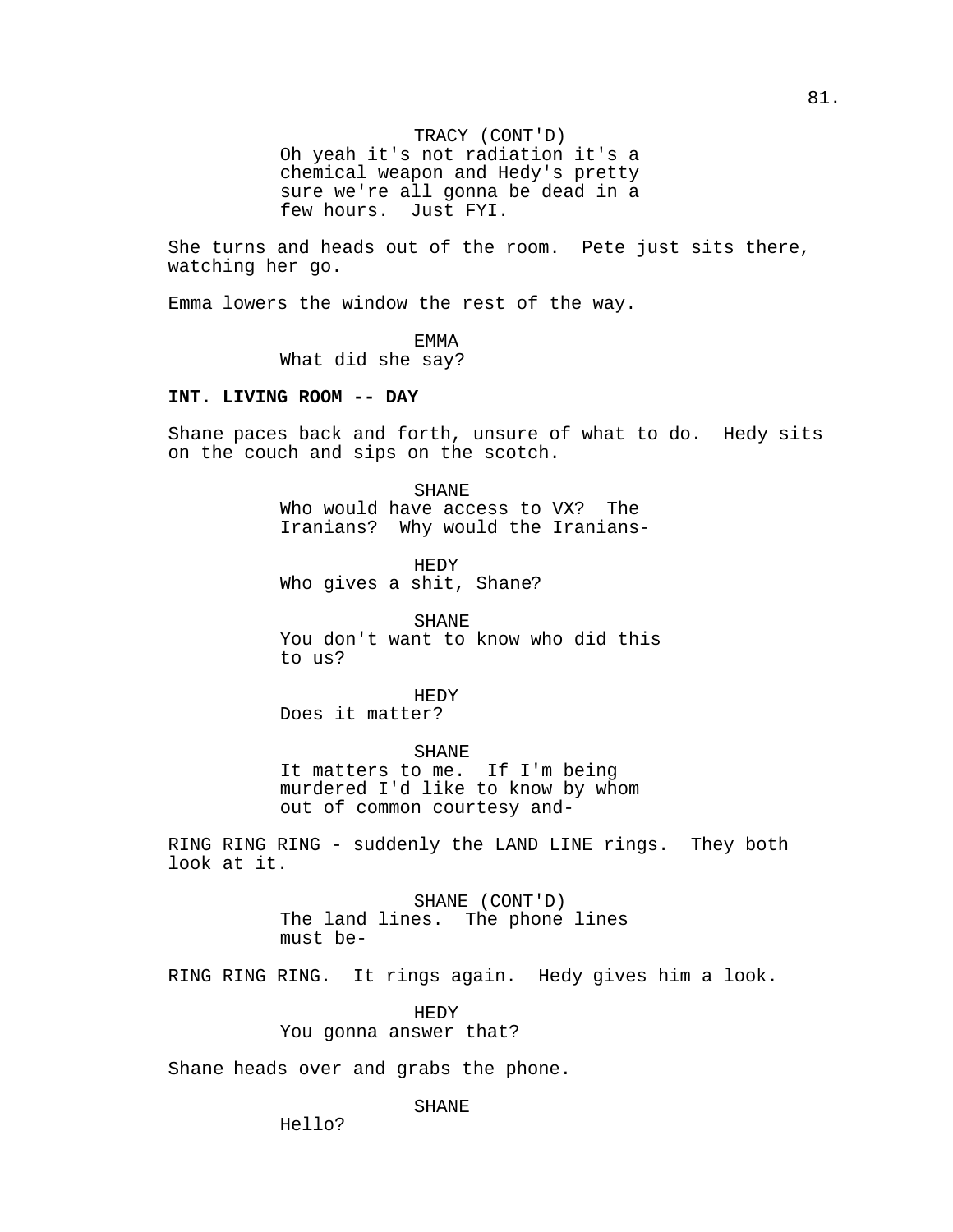TRACY (CONT'D) Oh yeah it's not radiation it's a chemical weapon and Hedy's pretty sure we're all gonna be dead in a few hours. Just FYI.

She turns and heads out of the room. Pete just sits there, watching her go.

Emma lowers the window the rest of the way.

EMMA

What did she say?

## **INT. LIVING ROOM -- DAY**

Shane paces back and forth, unsure of what to do. Hedy sits on the couch and sips on the scotch.

> SHANE Who would have access to VX? The Iranians? Why would the Iranians-

HEDY Who gives a shit, Shane?

SHANE You don't want to know who did this to us?

HEDY Does it matter?

SHANE It matters to me. If I'm being murdered I'd like to know by whom out of common courtesy and-

RING RING RING - suddenly the LAND LINE rings. They both look at it.

> SHANE (CONT'D) The land lines. The phone lines must be-

RING RING RING. It rings again. Hedy gives him a look.

HEDY You gonna answer that?

Shane heads over and grabs the phone.

SHANE

81.

Hello?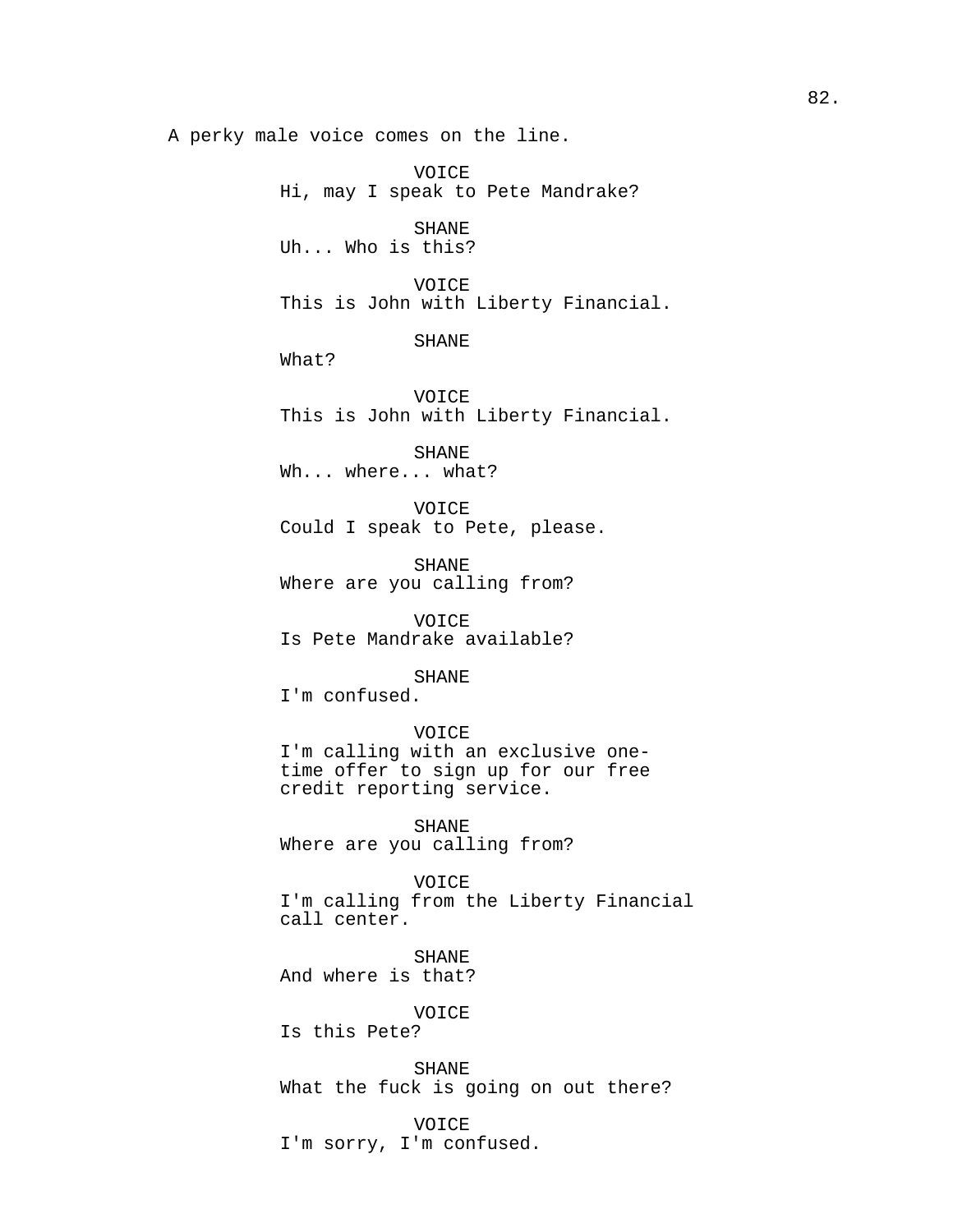A perky male voice comes on the line.

VOICE Hi, may I speak to Pete Mandrake? SHANE Uh... Who is this? VOICE This is John with Liberty Financial. SHANE What? VOICE This is John with Liberty Financial. SHANE Wh... where... what? VOICE Could I speak to Pete, please. SHANE Where are you calling from? VOICE Is Pete Mandrake available? SHANE I'm confused. VOICE I'm calling with an exclusive one-

time offer to sign up for our free credit reporting service.

SHANE Where are you calling from?

VOICE I'm calling from the Liberty Financial call center.

SHANE And where is that?

VOICE

Is this Pete?

SHANE What the fuck is going on out there?

VOICE I'm sorry, I'm confused.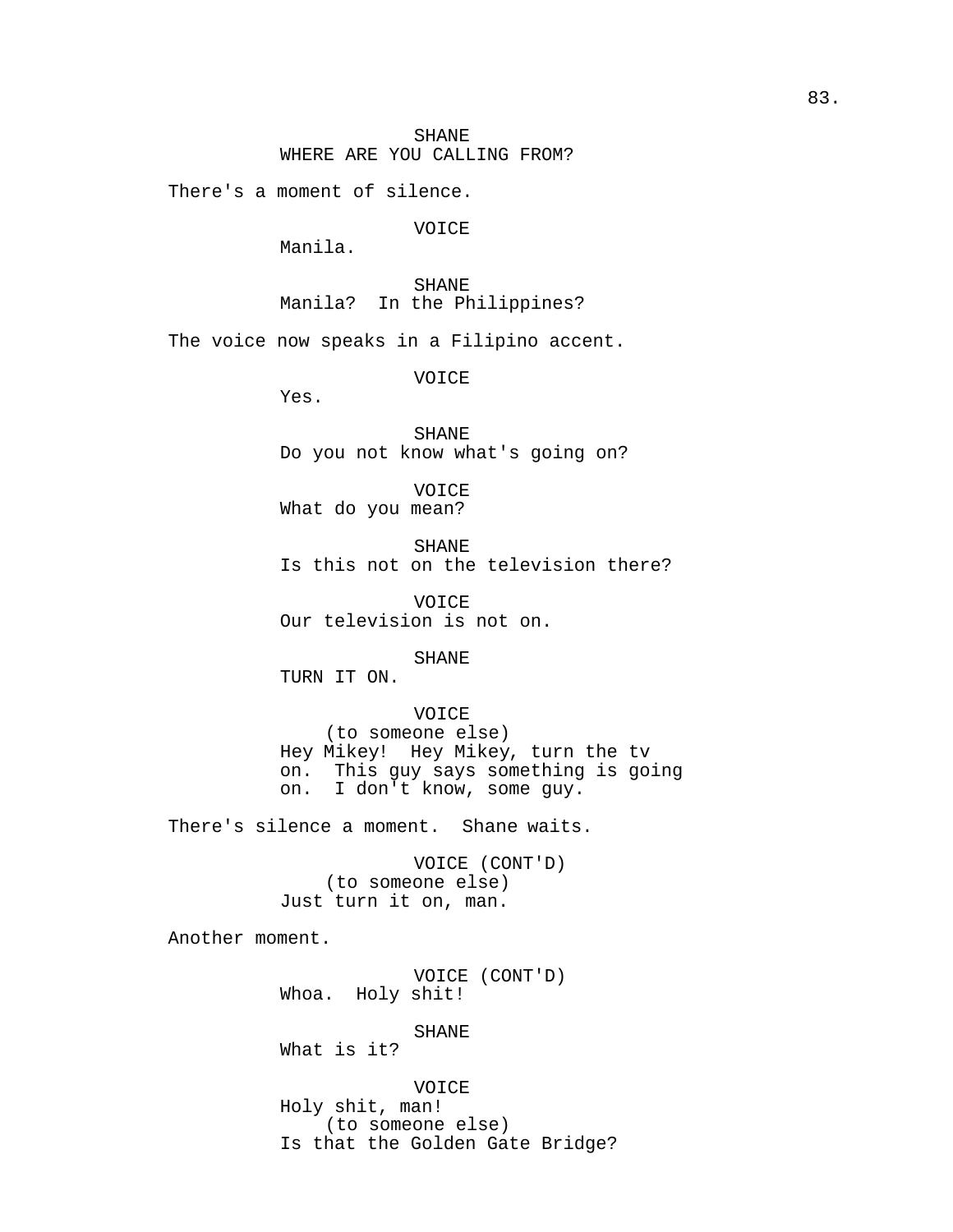There's a moment of silence.

VOICE

Manila.

SHANE Manila? In the Philippines?

The voice now speaks in a Filipino accent.

VOICE

Yes.

SHANE Do you not know what's going on?

VOICE What do you mean?

SHANE Is this not on the television there?

VOICE Our television is not on.

SHANE

TURN IT ON.

VOICE (to someone else) Hey Mikey! Hey Mikey, turn the tv on. This guy says something is going<br>on. I don't know, some guy. I don't know, some guy.

There's silence a moment. Shane waits.

VOICE (CONT'D) (to someone else) Just turn it on, man.

Another moment.

VOICE (CONT'D) Whoa. Holy shit!

SHANE

What is it?

VOICE Holy shit, man! (to someone else) Is that the Golden Gate Bridge?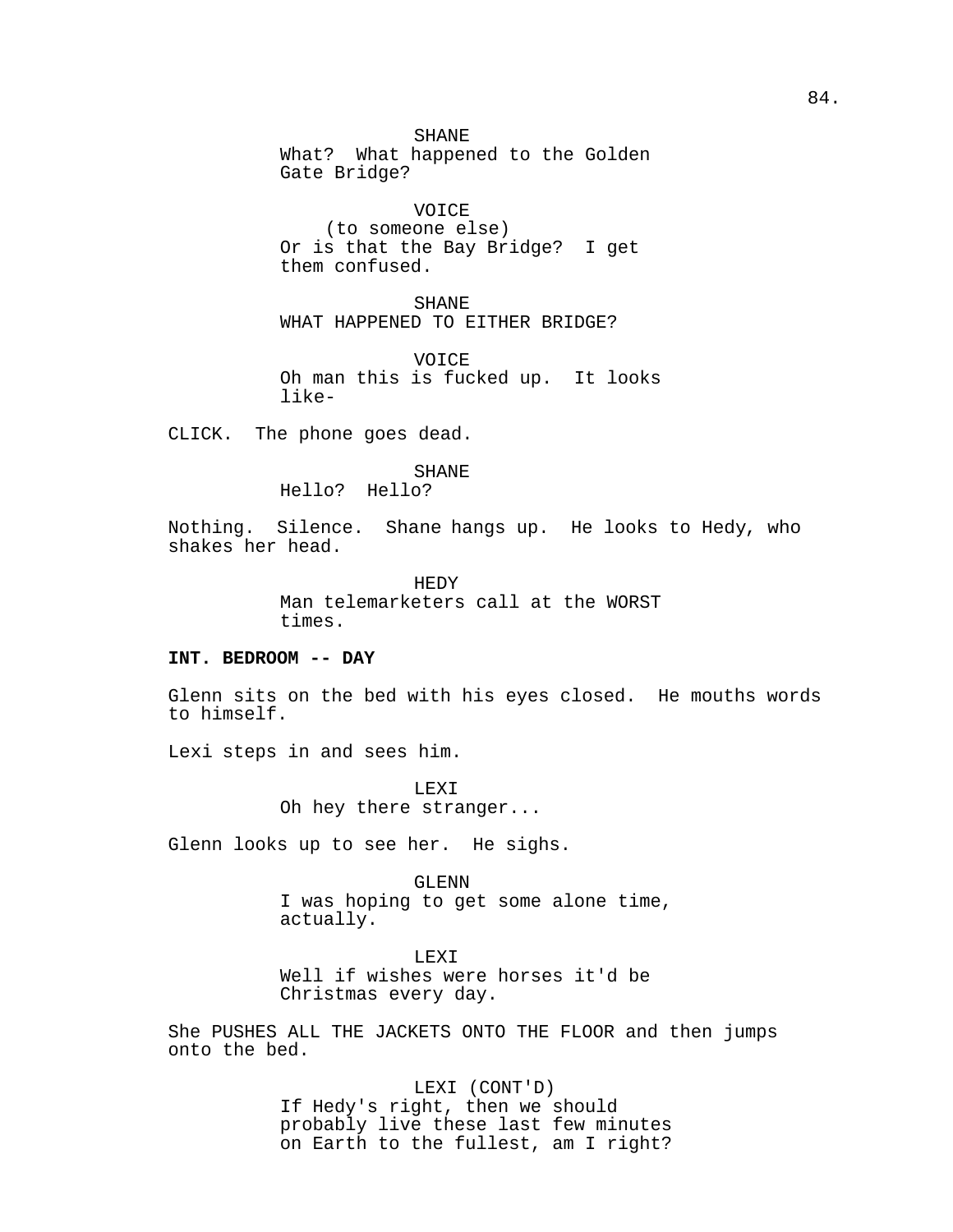### SHANE

What? What happened to the Golden Gate Bridge?

VOICE (to someone else) Or is that the Bay Bridge? I get them confused.

SHANE WHAT HAPPENED TO EITHER BRIDGE?

VOICE Oh man this is fucked up. It looks like-

CLICK. The phone goes dead.

### SHANE Hello? Hello?

Nothing. Silence. Shane hangs up. He looks to Hedy, who shakes her head.

> HEDY Man telemarketers call at the WORST times.

# **INT. BEDROOM -- DAY**

Glenn sits on the bed with his eyes closed. He mouths words to himself.

Lexi steps in and sees him.

LEXI Oh hey there stranger...

Glenn looks up to see her. He sighs.

GLENN I was hoping to get some alone time, actually.

LEXI Well if wishes were horses it'd be Christmas every day.

She PUSHES ALL THE JACKETS ONTO THE FLOOR and then jumps onto the bed.

> LEXI (CONT'D) If Hedy's right, then we should probably live these last few minutes on Earth to the fullest, am I right?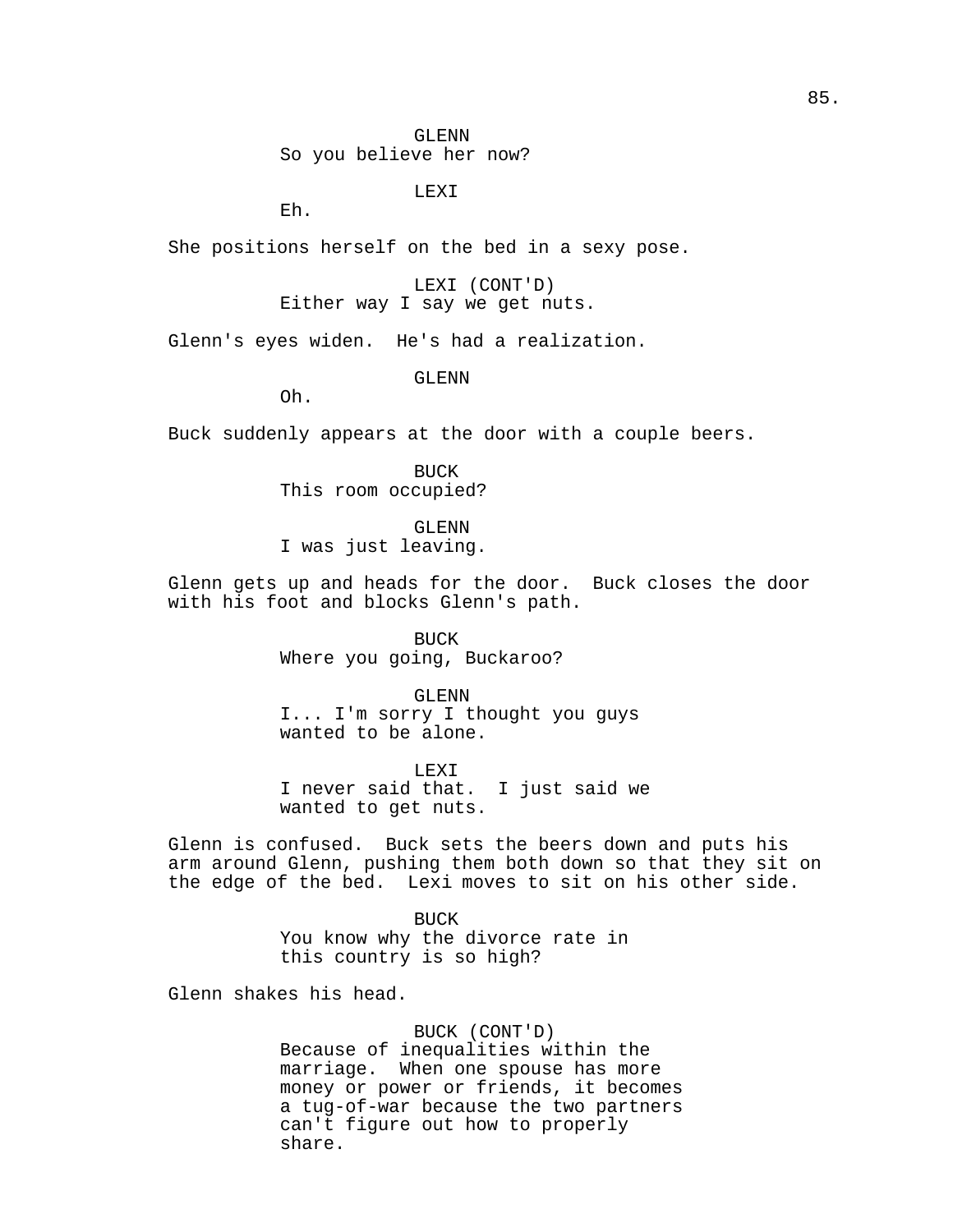GLENN So you believe her now?

LEXI

Eh.

She positions herself on the bed in a sexy pose.

LEXI (CONT'D) Either way I say we get nuts.

Glenn's eyes widen. He's had a realization.

GLENN

Oh.

Buck suddenly appears at the door with a couple beers.

BUCK This room occupied?

GLENN

I was just leaving.

Glenn gets up and heads for the door. Buck closes the door with his foot and blocks Glenn's path.

> BUCK Where you going, Buckaroo?

GLENN I... I'm sorry I thought you guys wanted to be alone.

LEXI I never said that. I just said we wanted to get nuts.

Glenn is confused. Buck sets the beers down and puts his arm around Glenn, pushing them both down so that they sit on the edge of the bed. Lexi moves to sit on his other side.

> **BUCK** You know why the divorce rate in this country is so high?

Glenn shakes his head.

BUCK (CONT'D) Because of inequalities within the marriage. When one spouse has more money or power or friends, it becomes a tug-of-war because the two partners can't figure out how to properly share.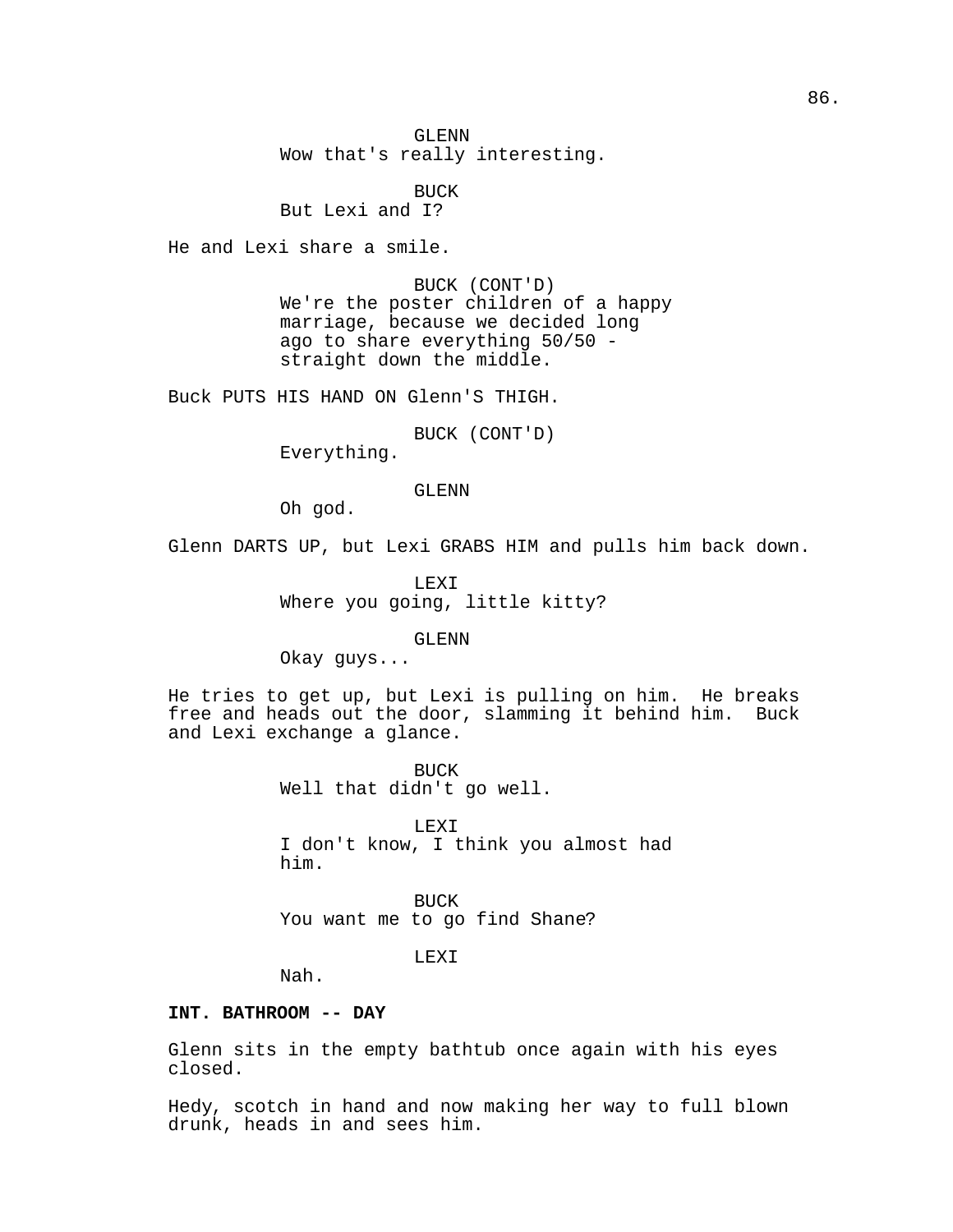GLENN Wow that's really interesting.

BUCK But Lexi and I?

He and Lexi share a smile.

BUCK (CONT'D) We're the poster children of a happy marriage, because we decided long ago to share everything 50/50 straight down the middle.

Buck PUTS HIS HAND ON Glenn'S THIGH.

BUCK (CONT'D)

Everything.

GLENN

Oh god.

Glenn DARTS UP, but Lexi GRABS HIM and pulls him back down.

LEXI Where you going, little kitty?

GLENN

Okay guys...

He tries to get up, but Lexi is pulling on him. He breaks free and heads out the door, slamming it behind him. Buck and Lexi exchange a glance.

> BUCK Well that didn't go well.

LEXI I don't know, I think you almost had him.

BUCK You want me to go find Shane?

LEXI

Nah.

## **INT. BATHROOM -- DAY**

Glenn sits in the empty bathtub once again with his eyes closed.

Hedy, scotch in hand and now making her way to full blown drunk, heads in and sees him.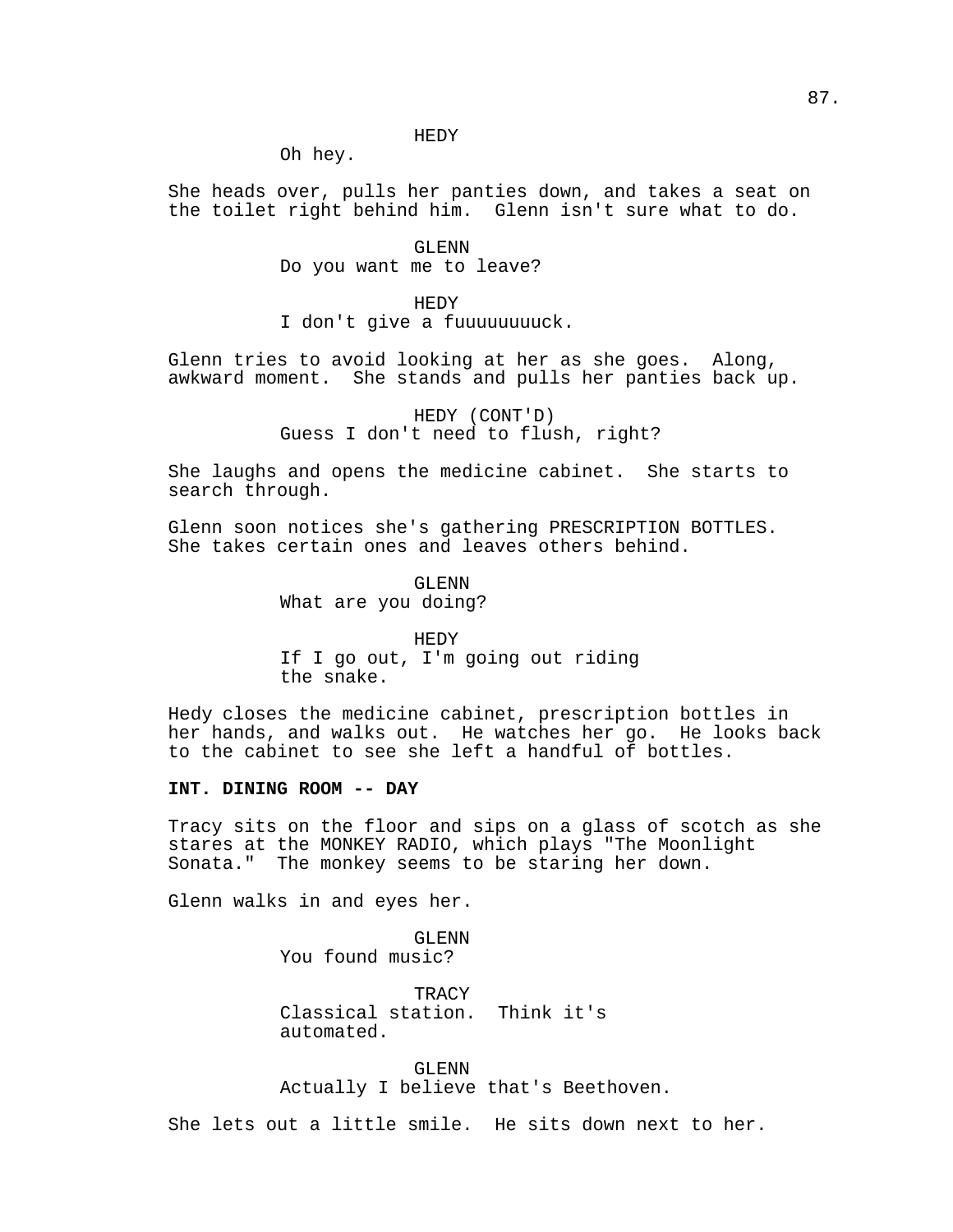HEDY

Oh hey.

She heads over, pulls her panties down, and takes a seat on the toilet right behind him. Glenn isn't sure what to do.

> GLENN Do you want me to leave?

> > HEDY

I don't give a fuuuuuuuuck.

Glenn tries to avoid looking at her as she goes. Along, awkward moment. She stands and pulls her panties back up.

> HEDY (CONT'D) Guess I don't need to flush, right?

She laughs and opens the medicine cabinet. She starts to search through.

Glenn soon notices she's gathering PRESCRIPTION BOTTLES. She takes certain ones and leaves others behind.

> GLENN What are you doing?

HEDY If I go out, I'm going out riding the snake.

Hedy closes the medicine cabinet, prescription bottles in her hands, and walks out. He watches her go. He looks back to the cabinet to see she left a handful of bottles.

## **INT. DINING ROOM -- DAY**

Tracy sits on the floor and sips on a glass of scotch as she stares at the MONKEY RADIO, which plays "The Moonlight Sonata." The monkey seems to be staring her down.

Glenn walks in and eyes her.

GLENN You found music?

**TRACY** Classical station. Think it's automated.

GLENN Actually I believe that's Beethoven.

She lets out a little smile. He sits down next to her.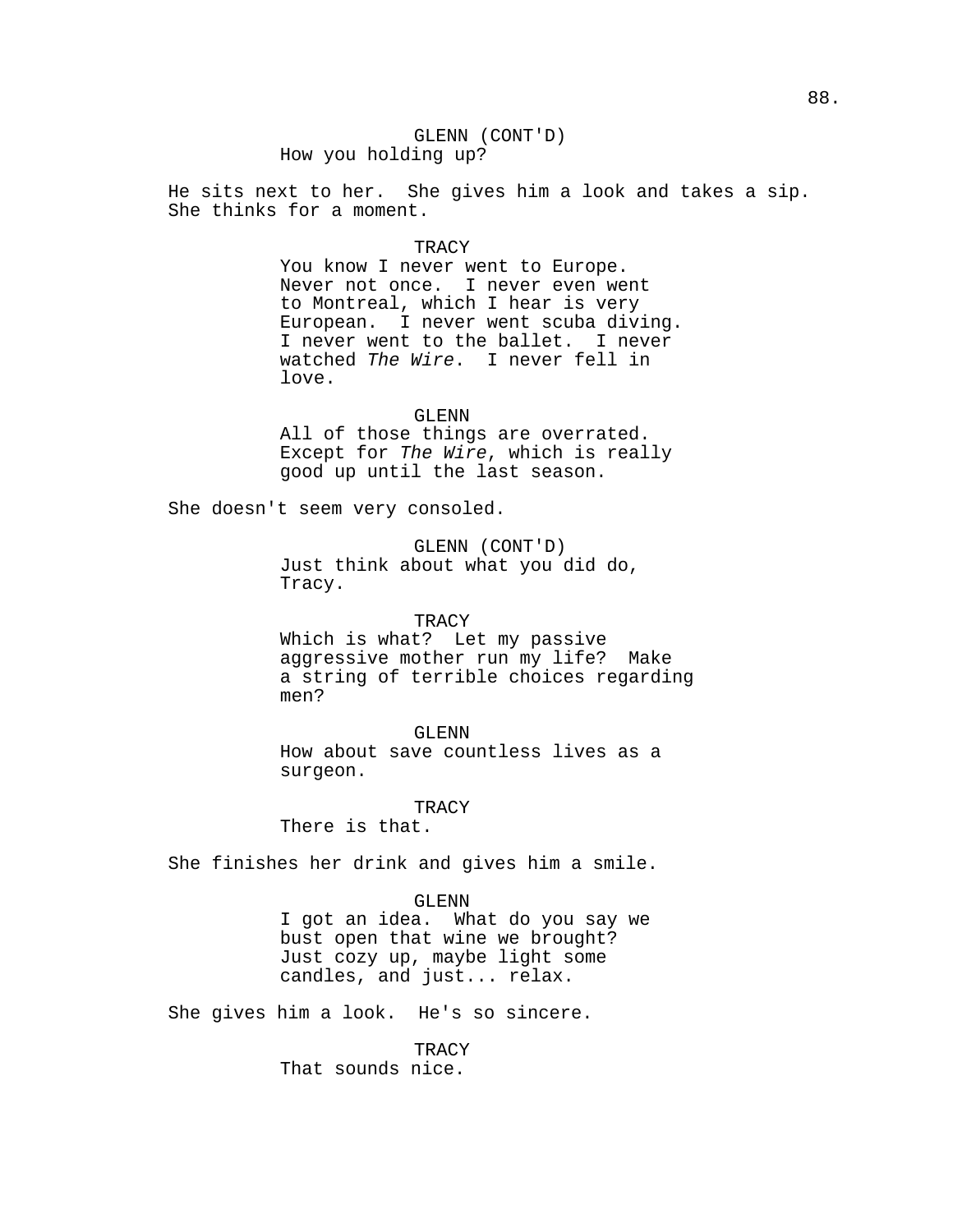## GLENN (CONT'D) How you holding up?

He sits next to her. She gives him a look and takes a sip. She thinks for a moment.

### **TRACY**

You know I never went to Europe. Never not once. I never even went to Montreal, which I hear is very European. I never went scuba diving. I never went to the ballet. I never watched The Wire. I never fell in love.

### GLENN

All of those things are overrated. Except for The Wire, which is really good up until the last season.

She doesn't seem very consoled.

GLENN (CONT'D) Just think about what you did do, Tracy.

#### **TRACY**

Which is what? Let my passive aggressive mother run my life? Make a string of terrible choices regarding men?

### GLENN

How about save countless lives as a surgeon.

#### TRACY

There is that.

She finishes her drink and gives him a smile.

### GLENN

I got an idea. What do you say we bust open that wine we brought? Just cozy up, maybe light some candles, and just... relax.

She gives him a look. He's so sincere.

**TRACY** That sounds nice.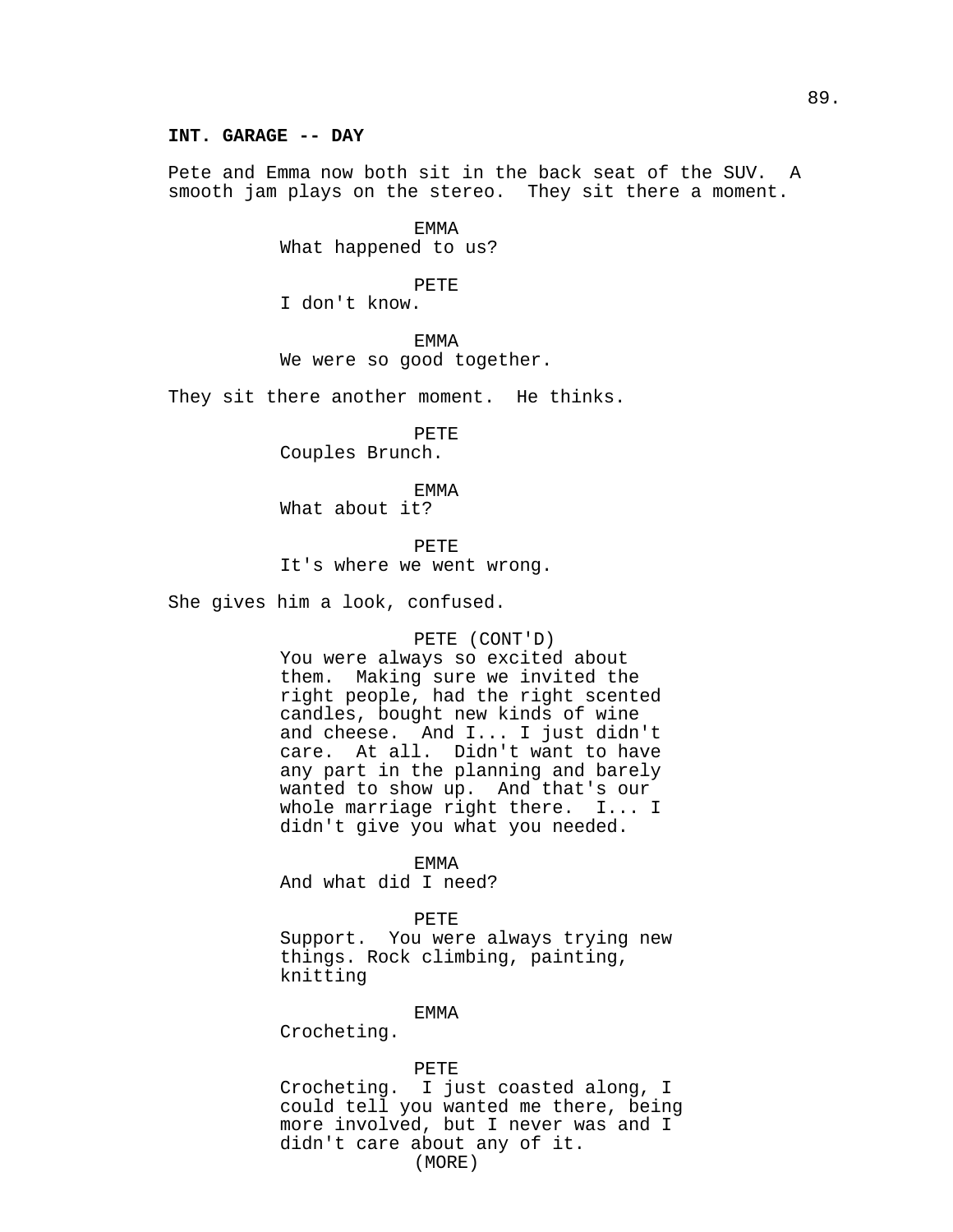### **INT. GARAGE -- DAY**

Pete and Emma now both sit in the back seat of the SUV. A smooth jam plays on the stereo. They sit there a moment.

> EMMA What happened to us?

> > PETE

I don't know.

EMMA We were so good together.

They sit there another moment. He thinks.

PETE Couples Brunch.

EMMA What about it?

PETE It's where we went wrong.

She gives him a look, confused.

## PETE (CONT'D)

You were always so excited about them. Making sure we invited the right people, had the right scented candles, bought new kinds of wine and cheese. And I... I just didn't care. At all. Didn't want to have any part in the planning and barely wanted to show up. And that's our whole marriage right there. I... I didn't give you what you needed.

EMMA

And what did I need?

PETE

Support. You were always trying new things. Rock climbing, painting, knitting

### EMMA

Crocheting.

## PETE

Crocheting. I just coasted along, I could tell you wanted me there, being more involved, but I never was and I didn't care about any of it. (MORE)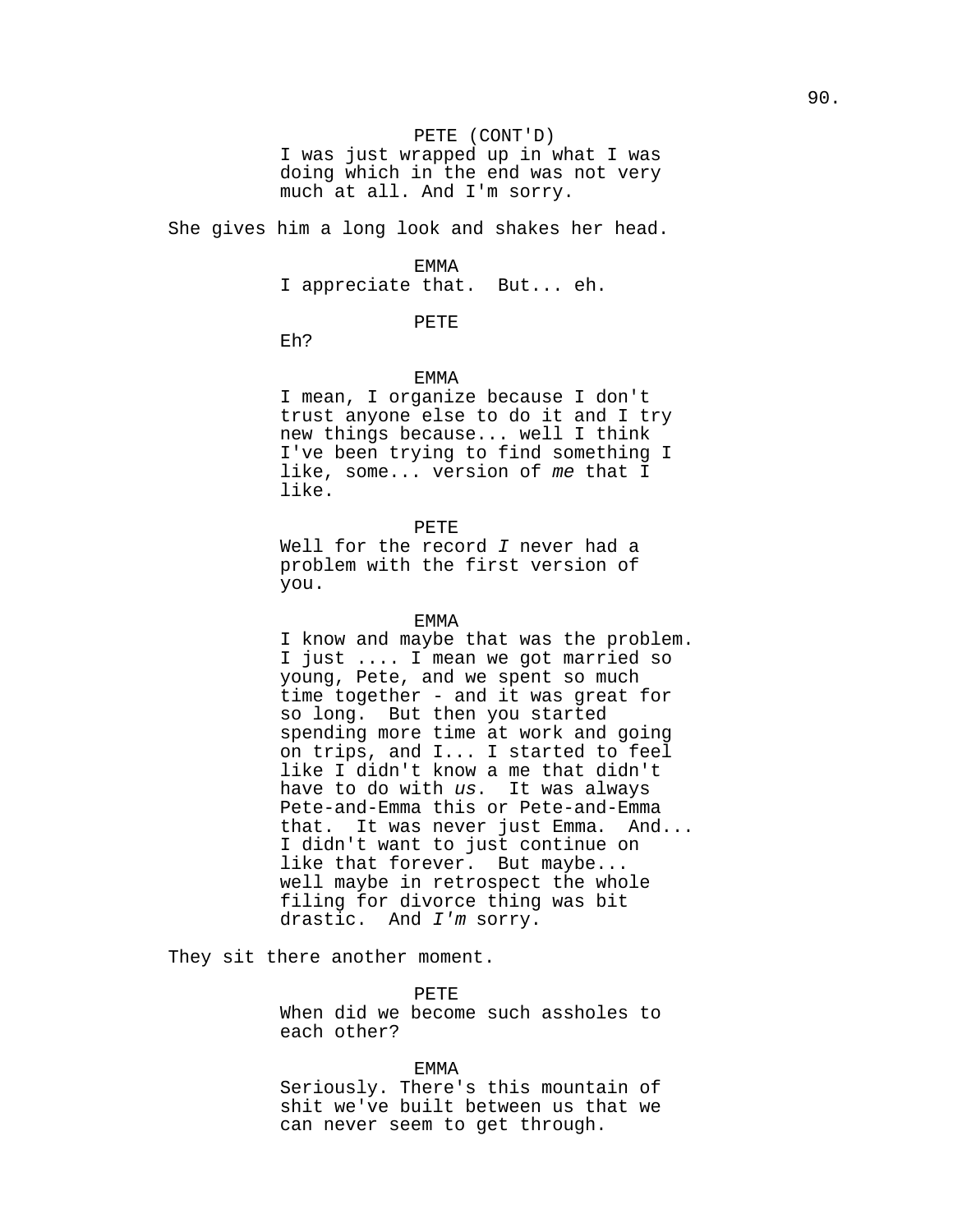#### PETE (CONT'D)

I was just wrapped up in what I was doing which in the end was not very much at all. And I'm sorry.

She gives him a long look and shakes her head.

#### EMMA

I appreciate that. But... eh.

## PETE

Eh?

# EMMA

I mean, I organize because I don't trust anyone else to do it and I try new things because... well I think I've been trying to find something I like, some... version of me that I like.

PETE

Well for the record  $I$  never had a problem with the first version of you.

### EMMA

I know and maybe that was the problem. I just .... I mean we got married so young, Pete, and we spent so much time together - and it was great for so long. But then you started spending more time at work and going on trips, and I... I started to feel like I didn't know a me that didn't have to do with us. It was always Pete-and-Emma this or Pete-and-Emma that. It was never just Emma. And... I didn't want to just continue on like that forever. But maybe... well maybe in retrospect the whole filing for divorce thing was bit drastic. And I'm sorry.

They sit there another moment.

PETE

When did we become such assholes to each other?

## EMMA

Seriously. There's this mountain of shit we've built between us that we can never seem to get through.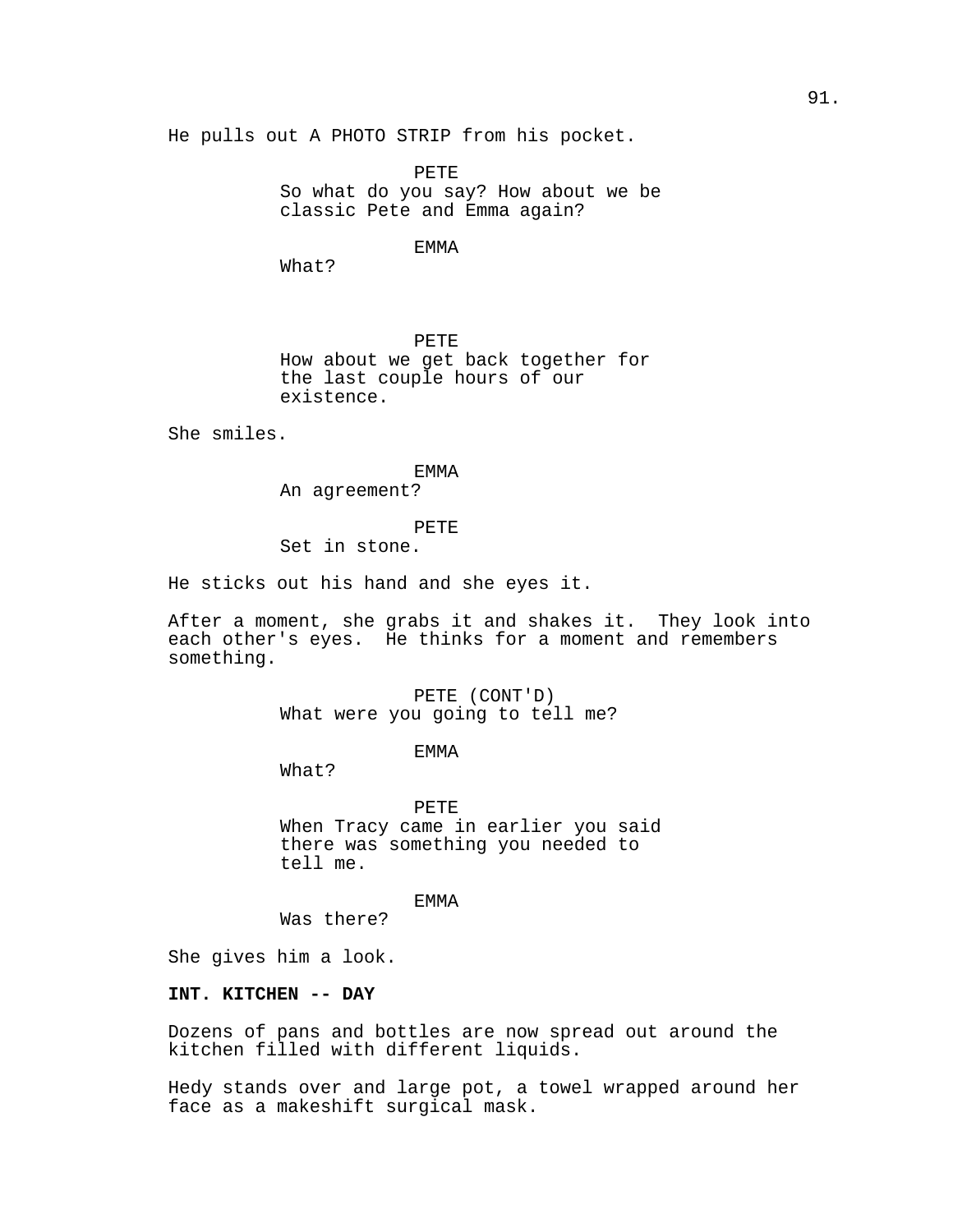He pulls out A PHOTO STRIP from his pocket.

PETE So what do you say? How about we be classic Pete and Emma again?

## EMMA

What?

PETE How about we get back together for the last couple hours of our existence.

She smiles.

EMMA An agreement?

PETE

Set in stone.

He sticks out his hand and she eyes it.

After a moment, she grabs it and shakes it. They look into each other's eyes. He thinks for a moment and remembers something.

> PETE (CONT'D) What were you going to tell me?

> > EMMA

What?

PETE When Tracy came in earlier you said there was something you needed to tell me.

EMMA

Was there?

She gives him a look.

## **INT. KITCHEN -- DAY**

Dozens of pans and bottles are now spread out around the kitchen filled with different liquids.

Hedy stands over and large pot, a towel wrapped around her face as a makeshift surgical mask.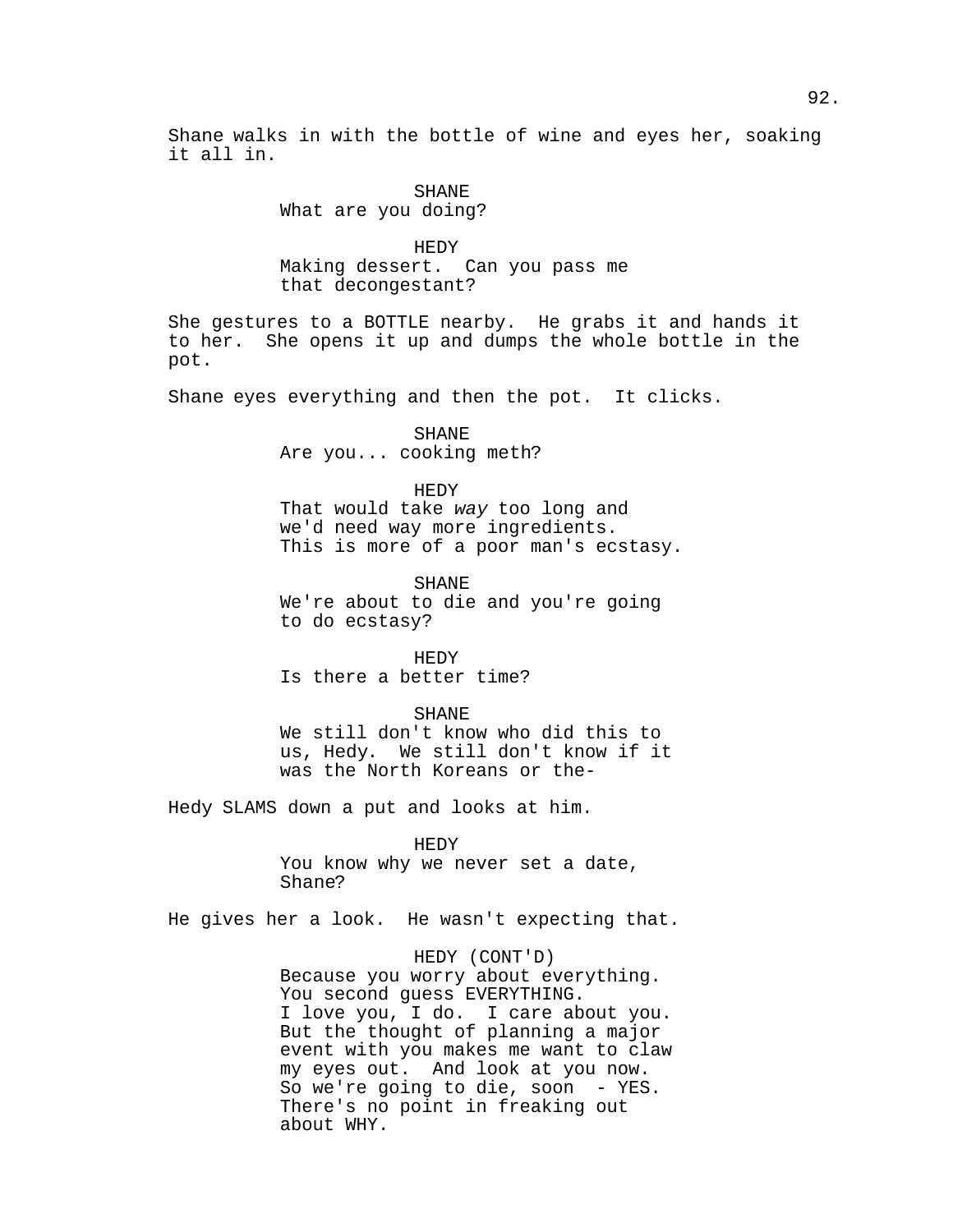Shane walks in with the bottle of wine and eyes her, soaking it all in.

## SHANE What are you doing?

HEDY Making dessert. Can you pass me that decongestant?

She gestures to a BOTTLE nearby. He grabs it and hands it to her. She opens it up and dumps the whole bottle in the pot.

Shane eyes everything and then the pot. It clicks.

SHANE Are you... cooking meth?

HEDY That would take way too long and we'd need way more ingredients. This is more of a poor man's ecstasy.

SHANE We're about to die and you're going to do ecstasy?

HEDY Is there a better time?

SHANE

We still don't know who did this to us, Hedy. We still don't know if it was the North Koreans or the-

Hedy SLAMS down a put and looks at him.

HEDY You know why we never set a date, Shane?

He gives her a look. He wasn't expecting that.

HEDY (CONT'D) Because you worry about everything. You second guess EVERYTHING. I love you, I do. I care about you. But the thought of planning a major event with you makes me want to claw my eyes out. And look at you now. So we're going to die, soon - YES. There's no point in freaking out about WHY.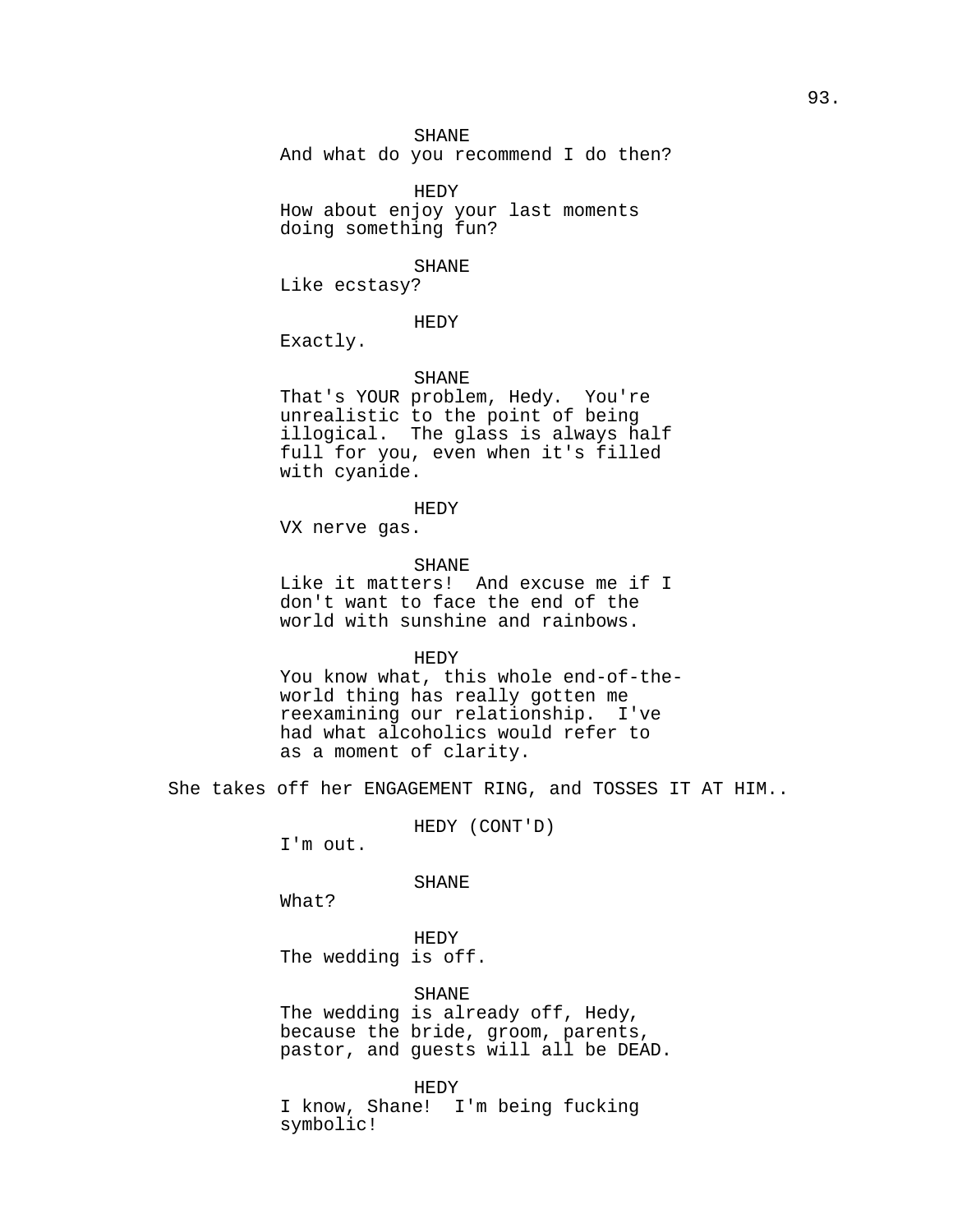SHANE

And what do you recommend I do then?

HEDY How about enjoy your last moments doing something fun?

#### SHANE

Like ecstasy?

#### HEDY

Exactly.

# SHANE

That's YOUR problem, Hedy. You're unrealistic to the point of being illogical. The glass is always half full for you, even when it's filled with cyanide.

#### HEDY

VX nerve gas.

#### SHANE

Like it matters! And excuse me if I don't want to face the end of the world with sunshine and rainbows.

### HEDY

You know what, this whole end-of-theworld thing has really gotten me reexamining our relationship. I've had what alcoholics would refer to as a moment of clarity.

She takes off her ENGAGEMENT RING, and TOSSES IT AT HIM..

HEDY (CONT'D)

I'm out.

## SHANE

What?

HEDY The wedding is off.

SHANE The wedding is already off, Hedy, because the bride, groom, parents, pastor, and guests will all be DEAD.

HEDY I know, Shane! I'm being fucking symbolic!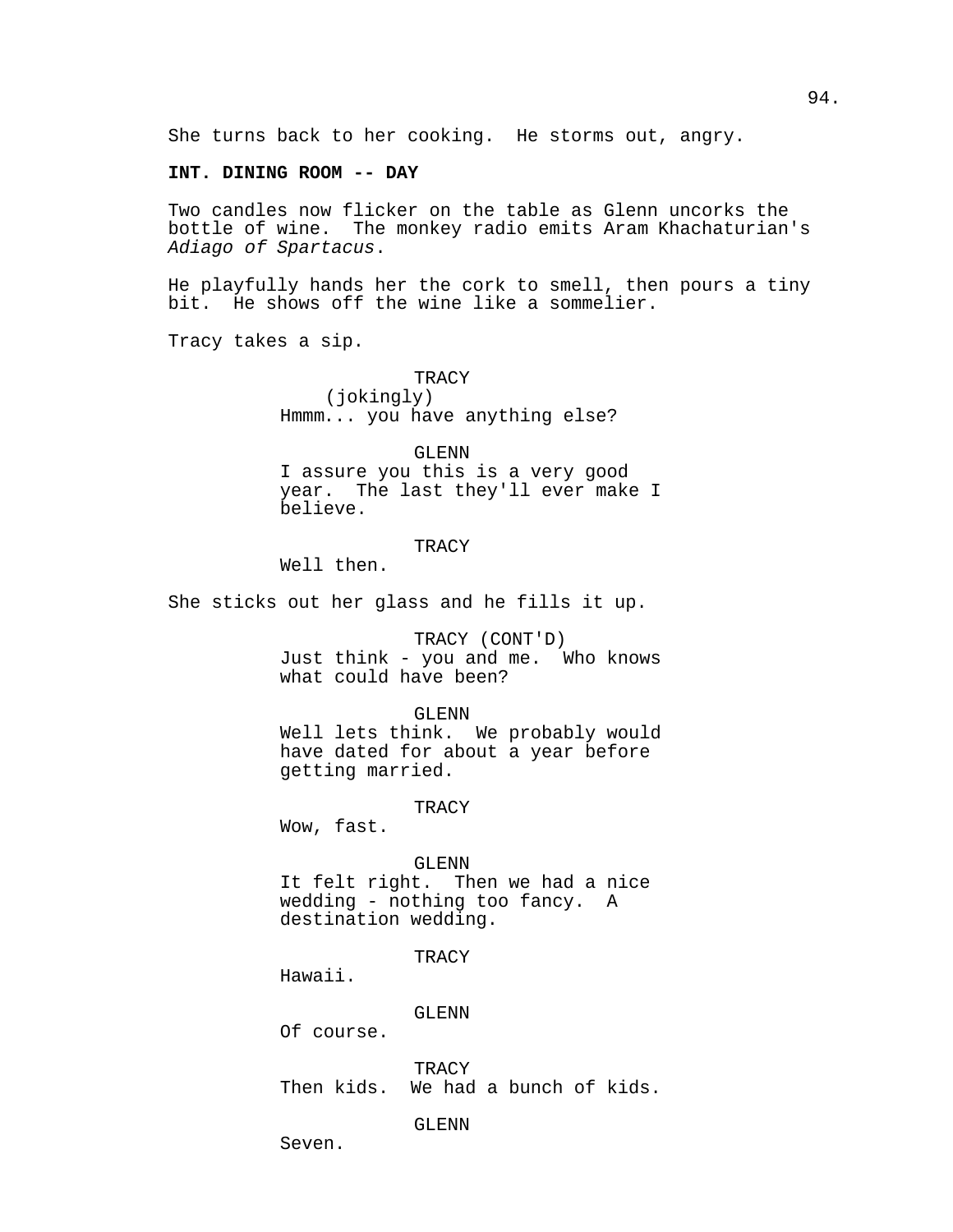She turns back to her cooking. He storms out, angry.

## **INT. DINING ROOM -- DAY**

Two candles now flicker on the table as Glenn uncorks the bottle of wine. The monkey radio emits Aram Khachaturian's Adiago of Spartacus.

He playfully hands her the cork to smell, then pours a tiny bit. He shows off the wine like a sommelier.

Tracy takes a sip.

**TRACY** (jokingly) Hmmm... you have anything else?

## GLENN

I assure you this is a very good year. The last they'll ever make I believe.

## **TRACY**

Well then.

She sticks out her glass and he fills it up.

## TRACY (CONT'D)

Just think - you and me. Who knows what could have been?

#### GLENN

Well lets think. We probably would have dated for about a year before getting married.

#### TRACY

Wow, fast.

### GLENN

It felt right. Then we had a nice wedding - nothing too fancy. A destination wedding.

**TRACY** 

Hawaii.

GLENN

Of course.

**TRACY** Then kids. We had a bunch of kids.

## GLENN

Seven.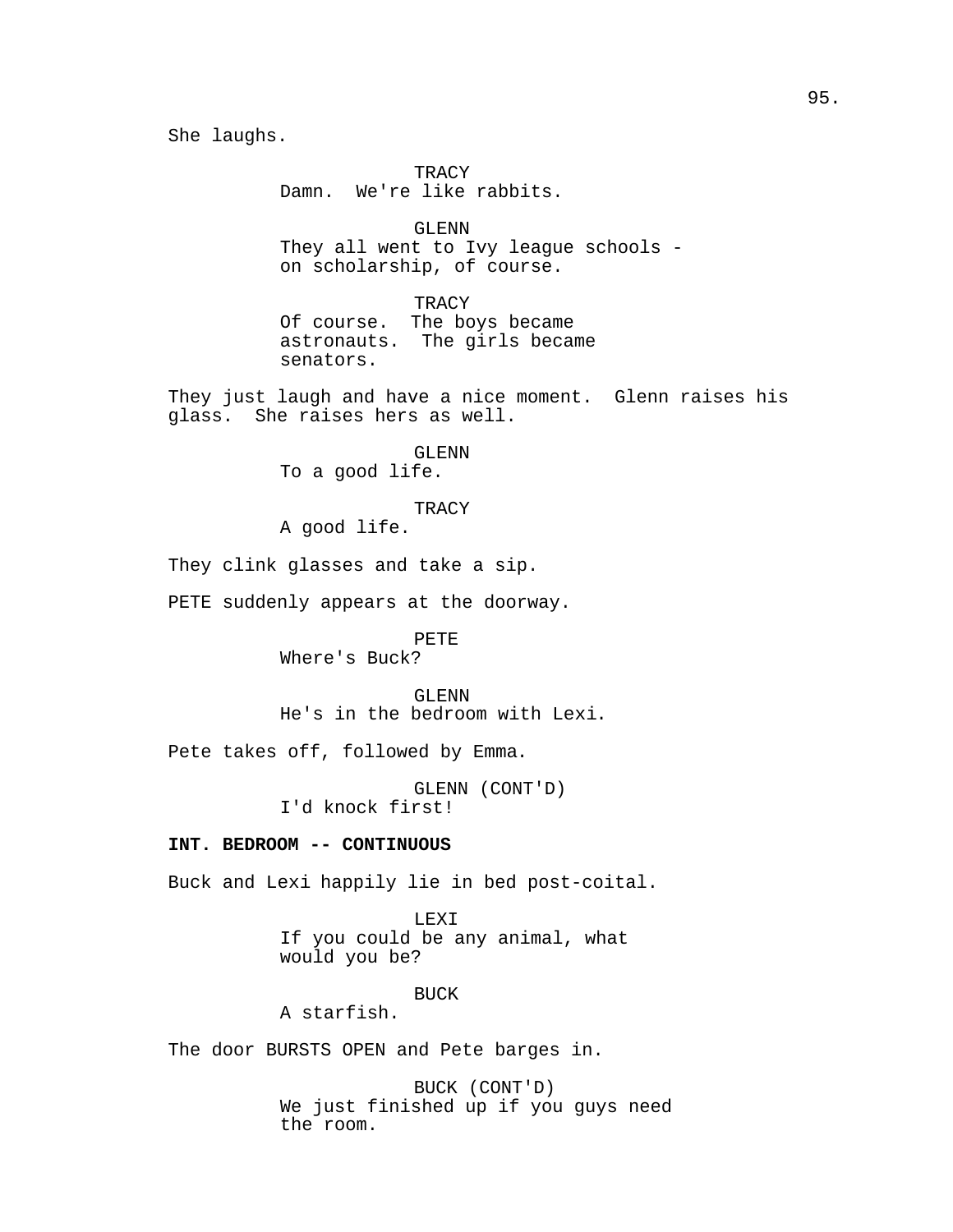She laughs.

**TRACY** Damn. We're like rabbits.

GLENN They all went to Ivy league schools on scholarship, of course.

**TRACY** Of course. The boys became astronauts. The girls became senators.

They just laugh and have a nice moment. Glenn raises his glass. She raises hers as well.

> GLENN To a good life.

**TRACY** 

A good life.

They clink glasses and take a sip.

PETE suddenly appears at the doorway.

PETE Where's Buck?

GLENN He's in the bedroom with Lexi.

Pete takes off, followed by Emma.

GLENN (CONT'D) I'd knock first!

## **INT. BEDROOM -- CONTINUOUS**

Buck and Lexi happily lie in bed post-coital.

LEXI If you could be any animal, what would you be?

BUCK

A starfish.

The door BURSTS OPEN and Pete barges in.

BUCK (CONT'D) We just finished up if you guys need the room.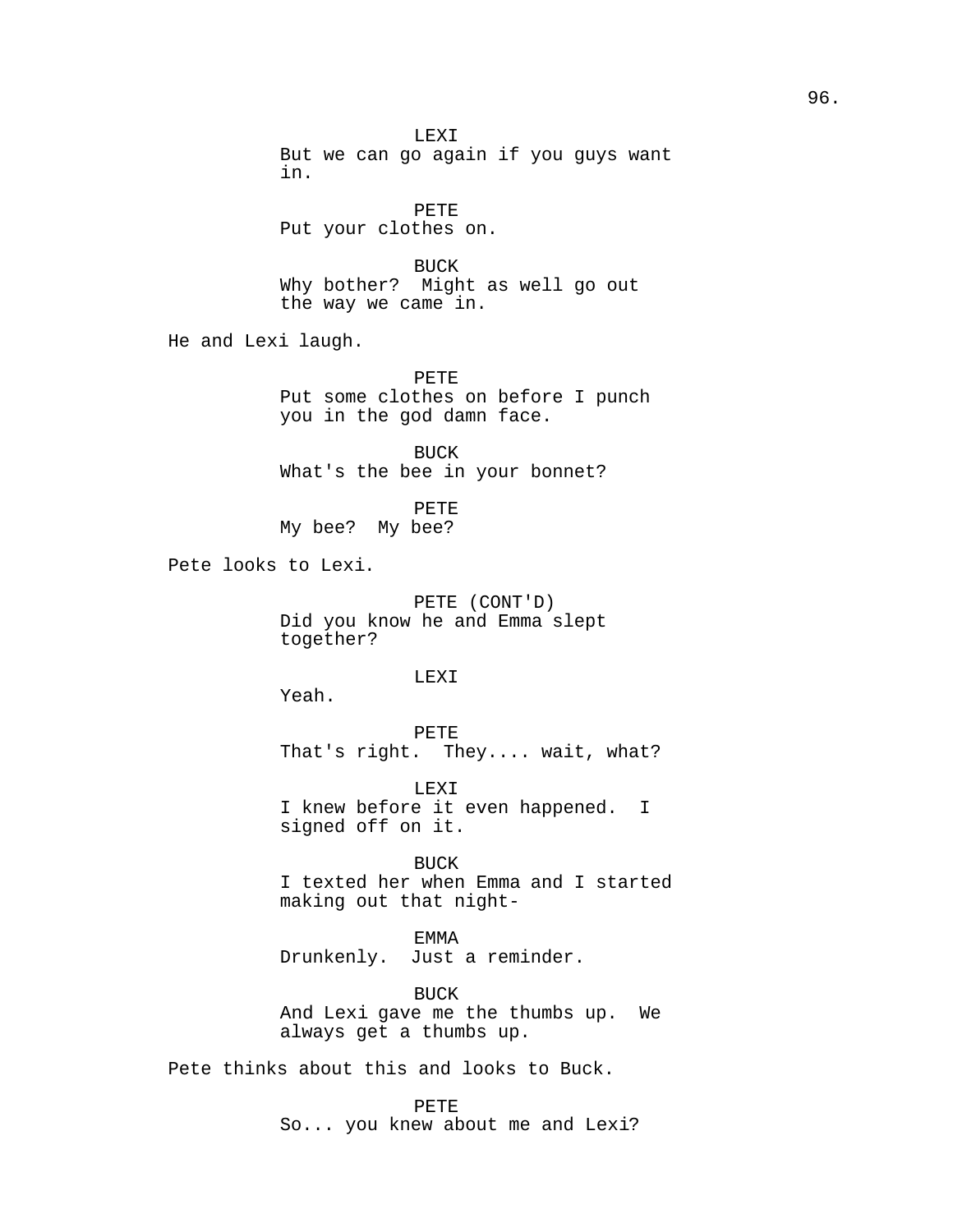LEXI But we can go again if you guys want in. PETE Put your clothes on. BUCK Why bother? Might as well go out the way we came in. He and Lexi laugh. PETE Put some clothes on before I punch you in the god damn face. BUCK What's the bee in your bonnet? PETE My bee? My bee? Pete looks to Lexi. PETE (CONT'D) Did you know he and Emma slept together? LEXI Yeah. PETE That's right. They.... wait, what? LEXI I knew before it even happened. I signed off on it. BUCK I texted her when Emma and I started making out that night-EMMA Drunkenly. Just a reminder. BUCK And Lexi gave me the thumbs up. We always get a thumbs up. Pete thinks about this and looks to Buck. PETE

So... you knew about me and Lexi?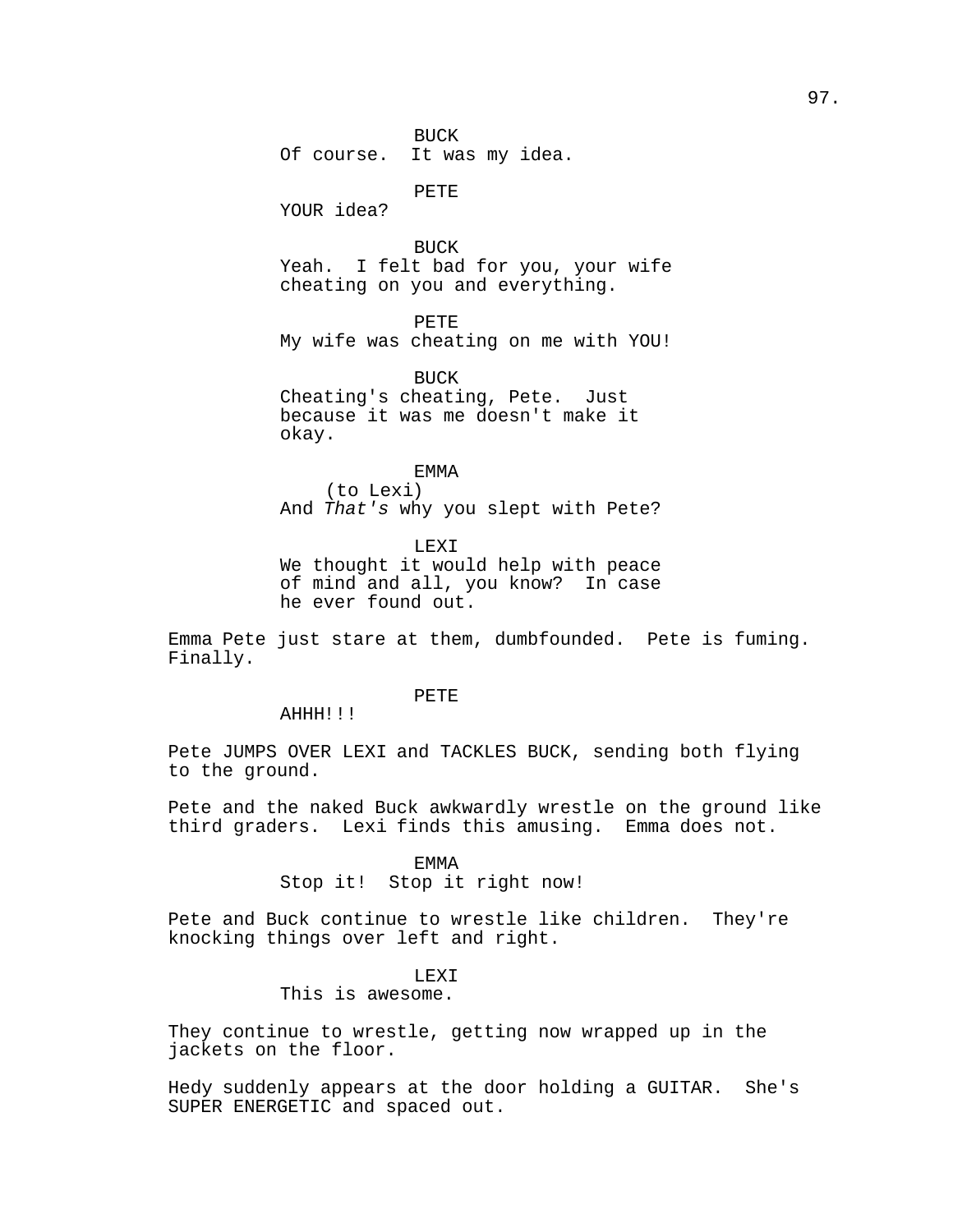BUCK Of course. It was my idea.

PETE

YOUR idea?

BUCK Yeah. I felt bad for you, your wife cheating on you and everything.

PETE My wife was cheating on me with YOU!

BUCK Cheating's cheating, Pete. Just because it was me doesn't make it okay.

EMMA (to Lexi) And That's why you slept with Pete?

LEXI We thought it would help with peace of mind and all, you know? In case he ever found out.

Emma Pete just stare at them, dumbfounded. Pete is fuming. Finally.

PETE

AHHH!!!

Pete JUMPS OVER LEXI and TACKLES BUCK, sending both flying to the ground.

Pete and the naked Buck awkwardly wrestle on the ground like third graders. Lexi finds this amusing. Emma does not.

## EMMA

Stop it! Stop it right now!

Pete and Buck continue to wrestle like children. They're knocking things over left and right.

## LEXI

This is awesome.

They continue to wrestle, getting now wrapped up in the jackets on the floor.

Hedy suddenly appears at the door holding a GUITAR. She's SUPER ENERGETIC and spaced out.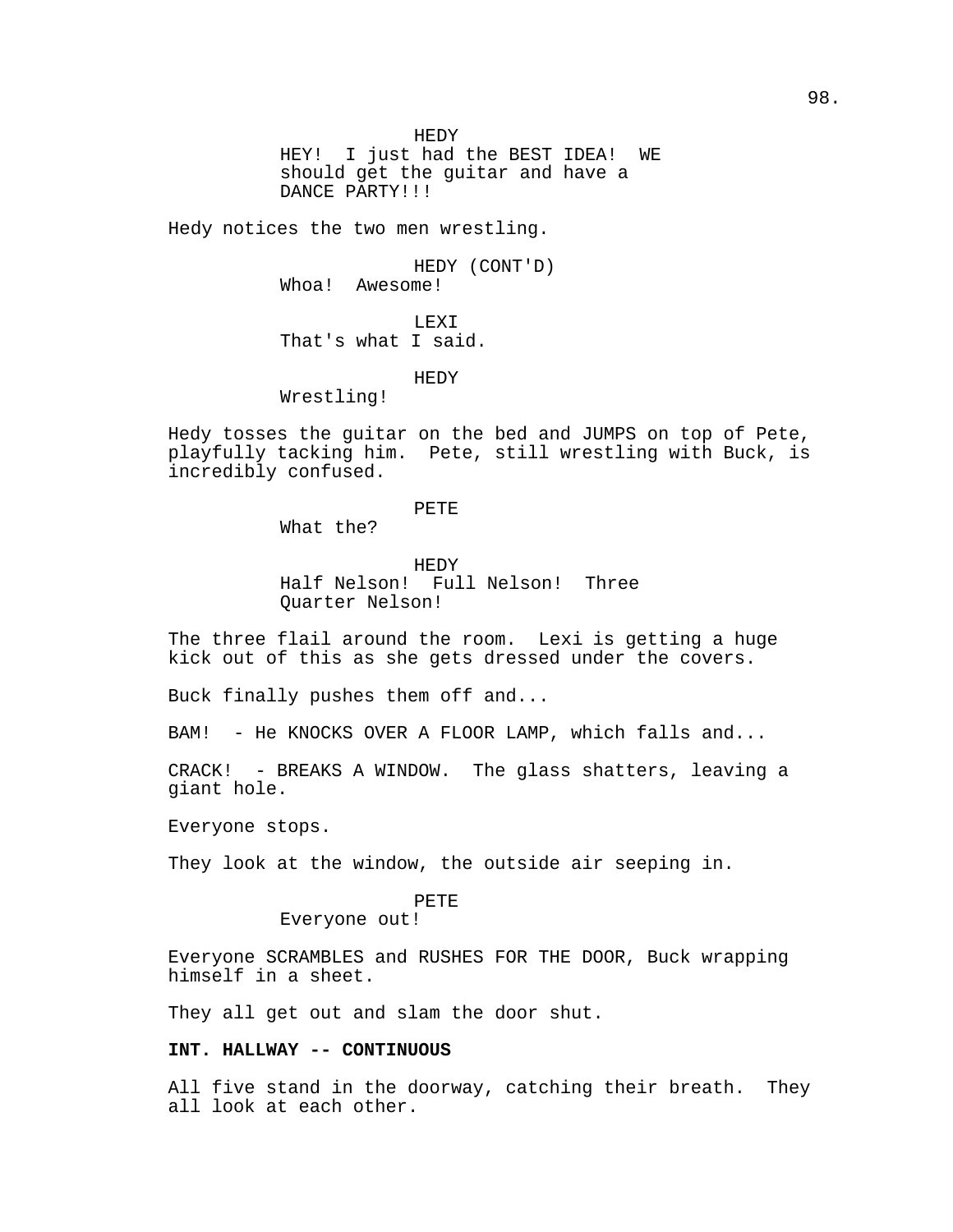HEDY HEY! I just had the BEST IDEA! WE should get the guitar and have a DANCE PARTY!!!

Hedy notices the two men wrestling.

HEDY (CONT'D) Whoa! Awesome!

LEXI That's what I said.

HEDY

Wrestling!

Hedy tosses the guitar on the bed and JUMPS on top of Pete, playfully tacking him. Pete, still wrestling with Buck, is incredibly confused.

PETE

What the?

HEDY

Half Nelson! Full Nelson! Three Quarter Nelson!

The three flail around the room. Lexi is getting a huge kick out of this as she gets dressed under the covers.

Buck finally pushes them off and...

BAM! - He KNOCKS OVER A FLOOR LAMP, which falls and...

CRACK! - BREAKS A WINDOW. The glass shatters, leaving a giant hole.

Everyone stops.

They look at the window, the outside air seeping in.

## PETE

Everyone out!

Everyone SCRAMBLES and RUSHES FOR THE DOOR, Buck wrapping himself in a sheet.

They all get out and slam the door shut.

## **INT. HALLWAY -- CONTINUOUS**

All five stand in the doorway, catching their breath. They all look at each other.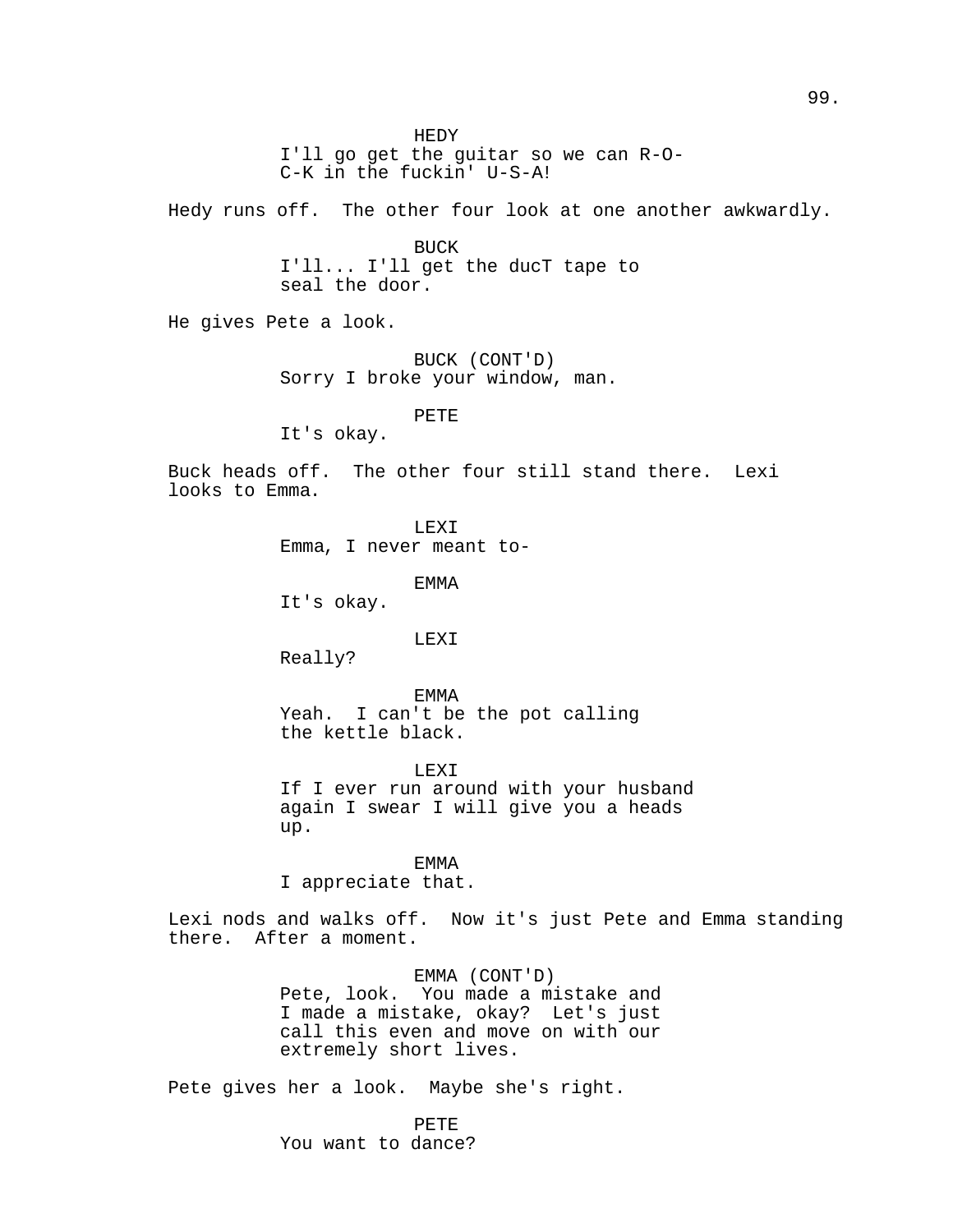HEDY I'll go get the guitar so we can R-O-C-K in the fuckin' U-S-A! Hedy runs off. The other four look at one another awkwardly. BUCK I'll... I'll get the ducT tape to seal the door. He gives Pete a look. BUCK (CONT'D) Sorry I broke your window, man. PETE It's okay. Buck heads off. The other four still stand there. Lexi looks to Emma. LEXI Emma, I never meant to-EMMA It's okay. LEXI Really? EMMA Yeah. I can't be the pot calling the kettle black. LEXI If I ever run around with your husband again I swear I will give you a heads up. EMMA I appreciate that. Lexi nods and walks off. Now it's just Pete and Emma standing there. After a moment. EMMA (CONT'D) Pete, look. You made a mistake and I made a mistake, okay? Let's just call this even and move on with our extremely short lives.

Pete gives her a look. Maybe she's right.

PETE You want to dance?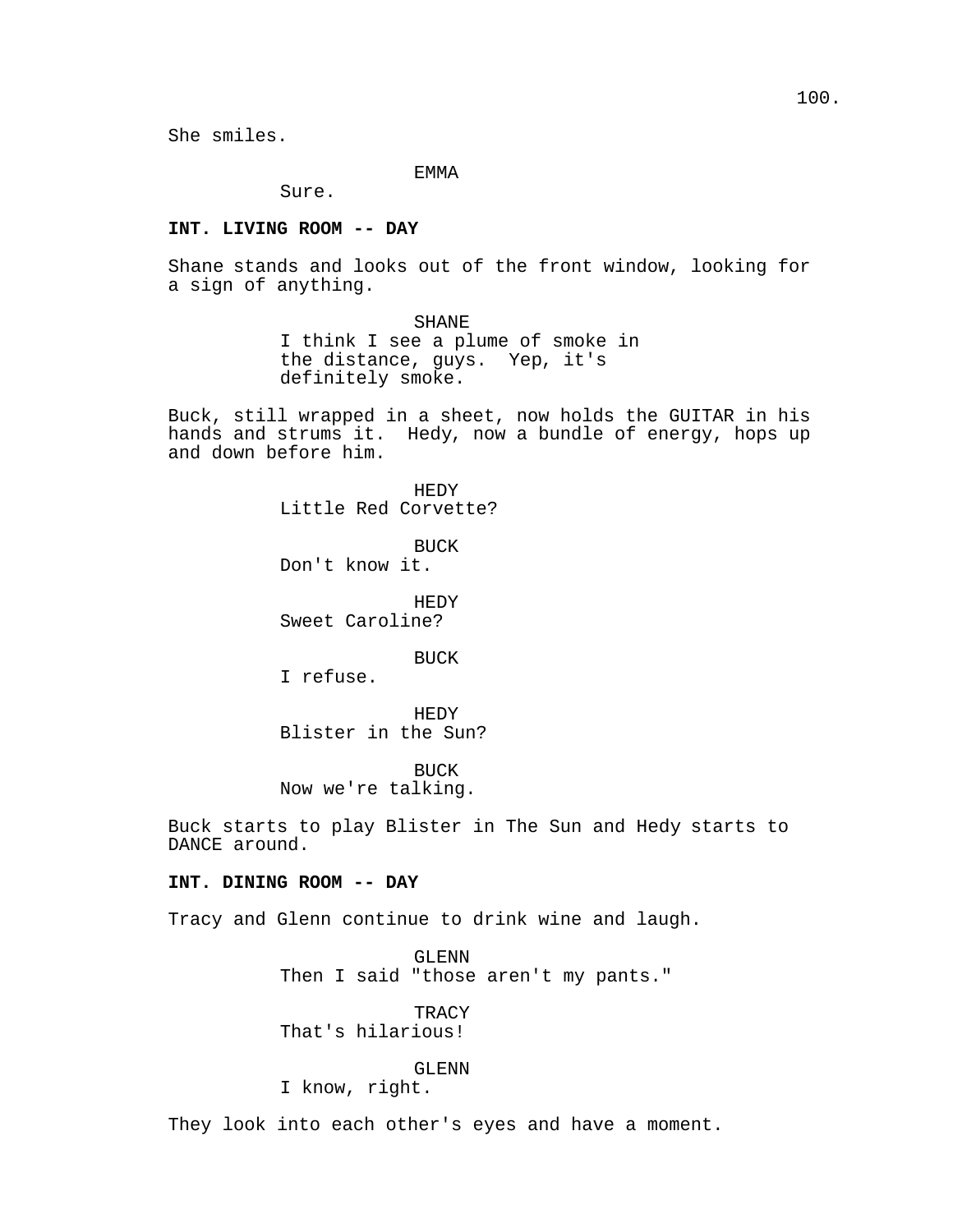EMMA

Sure.

### **INT. LIVING ROOM -- DAY**

Shane stands and looks out of the front window, looking for a sign of anything.

SHANE

I think I see a plume of smoke in the distance, guys. Yep, it's definitely smoke.

Buck, still wrapped in a sheet, now holds the GUITAR in his hands and strums it. Hedy, now a bundle of energy, hops up and down before him.

> HEDY Little Red Corvette?

BUCK Don't know it.

HEDY Sweet Caroline?

BUCK

I refuse.

HEDY Blister in the Sun?

BUCK Now we're talking.

Buck starts to play Blister in The Sun and Hedy starts to DANCE around.

## **INT. DINING ROOM -- DAY**

Tracy and Glenn continue to drink wine and laugh.

GLENN Then I said "those aren't my pants."

TRACY That's hilarious!

## GLENN

I know, right.

They look into each other's eyes and have a moment.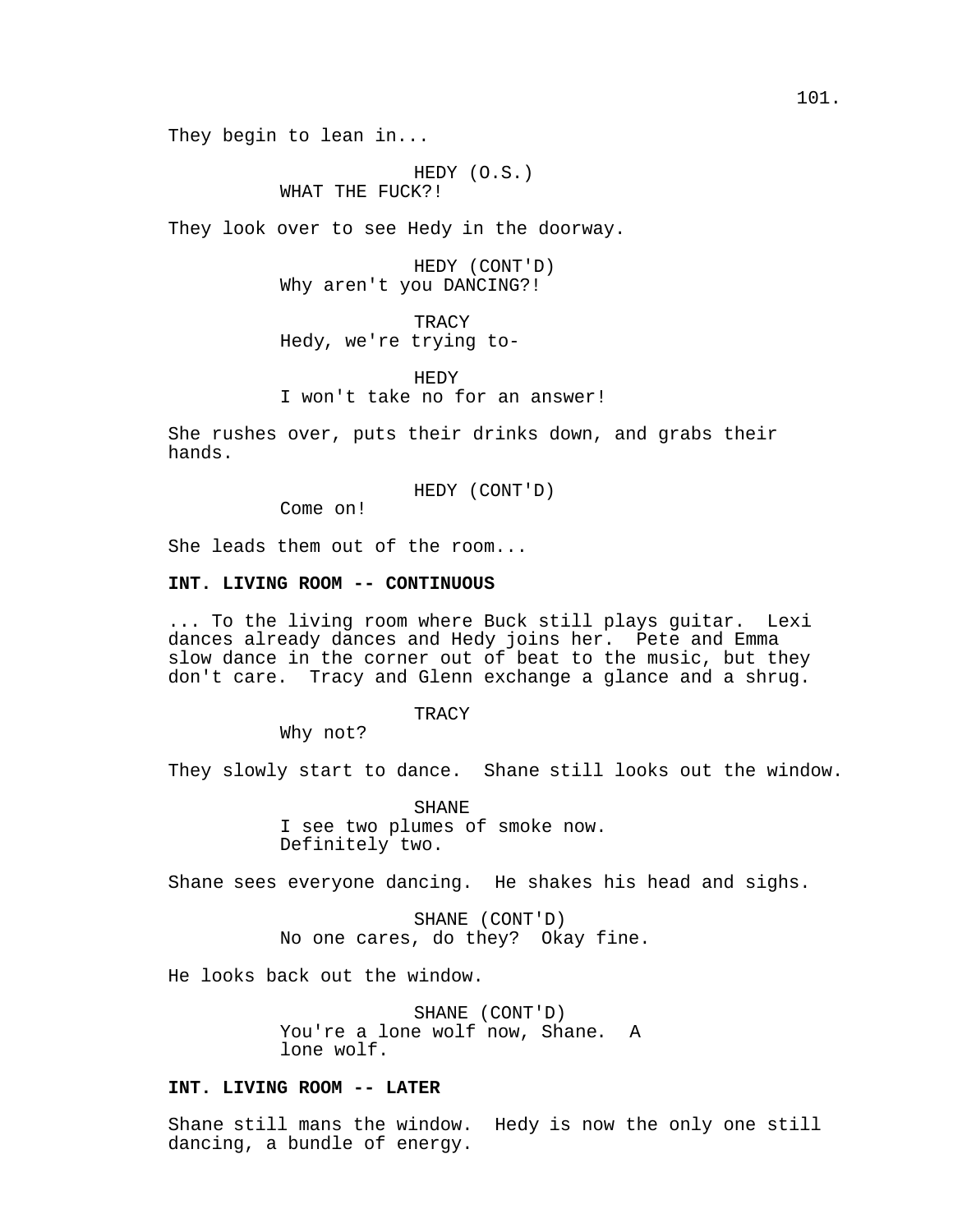They begin to lean in...

HEDY (O.S.) WHAT THE FUCK?!

They look over to see Hedy in the doorway.

HEDY (CONT'D) Why aren't you DANCING?!

TRACY Hedy, we're trying to-

HEDY I won't take no for an answer!

She rushes over, puts their drinks down, and grabs their hands.

HEDY (CONT'D)

Come on!

She leads them out of the room...

## **INT. LIVING ROOM -- CONTINUOUS**

... To the living room where Buck still plays guitar. Lexi dances already dances and Hedy joins her. Pete and Emma slow dance in the corner out of beat to the music, but they don't care. Tracy and Glenn exchange a glance and a shrug.

TRACY

Why not?

They slowly start to dance. Shane still looks out the window.

SHANE I see two plumes of smoke now. Definitely two.

Shane sees everyone dancing. He shakes his head and sighs.

SHANE (CONT'D) No one cares, do they? Okay fine.

He looks back out the window.

SHANE (CONT'D) You're a lone wolf now, Shane. A lone wolf.

## **INT. LIVING ROOM -- LATER**

Shane still mans the window. Hedy is now the only one still dancing, a bundle of energy.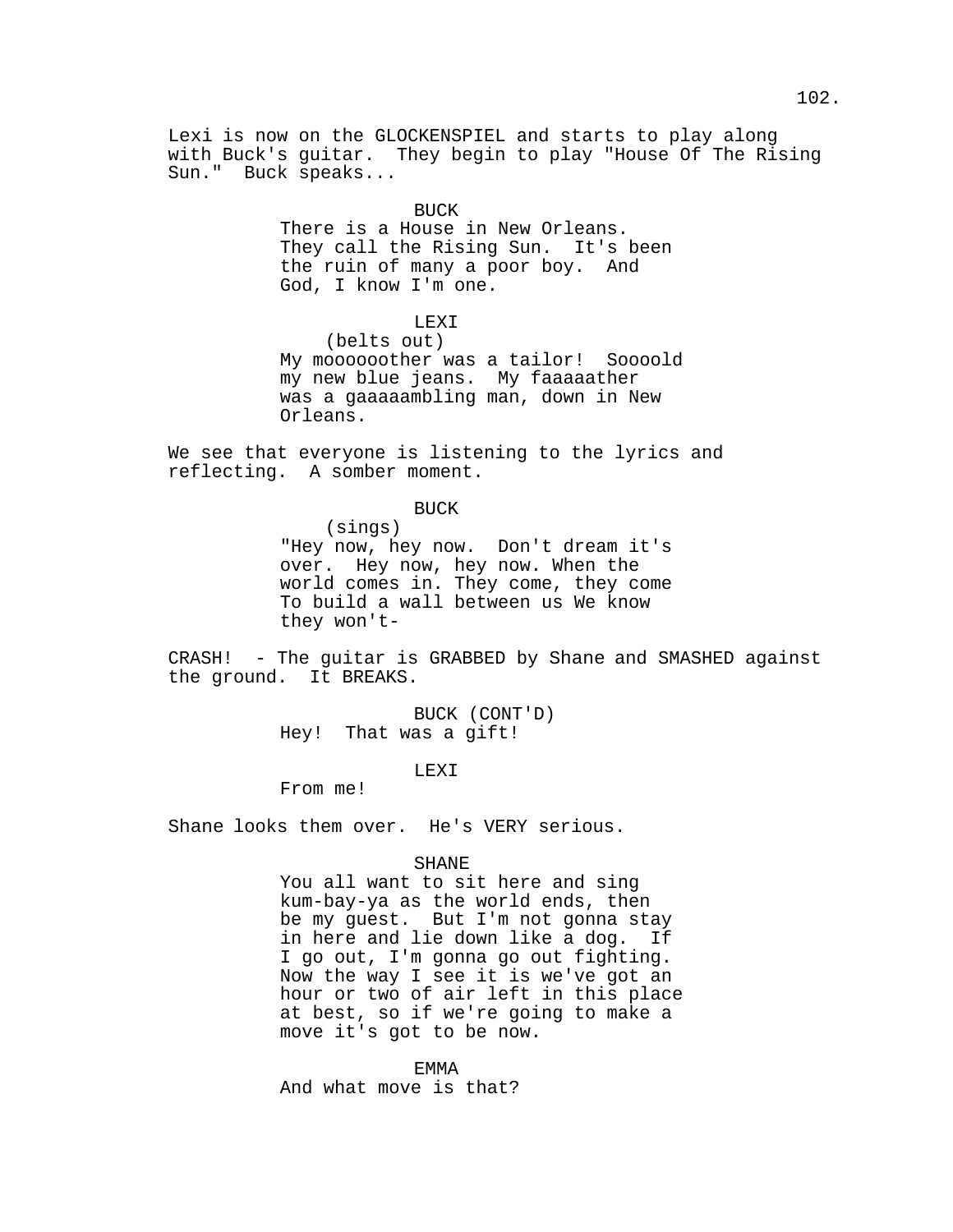Lexi is now on the GLOCKENSPIEL and starts to play along with Buck's guitar. They begin to play "House Of The Rising Sun." Buck speaks...

**BUCK** 

There is a House in New Orleans. They call the Rising Sun. It's been the ruin of many a poor boy. And God, I know I'm one.

LEXI

(belts out) My moooooother was a tailor! Soooold my new blue jeans. My faaaaather was a gaaaaambling man, down in New Orleans.

We see that everyone is listening to the lyrics and reflecting. A somber moment.

BUCK

(sings) "Hey now, hey now. Don't dream it's over. Hey now, hey now. When the world comes in. They come, they come To build a wall between us We know they won't-

CRASH! - The guitar is GRABBED by Shane and SMASHED against the ground. It BREAKS.

> BUCK (CONT'D) Hey! That was a gift!

> > LEXI

From me!

Shane looks them over. He's VERY serious.

### SHANE

You all want to sit here and sing kum-bay-ya as the world ends, then be my guest. But I'm not gonna stay in here and lie down like a dog. If I go out, I'm gonna go out fighting. Now the way I see it is we've got an hour or two of air left in this place at best, so if we're going to make a move it's got to be now.

EMMA

And what move is that?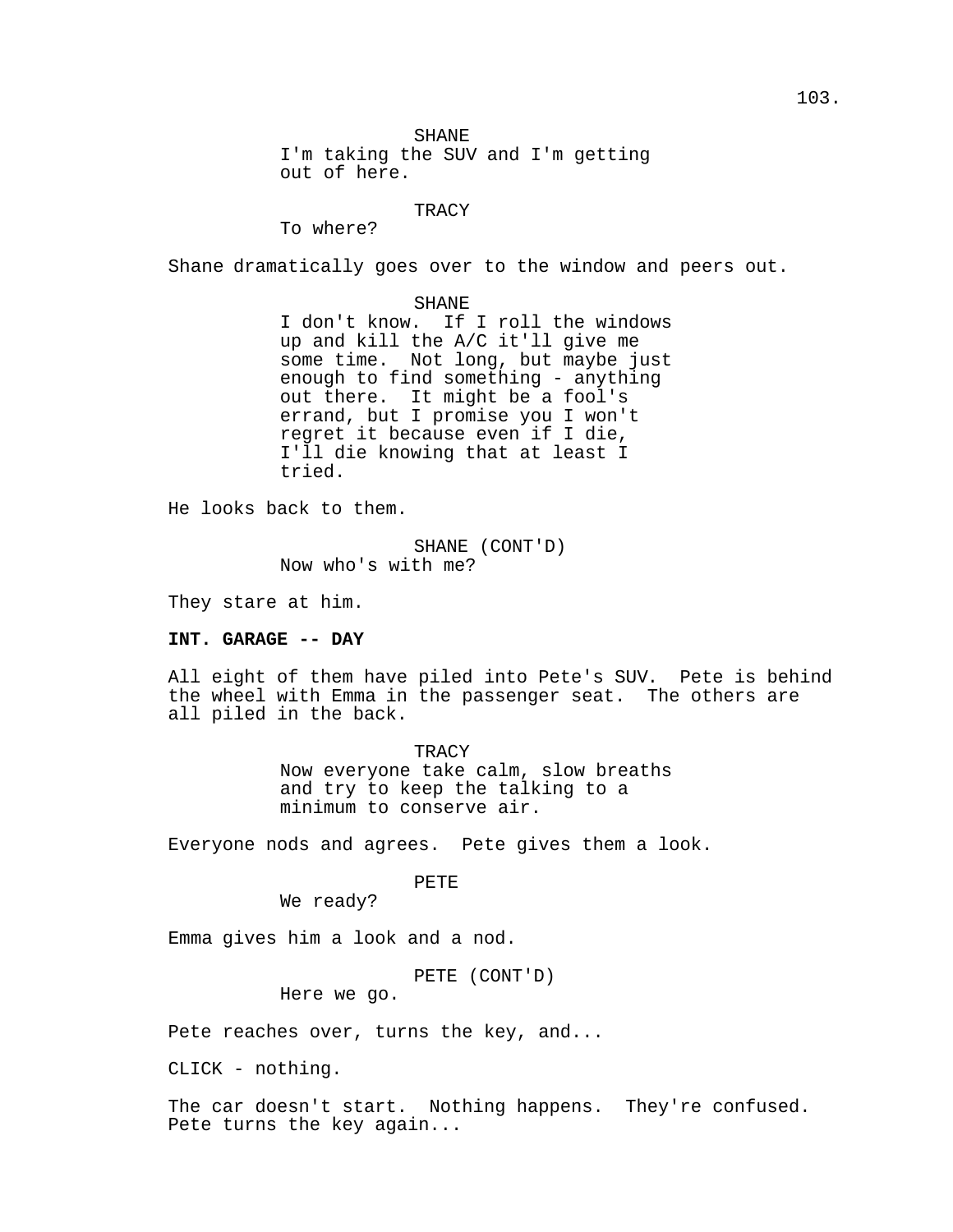SHANE

I'm taking the SUV and I'm getting out of here.

### **TRACY**

To where?

Shane dramatically goes over to the window and peers out.

#### SHANE

I don't know. If I roll the windows up and kill the A/C it'll give me some time. Not long, but maybe just enough to find something - anything out there. It might be a fool's errand, but I promise you I won't regret it because even if I die, I'll die knowing that at least I tried.

He looks back to them.

SHANE (CONT'D) Now who's with me?

They stare at him.

### **INT. GARAGE -- DAY**

All eight of them have piled into Pete's SUV. Pete is behind the wheel with Emma in the passenger seat. The others are all piled in the back.

> **TRACY** Now everyone take calm, slow breaths and try to keep the talking to a minimum to conserve air.

Everyone nods and agrees. Pete gives them a look.

## PETE

We ready?

Emma gives him a look and a nod.

PETE (CONT'D)

Here we go.

Pete reaches over, turns the key, and...

CLICK - nothing.

The car doesn't start. Nothing happens. They're confused. Pete turns the key again...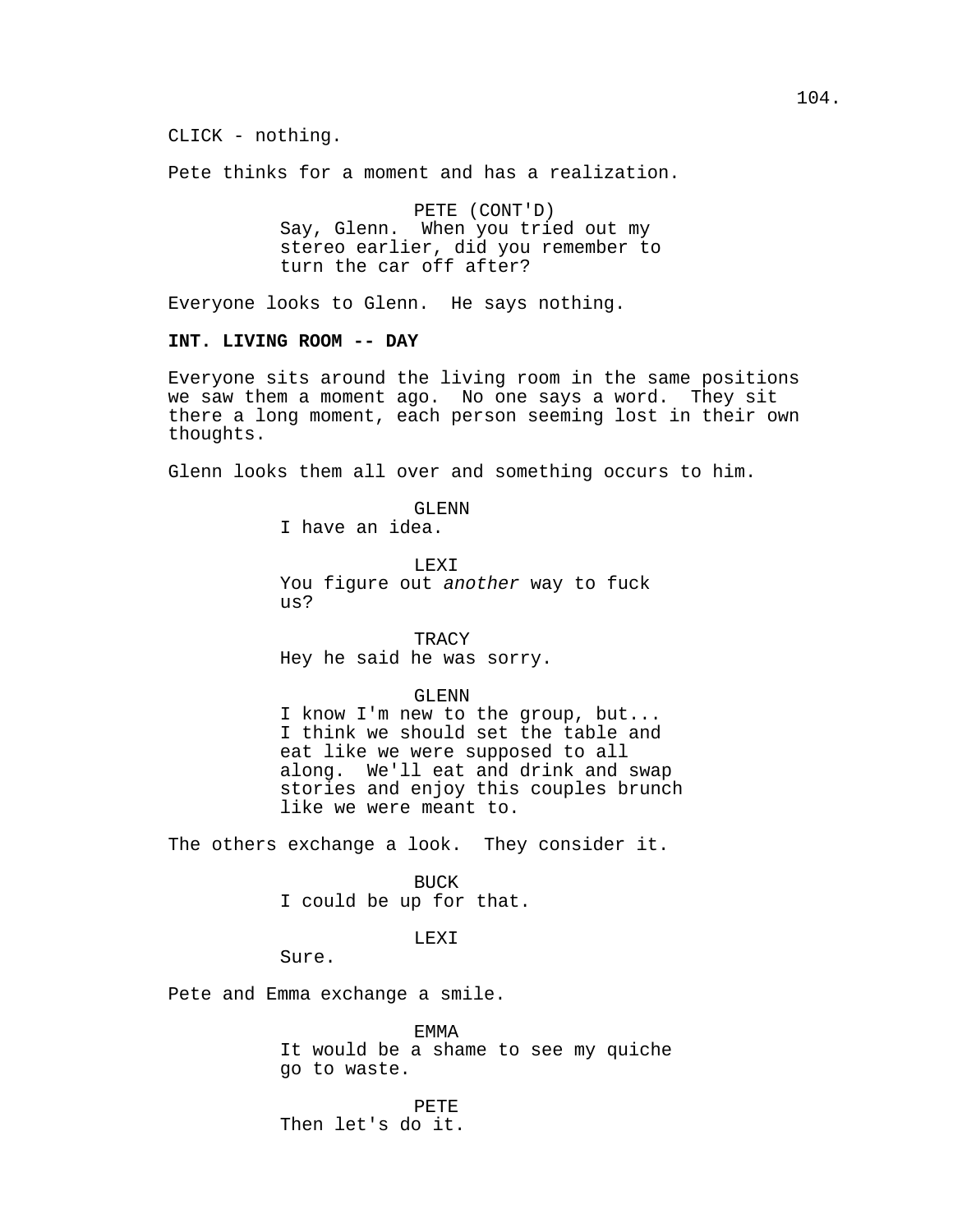CLICK - nothing.

Pete thinks for a moment and has a realization.

PETE (CONT'D) Say, Glenn. When you tried out my stereo earlier, did you remember to turn the car off after?

Everyone looks to Glenn. He says nothing.

## **INT. LIVING ROOM -- DAY**

Everyone sits around the living room in the same positions we saw them a moment ago. No one says a word. They sit there a long moment, each person seeming lost in their own thoughts.

Glenn looks them all over and something occurs to him.

GLENN I have an idea.

LEXI You figure out another way to fuck us?

**TRACY** Hey he said he was sorry.

GLENN

I know I'm new to the group, but... I think we should set the table and eat like we were supposed to all along. We'll eat and drink and swap stories and enjoy this couples brunch like we were meant to.

The others exchange a look. They consider it.

BUCK I could be up for that.

LEXI

Sure.

Pete and Emma exchange a smile.

EMMA It would be a shame to see my quiche go to waste.

PETE Then let's do it.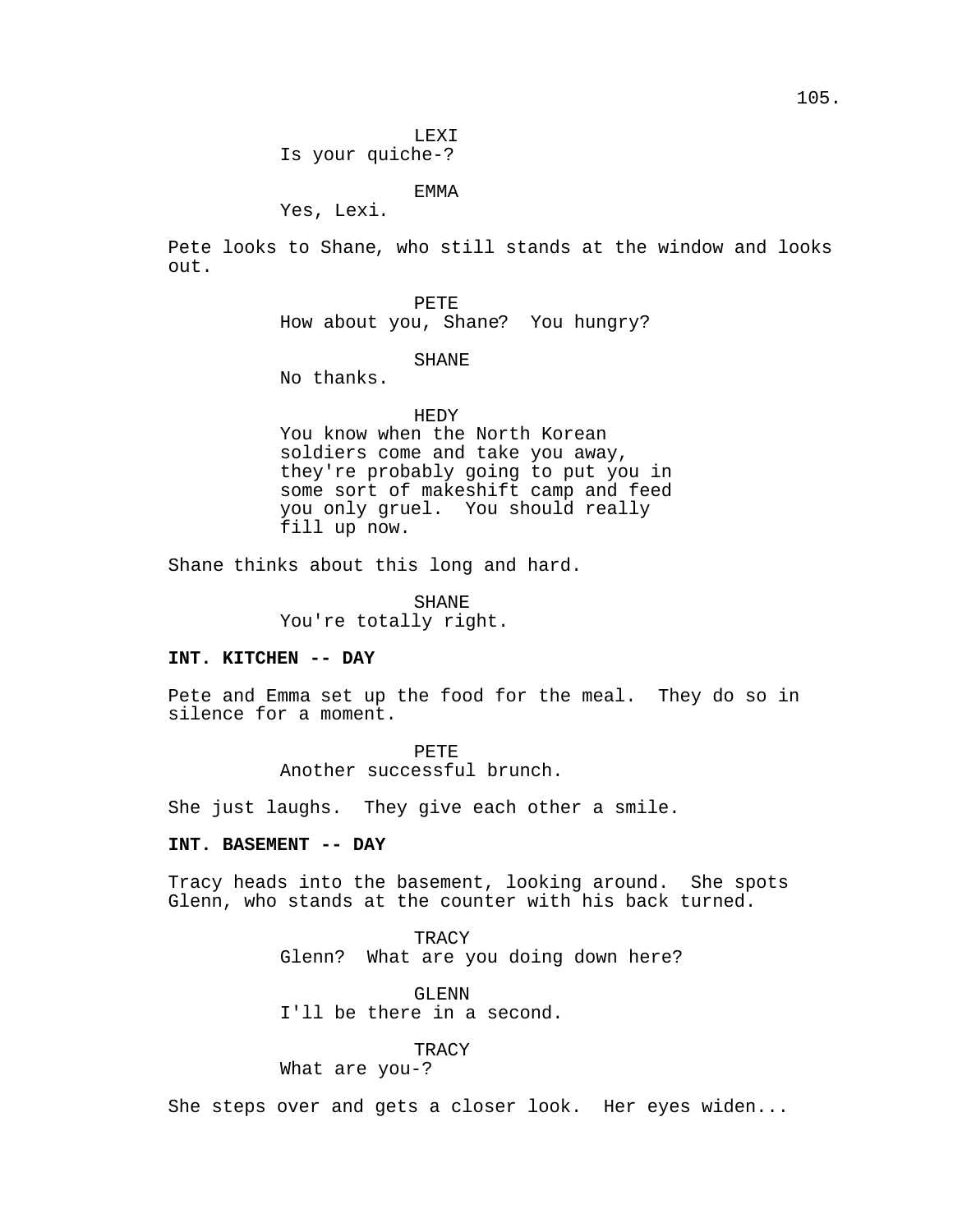LEXI Is your quiche-?

EMMA

Yes, Lexi.

Pete looks to Shane, who still stands at the window and looks out.

PETE

How about you, Shane? You hungry?

# SHANE

No thanks.

### HEDY

You know when the North Korean soldiers come and take you away, they're probably going to put you in some sort of makeshift camp and feed you only gruel. You should really fill up now.

Shane thinks about this long and hard.

SHANE You're totally right.

# **INT. KITCHEN -- DAY**

Pete and Emma set up the food for the meal. They do so in silence for a moment.

> PETE Another successful brunch.

She just laughs. They give each other a smile.

## **INT. BASEMENT -- DAY**

Tracy heads into the basement, looking around. She spots Glenn, who stands at the counter with his back turned.

> **TRACY** Glenn? What are you doing down here?

GLENN I'll be there in a second.

**TRACY** 

What are you-?

She steps over and gets a closer look. Her eyes widen...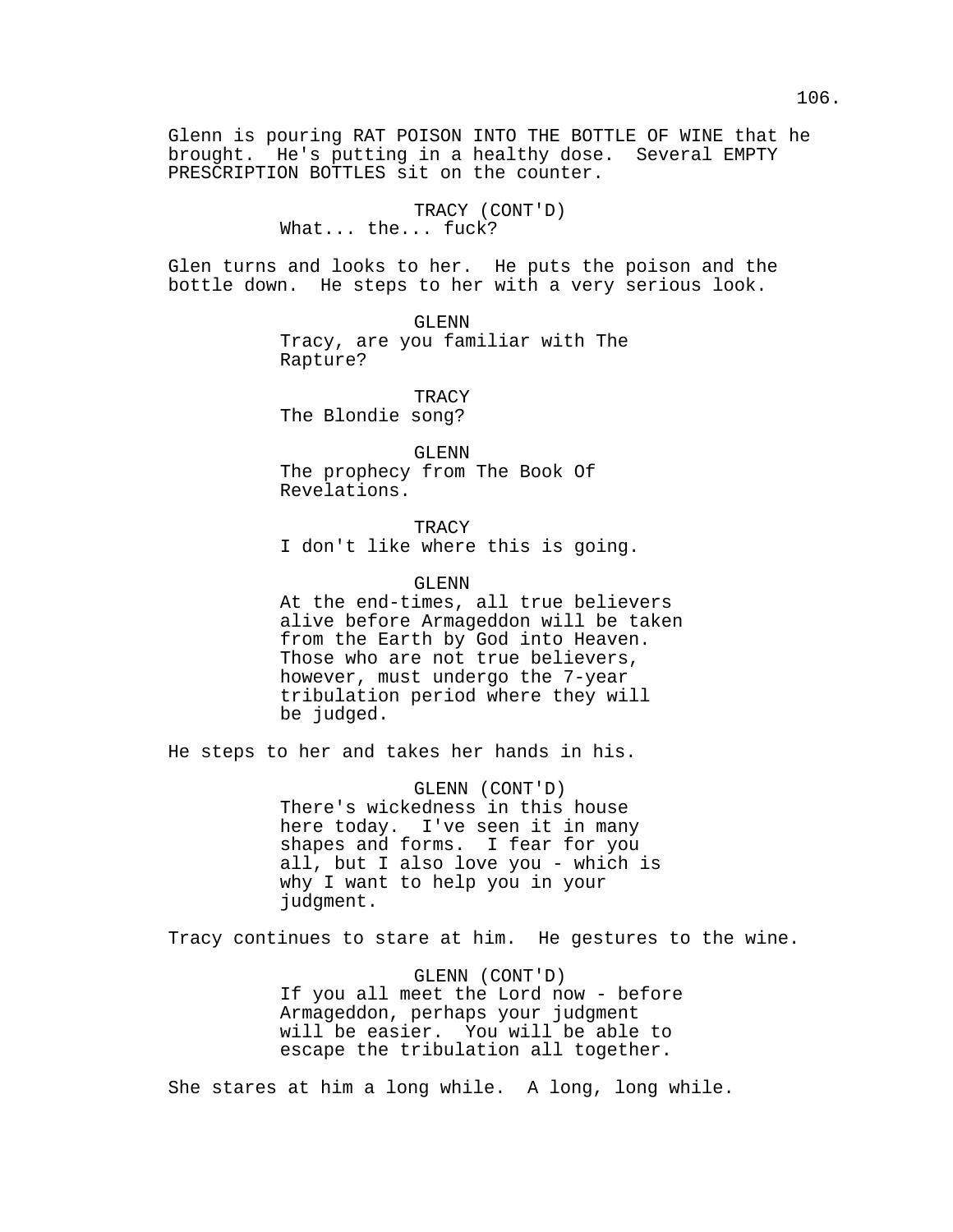Glenn is pouring RAT POISON INTO THE BOTTLE OF WINE that he brought. He's putting in a healthy dose. Several EMPTY PRESCRIPTION BOTTLES sit on the counter.

> TRACY (CONT'D) What... the... fuck?

Glen turns and looks to her. He puts the poison and the bottle down. He steps to her with a very serious look.

> GLENN Tracy, are you familiar with The Rapture?

TRACY The Blondie song?

GLENN The prophecy from The Book Of Revelations.

TRACY I don't like where this is going.

GLENN

At the end-times, all true believers alive before Armageddon will be taken from the Earth by God into Heaven. Those who are not true believers, however, must undergo the 7-year tribulation period where they will be judged.

He steps to her and takes her hands in his.

GLENN (CONT'D) There's wickedness in this house here today. I've seen it in many shapes and forms. I fear for you all, but I also love you - which is why I want to help you in your judgment.

Tracy continues to stare at him. He gestures to the wine.

GLENN (CONT'D) If you all meet the Lord now - before Armageddon, perhaps your judgment will be easier. You will be able to escape the tribulation all together.

She stares at him a long while. A long, long while.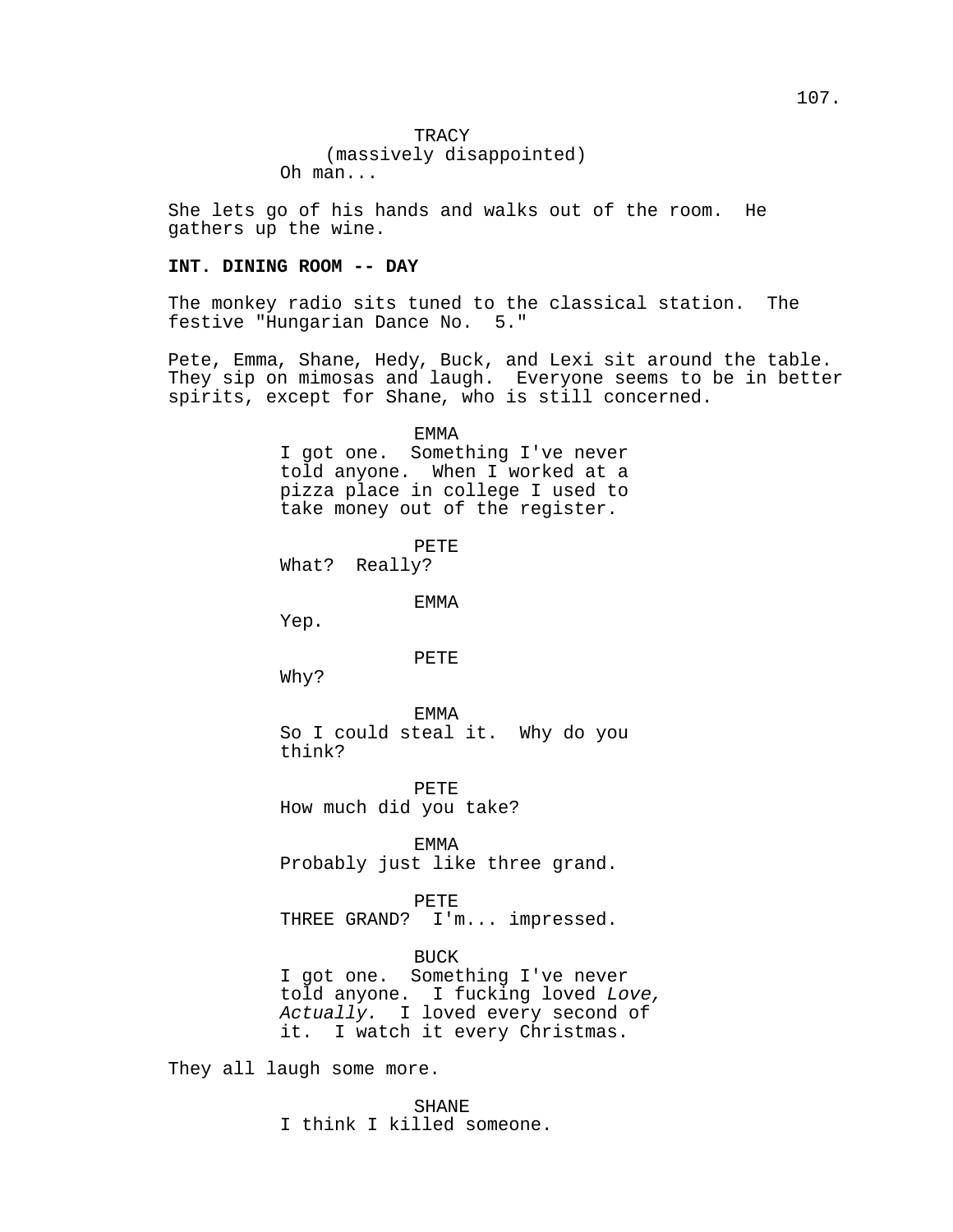She lets go of his hands and walks out of the room. He gathers up the wine.

## **INT. DINING ROOM -- DAY**

The monkey radio sits tuned to the classical station. The festive "Hungarian Dance No. 5."

Pete, Emma, Shane, Hedy, Buck, and Lexi sit around the table. They sip on mimosas and laugh. Everyone seems to be in better spirits, except for Shane, who is still concerned.

> EMMA I got one. Something I've never told anyone. When I worked at a pizza place in college I used to take money out of the register.

> > PETE

What? Really?

EMMA

Yep.

### PETE

Why?

EMMA So I could steal it. Why do you think?

PETE How much did you take?

EMMA Probably just like three grand.

PETE THREE GRAND? I'm... impressed.

BUCK I got one. Something I've never told anyone. I fucking loved Love, Actually. I loved every second of it. I watch it every Christmas.

They all laugh some more.

SHANE I think I killed someone.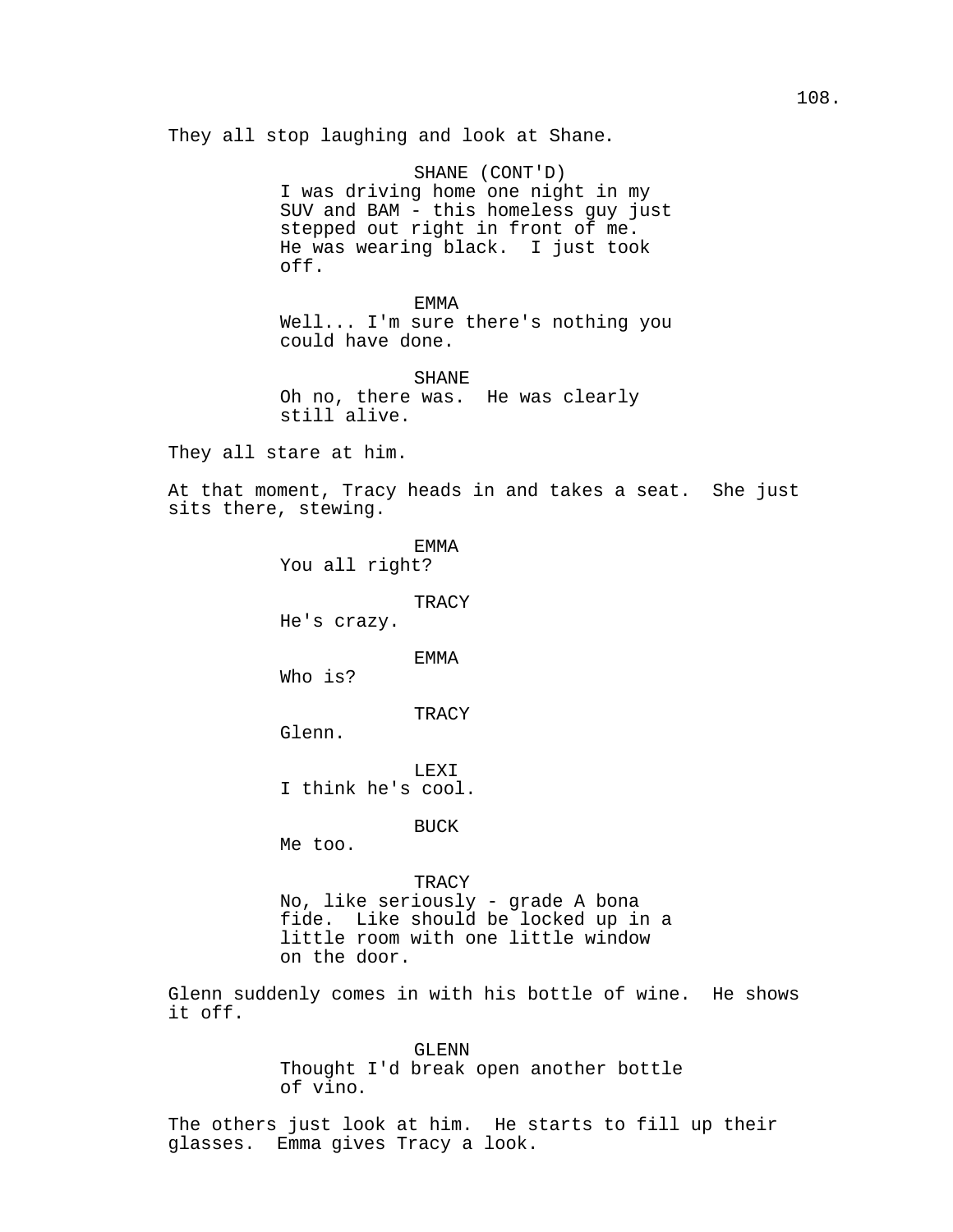They all stop laughing and look at Shane.

SHANE (CONT'D) I was driving home one night in my SUV and BAM - this homeless guy just stepped out right in front of me. He was wearing black. I just took off.

EMMA Well... I'm sure there's nothing you could have done.

SHANE Oh no, there was. He was clearly still alive.

They all stare at him.

At that moment, Tracy heads in and takes a seat. She just sits there, stewing.

> EMMA You all right? TRACY He's crazy. EMMA Who is? TRACY Glenn. LEXI I think he's cool. BUCK Me too.

TRACY No, like seriously - grade A bona fide. Like should be locked up in a little room with one little window on the door.

Glenn suddenly comes in with his bottle of wine. He shows it off.

> GLENN Thought I'd break open another bottle of vino.

The others just look at him. He starts to fill up their glasses. Emma gives Tracy a look.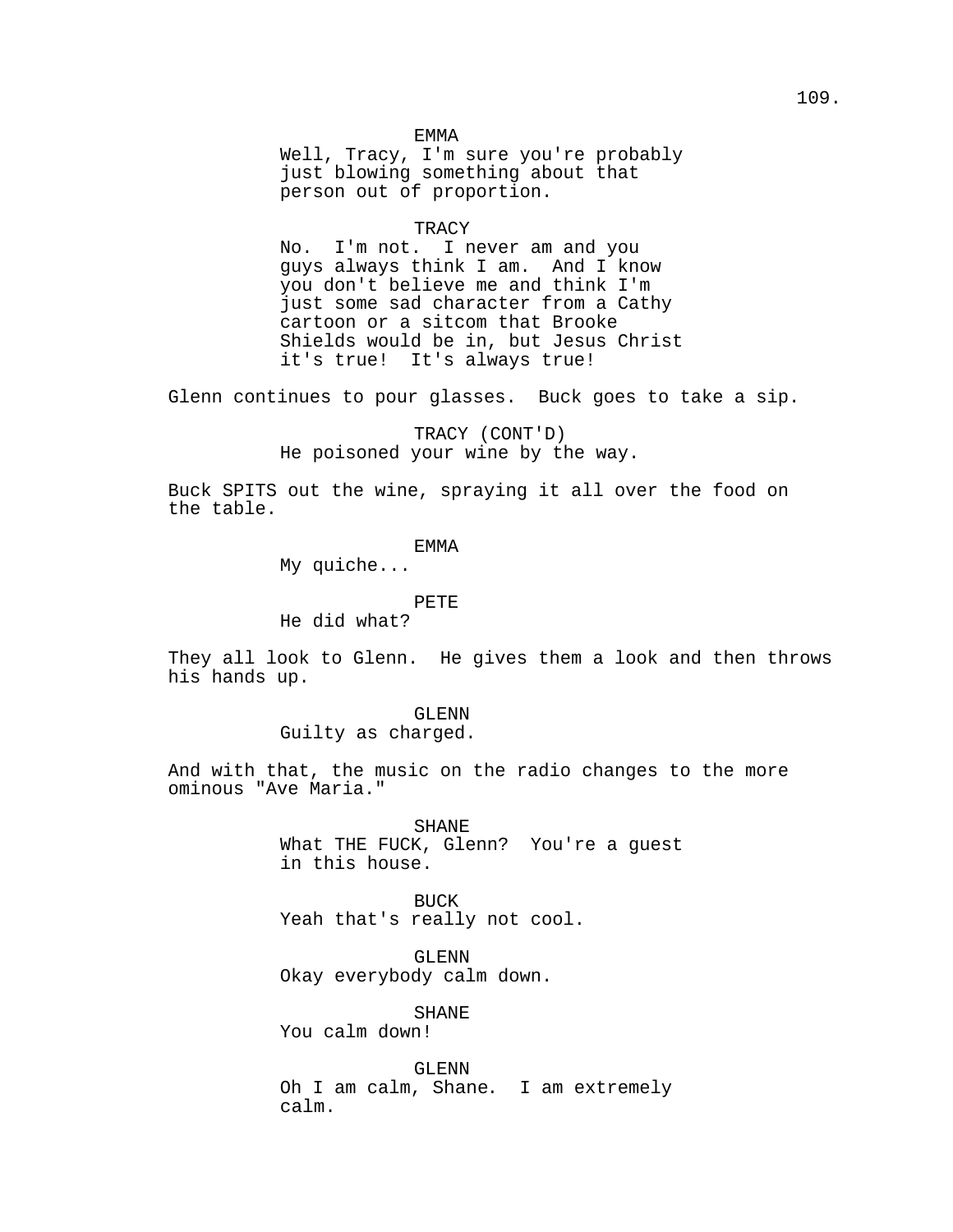#### EMMA

Well, Tracy, I'm sure you're probably just blowing something about that person out of proportion.

#### **TRACY**

No. I'm not. I never am and you guys always think I am. And I know you don't believe me and think I'm just some sad character from a Cathy cartoon or a sitcom that Brooke Shields would be in, but Jesus Christ it's true! It's always true!

Glenn continues to pour glasses. Buck goes to take a sip.

# TRACY (CONT'D) He poisoned your wine by the way.

Buck SPITS out the wine, spraying it all over the food on the table.

## EMMA

My quiche...

#### PETE

He did what?

They all look to Glenn. He gives them a look and then throws his hands up.

## GLENN Guilty as charged.

And with that, the music on the radio changes to the more ominous "Ave Maria."

> SHANE What THE FUCK, Glenn? You're a guest in this house.

BUCK Yeah that's really not cool.

GLENN Okay everybody calm down.

SHANE

You calm down!

GLENN Oh I am calm, Shane. I am extremely calm.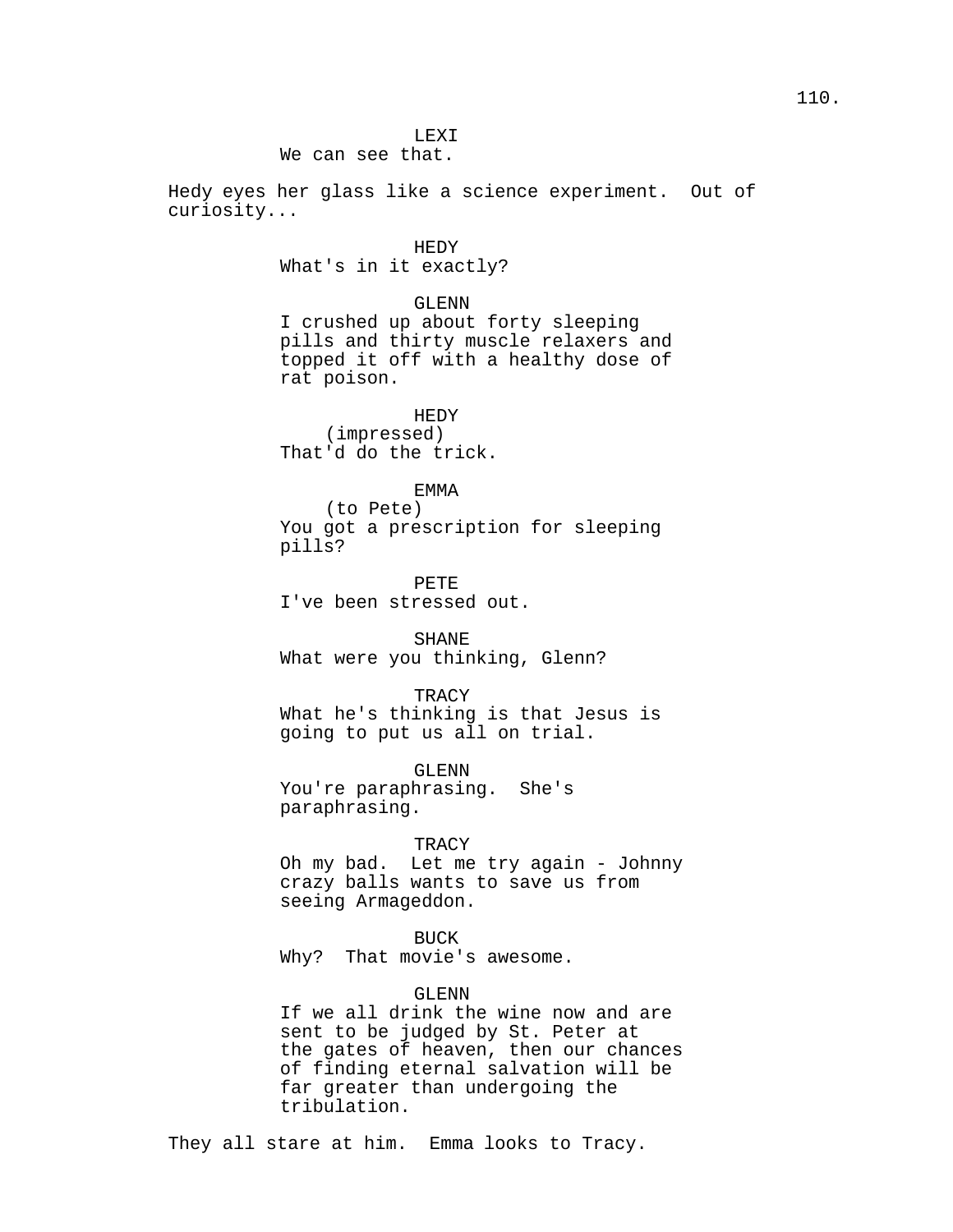We can see that.

Hedy eyes her glass like a science experiment. Out of curiosity...

## HEDY

What's in it exactly?

#### GLENN

I crushed up about forty sleeping pills and thirty muscle relaxers and topped it off with a healthy dose of rat poison.

HEDY (impressed) That'd do the trick.

## EMMA

(to Pete) You got a prescription for sleeping pills?

PETE I've been stressed out.

SHANE What were you thinking, Glenn?

#### **TRACY**

What he's thinking is that Jesus is going to put us all on trial.

GLENN You're paraphrasing. She's paraphrasing.

### **TRACY**

Oh my bad. Let me try again - Johnny crazy balls wants to save us from seeing Armageddon.

## BUCK

Why? That movie's awesome.

## GLENN

If we all drink the wine now and are sent to be judged by St. Peter at the gates of heaven, then our chances of finding eternal salvation will be far greater than undergoing the tribulation.

They all stare at him. Emma looks to Tracy.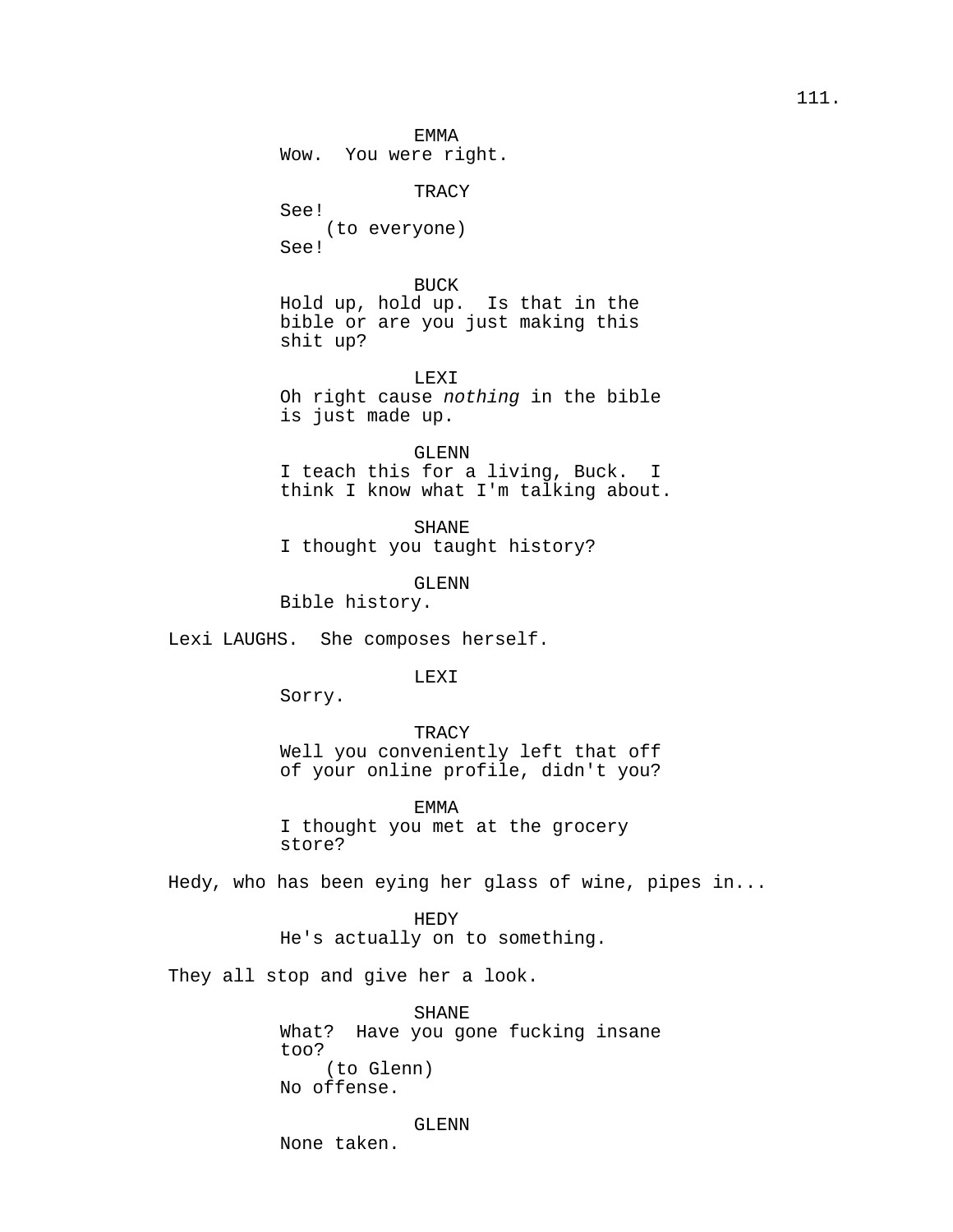EMMA Wow. You were right.

TRACY See! (to everyone) See!

BUCK Hold up, hold up. Is that in the bible or are you just making this shit up?

LEXI Oh right cause nothing in the bible is just made up.

GLENN I teach this for a living, Buck. I think I know what I'm talking about.

SHANE I thought you taught history?

GLENN

Bible history.

Lexi LAUGHS. She composes herself.

LEXI

Sorry.

**TRACY** 

Well you conveniently left that off of your online profile, didn't you?

EMMA I thought you met at the grocery store?

Hedy, who has been eying her glass of wine, pipes in...

HEDY He's actually on to something.

They all stop and give her a look.

SHANE What? Have you gone fucking insane too? (to Glenn) No offense.

GLENN

None taken.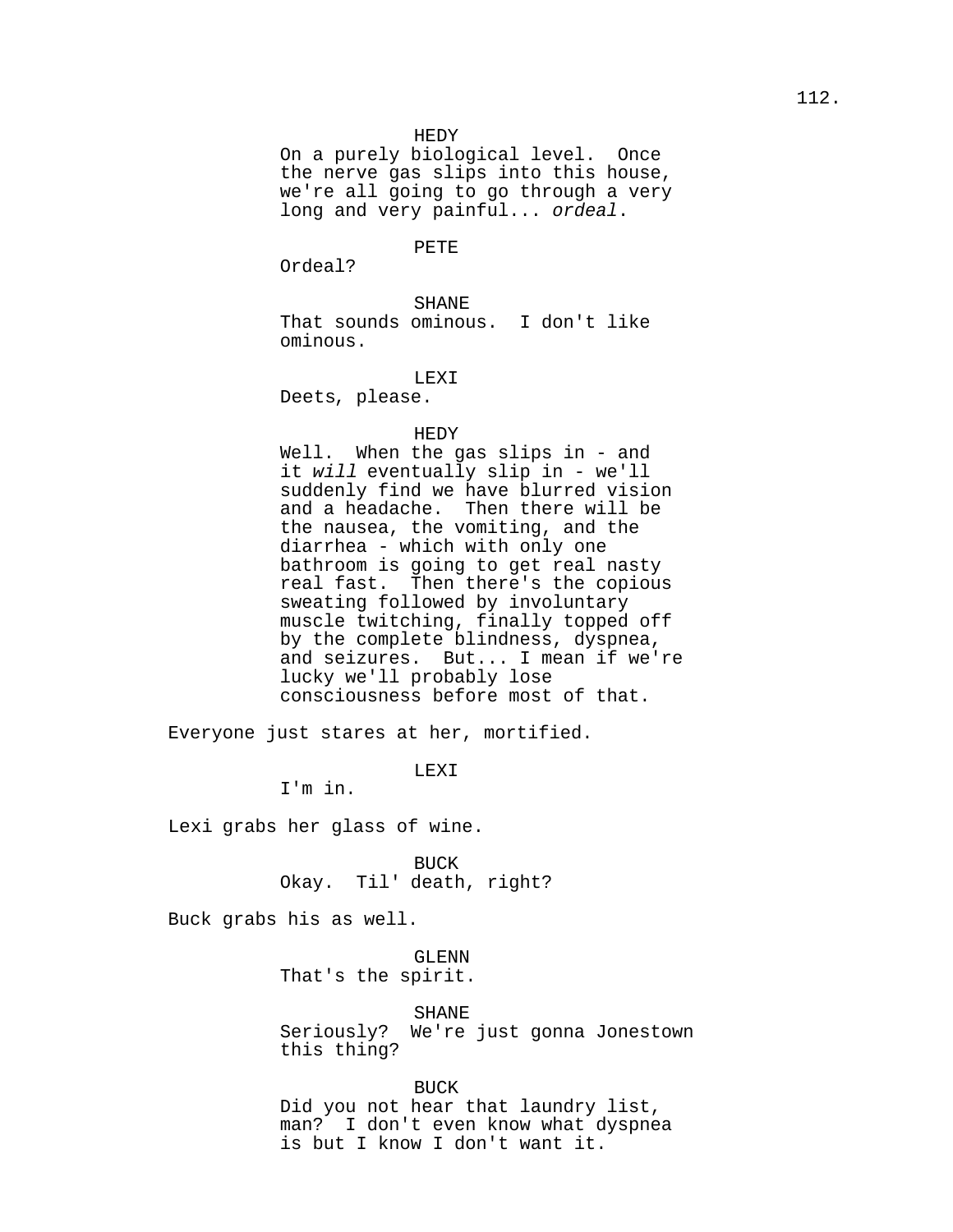#### HEDY

On a purely biological level. Once the nerve gas slips into this house, we're all going to go through a very long and very painful... ordeal.

## PETE

Ordeal?

## SHANE

That sounds ominous. I don't like ominous.

## LEXI

Deets, please.

### HEDY

Well. When the gas slips in - and it will eventually slip in - we'll suddenly find we have blurred vision and a headache. Then there will be the nausea, the vomiting, and the diarrhea - which with only one bathroom is going to get real nasty real fast. Then there's the copious sweating followed by involuntary muscle twitching, finally topped off by the complete blindness, dyspnea, and seizures. But... I mean if we're lucky we'll probably lose consciousness before most of that.

Everyone just stares at her, mortified.

LEXI

I'm in.

Lexi grabs her glass of wine.

BUCK Okay. Til' death, right?

Buck grabs his as well.

GLENN That's the spirit.

SHANE Seriously? We're just gonna Jonestown this thing?

BUCK Did you not hear that laundry list, man? I don't even know what dyspnea is but I know I don't want it.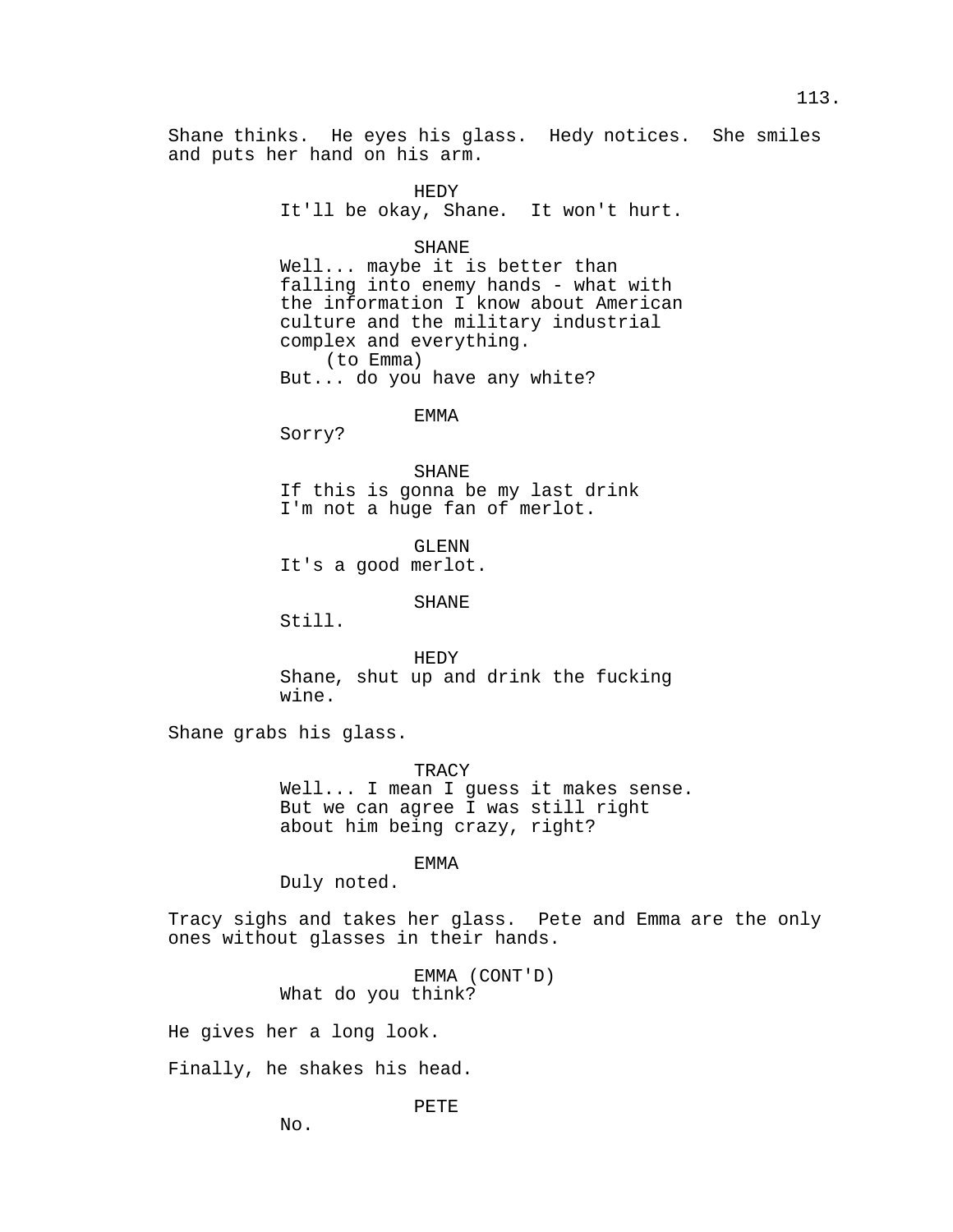Shane thinks. He eyes his glass. Hedy notices. She smiles and puts her hand on his arm.

> HEDY It'll be okay, Shane. It won't hurt.

### SHANE

Well... maybe it is better than falling into enemy hands - what with the information I know about American culture and the military industrial complex and everything. (to Emma) But... do you have any white?

## EMMA

Sorry?

SHANE If this is gonna be my last drink I'm not a huge fan of merlot.

GLENN It's a good merlot.

SHANE

Still.

HEDY Shane, shut up and drink the fucking wine.

Shane grabs his glass.

**TRACY** 

Well... I mean I guess it makes sense. But we can agree I was still right about him being crazy, right?

### EMMA

Duly noted.

Tracy sighs and takes her glass. Pete and Emma are the only ones without glasses in their hands.

> EMMA (CONT'D) What do you think?

He gives her a long look.

Finally, he shakes his head.

PETE

No.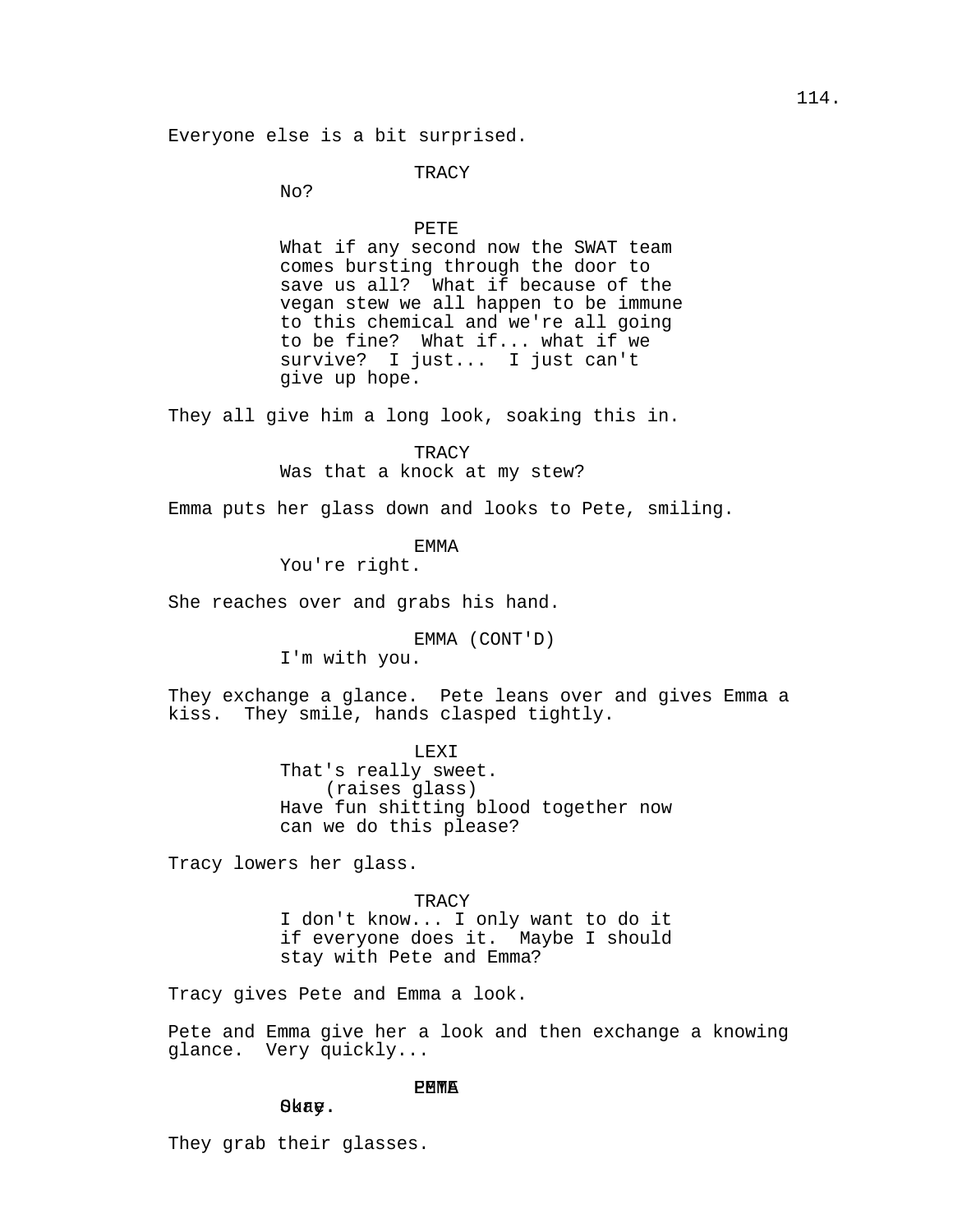## **TRACY**

No?

PETE What if any second now the SWAT team comes bursting through the door to save us all? What if because of the vegan stew we all happen to be immune to this chemical and we're all going to be fine? What if... what if we survive? I just... I just can't give up hope.

They all give him a long look, soaking this in.

**TRACY** Was that a knock at my stew?

Emma puts her glass down and looks to Pete, smiling.

EMMA

You're right.

She reaches over and grabs his hand.

EMMA (CONT'D) I'm with you.

They exchange a glance. Pete leans over and gives Emma a kiss. They smile, hands clasped tightly.

> LEXI That's really sweet. (raises glass) Have fun shitting blood together now can we do this please?

Tracy lowers her glass.

**TRACY** I don't know... I only want to do it if everyone does it. Maybe I should stay with Pete and Emma?

Tracy gives Pete and Emma a look.

Pete and Emma give her a look and then exchange a knowing glance. Very quickly...

## **PMWA**

Okay.

They grab their glasses.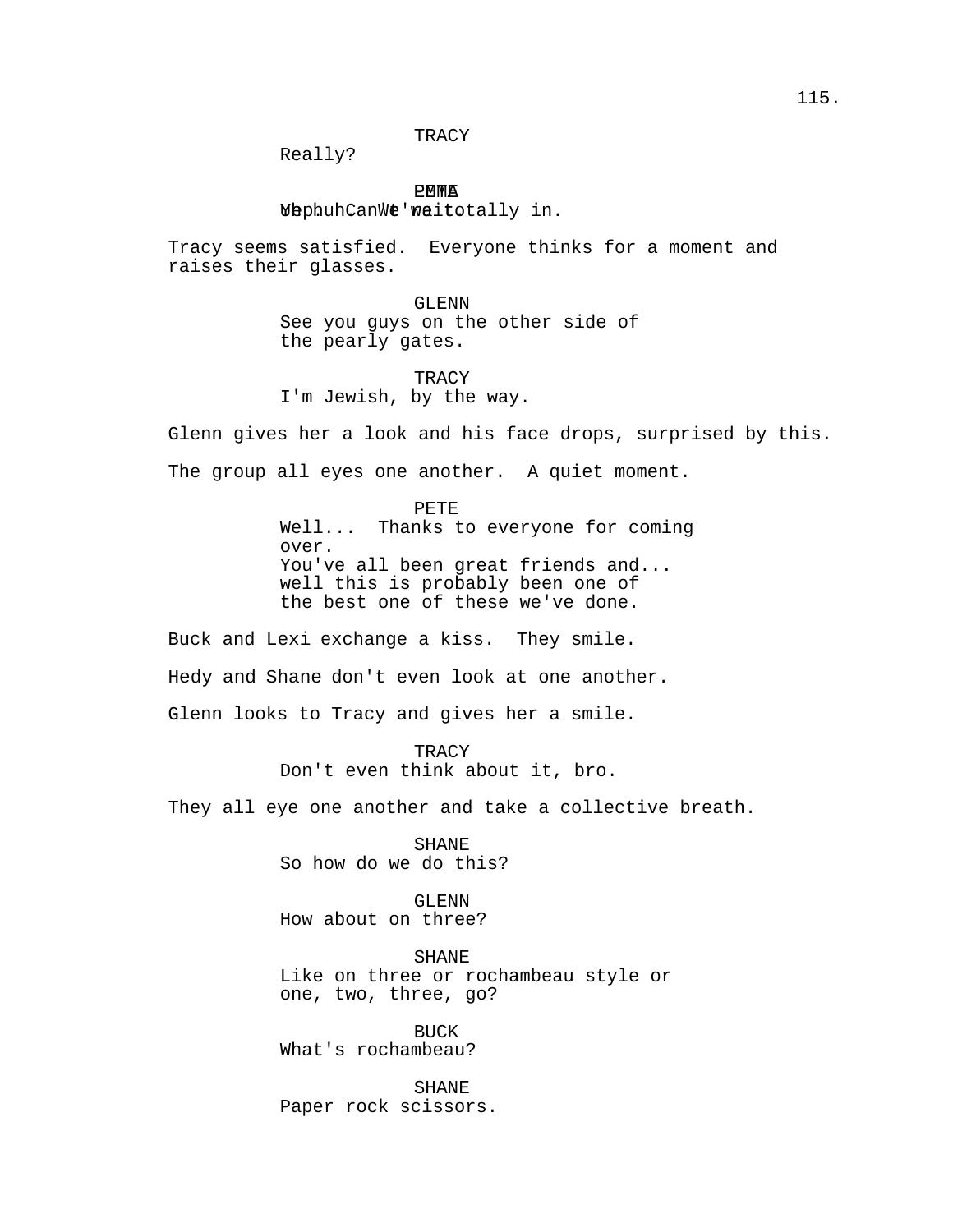**TRACY** 

Really?

**PMWA** EMME<br>.WaphuhCanWe'waitotally in

Tracy seems satisfied. Everyone thinks for a moment and raises their glasses.

> GLENN See you guys on the other side of the pearly gates.

**TRACY** I'm Jewish, by the way.

Glenn gives her a look and his face drops, surprised by this. The group all eyes one another. A quiet moment.

PETE

Well... Thanks to everyone for coming over. You've all been great friends and... well this is probably been one of the best one of these we've done.

Buck and Lexi exchange a kiss. They smile.

Hedy and Shane don't even look at one another.

Glenn looks to Tracy and gives her a smile.

**TRACY** Don't even think about it, bro.

They all eye one another and take a collective breath.

SHANE So how do we do this?

GLENN How about on three?

SHANE Like on three or rochambeau style or one, two, three, go?

BUCK What's rochambeau?

SHANE Paper rock scissors.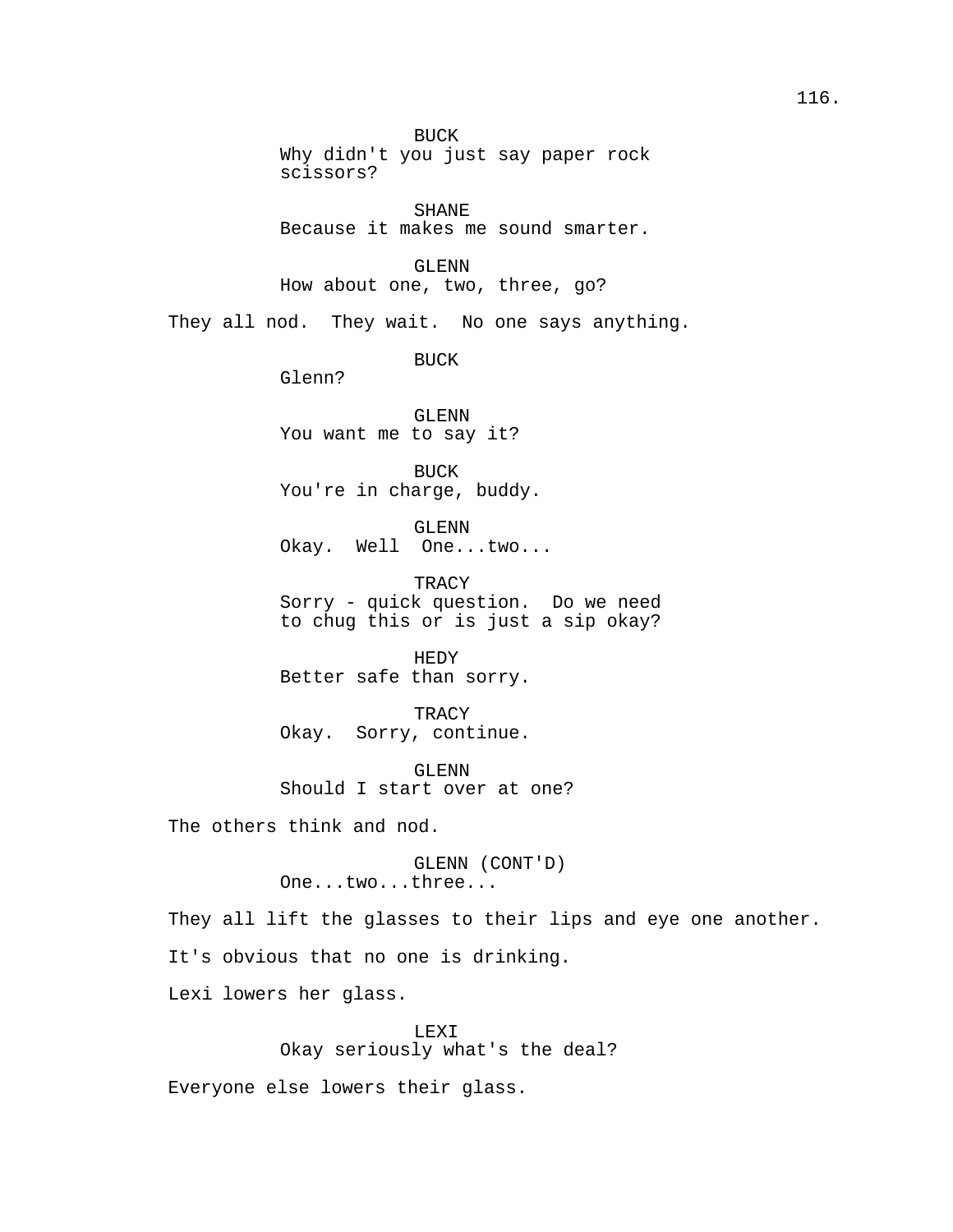BUCK Why didn't you just say paper rock scissors? SHANE Because it makes me sound smarter. GLENN How about one, two, three, go? They all nod. They wait. No one says anything. BUCK Glenn? GLENN You want me to say it? BUCK You're in charge, buddy. GLENN Okay. Well One...two... **TRACY** Sorry - quick question. Do we need to chug this or is just a sip okay? HEDY Better safe than sorry. **TRACY** Okay. Sorry, continue. GLENN Should I start over at one? The others think and nod. GLENN (CONT'D) One...two...three... They all lift the glasses to their lips and eye one another. It's obvious that no one is drinking. Lexi lowers her glass.

LEXI Okay seriously what's the deal? Everyone else lowers their glass.